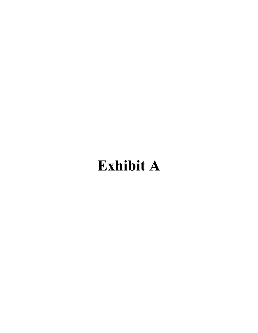# Exhibit A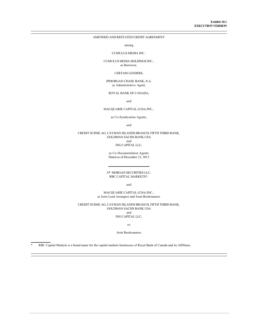# AMENDED AND RESTATED CREDIT AGREEMENT

among

## CUMULUS MEDIA INC,

CUMULUS MEDIA HOLDINGS INC., as Borrower,

#### CERTAIN LENDERS,

JPMORGAN CHASE BANK, N.A. as Administrative Agent,

#### ROYAL BANK OF CANADA,

and

# MACQUARIE CAPITAL (USA) INC.,

as Co-Syndication Agents,

and

## CREDIT SUISSE AG, CAYMAN ISLANDS BRANCH, FIFTH THIRD BANK, **GOLDMAN SACHS BANK USA** and ING CAPITAL LLC,

as Co-Documentation Agents Dated as of December 23, 2013

#### JP MORGAN SECURITIES LLC, RBC CAPITAL MARKETS\*,

and

MACQUARIE CAPITAL (USA) INC., as Joint Lead Arrangers and Joint Bookrunners

CREDIT SUISSE AG, CAYMAN ISLANDS BRANCH, FIFTH THIRD BANK, GOLDMAN SACHS BANK USA and ING CAPITAL LLC,

as

## Joint Bookrunners

RBC Capital Markets is a brand name for the capital markets businesses of Royal Bank of Canada and its Affiliates.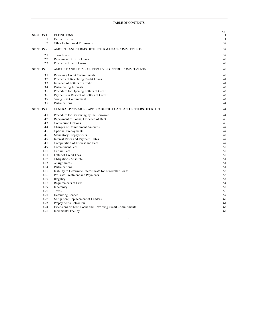|                   |                                                              | Page         |
|-------------------|--------------------------------------------------------------|--------------|
| <b>SECTION 1.</b> | <b>DEFINITIONS</b>                                           | $\mathbf{1}$ |
| 1.1               | Defined Terms                                                | 1            |
| 1.2               | Other Definitional Provisions                                | 39           |
| <b>SECTION 2.</b> | AMOUNT AND TERMS OF THE TERM LOAN COMMITMENTS                | 39           |
| 2.1               | Term Loans                                                   | 39           |
| 2.2               | Repayment of Term Loans                                      | 40           |
| 2.3               | Proceeds of Term Loans                                       | 40           |
| <b>SECTION 3.</b> | AMOUNT AND TERMS OF REVOLVING CREDIT COMMITMENTS             | 40           |
| 3.1               | Revolving Credit Commitments                                 | 40           |
| 3.2               | Proceeds of Revolving Credit Loans                           | 41           |
| 3.3               | Issuance of Letters of Credit                                | 41           |
| 3.4               | Participating Interests                                      | 42           |
| 3.5               | Procedure for Opening Letters of Credit                      | 42           |
| 3.6               | Payments in Respect of Letters of Credit                     | 42           |
| 3.7               | Swing Line Commitment                                        | 43           |
| 3.8               | Participations                                               | 44           |
| <b>SECTION 4.</b> | GENERAL PROVISIONS APPLICABLE TO LOANS AND LETTERS OF CREDIT | 44           |
| 4.1               | Procedure for Borrowing by the Borrower                      | 44           |
| 4.2               | Repayment of Loans; Evidence of Debt                         | 46           |
| 4.3               | Conversion Options                                           | 46           |
| 4.4               | <b>Changes of Commitment Amounts</b>                         | 47           |
| 4.5               | Optional Prepayments                                         | 47           |
| 4.6               | Mandatory Prepayments                                        | 48           |
| 4.7               | <b>Interest Rates and Payment Dates</b>                      | 49           |
| 4.8               | Computation of Interest and Fees                             | 49           |
| 4.9               | <b>Commitment Fees</b>                                       | 50           |
| 4.10              | Certain Fees                                                 | 50           |
| 4.11              | Letter of Credit Fees                                        | 50           |
| 4.12              | <b>Obligations Absolute</b>                                  | 51           |
| 4.13              | Assignments                                                  | 51           |
| 4.14              | Participations                                               | 51           |
| 4.15              | Inability to Determine Interest Rate for Eurodollar Loans    | 52           |
| 4.16              | Pro Rata Treatment and Payments                              | 52           |
| 4.17              | Illegality                                                   | 53           |
| 4.18              | Requirements of Law                                          | 54           |
| 4.19              | Indemnity                                                    | 55           |
| 4.20              | Taxes                                                        | 56           |
| 4.21              | Defaulting Lender                                            | 59           |
| 4.22              | Mitigation; Replacement of Lenders                           | 60           |
| 4.23              | Prepayments Below Par                                        | 61           |
| 4.24              | Extensions of Term Loans and Revolving Credit Commitments    | 63           |
| 4.25              | <b>Incremental Facility</b>                                  | 65           |
|                   |                                                              |              |

 $\mathbf{i}$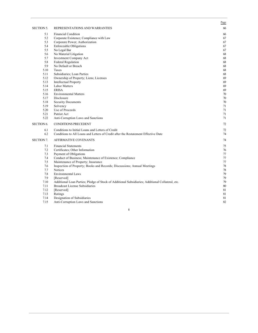|                   |                                                                                                  | Page |
|-------------------|--------------------------------------------------------------------------------------------------|------|
| <b>SECTION 5.</b> | REPRESENTATIONS AND WARRANTIES                                                                   | 66   |
| 5.1               | <b>Financial Condition</b>                                                                       | 66   |
| 5.2               | Corporate Existence; Compliance with Law                                                         | 67   |
| 5.3               | Corporate Power; Authorization                                                                   | 67   |
| 5.4               | Enforceable Obligations                                                                          | 67   |
| 5.5               | No Legal Bar                                                                                     | 67   |
| 5.6               | No Material Litigation                                                                           | 68   |
| 5.7               | Investment Company Act                                                                           | 68   |
| 5.8               | <b>Federal Regulation</b>                                                                        | 68   |
| 5.9               | No Default or Breach                                                                             | 68   |
| 5.10              | Taxes                                                                                            | 68   |
| 5.11              | Subsidiaries; Loan Parties                                                                       | 68   |
| 5.12              | Ownership of Property; Liens; Licenses                                                           | 69   |
| 5.13              | <b>Intellectual Property</b>                                                                     | 69   |
| 5.14              | <b>Labor Matters</b>                                                                             | 69   |
| 5.15              | <b>ERISA</b>                                                                                     | 69   |
| 5.16              | <b>Environmental Matters</b>                                                                     | 70   |
| 5.17              | Disclosure                                                                                       | 70   |
| 5.18              | <b>Security Documents</b>                                                                        | 70   |
| 5.19              | Solvency                                                                                         | 71   |
| 5.20              | Use of Proceeds                                                                                  | 71   |
| 5.21              | Patriot Act                                                                                      | 71   |
| 5.22              | Anti-Corruption Laws and Sanctions                                                               | 71   |
| <b>SECTION 6.</b> | <b>CONDITIONS PRECEDENT</b>                                                                      | 72   |
| 6.1               | Conditions to Initial Loans and Letters of Credit                                                | 72   |
| 6.2               | Conditions to All Loans and Letters of Credit after the Restatement Effective Date               | 74   |
| <b>SECTION 7.</b> | <b>AFFIRMATIVE COVENANTS</b>                                                                     | 74   |
| 7.1               | <b>Financial Statements</b>                                                                      | 75   |
| 7.2               | Certificates; Other Information                                                                  | 76   |
| 7.3               | Payment of Obligations                                                                           | 77   |
| 7.4               | Conduct of Business; Maintenance of Existence; Compliance                                        | 77   |
| 7.5               | Maintenance of Property; Insurance                                                               | 77   |
| 7.6               | Inspection of Property; Books and Records; Discussions; Annual Meetings                          | 78   |
| 7.7               | <b>Notices</b>                                                                                   | 78   |
| 7.8               | <b>Environmental Laws</b>                                                                        | 79   |
| 7.9               | [Reserved]                                                                                       | 79   |
| 7.10              | Additional Loan Parties; Pledge of Stock of Additional Subsidiaries; Additional Collateral, etc. | 79   |
| 7.11              | <b>Broadcast License Subsidiaries</b>                                                            | 80   |
| 7.12              | [Reserved]                                                                                       | 81   |
| 7.13              | Ratings                                                                                          | 81   |
| 7.14              | Designation of Subsidiaries                                                                      | 81   |
| 7.15              | Anti-Corruption Laws and Sanctions                                                               | 82   |

 $\ddot{\rm n}$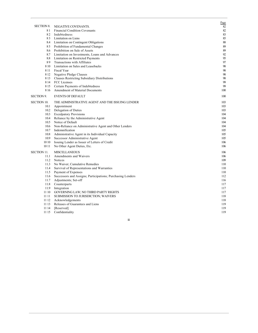|                    |                                                            | Page |
|--------------------|------------------------------------------------------------|------|
| SECTION 8.         | NEGATIVE COVENANTS.                                        | 82   |
| 81                 | <b>Financial Condition Covenants</b>                       | 82   |
| 82                 | Indebtedness                                               | 83   |
| 83                 | Limitation on Liens                                        | 85   |
| 8.4                | Limitation on Contingent Obligations                       | 88   |
| 85                 | Prohibition of Fundamental Changes                         | 89   |
| 8.6                | Prohibition on Sale of Assets                              | 89   |
| 8.7                | Limitation on Investments, Loans and Advances              | 92   |
| 8.8                | Limitation on Restricted Payments                          | 95   |
| 89                 | Transactions with Affiliates                               | 97   |
| 810                | Limitation on Sales and Leasebacks                         | 98   |
| 811                | Fiscal Year                                                | 98   |
| 8 1 2              | Negative Pledge Clauses                                    | 98   |
| 8 1 3              | <b>Clauses Restricting Subsidiary Distributions</b>        | 98   |
| 8 14               | FCC Licenses                                               | 99   |
| 815                | Certain Payments of Indebtedness                           | 99   |
| 816                | Amendment of Material Documents                            | 100  |
| <b>SECTION 9.</b>  | <b>EVENTS OF DEFAULT</b>                                   | 100  |
| <b>SECTION 10.</b> | THE ADMINISTRATIVE AGENT AND THE ISSUING LENDER            | 103  |
| 10.1               | Appointment                                                | 103  |
| 10.2               | Delegation of Duties                                       | 103  |
| 10.3               | <b>Exculpatory Provisions</b>                              | 104  |
| 10.4               | Reliance by the Administrative Agent                       | 104  |
| 10.5               | Notice of Default                                          | 104  |
| 10.6               | Non-Reliance on Administrative Agent and Other Lenders     | 104  |
| 10.7               | Indemnification                                            | 105  |
| 10.8               | Administrative Agent in its Individual Capacity            | 105  |
| 10.9               | Successor Administrative Agent                             | 105  |
| 10 10              | Issuing Lender as Issuer of Letters of Credit              | 106  |
| 10 11              | No Other Agent Duties, Etc.                                | 106  |
| <b>SECTION 11.</b> | <b>MISCELLANEOUS</b>                                       | 106  |
| 11.1               | Amendments and Waivers                                     | 106  |
| 11.2               | Notices                                                    | 109  |
| 11.3               | No Waiver; Cumulative Remedies                             | 110  |
| 11.4               | Survival of Representations and Warranties                 | 110  |
| 11.5               | Payment of Expenses                                        | 110  |
| 11.6               | Successors and Assigns; Participations; Purchasing Lenders | 112  |
| 11.7               | Adjustments; Set-off                                       | 116  |
| 11.8               | Counterparts                                               | 117  |
| 11.9               | Integration                                                | 117  |
| 11 10              | GOVERNING LAW; NO THIRD PARTY RIGHTS                       | 117  |
| 11 11              | SUBMISSION TO JURISDICTION; WAIVERS                        | 118  |
| 11 12              | Acknowledgements                                           | 118  |
| 11 13              | Releases of Guarantees and Liens                           | 119  |
| 11 14              | [Reserved]                                                 | 119  |
| 11 15              | Confidentiality                                            | 119  |

 $\ddot{\mathbf{m}}$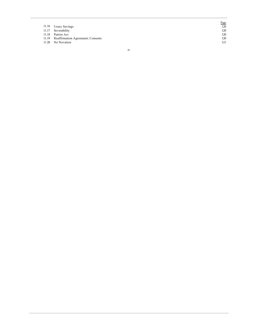|       |                                         | Page |
|-------|-----------------------------------------|------|
|       | 11.16 Usury Savings                     | 120  |
|       | 11.17 Severability                      | 120  |
| 11.18 | Patriot Act                             | 120  |
|       | 11.19 Reaffirmation Agreement; Consents | 120  |
| 11.20 | No Novation                             | 121  |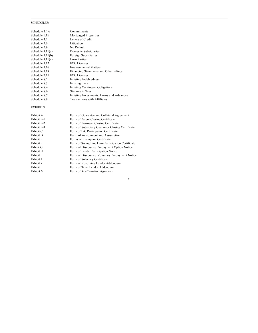# **SCHEDULES:**

| Schedule 1.1A      | Commitments                              |
|--------------------|------------------------------------------|
| Schedule 1.1B      | Mortgaged Properties                     |
| Schedule 3.1       | Letters of Credit                        |
| Schedule 5.6       | Litigation                               |
| Schedule 5.9       | No Default                               |
| Schedule $5.11(a)$ | Domestic Subsidiaries                    |
| Schedule $5.11(b)$ | Foreign Subsidiaries                     |
| Schedule $5.11(c)$ | Loan Parties                             |
| Schedule 5.12      | <b>FCC</b> Licenses                      |
| Schedule 5.16      | <b>Environmental Matters</b>             |
| Schedule 5.18      | Financing Statements and Other Filings   |
| Schedule 7.11      | <b>FCC</b> Licenses                      |
| Schedule 8.2       | <b>Existing Indebtedness</b>             |
| Schedule 8.3       | <b>Existing Liens</b>                    |
| Schedule 8.4       | <b>Existing Contingent Obligations</b>   |
| Schedule 8.6       | <b>Stations in Trust</b>                 |
| Schedule 8.7       | Existing Investments, Loans and Advances |
| Schedule 8.9       | Transactions with Affiliates             |

# **EXHIBITS:**

| Exhibit A        | Form of Guarantee and Collateral Agreement        |
|------------------|---------------------------------------------------|
| Exhibit B-1      | Form of Parent Closing Certificate                |
| Exhibit B-2      | Form of Borrower Closing Certificate              |
| Exhibit B-3      | Form of Subsidiary Guarantor Closing Certificate  |
| Exhibit C        | Form of L/C Participation Certificate             |
| Exhibit D        | Form of Assignment and Assumption                 |
| Exhibit E        | Forms of Exemption Certificate                    |
| <b>Exhibit F</b> | Form of Swing Line Loan Participation Certificate |
| Exhibit G        | Form of Discounted Prepayment Option Notice       |
| Exhibit H        | Form of Lender Participation Notice               |
| Exhibit I        | Form of Discounted Voluntary Prepayment Notice    |
| Exhibit J        | Form of Solvency Certificate                      |
| Exhibit K        | Form of Revolving Lender Addendum                 |
| Exhibit L        | Form of Term Lender Addendum                      |
| Exhibit M        | Form of Reaffirmation Agreement                   |
|                  |                                                   |

 $\mathbf v$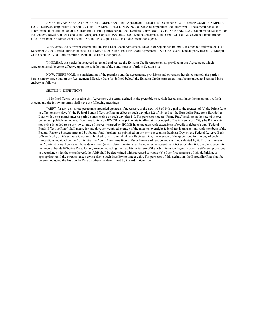AMENDED AND RESTATED CREDIT AGREEMENT (this "Agreement"), dated as of December 23, 2013, among CUMULUS MEDIA INC., a Delaware corporation ("Parent"), CUMULUS MEDIA HOLDINGS INC., a Delaware corporation (the "Borrower"), the several banks and other financial institutions or entities from time to time parties hereto (the "Lenders"), JPMORGAN CHASE BANK, N.A., as administrative agent for the Lenders, Royal Bank of Canada and Macquarie Capital (USA) Inc., as co-syndication agents, and Credit Suisse AG, Cayman Islands Branch, Fifth Third Bank, Goldman Sachs Bank USA and ING Capital LLC, as co-documentation agents.

WHEREAS, the Borrower entered into the First Lien Credit Agreement, dated as of September 16, 2011, as amended and restated as of December 20, 2012 and as further amended as of May 31, 2013 (the "Existing Credit Agreement"), with the several lenders party thereto, JPMorgan Chase Bank, N.A., as administrative agent, and certain other parties;

WHEREAS, the parties have agreed to amend and restate the Existing Credit Agreement as provided in this Agreement, which Agreement shall become effective upon the satisfaction of the conditions set forth in Section 6.1;

NOW, THEREFORE, in consideration of the premises and the agreements, provisions and covenants herein contained, the parties hereto hereby agree that on the Restatement Effective Date (as defined below) the Existing Credit Agreement shall be amended and restated in its entirety as follows:

#### **SECTION 1. DEFINITIONS**

1.1 Defined Terms. As used in this Agreement, the terms defined in the preamble or recitals hereto shall have the meanings set forth therein, and the following terms shall have the following meanings:

"ABR": for any day, a rate per annum (rounded upwards, if necessary, to the next 1/16 of 1%) equal to the greatest of (a) the Prime Rate in effect on such day, (b) the Federal Funds Effective Rate in effect on such day plus 1/2 of 1% and (c) the Eurodollar Rate for a Eurodollar Loan with a one-month interest period commencing on such day plus 1%. For purposes hereof: "Prime Rate" shall mean the rate of interest per annum publicly announced from time to time by JPMCB as its prime rate in effect at its principal office in New York City (the Prime Rate not being intended to be the lowest rate of interest charged by JPMCB in connection with extensions of credit to debtors); and "Federal Funds Effective Rate" shall mean, for any day, the weighted average of the rates on overnight federal funds transactions with members of the Federal Reserve System arranged by federal funds brokers, as published on the next succeeding Business Day by the Federal Reserve Bank of New York, or, if such rate is not so published for any day which is a Business Day, the average of the quotations for the day of such transactions received by the Administrative Agent from three federal funds brokers of recognized standing selected by it. If for any reason the Administrative Agent shall have determined (which determination shall be conclusive absent manifest error) that it is unable to ascertain the Federal Funds Effective Rate, for any reason, including the inability or failure of the Administrative Agent to obtain sufficient quotations in accordance with the terms hereof, the ABR shall be determined without regard to clause (b) of the first sentence of this definition, as appropriate, until the circumstances giving rise to such inability no longer exist. For purposes of this definition, the Eurodollar Rate shall be determined using the Eurodollar Rate as otherwise determined by the Administrative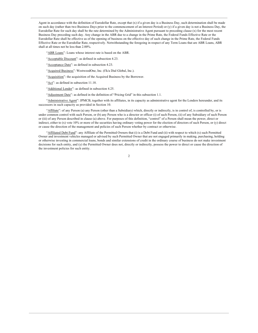Agent in accordance with the definition of Eurodollar Rate, except that (x) if a given day is a Business Day, such determination shall be made on such day (rather than two Business Days prior to the commencement of an Interest Period) or (y) if a given day is not a Business Day, the Eurodollar Rate for such day shall be the rate determined by the Administrative Agent pursuant to preceding clause (x) for the most recent Business Day preceding such day. Any change in the ABR due to a change in the Prime Rate, the Federal Funds Effective Rate or the Eurodollar Rate shall be effective as of the opening of business on the effective day of such change in the Prime Rate, the Federal Funds Effective Rate or the Eurodollar Rate, respectively. Notwithstanding the foregoing in respect of any Term Loans that are ABR Loans, ABR shall at all times not be less than 2.00%.

"ABR Loans": Loans whose interest rate is based on the ABR.

"Acceptable Discount": as defined in subsection 4.23.

"Acceptance Date": as defined in subsection 4.23.

"Acquired Business": WestwoodOne, Inc. (f/k/a Dial Global, Inc.).

"Acquisition": the acquisition of the Acquired Business by the Borrower.

"Act": as defined in subsection 11.18.

"Additional Lender": as defined in subsection 4.25.

"Adjustment Date": as defined in the definition of "Pricing Grid" in this subsection 1.1.

"Administrative Agent": JPMCB, together with its affiliates, in its capacity as administrative agent for the Lenders hereunder, and its successors in such capacity as provided in Section 10.

"Affiliate": of any Person (a) any Person (other than a Subsidiary) which, directly or indirectly, is in control of, is controlled by, or is under common control with such Person, or (b) any Person who is a director or officer (i) of such Person, (ii) of any Subsidiary of such Person or (iii) of any Person described in clause (a) above. For purposes of this definition, "control" of a Person shall mean the power, direct or indirect, either to (x) vote 10% or more of the securities having ordinary voting power for the election of directors of such Person, or (y) direct or cause the direction of the management and policies of such Person whether by contract or otherwise.

"Affiliated Debt Fund": any Affiliate of the Permitted Owners that (i) is a Debt Fund and (ii) with respect to which (x) such Permitted Owner and investment vehicles managed or advised by such Permitted Owner that are not engaged primarily in making, purchasing, holding or otherwise investing in commercial loans, bonds and similar extensions of credit in the ordinary course of business do not make investment decisions for such entity, and (y) the Permitted Owner does not, directly or indirectly, possess the power to direct or cause the direction of the investment policies for such entity.

 $\mathfrak{D}$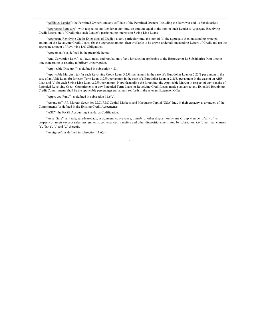"Affiliated Lender": the Permitted Owners and any Affiliate of the Permitted Owners (including the Borrower and its Subsidiaries).

"Aggregate Exposure": with respect to any Lender at any time, an amount equal to the sum of such Lender's Aggregate Revolving Credit Extensions of Credit plus such Lender's participating interests in Swing Line Loans.

"Aggregate Revolving Credit Extensions of Credit": at any particular time, the sum of (a) the aggregate then outstanding principal amount of the Revolving Credit Loans, (b) the aggregate amount then available to be drawn under all outstanding Letters of Credit and (c) the aggregate amount of Revolving L/C Obligations.

"Agreement": as defined in the preamble hereto.

"Anti-Corruption Laws": all laws, rules, and regulations of any jurisdiction applicable to the Borrower or its Subsidiaries from time to time concerning or relating to bribery or corruption.

"Applicable Discount": as defined in subsection 4.23.

"Applicable Margin": (a) for each Revolving Credit Loan, 3.25% per annum in the case of a Eurodollar Loan or 2.25% per annum in the case of an ABR Loan, (b) for each Term Loan, 3.25% per annum in the case of a Eurodollar Loan or 2.25% per annum in the case of an ABR Loan and (c) for each Swing Line Loan, 2.25% per annum. Notwithstanding the foregoing, the Applicable Margin in respect of any tranche of Extended Revolving Credit Commitments or any Extended Term Loans or Revolving Credit Loans made pursuant to any Extended Revolving Credit Commitments shall be the applicable percentages per annum set forth in the relevant Extension Offer.

"Approved Fund": as defined in subsection  $11.6(c)$ .

"Arrangers": J.P. Morgan Securities LLC, RBC Capital Markets, and Macquarie Capital (USA) Inc., in their capacity as arrangers of the Commitments (as defined in the Existing Credit Agreement).

"ASC": the FASB Accounting Standards Codification.

"Asset Sale": any sale, sale-leaseback, assignment, conveyance, transfer or other disposition by any Group Member of any of its property or assets (except sales, assignments, conveyances, transfers and other dispositions permitted by subsection 8.6 (other than clauses  $(e)$ ,  $(f)$ ,  $(g)$ ,  $(o)$  and  $(w)$  thereof).

" $\Delta$ ssignee": as defined in subsection 11.6(c).

/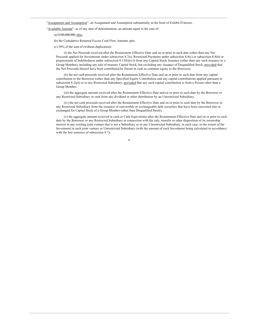"Assignment and Assumption": an Assignment and Assumption substantially in the form of Exhibit D hereto.

"Available Amount": as of any date of determination, an amount equal to the sum of:

(a) \$100,000,000; plus

(b) the Cumulative Retained Excess Cash Flow Amount; plus

(c) 50% of the sum of (without duplication):

(i) the Net Proceeds received after the Restatement Effective Date and on or prior to such date (other than any Net Proceeds applied for Investments under subsection 8.7(t), Restricted Payments under subsection 8.8(c) or subsection 8.8(h) or prepayments of Indebtedness under subsection 8.15(b)(iv)) from any Capital Stock Issuance (other than any such issuance to a Group Member), including any sale of treasury Capital Stock, but excluding any issuance of Disqualified Stock; provided that the Net Proceeds thereof have been contributed by Parent in cash as common equity to the Borrower;

(ii) the net cash proceeds received after the Restatement Effective Date and on or prior to such date from any capital contribution to the Borrower (other than any Specified Equity Contribution and any capital contributions applied pursuant to subsection 8.2(p)) or to any Restricted Subsidiary; provided that any such capital contribution is from a Person other than a Group Member;

(iii) the aggregate amount received after the Restatement Effective Date and on or prior to such date by the Borrower or any Restricted Subsidiary in cash from any dividend or other distribution by an Unrestricted Subsidiary;

(iv) the net cash proceeds received after the Restatement Effective Date and on or prior to such date by the Borrower or any Restricted Subsidiary from the issuance of convertible or exchangeable debt securities that have been converted into or exchanged for Capital Stock of a Group Member (other than Disqualified Stock);

(v) the aggregate amount received in cash or Cash Equivalents after the Restatement Effective Date and on or prior to such date by the Borrower or any Restricted Subsidiary in connection with the sale, transfer or other disposition of its ownership interest in any existing joint venture that is not a Subsidiary or in any Unrestricted Subsidiary, in each case, to the extent of the Investment in such joint venture or Unrestricted Subsidiary (with the amount of such Investment being calculated in accordance with the last sentence of subsection 8.7);

 $\overline{4}$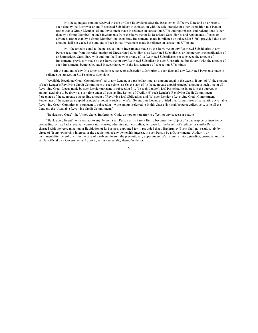(vi) the aggregate amount received in cash or Cash Equivalents after the Restatement Effective Date and on or prior to such date by the Borrower or any Restricted Subsidiary in connection with the sale, transfer or other disposition to a Person (other than a Group Member) of any Investment made in reliance on subsection 8.7(r) and repurchases and redemptions (other than by a Group Member) of such Investments from the Borrower or its Restricted Subsidiaries and repayments of loans or advances (other than by a Group Member) that constitute Investments made in reliance on subsection  $8.7(r)$ ; provided that such amount shall not exceed the amount of such initial Investment made in reliance on subsection  $8.7(r)$ ; and

(vii) the amount equal to the net reduction in Investments made by the Borrower or any Restricted Subsidiaries in any Person resulting from the redesignation of Unrestricted Subsidiaries as Restricted Subsidiaries or the merger or consolidation of an Unrestricted Subsidiary with and into the Borrower or any of its Restricted Subsidiaries not to exceed the amount of Investments previously made by the Borrower or any Restricted Subsidiary in such Unrestricted Subsidiary (with the amount of such Investments being calculated in accordance with the last sentence of subsection 8.7); minus

(d) the amount of any Investments made in reliance on subsection  $8.7(r)$  prior to such date and any Restricted Payments made in reliance on subsection 8.8(b) prior to such date.

"Available Revolving Credit Commitment": as to any Lender, at a particular time, an amount equal to the excess, if any, of (a) the amount of such Lender's Revolving Credit Commitment at such time less (b) the sum of (i) the aggregate unpaid principal amount at such time of all Revolving Credit Loans made by such Lender pursuant to subsection 3.1, (ii) such Lender's L/C Participating Interest in the aggregate amount available to be drawn at such time under all outstanding Letters of Credit, (iii) such Lender's Revolving Credit Commitment Percentage of the aggregate outstanding amount of Revolving L/C Obligations and (iv) such Lender's Revolving Credit Commitment Percentage of the aggregate unpaid principal amount at such time of all Swing Line Loans, provided that for purposes of calculating Available Revolving Credit Commitments pursuant to subsection 4.9 the amount referred to in this clause (iv) shall be zero; collectively, as to all the Lenders, the "Available Revolving Credit Commitments".

"Bankruptcy Code": the United States Bankruptcy Code, as now or hereafter in effect, or any successor statute.

"Bankruptcy Event": with respect to any Person, such Person or its Parent Entity becomes the subject of a bankruptcy or insolvency proceeding, or has had a receiver, conservator, trustee, administrator, custodian, assignee for the benefit of creditors or similar Person charged with the reorganization or liquidation of its business appointed for it, provided that a Bankruptcy Event shall not result solely by virtue of (i) any ownership interest, or the acquisition of any ownership interest, in such Person by a Governmental Authority or instrumentality thereof or (ii) in the case of a solvent Person, the precautionary appointment of an administrator, guardian, custodian or other similar official by a Governmental Authority or instrumentality thereof under or

 $\overline{5}$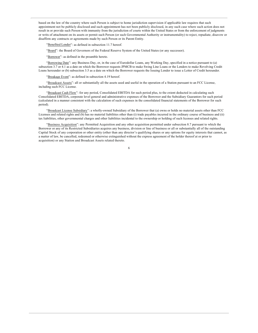based on the law of the country where such Person is subject to home jurisdiction supervision if applicable law requires that such appointment not be publicly disclosed and such appointment has not been publicly disclosed, in any such case where such action does not result in or provide such Person with immunity from the jurisdiction of courts within the United States or from the enforcement of judgments or writs of attachment on its assets or permit such Person (or such Governmental Authority or instrumentality) to reject, repudiate, disavow or disaffirm any contracts or agreements made by such Person or its Parent Entity.

"Benefited Lender": as defined in subsection 11.7 hereof.

"Board": the Board of Governors of the Federal Reserve System of the United States (or any successor).

"Borrower": as defined in the preamble hereto.

"Borrowing Date": any Business Day, or, in the case of Eurodollar Loans, any Working Day, specified in a notice pursuant to (a) subsection 3.7 or 4.1 as a date on which the Borrower requests JPMCB to make Swing Line Loans or the Lenders to make Revolving Credit Loans hereunder or (b) subsection 3.5 as a date on which the Borrower requests the Issuing Lender to issue a Letter of Credit hereunder.

"Breakage Event": as defined in subsection 4.19 hereof.

"Broadcast Assets": all or substantially all the assets used and useful in the operation of a Station pursuant to an FCC License, including such FCC License.

"Broadcast Cash Flow": for any period, Consolidated EBITDA for such period plus, to the extent deducted in calculating such Consolidated EBITDA, corporate level general and administrative expenses of the Borrower and the Subsidiary Guarantors for such period (calculated in a manner consistent with the calculation of such expenses in the consolidated financial statements of the Borrower for such period).

"Broadcast License Subsidiary": a wholly-owned Subsidiary of the Borrower that (a) owns or holds no material assets other than FCC Licenses and related rights and (b) has no material liabilities other than (i) trade payables incurred in the ordinary course of business and (ii) tax liabilities, other governmental charges and other liabilities incidental to the ownership or holding of such licenses and related rights.

"Business Acquisition": any Permitted Acquisition and any other acquisition permitted under subsection 8.7 pursuant to which the Borrower or any of its Restricted Subsidiaries acquires any business, division or line of business or all or substantially all of the outstanding Capital Stock of any corporation or other entity (other than any director's qualifying shares or any options for equity interests that cannot, as a matter of law, be cancelled, redeemed or otherwise extinguished without the express agreement of the holder thereof at or prior to acquisition) or any Station and Broadcast Assets related thereto.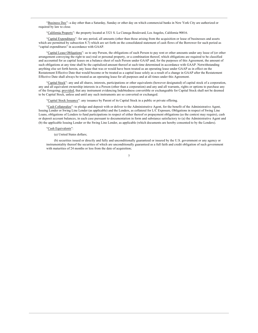"Business Day": a day other than a Saturday, Sunday or other day on which commercial banks in New York City are authorized or required by law to close.

"California Property": the property located at 3321 S. La Cienega Boulevard, Los Angeles, California 90016.

"Capital Expenditures": for any period, all amounts (other than those arising from the acquisition or lease of businesses and assets which are permitted by subsection 8.7) which are set forth on the consolidated statement of cash flows of the Borrower for such period as "capital expenditures" in accordance with GAAP.

"Capital Lease Obligations": as to any Person, the obligations of such Person to pay rent or other amounts under any lease of (or other arrangement conveying the right to use) real or personal property, or a combination thereof, which obligations are required to be classified and accounted for as capital leases on a balance sheet of such Person under GAAP and, for the purposes of this Agreement, the amount of such obligations at any time shall be the capitalized amount thereof at such time determined in accordance with GAAP. Notwithstanding anything else set forth herein, any lease that was or would have been treated as an operating lease under GAAP as in effect on the Restatement Effective Date that would become or be treated as a capital lease solely as a result of a change in GAAP after the Restatement Effective Date shall always be treated as an operating lease for all purposes and at all times under this Agreement.

"Capital Stock": any and all shares, interests, participations or other equivalents (however designated) of capital stock of a corporation, any and all equivalent ownership interests in a Person (other than a corporation) and any and all warrants, rights or options to purchase any of the foregoing; provided, that any instrument evidencing Indebtedness convertible or exchangeable for Capital Stock shall not be deemed to be Capital Stock, unless and until any such instruments are so converted or exchanged.

"Capital Stock Issuance": any issuance by Parent of its Capital Stock in a public or private offering.

"Cash Collateralize": to pledge and deposit with or deliver to the Administrative Agent, for the benefit of the Administrative Agent, Issuing Lender or Swing Line Lender (as applicable) and the Lenders, as collateral for L/C Exposure, Obligations in respect of Swing Line Loans, obligations of Lenders to fund participations in respect of either thereof or prepayment obligations (as the context may require), cash or deposit account balances, in each case pursuant to documentation in form and substance satisfactory to (a) the Administrative Agent and (b) the applicable Issuing Lender or the Swing Line Lender, as applicable (which documents are hereby consented to by the Lenders).

"Cash Equivalents":

(a) United States dollars;

(b) securities issued or directly and fully and unconditionally guaranteed or insured by the U.S. government or any agency or instrumentality thereof the securities of which are unconditionally guaranteed as a full faith and credit obligation of such government with maturities of 24 months or less from the date of acquisition;

 $\overline{7}$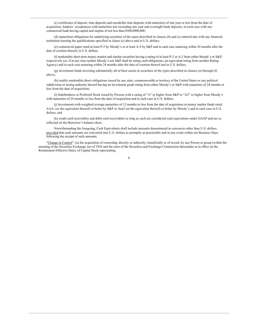(c) certificates of deposit, time deposits and eurodollar time deposits with maturities of one year or less from the date of acquisition, bankers' acceptances with maturities not exceeding one year and overnight bank deposits, in each case with any commercial bank having capital and surplus of not less than \$300,0000,000;

(d) repurchase obligations for underlying securities of the types described in clauses (b) and (c) entered into with any financial institution meeting the qualifications specified in clause (c) above and in U.S. dollars;

(e) commercial paper rated at least P-2 by Moody's or at least A-2 by S&P and in each case maturing within 24 months after the date of creation thereof, in U.S. dollars;

(f) marketable short-term money market and similar securities having a rating of at least P-2 or A-2 from either Moody's or S&P, respectively (or, if at any time neither Moody's nor S&P shall be rating such obligations, an equivalent rating from another Rating Agency) and in each case maturing within 24 months after the date of creation thereof and in U.S. dollars;

(g) investment funds investing substantially all of their assets in securities of the types described in clauses (a) through (f) above:

(h) readily marketable direct obligations issued by any state, commonwealth or territory of the United States or any political subdivision or taxing authority thereof having an investment grade rating from either Moody's or S&P with maturities of 24 months or less from the date of acquisition;

(i) Indebtedness or Preferred Stock issued by Persons with a rating of "A" or higher from S&P or "A2" or higher from Moody's with maturities of 24 months or less from the date of acquisition and in each case in U.S. dollars;

(j) Investments with weighted average maturities of 12 months or less from the date of acquisition in money market funds rated AAA- (or the equivalent thereof) or better by S&P or Aaa3 (or the equivalent thereof) or better by Moody's and in each case in U.S. dollars: and

(k) credit card receivables and debit card receivables so long as such are considered cash equivalents under GAAP and are so reflected on the Borrower's balance sheet.

Notwithstanding the foregoing, Cash Equivalents shall include amounts denominated in currencies other than U.S. dollars; provided that such amounts are converted into U.S. dollars as promptly as practicable and in any event within ten Business Days following the receipt of such amounts.

"Change in Control": (a) the acquisition of ownership, directly or indirectly, beneficially or of record, by any Person or group (within the meaning of the Securities Exchange Act of 1934 and the rules of the Securities and Exchange Commission thereunder as in effect on the Restatement Effective Date), of Capital Stock representing

 $\,8\,$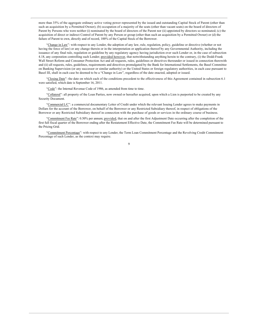more than 35% of the aggregate ordinary active voting power represented by the issued and outstanding Capital Stock of Parent (other than such an acquisition by a Permitted Owner); (b) occupation of a majority of the seats (other than vacant seats) on the board of directors of Parent by Persons who were neither (i) nominated by the board of directors of the Parent nor (ii) appointed by directors so nominated; (c) the acquisition of direct or indirect Control of Parent by any Person or group (other than such an acquisition by a Permitted Owner) or (d) the failure of Parent to own, directly and of record, 100% of the Capital Stock of the Borrower.

"Change in Law": with respect to any Lender, the adoption of any law, rule, regulation, policy, guideline or directive (whether or not having the force of law) or any change therein or in the interpretation or application thereof by any Governmental Authority, including the issuance of any final rule, regulation or guideline by any regulatory agency having jurisdiction over such Lender or, in the case of subsection 4.18, any corporation controlling such Lender; provided however, that notwithstanding anything herein to the contrary, (i) the Dodd-Frank Wall Street Reform and Consumer Protection Act and all requests, rules, guidelines or directives thereunder or issued in connection therewith and (ii) all requests, rules, guidelines, requirements and directives promulgated by the Bank for International Settlements, the Basel Committee on Banking Supervision (or any successor or similar authority) or the United States or foreign regulatory authorities, in each case pursuant to Basel III, shall in each case be deemed to be a "Change in Law", regardless of the date enacted, adopted or issued.

"Closing Date": the date on which each of the conditions precedent to the effectiveness of this Agreement contained in subsection 6.1 were satisfied, which date is September 16, 2011.

"Code": the Internal Revenue Code of 1986, as amended from time to time.

"Collateral": all property of the Loan Parties, now owned or hereafter acquired, upon which a Lien is purported to be created by any Security Document.

"Commercial L/C": a commercial documentary Letter of Credit under which the relevant Issuing Lender agrees to make payments in Dollars for the account of the Borrower, on behalf of the Borrower or any Restricted Subsidiary thereof, in respect of obligations of the Borrower or any Restricted Subsidiary thereof in connection with the purchase of goods or services in the ordinary course of business.

"Commitment Fee Rate": 0.50% per annum; provided, that on and after the first Adjustment Date occurring after the completion of the first full fiscal quarter of the Borrower ending after the Restatement Effective Date, the Commitment Fee Rate will be determined pursuant to the Pricing Grid.

"Commitment Percentage": with respect to any Lender, the Term Loan Commitment Percentage and the Revolving Credit Commitment Percentage of such Lender, as the context may require.

 $\overline{9}$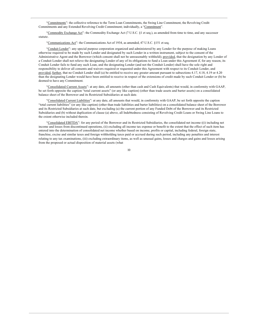"Commitments": the collective reference to the Term Loan Commitments, the Swing Line Commitment, the Revolving Credit Commitments and any Extended Revolving Credit Commitment; individually, a "Commitment".

"Commodity Exchange Act": the Commodity Exchange Act (7 U.S.C. §1 et seq.), as amended from time to time, and any successor statute.

"Communications Act": the Communications Act of 1934, as amended, 47 U.S.C. §151 et seq.

"Conduit Lender": any special purpose corporation organized and administered by any Lender for the purpose of making Loans otherwise required to be made by such Lender and designated by such Lender in a written instrument, subject to the consent of the Administrative Agent and the Borrower (which consent shall not be unreasonably withheld); provided, that the designation by any Lender of a Conduit Lender shall not relieve the designating Lender of any of its obligations to fund a Loan under this Agreement if, for any reason, its Conduit Lender fails to fund any such Loan, and the designating Lender (and not the Conduit Lender) shall have the sole right and responsibility to deliver all consents and waivers required or requested under this Agreement with respect to its Conduit Lender, and provided, further, that no Conduit Lender shall (a) be entitled to receive any greater amount pursuant to subsections 4.17, 4.18, 4.19 or 4.20 than the designating Lender would have been entitled to receive in respect of the extensions of credit made by such Conduit Lender or (b) be deemed to have any Commitment.

"Consolidated Current Assets": at any date, all amounts (other than cash and Cash Equivalents) that would, in conformity with GAAP, be set forth opposite the caption "total current assets" (or any like caption) (other than trade assets and barter assets) on a consolidated balance sheet of the Borrower and its Restricted Subsidiaries at such date.

"Consolidated Current Liabilities": at any date, all amounts that would, in conformity with GAAP, be set forth opposite the caption "total current liabilities" (or any like caption) (other than trade liabilities and barter liabilities) on a consolidated balance sheet of the Borrower and its Restricted Subsidiaries at such date, but excluding (a) the current portion of any Funded Debt of the Borrower and its Restricted Subsidiaries and (b) without duplication of clause (a) above, all Indebtedness consisting of Revolving Credit Loans or Swing Line Loans to the extent otherwise included therein.

"Consolidated EBITDA": for any period of the Borrower and its Restricted Subsidiaries, the consolidated net income ((i) including net income and losses from discontinued operations, (ii) excluding all income tax expense or benefit to the extent that the effect of such item has entered into the determination of consolidated net income whether based on income, profits or capital, including federal, foreign state, franchise, excise and similar taxes and foreign withholding taxes paid or accrued during such period, including any penalties and interest relating to any tax examinations, (iii) excluding extraordinary items, as well as unusual gains, losses and charges and gains and losses arising from the proposed or actual disposition of material assets (what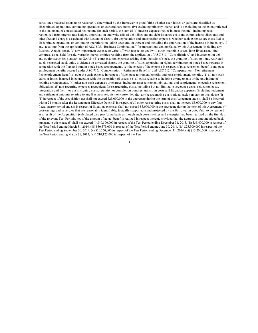constitutes material assets to be reasonably determined by the Borrower in good faith) whether such losses or gains are classified as discontinued operations, continuing operations or extraordinary items, (iv) excluding minority interest and (v) excluding to the extent reflected in the statement of consolidated net income for such period, the sum of (a) interest expense (net of interest income), including costs recognized from interest rate hedges, amortization and write offs of debt discount and debt issuance costs and commissions, discounts and other fees and charges associated with Letters of Credit, (b) depreciation and amortization expenses whether such expenses are classified as discontinued operations or continuing operations including acceleration thereof and including the amortization of the increase in inventory, if any, resulting from the application of ASC 805, "Business Combinations" for transactions contemplated by this Agreement (including any Business Acquisitions), (c) any impairment expense or write-off with respect to goodwill, other intangible assets, long-lived asset, joint ventures, assets held for sale, variable interest entities resulting from the application of ASC 810, "Consolidation," and investment in debt and equity securities pursuant to GAAP, (d) compensation expenses arising from the sale of stock, the granting of stock options, restricted stock, restricted stock units, dividends on unvested shares, the granting of stock appreciation rights, termination of stock based rewards in connection with the Plan and similar stock based arrangements, (e) the excess of the expense in respect of post-retirement benefits and postemployment benefits accrued under ASC 715, "Compensation-Retirement Benefits" and ASC 712, "Compensation-Nonretirement Postemployment Benefits" over the cash expense in respect of such post-retirement benefits and post-employment benefits, (f) all non-cash gains or losses incurred in connection with the disposition of assets, (g) all costs relating to hedging arrangements or the unwinding of hedging arrangements, (h) other non-cash expenses or charges, including asset retirement obligations and supplemental executive retirement obligations, (i) non-recurring expenses recognized for restructuring costs, including but not limited to severance costs, relocation costs, integration and facilities costs, signing costs, retention or completion bonuses, transition costs and litigation expenses (including judgment and settlement amounts relating to any Business Acquisition), provided that any restructuring costs added back pursuant to this clause (i) (1) in respect of the Acquisition  $(x)$  shall not exceed \$25,000,000 in the aggregate during the term of this Agreement and  $(y)$  shall be incurred within 24 months after the Restatement Effective Date, (2) in respect of all other restructuring costs, shall not exceed \$5,000,000 in any four fiscal quarter period and (3) in respect of litigation expenses shall not exceed \$3,000,000 in the aggregate during the term of this Agreement, (j) cost-savings and synergies that are reasonably identifiable, factually supportable and projected by the Borrower in good faith to be realized as a result of the Acquisition (calculated on a pro forma basis as though such costs savings and synergies had been realized on the first day of the relevant Test Period), net of the amount of actual benefits realized in respect thereof, provided that the aggregate amount added back pursuant to this clause (j) shall not exceed (i) \$40,500,000 in respect of the Test Period ending December 31, 2013, (ii) \$35,400,000 in respect of the Test Period ending March 31, 2014, (iii) \$30,375,000 in respect of the Test Period ending June 30, 2014, (iv) \$25,300,000 in respect of the Test Period ending September 30, 2014, (v) \$20,250,000 in respect of the Test Period ending December 31, 2014, (vi) \$15,200,000 in respect of the Test Period ending March 31, 2015, (vii) \$10,125,000 in respect of the Test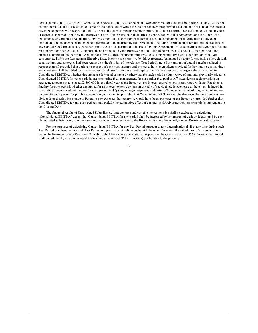Period ending June 30, 2015, (viii) \$5,000,000 in respect of the Test Period ending September 30, 2015 and (ix) \$0 in respect of any Test Period ending thereafter, (k) to the extent covered by insurance under which the insurer has been properly notified and has not denied or contested coverage, expenses with respect to liability or casualty events or business interruption, (1) all non-recurring transactional costs and any fees or expenses incurred or paid by the Borrower or any of its Restricted Subsidiaries in connection with this Agreement and the other Loan Documents, any Business Acquisition, any Investment, the disposition of material assets, the amendment or modification of any debt instrument, the incurrence of Indebtedness permitted to be incurred by this Agreement (including a refinancing thereof) and the issuance of any Capital Stock (in each case, whether or not successful) permitted to be issued by this Agreement, (m) cost-savings and synergies that are reasonably identifiable, factually supportable and projected by the Borrower in good faith to be realized as a result of mergers and other business combinations, Permitted Acquisitions, divestitures, insourcing initiatives, cost savings initiatives and other similar initiatives consummated after the Restatement Effective Date, in each case permitted by this Agreement (calculated on a pro forma basis as though such costs savings and synergies had been realized on the first day of the relevant Test Period), net of the amount of actual benefits realized in respect thereof, provided that actions in respect of such cost-savings and synergies have been taken; provided further that no cost savings and synergies shall be added back pursuant to this clause (m) to the extent duplicative of any expenses or charges otherwise added to Consolidated EBITDA, whether through a pro forma adjustment or otherwise, for such period or duplicative of amounts previously added to Consolidated EBITDA for other periods, (n) monitoring fees, management fees or similar fees paid to Affiliates during such period, in an aggregate amount not to exceed \$2,500,000 in any fiscal year of the Borrower, (o) interest-equivalent costs associated with any Receivables Facility for such period, whether accounted for as interest expense or loss on the sale of receivables, in each case to the extent deducted in calculating consolidated net income for such period, and (p) any charges, expenses and write-offs deducted in calculating consolidated net income for such period for purchase accounting adjustments; provided that Consolidated EBITDA shall be decreased by the amount of any dividends or distributions made to Parent to pay expenses that otherwise would have been expenses of the Borrower; provided further that Consolidated EBITDA for any such period shall exclude the cumulative effect of changes in GAAP or accounting principle(s) subsequent to the Closing Date.

The financial results of Unrestricted Subsidiaries, joint ventures and variable interest entities shall be excluded in calculating "Consolidated EBITDA" except that Consolidated EBITDA for any period shall be increased by the amount of cash dividends paid by such Unrestricted Subsidiaries, joint ventures and variable interest entities to the Borrower or any of its wholly-owned Restricted Subsidiaries.

For the purposes of calculating Consolidated EBITDA for any Test Period pursuant to any determination (i) if at any time during such Test Period or subsequent to such Test Period and prior to or simultaneously with the event for which the calculation of any such ratio is made, the Borrower or any Restricted Subsidiary shall have made any Material Disposition, the Consolidated EBITDA for such Test Period shall be reduced by an amount equal to the Consolidated EBITDA (if positive) attributable to the property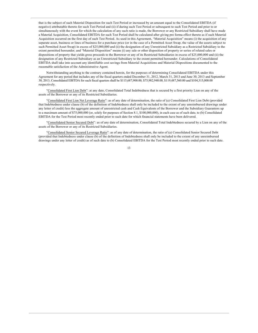that is the subject of such Material Disposition for such Test Period or increased by an amount equal to the Consolidated EBITDA (if negative) attributable thereto for such Test Period and (ii) if during such Test Period or subsequent to such Test Period and prior to or simultaneously with the event for which the calculation of any such ratio is made, the Borrower or any Restricted Subsidiary shall have made a Material Acquisition, Consolidated EBITDA for such Test Period shall be calculated after giving pro forma effect thereto as if such Material Acquisition occurred on the first day of such Test Period. As used in this Agreement, "Material Acquisition" means (i) the acquisition of any separate asset, business or lines of business for a purchase price (or in the case of a Permitted Asset Swap, the value of the assets subject to such Permitted Asset Swap) in excess of \$25,000,000 and (ii) the designation of any Unrestricted Subsidiary as a Restricted Subsidiary to the extent permitted hereunder; and "Material Disposition" means (i) any sale or other disposition of property or series of related sales or dispositions of property that yields gross proceeds to the Borrower or any of its Restricted Subsidiaries in excess of \$25,000,000 and (ii) the designation of any Restricted Subsidiary as an Unrestricted Subsidiary to the extent permitted hereunder. Calculations of Consolidated EBITDA shall take into account any identifiable cost savings from Material Acquisitions and Material Dispositions documented to the reasonable satisfaction of the Administrative Agent.

Notwithstanding anything to the contrary contained herein, for the purposes of determining Consolidated EBITDA under this Agreement for any period that includes any of the fiscal quarters ended December 31, 2012, March 31, 2013 and June 30, 2013 and September 30, 2013, Consolidated EBITDA for such fiscal quarters shall be \$115,687,900.00, \$75,982,940.00, \$119,487,560.00 and \$104,315,000.00 respectively.

"Consolidated First Lien Debt": at any date, Consolidated Total Indebtedness that is secured by a first priority Lien on any of the assets of the Borrower or any of its Restricted Subsidiaries.

"Consolidated First Lien Net Leverage Ratio": as of any date of determination, the ratio of (a) Consolidated First Lien Debt (provided that Indebtedness under clause (b) of the definition of Indebtedness shall only be included to the extent of any unreimbursed drawings under any letter of credit) less the aggregate amount of unrestricted cash and Cash Equivalents of the Borrower and the Subsidiary Guarantors up to a maximum amount of \$75,000,000 (or, solely for purposes of Section 8.1, \$100,000,000), in each case as of such date, to (b) Consolidated EBITDA for the Test Period most recently ended prior to such date for which financial statements have been delivered.

"Consolidated Senior Secured Debt": as of any date of determination, Consolidated Total Indebtedness secured by a Lien on any of the assets of the Borrower or any of its Restricted Subsidiaries.

"Consolidated Senior Secured Leverage Ratio": as of any date of determination, the ratio of (a) Consolidated Senior Secured Debt (provided that Indebtedness under clause (b) of the definition of Indebtedness shall only be included to the extent of any unreimbursed drawings under any letter of credit) as of such date to (b) Consolidated EBITDA for the Test Period most recently ended prior to such date.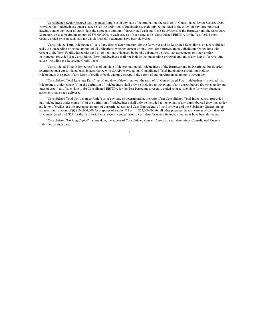"Consolidated Senior Secured Net Leverage Ratio": as of any date of determination, the ratio of (a) Consolidated Senior Secured Debt (provided that Indebtedness under clause (b) of the definition of Indebtedness shall only be included to the extent of any unreimbursed drawings under any letter of credit) less the aggregate amount of unrestricted cash and Cash Equivalents of the Borrower and the Subsidiary Guarantors up to a maximum amount of \$75,000,000, in each case as of such date, to (b) Consolidated EBITDA for the Test Period most recently ended prior to such date for which financial statements have been delivered.

"Consolidated Term Indebtedness": as of any date of determination, for the Borrower and its Restricted Subsidiaries on a consolidated basis, the outstanding principal amount of all obligations, whether current or long-term, for borrowed money (including Obligations with respect to the Term Facility hereunder) and all obligations evidenced by bonds, debentures, notes, loan agreements or other similar instruments; provided that Consolidated Term Indebtedness shall not include the outstanding principal amount of any loans of a revolving nature (including the Revolving Credit Loans).

"Consolidated Total Indebtedness": as of any date of determination, all Indebtedness of the Borrower and its Restricted Subsidiaries, determined on a consolidated basis in accordance with GAAP; provided that Consolidated Total Indebtedness shall not include Indebtedness in respect of any letter of credit or bank guaranty except to the extent of any unreimbursed amounts thereunder.

"Consolidated Total Leverage Ratio": as of any date of determination, the ratio of (a) Consolidated Total Indebtedness (provided that Indebtedness under clause (b) of the definition of Indebtedness shall only be included to the extent of any unreimbursed drawings under any letter of credit) as of such date to (b) Consolidated EBITDA for the Test Period most recently ended prior to such date for which financial statements have been delivered

"Consolidated Total Net Leverage Ratio": as of any date of determination, the ratio of (a) Consolidated Total Indebtedness (provided that Indebtedness under clause (b) of the definition of Indebtedness shall only be included to the extent of any unreimbursed drawings under any letter of credit) less the aggregate amount of unrestricted cash and Cash Equivalents of the Borrower and the Subsidiary Guarantors up to a maximum amount of (i) \$100,000,000 for purposes of Section 8.1 or (ii) \$75,000,000 for all other purposes, in each case as of such date, to (b) Consolidated EBITDA for the Test Period most recently ended prior to such date for which financial statements have been delivered.

"Consolidated Working Capital": at any date, the excess of Consolidated Current Assets on such date minus Consolidated Current Liabilities on such date.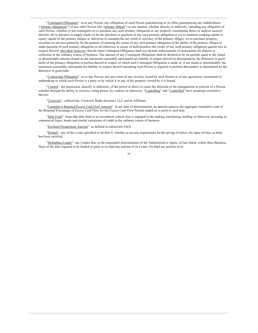"Contingent Obligation": as to any Person, any obligation of such Person guaranteeing or in effect guaranteeing any Indebtedness ("primary obligations") of any other Person (the "primary obligor") in any manner, whether directly or indirectly, including any obligation of such Person, whether or not contingent (a) to purchase any such primary obligation or any property constituting direct or indirect security therefor, (b) to advance or supply funds (i) for the purchase or payment of any such primary obligation or (ii) to maintain working capital or equity capital of the primary obligor or otherwise to maintain the net worth or solvency of the primary obligor, (c) to purchase property, securities or services primarily for the purpose of assuring the owner of any such primary obligation of the ability of the primary obligor to make payment of such primary obligation or (d) otherwise to assure or hold harmless the owner of any such primary obligation against loss in respect thereof; provided, however, that the term Contingent Obligation shall not include endorsements of instruments for deposit or collection in the ordinary course of business. The amount of any Contingent Obligation shall be deemed to be an amount equal to the stated or determinable amount (based on the maximum reasonably anticipated net liability in respect thereof as determined by the Borrower in good faith) of the primary obligation or portion thereof in respect of which such Contingent Obligation is made or, if not stated or determinable, the maximum reasonably anticipated net liability in respect thereof (assuming such Person is required to perform thereunder) as determined by the Borrower in good faith.

"Contractual Obligation": as to any Person, any provision of any security issued by such Person or of any agreement, instrument or undertaking to which such Person is a party or by which it or any of the property owned by it is bound.

"Control": the possession, directly or indirectly, of the power to direct or cause the direction of the management or policies of a Person, whether through the ability to exercise voting power, by contract or otherwise. "Controlling" and "Controlled" have meanings correlative thereto.

"Crestview": collectively, Crestview Radio Investors, LLC and its Affiliates.

"Cumulative Retained Excess Cash Flow Amount": at any date of determination, an amount equal to the aggregate cumulative sum of the Retained Percentage of Excess Cash Flow for the Excess Cash Flow Periods ended on or prior to such date.

"Debt Fund": bona fide debt fund or an investment vehicle that is engaged in the making, purchasing, holding or otherwise investing in commercial loans, bonds and similar extensions of credit in the ordinary course of business.

"Declined Prepayment Amount": as defined in subsection  $4.6(f)$ .

"Default": any of the events specified in Section 9, whether or not any requirement for the giving of notice, the lapse of time, or both, has been satisfied.

"Defaulting Lender": any Lender that, in the reasonable determination of the Administrative Agent, (a) has failed, within three Business Days of the date required to be funded or paid, to (i) fund any portion of its Loans, (ii) fund any portion of its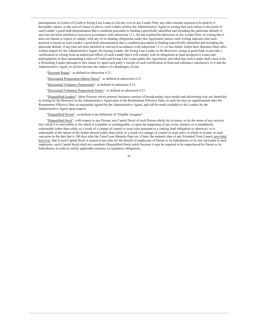participations in Letters of Credit or Swing Line Loans or (iii) pay over to any Lender Party any other amount required to be paid by it hereunder, unless, in the case of clause (i) above, such Lender notifies the Administrative Agent in writing that such failure is the result of such Lender's good faith determination that a condition precedent to funding (specifically identified and including the particular default, if any) has not been satisfied or waived in accordance with subsection 11.1, (b) has notified the Borrower or any Lender Party in writing that it does not intend or expect to comply with any of its funding obligations under this Agreement (unless such writing indicates that such position is based on such Lender's good faith determination that a condition precedent to funding (specifically identified and including the particular default, if any) has not been satisfied or waived in accordance with subsection 11.1), (c) has failed, within three Business Days after written request by the Administrative Agent, the Issuing Lender, the Swing Line Lender or the Borrower, acting in good faith, to provide a certification in writing from an authorized officer of such Lender that it will comply with its obligations to fund prospective Loans and participations in then outstanding Letters of Credit and Swing Line Loans under this Agreement, provided that such Lender shall cease to be a Defaulting Lender pursuant to this clause (c) upon such party's receipt of such certification in form and substance satisfactory to it and the Administrative Agent, or (d) has become the subject of a Bankruptcy Event.

"Discount Range": as defined in subsection 4.23.

"Discounted Prepayment Option Notice": as defined in subsection 4.23.

"Discounted Voluntary Prepayment": as defined in subsection 4.23.

"Discounted Voluntary Prepayment Notice": as defined in subsection 4.23.

"Disqualified Lenders": those Persons whose primary business consists of broadcasting, local media and advertising who are identified in writing by the Borrower to the Administrative Agent prior to the Restatement Effective Date, as such list may be supplemented after the Restatement Effective Date as reasonably agreed by the Administrative Agent, and will be made available to the Lenders by the Administrative Agent upon request.

"Disqualified Person": as defined in the definition of "Eligible Assignee".

"Disqualified Stock": with respect to any Person, any Capital Stock of such Person which, by its terms, or by the terms of any security into which it is convertible or for which it is putable or exchangeable, or upon the happening of any event, matures or is mandatorily redeemable (other than solely as a result of a change of control or asset sale) pursuant to a sinking fund obligation or otherwise, or is redeemable at the option of the holder thereof (other than solely as a result of a change of control or asset sale), in whole or in part, in each case prior to the date that is 180 days after the Term Loan Maturity Date (or, if later, the maturity date of any Extended Term Loans); provided, however, that if such Capital Stock is issued to any plan for the benefit of employees of Parent or its Subsidiaries or by any such plan to such employees, such Capital Stock shall not constitute Disqualified Stock solely because it may be required to be repurchased by Parent or its Subsidiaries in order to satisfy applicable statutory or regulatory obligations.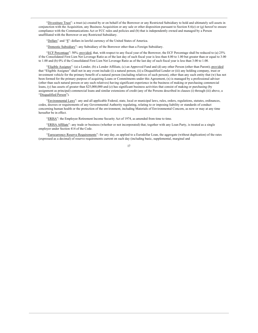"Divestiture Trust": a trust (a) created by or on behalf of the Borrower or any Restricted Subsidiary to hold and ultimately sell assets in conjunction with the Acquisition, any Business Acquisition or any sale or other disposition pursuant to Section 8.6(e) or  $(g)$  hereof to ensure compliance with the Communications Act or FCC rules and policies and (b) that is independently owned and managed by a Person unaffiliated with the Borrower or any Restricted Subsidiary.

"Dollars" and "\$": dollars in lawful currency of the United States of America.

"Domestic Subsidiary": any Subsidiary of the Borrower other than a Foreign Subsidiary.

"ECF Percentage": 50%; provided, that, with respect to any fiscal year of the Borrower, the ECF Percentage shall be reduced to (a) 25% if the Consolidated First Lien Net Leverage Ratio as of the last day of such fiscal year is less than 4.00 to 1.00 but greater than or equal to 3.00 to 1.00 and (b) 0% if the Consolidated First Lien Net Leverage Ratio as of the last day of such fiscal year is less than 3.00 to 1.00.

"Eligible Assignee": (a) a Lender, (b) a Lender Affiliate, (c) an Approved Fund and (d) any other Person (other than Parent); provided that "Eligible Assignee" shall not in any event include (i) a natural person, (ii) a Disqualified Lender or (iii) any holding company, trust or investment vehicle for the primary benefit of a natural person (including relatives of such person), other than any such entity that (w) has not been formed for the primary purpose of acquiring Loans or Commitments under this Agreement, (x) is managed by a professional adviser (other than such natural person or any such relatives) having significant experience in the business of making or purchasing commercial loans, (y) has assets of greater than \$25,000,000 and (z) has significant business activities that consist of making or purchasing (by assignment as principal) commercial loans and similar extensions of credit (any of the Persons described in clauses (i) through (iii) above, a "Disqualified Person").

"Environmental Laws": any and all applicable Federal, state, local or municipal laws, rules, orders, regulations, statutes, ordinances, codes, decrees or requirements of any Governmental Authority regulating, relating to or imposing liability or standards of conduct concerning human health or the protection of the environment, including Materials of Environmental Concern, as now or may at any time hereafter he in effect

"ERISA": the Employee Retirement Income Security Act of 1974, as amended from time to time.

"ERISA Affiliate": any trade or business (whether or not incorporated) that, together with any Loan Party, is treated as a single employer under Section 414 of the Code.

"Eurocurrency Reserve Requirements": for any day, as applied to a Eurodollar Loan, the aggregate (without duplication) of the rates (expressed as a decimal) of reserve requirements current on such day (including basic, supplemental, marginal and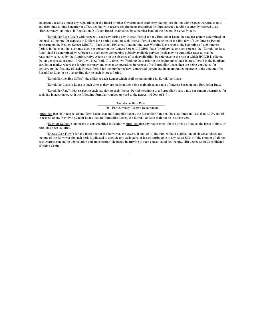emergency reserves under any regulations of the Board or other Governmental Authority having jurisdiction with respect thereto), as now and from time to time hereafter in effect, dealing with reserve requirements prescribed for Eurocurrency funding (currently referred to as "Eurocurrency liabilities" in Regulation D of such Board) maintained by a member bank of the Federal Reserve System.

"Eurodollar Base Rate": with respect to each day during any Interest Period for any Eurodollar Loan, the rate per annum determined on the basis of the rate for deposits in Dollars for a period equal to such Interest Period commencing on the first day of such Interest Period appearing on the Reuters Screen LIBOR01 Page as of 11:00 a.m., London time, two Working Days prior to the beginning of such Interest Period. In the event that such rate does not appear on the Reuters Screen LIBOR01 Page (or otherwise on such screen), the "Eurodollar Base Rate" shall be determined by reference to such other comparable publicly available service for displaying eurodollar rates as may be reasonably selected by the Administrative Agent or, in the absence of such availability, by reference to the rate at which JPMCB is offered Dollar deposits at or about 10:00 A.M., New York City time, two Working Days prior to the beginning of such Interest Period in the interbank eurodollar market where the foreign currency and exchange operations in respect of its Eurodollar Loans then are being conducted for delivery on the first day of such Interest Period for the number of days comprised therein and in an amount comparable to the amount of its Eurodollar Loan to be outstanding during such Interest Period.

"Eurodollar Lending Office": the office of each Lender which shall be maintaining its Eurodollar Loans.

"Eurodollar Loans": Loans at such time as they are made and/or being maintained at a rate of interest based upon a Eurodollar Rate.

"Eurodollar Rate": with respect to each day during each Interest Period pertaining to a Eurodollar Loan, a rate per annum determined for such day in accordance with the following formula (rounded upward to the nearest 1/100th of 1%):

## Eurodollar Base Rate

1.00 – Eurocurrency Reserve Requirement

; provided that (i) in respect of any Term Loans that are Eurodollar Loans, the Eurodollar Rate shall be at all times not less than 1.00% and (ii) in respect of any Revolving Credit Loans that are Eurodollar Loans, the Eurodollar Rate shall not be less than zero.

"Event of Default": any of the events specified in Section 9, provided that any requirement for the giving of notice, the lapse of time, or both, has been satisfied.

"Excess Cash Flow": for any fiscal year of the Borrower, the excess, if any, of (a) the sum, without duplication, of (i) consolidated net income of the Borrower for such period, adjusted to exclude any cash gains or losses attributable to any Asset Sale, (ii) the amount of all noncash charges (including depreciation and amortization) deducted in arriving at such consolidated net income, (iii) decreases in Consolidated **Working Capital**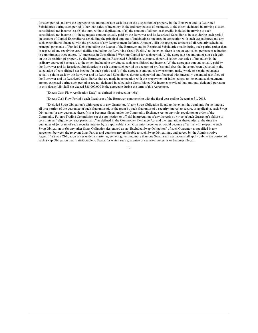for such period, and (iv) the aggregate net amount of non cash loss on the disposition of property by the Borrower and its Restricted Subsidiaries during such period (other than sales of inventory in the ordinary course of business), to the extent deducted in arriving at such consolidated net income less (b) the sum, without duplication, of (i) the amount of all non-cash credits included in arriving at such consolidated net income, (ii) the aggregate amount actually paid by the Borrower and its Restricted Subsidiaries in cash during such period on account of Capital Expenditures (excluding the principal amount of Indebtedness incurred in connection with such expenditures and any such expenditures financed with the proceeds of any Reinvestment Deferred Amount), (iii) the aggregate amount of all regularly scheduled principal payments of Funded Debt (including the Loans) of the Borrower and its Restricted Subsidiaries made during such period (other than in respect of any revolving credit facility (including the Revolving Credit Facility) to the extent there is not an equivalent permanent reduction in commitments thereunder), (iv) increases in Consolidated Working Capital for such period, (v) the aggregate net amount of non-cash gain on the disposition of property by the Borrower and its Restricted Subsidiaries during such period (other than sales of inventory in the ordinary course of business), to the extent included in arriving at such consolidated net income, (vi) the aggregate amount actually paid by the Borrower and its Restricted Subsidiaries in cash during such period on account of professional fees that have not been deducted in the calculation of consolidated net income for such period and (vii) the aggregate amount of any premium, make-whole or penalty payments actually paid in cash by the Borrower and its Restricted Subsidiaries during such period and financed with internally generated cash flow of the Borrower and its Restricted Subsidiaries that are made in connection with the prepayment of Indebtedness to the extent such payments are not expensed during such period or are not deducted in calculating Consolidated Net Income; provided that amounts deducted pursuant to this clause (vii) shall not exceed \$25,000,000 in the aggregate during the term of this Agreement.

"Excess Cash Flow Application Date": as defined in subsection 4.6(c).

"Excess Cash Flow Period": each fiscal year of the Borrower, commencing with the fiscal year ending December 31, 2013.

"Excluded Swap Obligation": with respect to any Guarantor, (a) any Swap Obligation if, and to the extent that, and only for so long as, all or a portion of the guarantee of such Guarantor of, or the grant by such Guarantor of a security interest to secure, as applicable, such Swap Obligation (or any guarantee thereof) is or becomes illegal under the Commodity Exchange Act or any rule, regulation or order of the Commodity Futures Trading Commission (or the application or official interpretation of any thereof) by virtue of such Guarantor's failure to constitute an "eligible contract participant," as defined in the Commodity Exchange Act and the regulations thereunder, at the time the guarantee of (or grant of such security interest by, as applicable) such Guarantor becomes or would become effective with respect to such Swap Obligation or (b) any other Swap Obligation designated as an "Excluded Swap Obligation" of such Guarantor as specified in any agreement between the relevant Loan Parties and counterparty applicable to such Swap Obligations, and agreed by the Administrative Agent. If a Swap Obligation arises under a master agreement governing more than one Swap, such exclusion shall apply only to the portion of such Swap Obligation that is attributable to Swaps for which such guarantee or security interest is or becomes illegal.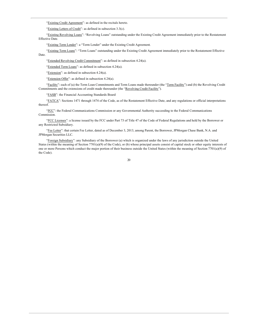"Existing Credit Agreement": as defined in the recitals hereto.

"Existing Letters of Credit": as defined in subsection  $3.3(c)$ .

"Existing Revolving Loans": "Revolving Loans" outstanding under the Existing Credit Agreement immediately prior to the Restatement Effective Date.

"Existing Term Lender": a "Term Lender" under the Existing Credit Agreement.

"Existing Term Loans": "Term Loans" outstanding under the Existing Credit Agreement immediately prior to the Restatement Effective Date.

"Extended Revolving Credit Commitment": as defined in subsection 4.24(a).

"Extended Term Loans": as defined in subsection 4.24(a).

"Extension": as defined in subsection  $4.24(a)$ .

"Extension Offer": as defined in subsection 4.24(a).

"Facility": each of (a) the Term Loan Commitments and Term Loans made thereunder (the "Term Facility") and (b) the Revolving Credit Commitments and the extensions of credit made thereunder (the "Revolving Credit Facility").

"FASB": the Financial Accounting Standards Board

"FATCA": Sections 1471 through 1474 of the Code, as of the Restatement Effective Date, and any regulations or official interpretations thereof.

"FCC": the Federal Communications Commission or any Governmental Authority succeeding to the Federal Communications Commission

"FCC Licenses": a license issued by the FCC under Part 73 of Title 47 of the Code of Federal Regulations and held by the Borrower or any Restricted Subsidiary.

"Fee Letter": that certain Fee Letter, dated as of December 3, 2013, among Parent, the Borrower, JPMorgan Chase Bank, N.A. and JPMorgan Securities LLC.

"Foreign Subsidiary": any Subsidiary of the Borrower (a) which is organized under the laws of any jurisdiction outside the United States (within the meaning of Section 7701(a)(9) of the Code), or (b) whose principal assets consist of capital stock or other equity interests of one or more Persons which conduct the major portion of their business outside the United States (within the meaning of Section 7701(a)(9) of the Code).

.,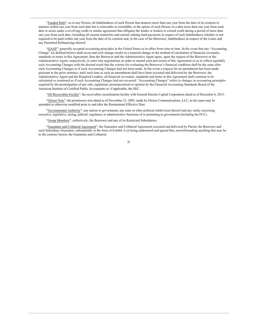"Funded Debt": as to any Person, all Indebtedness of such Person that matures more than one year from the date of its creation or matures within one year from such date but is renewable or extendible, at the option of such Person, to a date more than one year from such date or arises under a revolving credit or similar agreement that obligates the lender or lenders to extend credit during a period of more than one year from such date, including all current maturities and current sinking fund payments in respect of such Indebtedness whether or not required to be paid within one year from the date of its creation and, in the case of the Borrower, Indebtedness in respect of the Loans and any Permitted Refinancings thereof.

"GAAP": generally accepted accounting principles in the United States as in effect from time to time. In the event that any "Accounting Change" (as defined below) shall occur and such change results in a material change in the method of calculation of financial covenants, standards or terms in this Agreement, then the Borrower and the Administrative Agent agree, upon the request of the Borrower or the Administrative Agent, respectively, to enter into negotiations in order to amend such provisions of this Agreement so as to reflect equitably such Accounting Changes with the desired result that the criteria for evaluating the Borrower's financial condition shall be the same after such Accounting Changes as if such Accounting Changes had not been made. In the event a request for an amendment has been made pursuant to the prior sentence, until such time as such an amendment shall have been executed and delivered by the Borrower, the Administrative Agent and the Required Lenders, all financial covenants, standards and terms in this Agreement shall continue to be calculated or construed as if such Accounting Changes had not occurred. "Accounting Changes" refers to changes in accounting principles required by the promulgation of any rule, regulation, pronouncement or opinion by the Financial Accounting Standards Board of the American Institute of Certified Public Accountants or, if applicable, the SEC.

"GE Receivables Facility": the receivables securitization facility with General Electric Capital Corporation dated as of December 6, 2013.

"Gleiser Note": the promissory note dated as of November 21, 2003, made by Gleiser Communications, LLC, as the same may be amended or otherwise modified prior to and after the Restatement Effective Date.

"Governmental Authority": any nation or government, any state or other political subdivision thereof and any entity exercising executive, legislative, taxing, judicial, regulatory or administrative functions of or pertaining to government (including the FCC).

"Group Members": collectively, the Borrower and any of its Restricted Subsidiaries.

"Guarantee and Collateral Agreement": the Guarantee and Collateral Agreement executed and delivered by Parent, the Borrower and each Subsidiary Guarantor, substantially in the form of Exhibit A (it being understood and agreed that, notwithstanding anything that may be to the contrary herein, the Guarantee and Collateral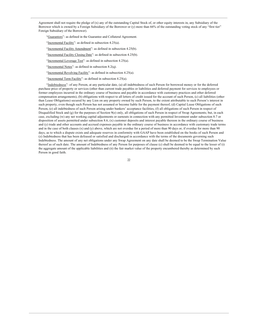Agreement shall not require the pledge of  $(x)$  any of the outstanding Capital Stock of, or other equity interests in, any Subsidiary of the Borrower which is owned by a Foreign Subsidiary of the Borrower or (y) more than 66% of the outstanding voting stock of any "first tier" Foreign Subsidiary of the Borrower).

"Guarantors": as defined in the Guarantee and Collateral Agreement.

"Incremental Facility": as defined in subsection  $4.25(a)$ .

"Incremental Facility Amendment": as defined in subsection 4.25(b).

"Incremental Facility Closing Date": as defined in subsection 4.25(b).

"Incremental Leverage Test": as defined in subsection 4.25(a).

"Incremental Notes": as defined in subsection  $8.2(q)$ .

"Incremental Revolving Facility": as defined in subsection 4.25(a).

"Incremental Term Facility": as defined in subsection 4.25(a).

"Indebtedness": of any Person, at any particular date, (a) all indebtedness of such Person for borrowed money or for the deferred purchase price of property or services (other than current trade payables or liabilities and deferred payment for services to employees or former employees incurred in the ordinary course of business and payable in accordance with customary practices and other deferred compensation arrangements), (b) obligations with respect to all letters of credit issued for the account of such Person, (c) all liabilities (other than Lease Obligations) secured by any Lien on any property owned by such Person, to the extent attributable to such Person's interest in such property, even though such Person has not assumed or become liable for the payment thereof, (d) Capital Lease Obligations of such Person, (e) all indebtedness of such Person arising under bankers' acceptance facilities, (f) all obligations of such Person in respect of Disqualified Stock and (g) for the purposes of Section 9(e) only, all obligations of such Person in respect of Swap Agreements; but, in each case, excluding (w) any net working capital adjustments or earnouts in connection with any permitted Investment under subsection 8.7 or disposition of assets permitted under subsection 8.6, (x) customer deposits and interest payable thereon in the ordinary course of business and (y) trade and other accounts and accrued expenses payable in the ordinary course of business in accordance with customary trade terms and in the case of both clauses (x) and (y) above, which are not overdue for a period of more than 90 days or, if overdue for more than 90 days, as to which a dispute exists and adequate reserves in conformity with GAAP have been established on the books of such Person and (z) Indebtedness that has been defeased or satisfied and discharged in accordance with the terms of the documents governing such Indebtedness. The amount of any net obligations under any Swap Agreement on any date shall be deemed to be the Swap Termination Value thereof as of such date. The amount of Indebtedness of any Person for purposes of clause (c) shall be deemed to be equal to the lesser of (i) the aggregate amount of the applicable liabilities and (ii) the fair market value of the property encumbered thereby as determined by such Person in good faith.

22.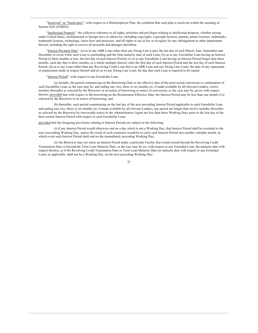"Insolvent" or "Insolvency": with respect to a Multiemployer Plan, the condition that such plan is insolvent within the meaning of Section 4245 of ERISA.

"Intellectual Property": the collective reference to all rights, priorities and privileges relating to intellectual property, whether arising under United States, multinational or foreign laws or otherwise, including copyrights, copyright licenses, patents, patent licenses, trademarks, trademark licenses, technology, know-how and processes, and all rights to sue at law or in equity for any infringement or other impairment thereof, including the right to receive all proceeds and damages therefrom.

"Interest Payment Date": (a) as to any ABR Loan (other than any Swing Line Loan), the last day of each March, June, September and December to occur while such Loan is outstanding and the final maturity date of such Loan. (b) as to any Eurodollar Loan having an Interest Period of three months or less, the last day of such Interest Period, (c) as to any Eurodollar Loan having an Interest Period longer than three months, each day that is three months, or a whole multiple thereof, after the first day of such Interest Period and the last day of such Interest Period, (d) as to any Loan (other than any Revolving Credit Loan that is an ABR Loan and any Swing Line Loan), the date of any repayment or prepayment made in respect thereof and (e) as to any Swing Line Loan, the day that such Loan is required to be repaid.

"Interest Period": with respect to any Eurodollar Loan:

(a) initially, the period commencing on the Borrowing Date or the effective date of the most recent conversion or continuation of such Eurodollar Loan, as the case may be, and ending one, two, three or six months (or, if made available by all relevant Lenders, twelve months) thereafter as selected by the Borrower in its notice of borrowing or notice of conversion, as the case may be, given with respect thereto; provided that with respect to the borrowing on the Restatement Effective Date, the Interest Period may be less than one month if so selected by the Borrower in its notice of borrowing; and

(b) thereafter, each period commencing on the last day of the next preceding Interest Period applicable to such Eurodollar Loan and ending one, two, three or six months (or, if made available by all relevant Lenders, any period not longer than twelve months) thereafter as selected by the Borrower by irrevocable notice to the Administrative Agent not less than three Working Days prior to the last day of the then current Interest Period with respect to such Eurodollar Loan;

provided that the foregoing provisions relating to Interest Periods are subject to the following:

(i) if any Interest Period would otherwise end on a day which is not a Working Day, that Interest Period shall be extended to the next succeeding Working Day, unless the result of such extension would be to carry such Interest Period into another calendar month, in which event such Interest Period shall end on the immediately preceding Working Day;

(ii) the Borrower may not select an Interest Period under a particular Facility that would extend beyond the Revolving Credit Termination Date or beyond the Term Loan Maturity Date, as the case may be (or, with respect to any Extended Loan, the maturity date with respect thereto), or if the Revolving Credit Termination Date or Term Loan Maturity Date (or maturity date with respect to any Extended Loan), as applicable, shall not be a Working Day, on the next preceding Working Day;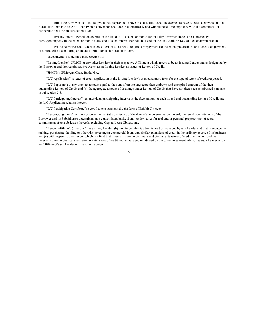(iii) if the Borrower shall fail to give notice as provided above in clause (b), it shall be deemed to have selected a conversion of a Eurodollar Loan into an ABR Loan (which conversion shall occur automatically and without need for compliance with the conditions for conversion set forth in subsection 4.3);

(iv) any Interest Period that begins on the last day of a calendar month (or on a day for which there is no numerically corresponding day in the calendar month at the end of such Interest Period) shall end on the last Working Day of a calendar month; and

(v) the Borrower shall select Interest Periods so as not to require a prepayment (to the extent practicable) or a scheduled payment of a Eurodollar Loan during an Interest Period for such Eurodollar Loan.

"Investments": as defined in subsection 8.7.

"Issuing Lender": JPMCB or any other Lender (or their respective Affiliates) which agrees to be an Issuing Lender and is designated by the Borrower and the Administrative Agent as an Issuing Lender, as issuer of Letters of Credit.

"JPMCB": JPMorgan Chase Bank, N.A.

"L/C Application": a letter of credit application in the Issuing Lender's then customary form for the type of letter of credit requested.

"L/C Exposure": at any time, an amount equal to the sum of (a) the aggregate then undrawn and unexpired amount of the then outstanding Letters of Credit and (b) the aggregate amount of drawings under Letters of Credit that have not then been reimbursed pursuant to subsection 3.6.

"L/C Participating Interest": an undivided participating interest in the face amount of each issued and outstanding Letter of Credit and the L/C Application relating thereto.

"L/C Participation Certificate": a certificate in substantially the form of Exhibit C hereto.

"Lease Obligations": of the Borrower and its Subsidiaries, as of the date of any determination thereof, the rental commitments of the Borrower and its Subsidiaries determined on a consolidated basis, if any, under leases for real and/or personal property (net of rental commitments from sub-leases thereof), excluding Capital Lease Obligations.

"Lender Affiliate": (a) any Affiliate of any Lender, (b) any Person that is administered or managed by any Lender and that is engaged in making, purchasing, holding or otherwise investing in commercial loans and similar extensions of credit in the ordinary course of its business and (c) with respect to any Lender which is a fund that invests in commercial loans and similar extensions of credit, any other fund that invests in commercial loans and similar extensions of credit and is managed or advised by the same investment advisor as such Lender or by an Affiliate of such Lender or investment advisor.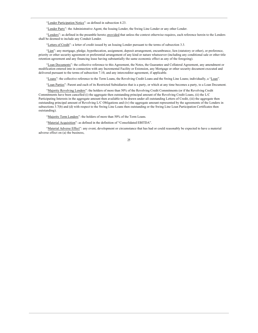"Lender Participation Notice": as defined in subsection 4.23.

"Lender Party": the Administrative Agent, the Issuing Lender, the Swing Line Lender or any other Lender.

"Lenders": as defined in the preamble hereto; provided that unless the context otherwise requires, each reference herein to the Lenders shall be deemed to include any Conduit Lender.

"Letters of Credit": a letter of credit issued by an Issuing Lender pursuant to the terms of subsection 3.3.

"Lien": any mortgage, pledge, hypothecation, assignment, deposit arrangement, encumbrance, lien (statutory or other), or preference, priority or other security agreement or preferential arrangement of any kind or nature whatsoever (including any conditional sale or other title retention agreement and any financing lease having substantially the same economic effect as any of the foregoing).

"Loan Documents": the collective reference to this Agreement, the Notes, the Guarantee and Collateral Agreement, any amendment or modification entered into in connection with any Incremental Facility or Extension, any Mortgage or other security document executed and delivered pursuant to the terms of subsection 7.10, and any intercreditor agreement, if applicable.

"Loans": the collective reference to the Term Loans, the Revolving Credit Loans and the Swing Line Loans; individually, a "Loan".

"Loan Parties": Parent and each of its Restricted Subsidiaries that is a party, or which at any time becomes a party, to a Loan Document.

"Majority Revolving Lenders": the holders of more than 50% of the Revolving Credit Commitments (or if the Revolving Credit Commitments have been cancelled (i) the aggregate then outstanding principal amount of the Revolving Credit Loans, (ii) the L/C Participating Interests in the aggregate amount then available to be drawn under all outstanding Letters of Credit, (iii) the aggregate then outstanding principal amount of Revolving L/C Obligations and (iv) the aggregate amount represented by the agreements of the Lenders in subsections 3.7(b) and (d) with respect to the Swing Line Loans then outstanding or the Swing Line Loan Participation Certificates then outstanding).

"Majority Term Lenders": the holders of more than 50% of the Term Loans.

"Material Acquisition": as defined in the definition of "Consolidated EBITDA".

"Material Adverse Effect": any event, development or circumstance that has had or could reasonably be expected to have a material adverse effect on (a) the business,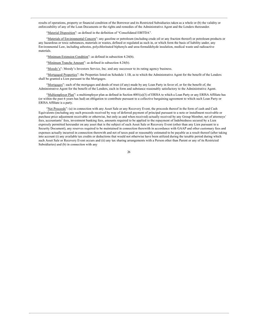results of operations, property or financial condition of the Borrower and its Restricted Subsidiaries taken as a whole or (b) the validity or enforceability of any of the Loan Documents or the rights and remedies of the Administrative Agent and the Lenders thereunder.

"Material Disposition": as defined in the definition of "Consolidated EBITDA".

"Materials of Environmental Concern": any gasoline or petroleum (including crude oil or any fraction thereof) or petroleum products or any hazardous or toxic substances, materials or wastes, defined or regulated as such in, or which form the basis of liability under, any Environmental Law, including asbestos, polychlorinated biphenyls and urea-formaldehyde insulation, medical waste and radioactive materials.

"Minimum Extension Condition": as defined in subsection 4.24(b).

"Minimum Tranche Amount": as defined in subsection 4.24(b).

"Moody's": Moody's Investors Service, Inc. and any successor to its rating agency business.

"Mortgaged Properties": the Properties listed on Schedule 1.1B, as to which the Administrative Agent for the benefit of the Lenders shall be granted a Lien pursuant to the Mortgages.

"Mortgages": each of the mortgages and deeds of trust (if any) made by any Loan Party in favor of, or for the benefit of, the Administrative Agent for the benefit of the Lenders, each in form and substance reasonably satisfactory to the Administrative Agent.

"Multiemployer Plan": a multiemployer plan as defined in Section 4001(a)(3) of ERISA to which a Loan Party or any ERISA Affiliate has (or within the past 6 years has had) an obligation to contribute pursuant to a collective bargaining agreement to which such Loan Party or ERISA Affiliate is a party.

"Net Proceeds": (a) in connection with any Asset Sale or any Recovery Event, the proceeds thereof in the form of cash and Cash Equivalents (including any such proceeds received by way of deferred payment of principal pursuant to a note or installment receivable or purchase price adjustment receivable or otherwise, but only as and when received) actually received by any Group Member, net of attorneys' fees, accountants' fees, investment banking fees, amounts required to be applied to the repayment of Indebtedness secured by a Lien expressly permitted hereunder on any asset that is the subject of such Asset Sale or Recovery Event (other than any Lien pursuant to a Security Document), any reserves required to be maintained in connection therewith in accordance with GAAP and other customary fees and expenses actually incurred in connection therewith and net of taxes paid or reasonably estimated to be payable as a result thereof (after taking into account (i) any available tax credits or deductions that would not otherwise have been utilized during the taxable period during which such Asset Sale or Recovery Event occurs and (ii) any tax sharing arrangements with a Person other than Parent or any of its Restricted Subsidiaries) and (b) in connection with any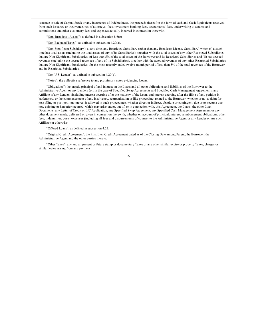issuance or sale of Capital Stock or any incurrence of Indebtedness, the proceeds thereof in the form of cash and Cash Equivalents received from such issuance or incurrence, net of attorneys' fees, investment banking fees, accountants' fees, underwriting discounts and commissions and other customary fees and expenses actually incurred in connection therewith.

"Non-Broadcast Assets": as defined in subsection 8.6(e).

"Non-Excluded Taxes": as defined in subsection 4.20(a).

"Non-Significant Subsidiary": at any time, any Restricted Subsidiary (other than any Broadcast License Subsidiary) which (i) at such time has total assets (including the total assets of any of its Subsidiaries), together with the total assets of any other Restricted Subsidiaries that are Non-Significant Subsidiaries, of less than 5% of the total assets of the Borrower and its Restricted Subsidiaries and (ii) has accrued revenues (including the accrued revenues of any of its Subsidiaries), together with the accrued revenues of any other Restricted Subsidiaries that are Non-Significant Subsidiaries, for the most recently ended twelve-month period of less than 5% of the total revenues of the Borrower and its Restricted Subsidiaries.

"Non-U.S. Lender": as defined in subsection  $4.20(g)$ .

"Notes": the collective reference to any promissory notes evidencing Loans.

"Obligations": the unpaid principal of and interest on the Loans and all other obligations and liabilities of the Borrower to the Administrative Agent or any Lenders (or, in the case of Specified Swap Agreements and Specified Cash Management Agreements, any Affiliate of any Lender) (including interest accruing after the maturity of the Loans and interest accruing after the filing of any petition in bankruptcy, or the commencement of any insolvency, reorganization or like proceeding, related to the Borrower, whether or not a claim for post-filing or post-petition interest is allowed in such proceeding), whether direct or indirect, absolute or contingent, due or to become due, now existing or hereafter incurred, which may arise under, out of, or in connection with, this Agreement, the Loans, the other Loan Documents, any Letter of Credit or L/C Application, any Specified Swap Agreement, any Specified Cash Management Agreement or any other document made, delivered or given in connection therewith, whether on account of principal, interest, reimbursement obligations, other fees, indemnities, costs, expenses (including all fees and disbursements of counsel to the Administrative Agent or any Lender or any such Affiliate) or otherwise.

"Offered Loans": as defined in subsection 4.23.

"Original Credit Agreement": the First Lien Credit Agreement dated as of the Closing Date among Parent, the Borrower, the Administrative Agent and the other parties thereto.

"Other Taxes": any and all present or future stamp or documentary Taxes or any other similar excise or property Taxes, charges or similar levies arising from any payment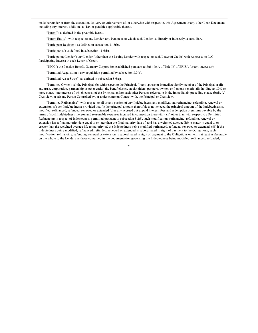made hereunder or from the execution, delivery or enforcement of, or otherwise with respect to, this Agreement or any other Loan Document including any interest, additions to Tax or penalties applicable thereto.

"Parent": as defined in the preamble hereto.

"Parent Entity": with respect to any Lender, any Person as to which such Lender is, directly or indirectly, a subsidiary.

"Participant Register": as defined in subsection  $11.6(b)$ .

"Participants": as defined in subsection  $11.6(b)$ .

"Participating Lender": any Lender (other than the Issuing Lender with respect to such Letter of Credit) with respect to its L/C Participating Interest in each Letter of Credit.

"PBGC": the Pension Benefit Guaranty Corporation established pursuant to Subtitle A of Title IV of ERISA (or any successor).

"Permitted Acquisition": any acquisition permitted by subsection 8.7(k).

"Permitted Asset Swap": as defined in subsection 8.6(q).

"Permitted Owner": (a) the Principal, (b) with respect to the Principal, (i) any spouse or immediate family member of the Principal or (ii) any trust, corporation, partnership or other entity, the beneficiaries, stockholders, partners, owners or Persons beneficially holding an 80% or more controlling interest of which consist of the Principal and/or such other Persons referred to in the immediately preceding clause (b)(i), (c) Crestview, or (d) any Person Controlled by, or under common Control with, the Principal or Crestview.

"Permitted Refinancing": with respect to all or any portion of any Indebtedness, any modification, refinancing, refunding, renewal or extension of such Indebtedness; provided that (i) the principal amount thereof does not exceed the principal amount of the Indebtedness so modified, refinanced, refunded, renewed or extended (plus any accrued but unpaid interest, fees and redemption premiums payable by the terms of such Indebtedness thereon and reasonable expenses incurred in connection therewith), (ii) other than with respect to a Permitted Refinancing in respect of Indebtedness permitted pursuant to subsection  $8.2(j)$ , such modification, refinancing, refunding, renewal or extension has a final maturity date equal to or later than the final maturity date of, and has a weighted average life to maturity equal to or greater than the weighted average life to maturity of, the Indebtedness being modified, refinanced, refunded, renewed or extended, (iii) if the Indebtedness being modified, refinanced, refunded, renewed or extended is subordinated in right of payment to the Obligations, such modification, refinancing, refunding, renewal or extension is subordinated in right of payment to the Obligations on terms at least as favorable on the whole to the Lenders as those contained in the documentation governing the Indebtedness being modified, refinanced, refunded,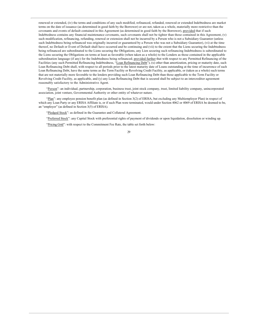renewed or extended, (iv) the terms and conditions of any such modified, refinanced, refunded, renewed or extended Indebtedness are market terms on the date of issuance (as determined in good faith by the Borrower) or are not, taken as a whole, materially more restrictive than the covenants and events of default contained in this Agreement (as determined in good faith by the Borrower), provided that if such Indebtedness contains any financial maintenance covenants, such covenants shall not be tighter than those contained in this Agreement, (v) such modification, refinancing, refunding, renewal or extension shall not be incurred by a Person who is not a Subsidiary Guarantor (unless such Indebtedness being refinanced was originally incurred or guaranteed by a Person who was not a Subsidiary Guarantor), (vi) at the time thereof, no Default or Event of Default shall have occurred and be continuing and (vii) to the extent that the Liens securing the Indebtedness being refinanced are subordinated to the Liens securing the Obligations, any Lien securing such refinancing Indebtedness is subordinated to the Liens securing the Obligations on terms at least as favorable (when taken as a whole) to the Lenders as those contained in the applicable subordination language (if any) for the Indebtedness being refinanced; provided further that with respect to any Permitted Refinancing of the Facilities (any such Permitted Refinancing Indebtedness, "Loan Refinancing Debt"), (x) other than amortization, pricing or maturity date, such Loan Refinancing Debt shall, with respect to all periods prior to the latest maturity date of Loans outstanding at the time of incurrence of such Loan Refinancing Debt, have the same terms as the Term Facility or Revolving Credit Facility, as applicable, or (taken as a whole) such terms that are not materially more favorable to the lenders providing such Loan Refinancing Debt than those applicable to the Term Facility or Revolving Credit Facility, as applicable, and (y) any Loan Refinancing Debt that is secured shall be subject to an intercreditor agreement reasonably satisfactory to the Administrative Agent.

"Person": an individual, partnership, corporation, business trust, joint stock company, trust, limited liability company, unincorporated association, joint venture, Governmental Authority or other entity of whatever nature.

"Plan": any employee pension benefit plan (as defined in Section 3(2) of ERISA, but excluding any Multiemployer Plan) in respect of which any Loan Party or any ERISA Affiliate is, or if such Plan were terminated, would under Section 4062 or 4069 of ERISA be deemed to be, an "employer" (as defined in Section 3(5) of ERISA).

"Pledged Stock": as defined in the Guarantee and Collateral Agreement.

"Preferred Stock": any Capital Stock with preferential rights of payment of dividends or upon liquidation, dissolution or winding up.

"Pricing Grid": with respect to the Commitment Fee Rate, the table set forth below: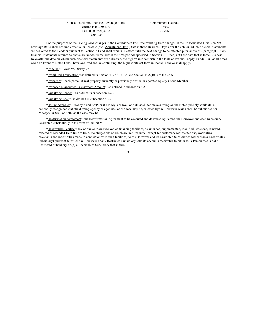Consolidated First Lien Net Leverage Ratio Greater than 3.50:1.00 Less than or equal to 3.50:1.00

Commitment Fee Rate 0 50% 0 375%

For the purposes of the Pricing Grid, changes in the Commitment Fee Rate resulting from changes in the Consolidated First Lien Net Leverage Ratio shall become effective on the date (the "Adjustment Date") that is three Business Days after the date on which financial statements are delivered to the Lenders pursuant to Section 7.1 and shall remain in effect until the next change to be effected pursuant to this paragraph. If any financial statements referred to above are not delivered within the time periods specified in Section 7.1, then, until the date that is three Business Days after the date on which such financial statements are delivered, the highest rate set forth in the table above shall apply. In addition, at all times while an Event of Default shall have occurred and be continuing, the highest rate set forth in the table above shall apply.

"Principal": Lewis W. Dickey, Jr.

"Prohibited Transaction": as defined in Section 406 of ERISA and Section  $4975(f)(3)$  of the Code.

"Properties": each parcel of real property currently or previously owned or operated by any Group Member.

"Proposed Discounted Prepayment Amount": as defined in subsection 4.23.

"Qualifying Lender": as defined in subsection 4.23.

"Qualifying Loan": as defined in subsection 4.23.

"Rating Agencies": Moody's and S&P, or if Moody's or S&P or both shall not make a rating on the Notes publicly available, a nationally recognized statistical rating agency or agencies, as the case may be, selected by the Borrower which shall be substituted for Moody's or S&P or both, as the case may be.

"Reaffirmation Agreement": the Reaffirmation Agreement to be executed and delivered by Parent, the Borrower and each Subsidiary Guarantor, substantially in the form of Exhibit M.

"Receivables Facility": any of one or more receivables financing facilities, as amended, supplemented, modified, extended, renewed, restated or refunded from time to time, the obligations of which are non-recourse (except for customary representations, warranties, covenants and indemnities made in connection with such facilities) to the Borrower and its Restricted Subsidiaries (other than a Receivables Subsidiary) pursuant to which the Borrower or any Restricted Subsidiary sells its accounts receivable to either (a) a Person that is not a Restricted Subsidiary or (b) a Receivables Subsidiary that in turn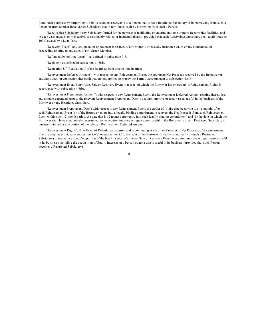funds such purchase by purporting to sell its accounts receivable to a Person that is not a Restricted Subsidiary or by borrowing from such a Person or from another Receivables Subsidiary that in turn funds itself by borrowing from such a Person.

"Receivables Subsidiary": any Subsidiary formed for the purpose of facilitating or entering into one or more Receivables Facilities, and in each case engages only in activities reasonably related or incidental thereto; provided that each Receivables Subsidiary shall at all times be 100% owned by a Loan Party.

"Recovery Event": any settlement of or payment in respect of any property or casualty insurance claim or any condemnation proceeding relating to any asset of any Group Member.

"Refunded Swing Line Loans": as defined in subsection 3.7.

"Register": as defined in subsection 11.6(d).

"Regulation U": Regulation U of the Board, as from time to time in effect.

"Reinvestment Deferred Amount": with respect to any Reinvestment Event, the aggregate Net Proceeds received by the Borrower or any Subsidiary in connection therewith that are not applied to prepay the Term Loans pursuant to subsection 4.6(b).

"Reinvestment Event": any Asset Sale or Recovery Event in respect of which the Borrower has exercised its Reinvestment Rights in accordance with subsection 4.6(b).

"Reinvestment Prepayment Amount": with respect to any Reinvestment Event, the Reinvestment Deferred Amount relating thereto less any amount expended prior to the relevant Reinvestment Prepayment Date to acquire, improve or repair assets useful in the business of the Borrower or any Restricted Subsidiary.

"Reinvestment Prepayment Date": with respect to any Reinvestment Event, the earlier of (a) the date occurring twelve months after such Reinvestment Event (or, if the Borrower enters into a legally binding commitment to reinvest the Net Proceeds from such Reinvestment Event within such 12-month period, the date that is 12 months after entry into such legally binding commitment) and (b) the date on which the Borrower shall have conclusively determined not to acquire, improve or repair assets useful in the Borrower's or any Restricted Subsidiary's business with all or any portion of the relevant Reinvestment Deferred Amount.

"Reinvestment Rights": if no Event of Default has occurred and is continuing at the time of receipt of Net Proceeds of a Reinvestment Event, except as provided in subsection 8.6(e) or subsection 8.10, the right of the Borrower (directly or indirectly through a Restricted Subsidiary) to use all or a specified portion of the Net Proceeds of an Asset Sale or Recovery Event to acquire, improve or repair assets useful in its business (including the acquisition of Equity Interests in a Person owning assets useful in its business; provided that such Person becomes a Restricted Subsidiary).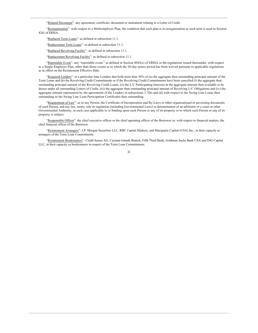"Related Document": any agreement, certificate, document or instrument relating to a Letter of Credit.

"Reorganization": with respect to a Multiemployer Plan, the condition that such plan is in reorganization as such term is used in Section 4241 of ERISA.

"Replaced Term Loans": as defined in subsection 11.1.

"Replacement Term Loans": as defined in subsection 11.1.

"Replaced Revolving Facility": as defined in subsection 11.1.

"Replacement Revolving Facility": as defined in subsection 11.1.

"Reportable Event": any "reportable event," as defined in Section 4043(c) of ERISA or the regulations issued thereunder, with respect to a Single Employer Plan, other than those events as to which the 30-day notice period has been waived pursuant to applicable regulations as in effect on the Restatement Effective Date.

"Required Lenders": at a particular time Lenders that hold more than 50% of (a) the aggregate then outstanding principal amount of the Term Loans and (b) the Revolving Credit Commitments or if the Revolving Credit Commitments have been cancelled (i) the aggregate then outstanding principal amount of the Revolving Credit Loans, (ii) the L/C Participating Interests in the aggregate amount then available to be drawn under all outstanding Letters of Credit, (iii) the aggregate then outstanding principal amount of Revolving L/C Obligations and (iv) the aggregate amount represented by the agreements of the Lenders in subsections 3.7(b) and (d) with respect to the Swing Line Loans then outstanding or the Swing Line Loan Participation Certificates then outstanding.

"Requirement of Law": as to any Person, the Certificate of Incorporation and By-Laws or other organizational or governing documents of such Person, and any law, treaty, rule or regulation (including Environmental Laws) or determination of an arbitrator or a court or other Governmental Authority, in each case applicable to or binding upon such Person or any of its property or to which such Person or any of its property is subject.

"Responsible Officer": the chief executive officer or the chief operating officer of the Borrower or, with respect to financial matters, the chief financial officer of the Borrower.

"Restatement Arrangers": J.P. Morgan Securities LLC, RBC Capital Markets, and Macquarie Capital (USA) Inc., in their capacity as arrangers of the Term Loan Commitments.

"Restatement Bookrunners": Credit Suisse AG, Cayman Islands Branch, Fifth Third Bank, Goldman Sachs Bank USA and ING Capital LLC, in their capacity as bookrunners in respect of the Term Loan Commitments.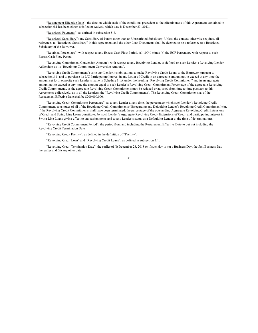"Restatement Effective Date": the date on which each of the conditions precedent to the effectiveness of this Agreement contained in subsection 6.1 has been either satisfied or waived, which date is December 23, 2013.

"Restricted Payments": as defined in subsection 8.8.

"Restricted Subsidiary": any Subsidiary of Parent other than an Unrestricted Subsidiary. Unless the context otherwise requires, all references to "Restricted Subsidiary" in this Agreement and the other Loan Documents shall be deemed to be a reference to a Restricted Subsidiary of the Borrower.

"Retained Percentage": with respect to any Excess Cash Flow Period, (a) 100% minus (b) the ECF Percentage with respect to such Excess Cash Flow Period.

"Revolving Commitment Conversion Amount": with respect to any Revolving Lender, as defined on such Lender's Revolving Lender Addendum as its "Revolving Commitment Conversion Amount".

"Revolving Credit Commitment": as to any Lender, its obligations to make Revolving Credit Loans to the Borrower pursuant to subsection 3 1, and to purchase its L/C Participating Interest in any Letter of Credit in an aggregate amount not to exceed at any time the amount set forth opposite such Lender's name in Schedule 1.1A under the heading "Revolving Credit Commitment" and in an aggregate amount not to exceed at any time the amount equal to such Lender's Revolving Credit Commitment Percentage of the aggregate Revolving Credit Commitments, as the aggregate Revolving Credit Commitments may be reduced or adjusted from time to time pursuant to this Agreement; collectively, as to all the Lenders, the "Revolving Credit Commitments". The Revolving Credit Commitments as of the Restatement Effective Date shall be \$200,000,000.

"Revolving Credit Commitment Percentage": as to any Lender at any time, the percentage which such Lender's Revolving Credit Commitment constitutes of all of the Revolving Credit Commitments (disregarding any Defaulting Lender's Revolving Credit Commitment) (or, if the Revolving Credit Commitments shall have been terminated, the percentage of the outstanding Aggregate Revolving Credit Extensions of Credit and Swing Line Loans constituted by such Lender's Aggregate Revolving Credit Extensions of Credit and participating interest in Swing Line Loans giving effect to any assignments and to any Lender's status as a Defaulting Lender at the time of determination).

"Revolving Credit Commitment Period": the period from and including the Restatement Effective Date to but not including the Revolving Credit Termination Date.

"Revolving Credit Facility": as defined in the definition of "Facility".

"Revolving Credit Loan" and "Revolving Credit Loans": as defined in subsection 3.1.

"Revolving Credit Termination Date": the earlier of (i) December 23, 2018 or if such day is not a Business Day, the first Business Day thereafter and (ii) any other date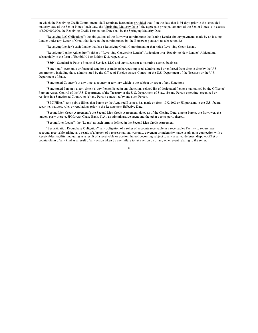on which the Revolving Credit Commitments shall terminate hereunder; provided that if on the date that is 91 days prior to the scheduled maturity date of the Senior Notes (such date, the "Springing Maturity Date") the aggregate principal amount of the Senior Notes is in excess of \$200,000,000, the Revolving Credit Termination Date shall be the Springing Maturity Date.

"Revolving L/C Obligations": the obligations of the Borrower to reimburse the Issuing Lender for any payments made by an Issuing Lender under any Letter of Credit that have not been reimbursed by the Borrower pursuant to subsection 3.6.

"Revolving Lender": each Lender that has a Revolving Credit Commitment or that holds Revolving Credit Loans.

"Revolving Lender Addendum": either a "Revolving Converting Lender" Addendum or a "Revolving New Lender" Addendum, substantially in the form of Exhibit K-1 or Exhibit K-2, respectively.

"S&P": Standard & Poor's Financial Services LLC and any successor to its rating agency business.

"Sanctions": economic or financial sanctions or trade embargoes imposed, administered or enforced from time to time by the U.S. government, including those administered by the Office of Foreign Assets Control of the U.S. Department of the Treasury or the U.S. Department of State.

"Sanctioned Country": at any time, a country or territory which is the subject or target of any Sanctions.

"Sanctioned Person": at any time, (a) any Person listed in any Sanctions-related list of designated Persons maintained by the Office of Foreign Assets Control of the U.S. Department of the Treasury or the U.S. Department of State, (b) any Person operating, organized or resident in a Sanctioned Country or (c) any Person controlled by any such Person.

"SEC Filings": any public filings that Parent or the Acquired Business has made on form 10K, 10Q or 8K pursuant to the U.S. federal securities statutes, rules or regulations prior to the Restatement Effective Date.

"Second Lien Credit Agreement": the Second Lien Credit Agreement, dated as of the Closing Date, among Parent, the Borrower, the lenders party thereto, JPMorgan Chase Bank, N.A., as administrative agent and the other agents party thereto.

"Second Lien Loans": the "Loans" as such term is defined in the Second Lien Credit Agreement.

"Securitization Repurchase Obligation": any obligation of a seller of accounts receivable in a receivables Facility to repurchase accounts receivable arising as a result of a breach of a representation, warranty, covenant or indemnity made or given in connection with a Receivables Facility, including as a result of a receivable or portion thereof becoming subject to any asserted defense, dispute, offset or counterclaim of any kind as a result of any action taken by any failure to take action by or any other event relating to the seller.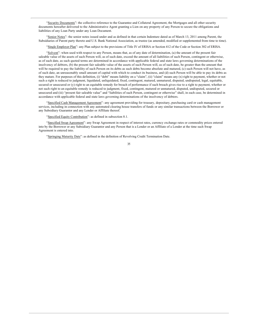"Security Documents": the collective reference to the Guarantee and Collateral Agreement, the Mortgages and all other security documents hereafter delivered to the Administrative Agent granting a Lien on any property of any Person to secure the obligations and liabilities of any Loan Party under any Loan Document.

"Senior Notes": the senior notes issued under and as defined in that certain Indenture dated as of March 13, 2011 among Parent, the Subsidiaries of Parent party thereto and U.S. Bank National Association, as trustee (as amended, modified or supplemented from time to time).

"Single Employer Plan": any Plan subject to the provisions of Title IV of ERISA or Section 412 of the Code or Section 302 of ERISA.

"Solvent": when used with respect to any Person, means that, as of any date of determination, (a) the amount of the present fair saleable value of the assets of such Person will, as of such date, exceed the amount of all liabilities of such Person, contingent or otherwise, as of such date, as such quoted terms are determined in accordance with applicable federal and state laws governing determinations of the insolvency of debtors, (b) the present fair saleable value of the assets of such Person will, as of such date, be greater than the amount that will be required to pay the liability of such Person on its debts as such debts become absolute and matured, (c) such Person will not have, as of such date, an unreasonably small amount of capital with which to conduct its business, and (d) such Person will be able to pay its debts as they mature. For purposes of this definition, (i) "debt" means liability on a "claim", (ii) "claim" means any  $(x)$  right to payment, whether or not such a right is reduced to judgment, liquidated, unliquidated, fixed, contingent, matured, unmatured, disputed, undisputed, legal, equitable, secured or unsecured or (v) right to an equitable remedy for breach of performance if such breach gives rise to a right to payment, whether or not such right to an equitable remedy is reduced to judgment, fixed, contingent, matured or unmatured, disputed, undisputed, secured or unsecured and (iii) "present fair saleable value" and "liabilities of such Person, contingent or otherwise" shall, in each case, be determined in accordance with applicable federal and state laws governing determinations of the insolvency of debtors.

"Specified Cash Management Agreement": any agreement providing for treasury, depositary, purchasing card or cash management services, including in connection with any automated clearing house transfers of funds or any similar transactions between the Borrower or any Subsidiary Guarantor and any Lender or Affiliate thereof.

"Specified Equity Contribution": as defined in subsection 8.1.

"Specified Swap Agreement": any Swap Agreement in respect of interest rates, currency exchange rates or commodity prices entered into by the Borrower or any Subsidiary Guarantor and any Person that is a Lender or an Affiliate of a Lender at the time such Swap Agreement is entered into.

"Springing Maturity Date": as defined in the definition of Revolving Credit Termination Date.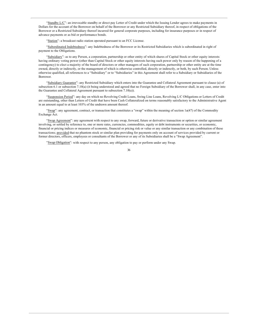"Standby L/C": an irrevocable standby or direct pay Letter of Credit under which the Issuing Lender agrees to make payments in Dollars for the account of the Borrower on behalf of the Borrower or any Restricted Subsidiary thereof, in respect of obligations of the Borrower or a Restricted Subsidiary thereof incurred for general corporate purposes, including for insurance purposes or in respect of advance payments or as bid or performance bonds.

"Station": a broadcast radio station operated pursuant to an FCC License.

"Subordinated Indebtedness": any Indebtedness of the Borrower or its Restricted Subsidiaries which is subordinated in right of payment to the Obligations.

"Subsidiary": as to any Person, a corporation, partnership or other entity of which shares of Capital Stock or other equity interests having ordinary voting power (other than Capital Stock or other equity interests having such power only by reason of the happening of a contingency) to elect a majority of the board of directors or other managers of such corporation, partnership or other entity are at the time owned, directly or indirectly, or the management of which is otherwise controlled, directly or indirectly, or both, by such Person. Unless otherwise qualified, all references to a "Subsidiary" or to "Subsidiaries" in this Agreement shall refer to a Subsidiary or Subsidiaries of the Borrower.

"Subsidiary Guarantor": any Restricted Subsidiary which enters into the Guarantee and Collateral Agreement pursuant to clause (a) of subsection 6.1 or subsection 7.10(a) (it being understood and agreed that no Foreign Subsidiary of the Borrower shall, in any case, enter into the Guarantee and Collateral Agreement pursuant to subsection 7.10(a)).

"Suspension Period": any day on which no Revolving Credit Loans, Swing Line Loans, Revolving L/C Obligations or Letters of Credit are outstanding, other than Letters of Credit that have been Cash Collateralized on terms reasonably satisfactory to the Administrative Agent in an amount equal to at least 103% of the undrawn amount thereof.

"Swap": any agreement, contract, or transaction that constitutes a "swap" within the meaning of section 1a(47) of the Commodity Exchange Act.

"Swap Agreement": any agreement with respect to any swap, forward, future or derivative transaction or option or similar agreement involving, or settled by reference to, one or more rates, currencies, commodities, equity or debt instruments or securities, or economic, financial or pricing indices or measures of economic, financial or pricing risk or value or any similar transaction or any combination of these transactions; provided that no phantom stock or similar plan providing for payments only on account of services provided by current or former directors, officers, employees or consultants of the Borrower or any of its Subsidiaries shall be a "Swap Agreement".

"Swap Obligation": with respect to any person, any obligation to pay or perform under any Swap.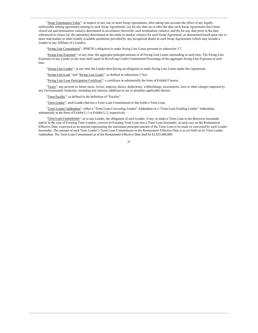"Swap Termination Value": in respect of any one or more Swap Agreements, after taking into account the effect of any legally enforceable netting agreement relating to such Swap Agreements, (a) for any date on or after the date such Swap Agreements have been closed out and termination value(s) determined in accordance therewith, such termination value(s), and (b) for any date prior to the date referenced in clause (a), the amount(s) determined as the mark-to-market value(s) for such Swap Agreement, as determined based upon one or more mid-market or other readily available quotations provided by any recognized dealer in such Swap Agreements (which may include a Lender or any Affiliate of a Lender).

"Swing Line Commitment": JPMCB's obligation to make Swing Line Loans pursuant to subsection 3.7.

"Swing Line Exposure": at any time, the aggregate principal amount of all Swing Line Loans outstanding at such time. The Swing Line Exposure of any Lender at any time shall equal its Revolving Credit Commitment Percentage of the aggregate Swing Line Exposure at such time.

"Swing Line Lender": at any time the Lender then having an obligation to make Swing Line Loans under this Agreement.

"Swing Line Loan" and "Swing Line Loans": as defined in subsection 3.7(a).

"Swing Line Loan Participation Certificate": a certificate in substantially the form of Exhibit F hereto.

"Taxes": any present or future taxes, levies, imposts, duties, deductions, withholdings, assessments, fees or other charges imposed by any Governmental Authority, including any interest, additions to tax or penalties applicable thereto.

"Term Facility": as defined in the definition of "Facility".

"Term Lender": each Lender that has a Term Loan Commitment or that holds a Term Loan.

"Term Lender Addendum": either a "Term Loan Converting Lender" Addendum or a "Term Loan Funding Lender" Addendum, substantially in the form of Exhibit L-1 or Exhibit L-2, respectively.

"Term Loan Commitment": as to any Lender, the obligation of such Lender, if any, to make a Term Loan to the Borrower hereunder and/or in the case of Existing Term Lenders, convert its Existing Term Loan into a Term Loan hereunder, in each case on the Restatement Effective Date, expressed as an amount representing the maximum principal amount of the Term Loan to be made or converted by such Lender hereunder. The amount of each Term Lender's Term Loan Commitment on the Restatement Effective Date is as set forth on its Term Lender Addendum. The Term Loan Commitment as of the Restatement Effective Date shall be \$2,025,000,000.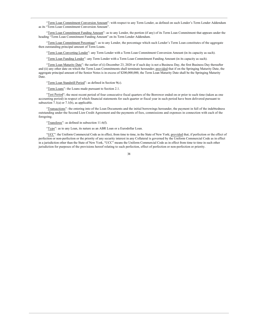"Term Loan Commitment Conversion Amount": with respect to any Term Lender, as defined on such Lender's Term Lender Addendum as its "Term Loan Commitment Conversion Amount".

"Term Loan Commitment Funding Amount": as to any Lender, the portion (if any) of its Term Loan Commitment that appears under the heading "Term Loan Commitment Funding Amount" on its Term Lender Addendum.

"Term Loan Commitment Percentage": as to any Lender, the percentage which such Lender's Term Loan constitutes of the aggregate then outstanding principal amount of Term Loans.

"Term Loan Converting Lender": any Term Lender with a Term Loan Commitment Conversion Amount (in its capacity as such).

"Term Loan Funding Lender": any Term Lender with a Term Loan Commitment Funding Amount (in its capacity as such).

"Term Loan Maturity Date": the earlier of (i) December 23, 2020 or if such day is not a Business Day, the first Business Day thereafter and (ii) any other date on which the Term Loan Commitments shall terminate hereunder; provided that if on the Springing Maturity Date, the aggregate principal amount of the Senior Notes is in excess of \$200,000,000, the Term Loan Maturity Date shall be the Springing Maturity Date.

"Term Loan Standstill Period": as defined in Section 9(c).

"Term Loans": the Loans made pursuant to Section 2.1.

"Test Period"; the most recent period of four consecutive fiscal quarters of the Borrower ended on or prior to such time (taken as one accounting period) in respect of which financial statements for each quarter or fiscal year in such period have been delivered pursuant to subsection  $7.1(a)$  or  $7.1(b)$ , as applicable.

"Transactions": the entering into of the Loan Documents and the initial borrowings hereunder, the payment in full of the indebtedness outstanding under the Second Lien Credit Agreement and the payments of fees, commissions and expenses in connection with each of the foregoing.

"Transferee": as defined in subsection  $11.6(f)$ .

"Type": as to any Loan, its nature as an ABR Loan or a Eurodollar Loan.

"LCC": the Uniform Commercial Code as in effect, from time to time, in the State of New York; provided that, if perfection or the effect of perfection or non-perfection or the priority of any security interest in any Collateral is governed by the Uniform Commercial Code as in effect in a jurisdiction other than the State of New York, "UCC" means the Uniform Commercial Code as in effect from time to time in such other jurisdiction for purposes of the provisions hereof relating to such perfection, effect of perfection or non-perfection or priority.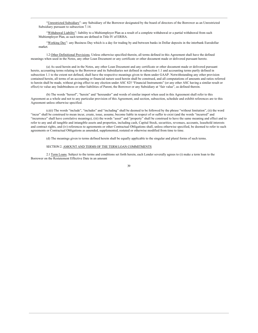"Unrestricted Subsidiary": any Subsidiary of the Borrower designated by the board of directors of the Borrower as an Unrestricted Subsidiary pursuant to subsection 7.14.

"Withdrawal Liability": liability to a Multiemployer Plan as a result of a complete withdrawal or a partial withdrawal from such Multiemployer Plan, as such terms are defined in Title IV of ERISA.

"Working Day": any Business Day which is a day for trading by and between banks in Dollar deposits in the interbank Eurodollar market.

1.2 Other Definitional Provisions. Unless otherwise specified therein, all terms defined in this Agreement shall have the defined meanings when used in the Notes, any other Loan Document or any certificate or other document made or delivered pursuant hereto.

(a) As used herein and in the Notes, any other Loan Document and any certificate or other document made or delivered pursuant hereto, accounting terms relating to the Borrower and its Subsidiaries not defined in subsection 1.1 and accounting terms partly defined in subsection 1.1 to the extent not defined, shall have the respective meanings given to them under GAAP. Notwithstanding any other provision contained herein, all terms of an accounting or financial nature used herein shall be construed, and all computations of amounts and ratios referred to herein shall be made, without giving effect to any election under ASC 825 "Financial Instruments" (or any other ASC having a similar result or effect) to value any Indebtedness or other liabilities of Parent, the Borrower or any Subsidiary at "fair value", as defined therein.

(b) The words "hereof", "herein" and "hereunder" and words of similar import when used in this Agreement shall refer to this Agreement as a whole and not to any particular provision of this Agreement, and section, subsection, schedule and exhibit references are to this Agreement unless otherwise specified.

(c)(i) The words "include", "includes" and "including" shall be deemed to be followed by the phrase "without limitation", (ii) the word "incur" shall be construed to mean incur, create, issue, assume, become liable in respect of or suffer to exist (and the words "incurred" and "incurrence" shall have correlative meanings), (iii) the words "asset" and "property" shall be construed to have the same meaning and effect and to refer to any and all tangible and intangible assets and properties, including cash, Capital Stock, securities, revenues, accounts, leasehold interests and contract rights, and (iv) references to agreements or other Contractual Obligations shall, unless otherwise specified, be deemed to refer to such agreements or Contractual Obligations as amended, supplemented, restated or otherwise modified from time to time.

(d) The meanings given to terms defined herein shall be equally applicable to the singular and plural forms of such terms.

## SECTION 2. AMOUNT AND TERMS OF THE TERM LOAN COMMITMENTS

2.1 Term Loans. Subject to the terms and conditions set forth herein, each Lender severally agrees to (i) make a term loan to the Borrower on the Restatement Effective Date in an amount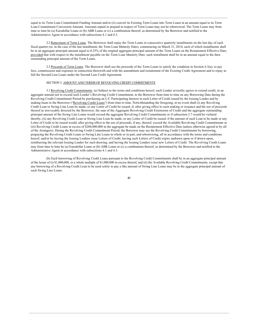equal to its Term Loan Commitment Funding Amount and/or (ii) convert its Existing Term Loans into Term Loans in an amount equal to its Term Loan Commitment Conversion Amount. Amounts repaid or prepaid in respect of Term Loans may not be reborrowed. The Term Loans may from time to time be (a) Eurodollar Loans or (b) ABR Loans or (c) a combination thereof, as determined by the Borrower and notified to the Administrative Agent in accordance with subsections 4.1 and 4.3.

2.2 Repayment of Term Loans. The Borrower shall repay the Term Loans in consecutive quarterly installments on the last day of each fiscal quarter (or, in the case of the last installment, the Term Loan Maturity Date), commencing on March 31, 2014, each of which installments shall be in an aggregate principal amount equal to 0.25% of the original aggregate principal amount of the Term Loans on the Restatement Effective Date; provided that with respect to the installment payable on the Term Loan Maturity Date, such installment shall be in an amount equal to the then outstanding principal amount of the Term Loans.

2.3 Proceeds of Term Loans. The Borrower shall use the proceeds of the Term Loans to satisfy the condition in Section 6.3(a), to pay fees, commissions and expenses in connection therewith and with the amendment and restatement of the Existing Credit Agreement and to repay in full the Second Lien Loans under the Second Lien Credit Agreement.

## SECTION 3. AMOUNT AND TERMS OF REVOLVING CREDIT COMMITMENTS

3.1 Revolving Credit Commitments. (a) Subject to the terms and conditions hereof, each Lender severally agrees to extend credit, in an aggregate amount not to exceed such Lender's Revolving Credit Commitment, to the Borrower from time to time on any Borrowing Date during the Revolving Credit Commitment Period by purchasing an L/C Participating Interest in each Letter of Credit issued by the Issuing Lender and by making loans to the Borrower ("Revolving Credit Loans") from time to time. Notwithstanding the foregoing, in no event shall (i) any Revolving Credit Loan or Swing Line Loan be made, or any Letter of Credit be issued, if, after giving effect to such making or issuance and the use of proceeds thereof as irrevocably directed by the Borrower, the sum of the Aggregate Revolving Credit Extensions of Credit and the aggregate outstanding principal amount of the Swing Line Loans would exceed the aggregate Revolving Credit Commitments or if subsection 3.7 would be violated thereby, (ii) any Revolving Credit Loan or Swing Line Loan be made, or any Letter of Credit be issued, if the amount of such Loan to be made or any Letter of Credit to be issued would, after giving effect to the use of proceeds, if any, thereof, exceed the Available Revolving Credit Commitments or (iii) Revolving Credit Loans in excess of \$200,000,000 in the aggregate be made on the Restatement Effective Date (unless otherwise agreed to by all of the Arrangers). During the Revolving Credit Commitment Period, the Borrower may use the Revolving Credit Commitments by borrowing, prepaying the Revolving Credit Loans or Swing Line Loans in whole or in part, and reborrowing, all in accordance with the terms and conditions hereof, and/or by having the Issuing Lenders issue Letters of Credit, having such Letters of Credit expire undrawn upon or if drawn upon, reimbursing the relevant Issuing Lender for such drawing, and having the Issuing Lenders issue new Letters of Credit. The Revolving Credit Loans may from time to time be (a) Eurodollar Loans or (b) ABR Loans or (c) a combination thereof, as determined by the Borrower and notified to the Administrative Agent in accordance with subsections 4.1 and 4.3.

(b) Each borrowing of Revolving Credit Loans pursuant to the Revolving Credit Commitments shall be in an aggregate principal amount of the lesser of (i) \$1,000,000, or a whole multiple of \$1,000,000 in excess thereof, and (ii) the Available Revolving Credit Commitments, except that any borrowing of a Revolving Credit Loan to be used solely to pay a like amount of Swing Line Loans may be in the aggregate principal amount of such Swing Line Loans.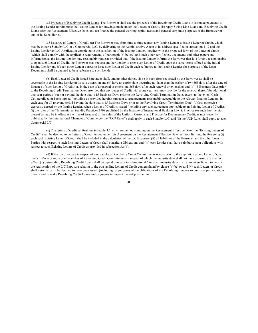3.2 Proceeds of Revolving Credit Loans. The Borrower shall use the proceeds of the Revolving Credit Loans to (a) make payments to the Issuing Lender to reimburse the Issuing Lender for drawings made under the Letters of Credit, (b) repay Swing Line Loans and Revolving Credit Loans after the Restatement Effective Date, and (c) finance the general working capital needs and general corporate purposes of the Borrower or any of its Subsidiaries.

3.3 Issuance of Letters of Credit. (a) The Borrower may from time to time request any Issuing Lender to issue a Letter of Credit, which may be either a Standby L/C or a Commercial L/C, by delivering to the Administrative Agent at its address specified in subsection 11.2 and the Issuing Lender an L/C Application completed to the satisfaction of the Issuing Lender, together with the proposed form of the Letter of Credit (which shall comply with the applicable requirements of paragraph (b) below) and such other certificates, documents and other papers and information as the Issuing Lender may reasonably request; provided that if the Issuing Lender informs the Borrower that it is for any reason unable to open such Letter of Credit, the Borrower may request another Lender to open such Letter of Credit upon the same terms offered to the initial Issuing Lender and if such other Lender agrees to issue such Letter of Credit each reference to the Issuing Lender for purposes of the Loan Documents shall be deemed to be a reference to such Lender.

(b) Each Letter of Credit issued hereunder shall, among other things, (i) be in such form requested by the Borrower as shall be acceptable to the Issuing Lender in its sole discretion and (ii) have an expiry date occurring not later than the earlier of (w) 365 days after the date of issuance of such Letter of Credit (or, in the case of a renewal or extension, 365 days after such renewal or extension) and (x) 15 Business Days prior to the Revolving Credit Termination Date; provided that any Letter of Credit with a one year term may provide for the renewal thereof for additional one year periods (but not beyond the date that is 15 Business Days prior to the Revolving Credit Termination Date, except to the extent Cash Collateralized or backstopped (including as provided herein) pursuant to arrangements reasonably acceptable to the relevant Issuing Lenders, in each case for all relevant period beyond the date that is 15 Business Days prior to the Revolving Credit Termination Date). Unless otherwise expressly agreed by the Issuing Lender, when a Letter of Credit is issued (including any such agreement applicable to an Existing Letter of Credit), (i) the rules of the "International Standby Practices 1998 published by the Institute of International Banking Law & Practice (or such later version thereof as may be in effect at the time of issuance) or the rules of the Uniform Customs and Practice for Documentary Credit, as most recently published by the International Chamber of Commerce (the "UCP Rules") shall apply to each Standby L/C, and (ii) the UCP Rules shall apply to each Commercial L/C

(c) The letters of credit set forth on Schedule 3.1 which remain outstanding on the Restatement Effective Date (the "Existing Letters of Credit") shall be deemed to be Letters of Credit issued under this Agreement on the Restatement Effective Date. Without limiting the foregoing (i) each such Existing Letter of Credit shall be included in the calculation of the L/C Exposure, (ii) all liabilities of the Borrower and the other Loan Parties with respect to such Existing Letters of Credit shall constitute Obligations and (iii) each Lender shall have reimbursement obligations with respect to such Existing Letters of Credit as provided in subsection 3.6(b).

(d) If the maturity date in respect of any tranche of Revolving Credit Commitments occurs prior to the expiration of any Letter of Credit, then (i) if one or more other tranches of Revolving Credit Commitments in respect of which the maturity date shall not have occurred are then in effect, (x) outstanding Revolving Credit Loans shall be repaid pursuant to subsection 4.5 on such maturity date in an amount sufficient to permit the reallocation of the L/C Exposure relating to the outstanding Letters of Credit contemplated by clause (y) below and (y) such Letters of Credit shall automatically be deemed to have been issued (including for purposes of the obligations of the Revolving Lenders to purchase participations therein and to make Revolving Credit Loans and payments in respect thereof pursuant to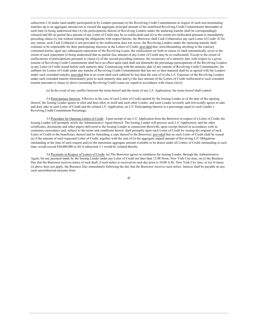subsection 3.4) under (and ratably participated in by Lenders pursuant to) the Revolving Credit Commitments in respect of such non-terminating tranches up to an aggregate amount not to exceed the aggregate principal amount of the unutilized Revolving Credit Commitments thereunder at such time (it being understood that (A) the participations therein of Revolving Lenders under the maturing tranche shall be correspondingly released and (B) no partial face amount of any Letter of Credit may be so reallocated) and (ii) to the extent not reallocated pursuant to immediately preceding clause (i), but without limiting the obligations with respect thereto, the Borrower shall Cash Collateralize any such Letter of Credit. If, for any reason, such Cash Collateral is not provided or the reallocation does not occur, the Revolving Lenders under the maturing tranche shall continue to be responsible for their participating interests in the Letters of Credit; provided that, notwithstanding anything to the contrary contained herein, upon any subsequent repayment of the Revolving Loans, the reallocation set forth in clause (i) shall automatically occur to the extent of such repayment (it being understood that no partial face amount of any Letter of Credit may be so reallocated). Except to the extent of reallocations of participations pursuant to clause (i) of the second preceding sentence, the occurrence of a maturity date with respect to a given tranche of Revolving Credit Commitments shall have no effect upon (and shall not diminish) the percentage participations of the Revolving Lenders in any Letter of Credit issued before such maturity date. Commencing with the maturity date of any tranche of Revolving Credit Commitments, the sublimit for Letters of Credit under any tranche of Revolving Credit Commitments that has not so then matured shall be as agreed with the Lenders under such extended tranche; provided that in no event shall such sublimit be less than the sum of (x) the L/C Exposure of the Revolving Lenders under such extended tranche immediately prior to such maturity date and (y) the face amount of the Letters of Credit reallocated to such extended tranche pursuant to clause (i) above (assuming Revolving Credit Loans are repaid in accordance with clause  $(i)(x)$ ).

(e) In the event of any conflict between the terms hereof and the terms of any L/C Application, the terms hereof shall control.

3.4 Participating Interests. Effective in the case of each Letter of Credit opened by the Issuing Lender as of the date of the opening thereof, the Issuing Lender agrees to allot and does allot, to itself and each other Lender, and each Lender severally and irrevocably agrees to take and does take in such Letter of Credit and the related L/C Application, an L/C Participating Interest in a percentage equal to such Lender's Revolving Credit Commitment Percentage.

3.5 Procedure for Opening Letters of Credit. Upon receipt of any L/C Application from the Borrower in respect of a Letter of Credit, the Issuing Lender will promptly notify the Administrative Agent thereof. The Issuing Lender will process such L/C Application, and the other certificates, documents and other papers delivered to the Issuing Lender in connection therewith, upon receipt thereof in accordance with its customary procedures and, subject to the terms and conditions hereof, shall promptly open such Letter of Credit by issuing the original of such Letter of Credit to the beneficiary thereof and by furnishing a copy thereof to the Borrower; provided that no such Letter of Credit shall be issued (a) if the amount of such requested Letter of Credit, together with the sum of (i) the aggregate unpaid amount of Revolving L/C Obligations outstanding at the time of such request and (ii) the maximum aggregate amount available to be drawn under all Letters of Credit outstanding at such time, would exceed \$30,000,000 or (b) if subsection 3.1 would be violated thereby.

3.6 Payments in Respect of Letters of Credit. (a) The Borrower agrees to reimburse the Issuing Lender, through the Administrative Agent, for any payment made by the Issuing Lender under any Letter of Credit not later than 12:00 Noon, New York City time, on (i) the Business Day that the Borrower receives notice of such draft, if such notice is received on such day prior to 10:00 A.M., New York City time, or (ii) if clause (i) above does not apply, the Business Day immediately following the day that the Borrower receives such notice. Interest shall be payable on any such unreimbursed amounts from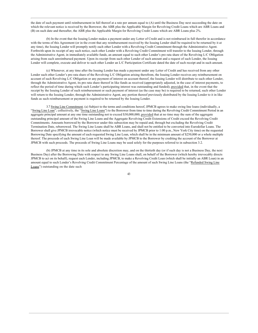the date of such payment until reimbursement in full thereof at a rate per annum equal to (A) until the Business Day next succeeding the date on which the relevant notice is received by the Borrower, the ABR plus the Applicable Margin for Revolving Credit Loans which are ABR Loans and (B) on such date and thereafter, the ABR plus the Applicable Margin for Revolving Credit Loans which are ABR Loans plus 2%.

(b) In the event that the Issuing Lender makes a payment under any Letter of Credit and is not reimbursed in full therefor in accordance with the terms of this Agreement (or in the event that any reimbursement received by the Issuing Lender shall be required to be returned by it at any time), the Issuing Lender will promptly notify each other Lender with a Revolving Credit Commitment through the Administrative Agent. Forthwith upon its receipt of any such notice, each other Lender with a Revolving Credit Commitment will transfer to the Issuing Lender, through the Administrative Agent, in immediately available funds, an amount equal to such other Lender's pro rata share of the Revolving L/C Obligation arising from such unreimbursed payment. Upon its receipt from such other Lender of such amount and a request of such Lender, the Issuing Lender will complete, execute and deliver to such other Lender an L/C Participation Certificate dated the date of such receipt and in such amount.

(c) Whenever, at any time after the Issuing Lender has made a payment under any Letter of Credit and has received from any other Lender such other Lender's pro rata share of the Revolving L/C Obligation arising therefrom, the Issuing Lender receives any reimbursement on account of such Revolving L/C Obligation or any payment of interest on account thereof, the Issuing Lender will distribute to such other Lender, through the Administrative Agent, its pro rata share thereof in like funds as received (appropriately adjusted, in the case of interest payments, to reflect the period of time during which such Lender's participating interest was outstanding and funded); provided that, in the event that the receipt by the Issuing Lender of such reimbursement or such payment of interest (as the case may be) is required to be returned, such other Lender will return to the Issuing Lender, through the Administrative Agent, any portion thereof previously distributed by the Issuing Lender to it in like funds as such reimbursement or payment is required to be returned by the Issuing Lender.

3.7 Swing Line Commitment. (a) Subject to the terms and conditions hereof, JPMCB agrees to make swing line loans (individually, a "Swing Line Loan"; collectively, the "Swing Line Loans") to the Borrower from time to time during the Revolving Credit Commitment Period in an aggregate principal amount at any one time outstanding not to exceed \$30,000,000; provided that at no time may the sum of the aggregate outstanding principal amount of the Swing Line Loans and the Aggregate Revolving Credit Extensions of Credit exceed the Revolving Credit Commitments. Amounts borrowed by the Borrower under this subsection may be repaid and, through but excluding the Revolving Credit Termination Date, reborrowed. The Swing Line Loans shall be ABR Loans, and shall not be entitled to be converted into Eurodollar Loans. The Borrower shall give JPMCB irrevocable notice (which notice must be received by JPMCB prior to 1:00 p.m., New York City time) on the requested Borrowing Date specifying the amount of each requested Swing Line Loan, which shall be in the minimum amount of \$250,000 or a whole multiple thereof. The proceeds of each Swing Line Loan will be made available by JPMCB to the Borrower by crediting the account of the Borrower at JPMCB with such proceeds. The proceeds of Swing Line Loans may be used solely for the purposes referred to in subsection 3.2.

(b) JPMCB at any time in its sole and absolute discretion may, and on the thirtieth day (or if such day is not a Business Day, the next Business Day) after the Borrowing Date with respect to any Swing Line Loans shall, on behalf of the Borrower (which hereby irrevocably directs JPMCB to act on its behalf), request each Lender, including JPMCB, to make a Revolving Credit Loan (which shall be initially an ABR Loan) in an amount equal to such Lender's Revolving Credit Commitment Percentage of the amount of such Swing Line Loans (the "Refunded Swing Line Loans") outstanding on the date such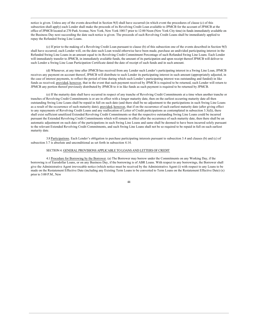notice is given. Unless any of the events described in Section 9(f) shall have occurred (in which event the procedures of clause (c) of this subsection shall apply) each Lender shall make the proceeds of its Revolving Credit Loan available to JPMCB for the account of JPMCB at the office of JPMCB located at 270 Park Avenue, New York, New York 10017 prior to 12:00 Noon (New York City time) in funds immediately available on the Business Day next succeeding the date such notice is given. The proceeds of such Revolving Credit Loans shall be immediately applied to repay the Refunded Swing Line Loans.

(c) If prior to the making of a Revolving Credit Loan pursuant to clause (b) of this subsection one of the events described in Section 9(f) shall have occurred, each Lender will, on the date such Loan would otherwise have been made, purchase an undivided participating interest in the Refunded Swing Line Loans in an amount equal to its Revolving Credit Commitment Percentage of such Refunded Swing Line Loans. Each Lender will immediately transfer to JPMCB, in immediately available funds, the amount of its participation and upon receipt thereof JPMCB will deliver to such Lender a Swing Line Loan Participation Certificate dated the date of receipt of such funds and in such amount.

(d) Whenever, at any time after JPMCB has received from any Lender such Lender's participating interest in a Swing Line Loan, JPMCB receives any payment on account thereof, JPMCB will distribute to such Lender its participating interest in such amount (appropriately adjusted, in the case of interest payments, to reflect the period of time during which such Lender's participating interest was outstanding and funded) in like funds as received; provided, however, that in the event that such payment received by JPMCB is required to be returned, such Lender will return to JPMCB any portion thereof previously distributed by JPMCB to it in like funds as such payment is required to be returned by JPMCB.

(e) If the maturity date shall have occurred in respect of any tranche of Revolving Credit Commitments at a time when another tranche or tranches of Revolving Credit Commitments is or are in effect with a longer maturity date, then on the earliest occurring maturity date all then outstanding Swing Line Loans shall be repaid in full on such date (and there shall be no adjustment to the participations in such Swing Line Loans as a result of the occurrence of such maturity date); provided, however, that if on the occurrence of such earliest maturity date (after giving effect to any repayments of Revolving Credit Loans and any reallocation of Letter of Credit participations as contemplated in subsection 3.3(d)), there shall exist sufficient unutilized Extended Revolving Credit Commitments so that the respective outstanding Swing Line Loans could be incurred pursuant the Extended Revolving Credit Commitments which will remain in effect after the occurrence of such maturity date, then there shall be an automatic adjustment on such date of the participations in such Swing Line Loans and same shall be deemed to have been incurred solely pursuant to the relevant Extended Revolving Credit Commitments, and such Swing Line Loans shall not be so required to be repaid in full on such earliest maturity date.

3.8 Participations. Each Lender's obligation to purchase participating interests pursuant to subsection 3.4 and clauses (b) and (c) of subsection 3.7 is absolute and unconditional as set forth in subsection 4.14.

## SECTION 4. GENERAL PROVISIONS APPLICABLE TO LOANS AND LETTERS OF CREDIT

4.1 Procedure for Borrowing by the Borrower. (a) The Borrower may borrow under the Commitments on any Working Day, if the borrowing is of Eurodollar Loans, or on any Business Day, if the borrowing is of ABR Loans. With respect to any borrowings, the Borrower shall give the Administrative Agent irrevocable notice (which notice must be received by the Administrative Agent (i) with respect to any Loans to be made on the Restatement Effective Date (including any Existing Term Loans to be converted to Term Loans on the Restatement Effective Date) (x) prior to 3:00 P.M., New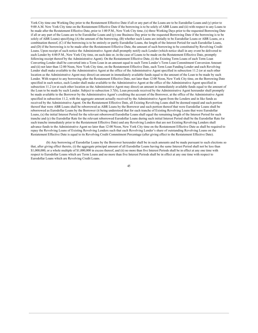York City time one Working Day prior to the Restatement Effective Date if all or any part of the Loans are to be Eurodollar Loans and (y) prior to 9:00 A.M. New York City time on the Restatement Effective Date if the borrowing is to be solely of ABR Loans and (ii) with respect to any Loans to be made after the Restatement Effective Date, prior to 1:00 P.M., New York City time, (x) three Working Days prior to the requested Borrowing Date if all or any part of the Loans are to be Eurodollar Loans and (y) one Business Day prior to the requested Borrowing Date if the borrowing is to be solely of ABR Loans) specifying (A) the amount of the borrowing, (B) whether such Loans are initially to be Eurodollar Loans or ABR Loans, or a combination thereof, (C) if the borrowing is to be entirely or partly Eurodollar Loans, the length of the Interest Period for such Eurodollar Loans, and (D) if the borrowing is to be made after the Restatement Effective Date, the amount of such borrowing to be constituted by Revolving Credit Loans. Upon receipt of such notice the Administrative Agent shall promptly notify each Lender (which notice shall in any event be delivered to each Lender by 4:00 P.M., New York City time, on such date or, in the case of Loans to be made on the Restatement Effective Date, promptly following receipt thereof by the Administrative Agent). On the Restatement Effective Date, (i) the Existing Term Loans of each Term Loan Converting Lender shall be converted into a Term Loan in an amount equal to such Term Lender's Term Loan Commitment Conversion Amount and (ii) not later than 12:00 Noon, New York City time, on the Restatement Effective Date, each Term Loan Funding Lender and each Revolving Lender shall make available to the Administrative Agent at the office of the Administrative Agent specified in subsection 11.2 (or at such other location as the Administrative Agent may direct) an amount in immediately available funds equal to the amount of the Loan to be made by such Lender. With respect to any borrowing after the Restatement Effective Date, not later than 12:00 Noon, New York City time, on the Borrowing Date specified in such notice, each Lender shall make available to the Administrative Agent at the office of the Administrative Agent specified in subsection 11.2 (or at such other location as the Administrative Agent may direct) an amount in immediately available funds equal to the amount of the Loan to be made by such Lender. Subject to subsection 3.7(b), Loan proceeds received by the Administrative Agent hereunder shall promptly be made available to the Borrower by the Administrative Agent's crediting the account of the Borrower, at the office of the Administrative Agent specified in subsection 11.2, with the aggregate amount actually received by the Administrative Agent from the Lenders and in like funds as received by the Administrative Agent. On the Restatement Effective Date, all Existing Revolving Loans shall be deemed repaid and such portion thereof that were ABR Loans shall be reborrowed as ABR Loans by the Borrower and such portion thereof that were Eurodollar Loans shall be reborrowed as Eurodollar Loans by the Borrower (it being understood that for each tranche of Existing Revolving Loans that were Eurodollar Loans, (x) the initial Interest Period for the relevant reborrowed Eurodollar Loans shall equal the remaining length of the Interest Period for such tranche and (y) the Eurodollar Rate for the relevant reborrowed Eurodollar Loans during such initial Interest Period shall be the Eurodollar Rate for such tranche immediately prior to the Restatement Effective Date) and any Revolving Lenders that are not Existing Revolving Lenders shall advance funds to the Administrative Agent no later than 12:00 Noon, New York City time on the Restatement Effective Date as shall be required to repay the Revolving Loans of Existing Revolving Lenders such that each Revolving Lender's share of outstanding Revolving Loans on the Restatement Effective Date is equal to its Revolving Credit Commitment Percentage (after giving effect to the Restatement Effective Date).

(b) Any borrowing of Eurodollar Loans by the Borrower hereunder shall be in such amounts and be made pursuant to such elections so that, after giving effect thereto, (i) the aggregate principal amount of all Eurodollar Loans having the same Interest Period shall not be less than \$1,000,000, or a whole multiple of \$1,000,000 in excess thereof, and (ii) no more than five Interest Periods shall be in effect at any one time with respect to Eurodollar Loans which are Term Loans and no more than five Interest Periods shall be in effect at any one time with respect to Eurodollar Loans which are Revolving Credit Loans.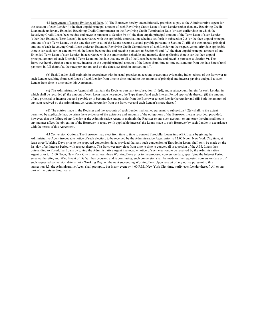4.2 Repayment of Loans; Evidence of Debt. (a) The Borrower hereby unconditionally promises to pay to the Administrative Agent for the account of each Lender (i) the then unpaid principal amount of each Revolving Credit Loan of such Lender (other than any Revolving Credit Loan made under any Extended Revolving Credit Commitment) on the Revolving Credit Termination Date (or such earlier date on which the Revolving Credit Loans become due and payable pursuant to Section 9), (ii) the then unpaid principal amount of the Term Loan of such Lender (other than Extended Term Loans), in accordance with the applicable amortization schedule set forth in subsection 2.2 (or the then unpaid principal amount of such Term Loans, on the date that any or all of the Loans become due and payable pursuant to Section 9), (iii) the then unpaid principal amount of each Revolving Credit Loan under an Extended Revolving Credit Commitment of such Lender on the respective maturity date applicable thereto (or such earlier date on which the Loans become due and payable pursuant to Section 9) and (iv) the then unpaid principal amount of any Extended Term Loan of such Lender, in accordance with the amortization schedule and maturity date applicable thereto (or the then unpaid principal amount of such Extended Term Loan, on the date that any or all of the Loans become due and payable pursuant to Section 9). The Borrower hereby further agrees to pay interest on the unpaid principal amount of the Loans from time to time outstanding from the date hereof until payment in full thereof at the rates per annum, and on the dates, set forth in subsection 4.7.

(b) Each Lender shall maintain in accordance with its usual practice an account or accounts evidencing indebtedness of the Borrower to such Lender resulting from each Loan of such Lender from time to time, including the amounts of principal and interest payable and paid to such Lender from time to time under this Agreement.

(c) The Administrative Agent shall maintain the Register pursuant to subsection 11.6(d), and a subaccount therein for each Lender, in which shall be recorded (i) the amount of each Loan made hereunder, the Type thereof and each Interest Period applicable thereto, (ii) the amount of any principal or interest due and payable or to become due and payable from the Borrower to each Lender hereunder and (iii) both the amount of any sum received by the Administrative Agent hereunder from the Borrower and each Lender's share thereof.

(d) The entries made in the Register and the accounts of each Lender maintained pursuant to subsection 4.2(c) shall, to the extent permitted by applicable law, be prima facie evidence of the existence and amounts of the obligations of the Borrower therein recorded; provided, however, that the failure of any Lender or the Administrative Agent to maintain the Register or any such account, or any error therein, shall not in any manner affect the obligation of the Borrower to repay (with applicable interest) the Loans made to such Borrower by such Lender in accordance with the terms of this Agreement.

4.3 Conversion Options. The Borrower may elect from time to time to convert Eurodollar Loans into ABR Loans by giving the Administrative Agent irrevocable notice of such election, to be received by the Administrative Agent prior to 12:00 Noon, New York City time, at least three Working Days prior to the proposed conversion date, provided that any such conversion of Eurodollar Loans shall only be made on the last day of an Interest Period with respect thereto. The Borrower may elect from time to time to convert all or a portion of the ABR Loans then outstanding to Eurodollar Loans by giving the Administrative Agent irrevocable notice of such election, to be received by the Administrative Agent prior to 12:00 Noon, New York City time, at least three Working Days prior to the proposed conversion date, specifying the Interest Period selected therefor, and, if no Event of Default has occurred and is continuing, such conversion shall be made on the requested conversion date or, if such requested conversion date is not a Working Day, on the next succeeding Working Day. Upon receipt of any notice pursuant to this subsection 4.3, the Administrative Agent shall promptly, but in any event by 4:00 P.M., New York City time, notify each Lender thereof. All or any part of the outstanding Loans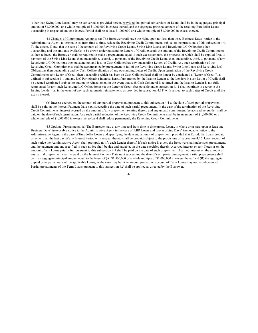(other than Swing Line Loans) may be converted as provided herein, provided that partial conversions of Loans shall be in the aggregate principal amount of \$1,000,000, or a whole multiple of \$1,000,000 in excess thereof, and the aggregate principal amount of the resulting Eurodollar Loans outstanding in respect of any one Interest Period shall be at least \$1,000,000 or a whole multiple of \$1,000,000 in excess thereof.

4.4 Changes of Commitment Amounts. (a) The Borrower shall have the right, upon not less than three Business Days' notice to the Administrative Agent, to terminate or, from time to time, reduce the Revolving Credit Commitments subject to the provisions of this subsection 4.4. To the extent, if any, that the sum of the amount of the Revolving Credit Loans, Swing Line Loans, and Revolving L/C Obligations then outstanding and the amounts available to be drawn under outstanding Letters of Credit exceeds the amount of the Revolving Credit Commitments as then reduced, the Borrower shall be required to make a prepayment equal to such excess amount, the proceeds of which shall be applied first, to payment of the Swing Line Loans then outstanding, second, to payment of the Revolving Credit Loans then outstanding, third, to payment of any Revolving L/C Obligations then outstanding, and last, to Cash Collateralize any outstanding Letters of Credit. Any such termination of the Revolving Credit Commitments shall be accompanied by prepayment in full of the Revolving Credit Loans, Swing Line Loans and Revolving L/C Obligations then outstanding and by Cash Collateralization of any outstanding Letter of Credit. Upon termination of the Revolving Credit Commitments any Letter of Credit then outstanding which has been so Cash Collateralized shall no longer be considered a "Letter of Credit", as defined in subsection 1.1 and any L/C Participating Interests heretofore granted by the Issuing Lender to the Lenders in such Letter of Credit shall be deemed terminated (subject to automatic reinstatement in the event that such Cash Collateral is returned and the Issuing Lender is not fully reimbursed for any such Revolving L/C Obligations) but the Letter of Credit fees payable under subsection 4.11 shall continue to accrue to the Issuing Lender (or, in the event of any such automatic reinstatement, as provided in subsection 4.11) with respect to such Letter of Credit until the expiry thereof.

(b) Interest accrued on the amount of any partial prepayment pursuant to this subsection 4.4 to the date of such partial prepayment shall be paid on the Interest Payment Date next succeeding the date of such partial prepayment. In the case of the termination of the Revolving Credit Commitments, interest accrued on the amount of any prepayment relating thereto and any unpaid commitment fee accrued hereunder shall be paid on the date of such termination. Any such partial reduction of the Revolving Credit Commitments shall be in an amount of \$1,000,000 or a whole multiple of \$1,000,000 in excess thereof, and shall reduce permanently the Revolving Credit Commitments.

4.5 Optional Prepayments. (a) The Borrower may at any time and from time to time prepay Loans, in whole or in part, upon at least one Business Days' irrevocable notice to the Administrative Agent in the case of ABR Loans and two Working Days' irrevocable notice to the Administrative Agent in the case of Eurodollar Loans and specifying the date and amount of prepayment; provided that Eurodollar Loans prepaid on other than the last day of any Interest Period with respect thereto shall be prepaid subject to the provisions of subsection 4.16. Upon receipt of such notice the Administrative Agent shall promptly notify each Lender thereof. If such notice is given, the Borrower shall make such prepayment, and the payment amount specified in such notice shall be due and payable, on the date specified therein. Accrued interest on any Notes or on the amount of any Loans paid in full pursuant to this subsection 4.5 shall be paid on the date of such prepayment. Accrued interest on the amount of any partial prepayment shall be paid on the Interest Payment Date next succeeding the date of such partial prepayment. Partial prepayments shall be in an aggregate principal amount equal to the lesser of  $(A)$  \$1,500,000 or a whole multiple of \$1,000,000 in excess thereof and  $(B)$  the aggregate unpaid principal amount of the applicable Loans, as the case may be. Any amount prepaid on account of Term Loans may not be reborrowed. Partial prepayments of the Term Loans pursuant to this subsection 4.5 shall be applied as directed by the Borrower.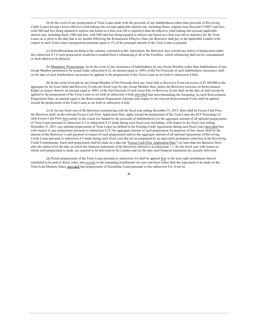(b) In the event of any prepayment of Term Loans made with the proceeds of any Indebtedness (other than proceeds of Revolving Credit Loans) having a lower effective yield (taking into account applicable interest rate, including floors, original issue discount ("OID") and fees, with OID and fees being equated to interest rate based on a four-year life to maturity) than the effective yield (taking into account applicable interest rate, including floors, OID and fees, with OID and fees being equated to interest rate based on a four-year life to maturity) for the Term Loans on or prior to the date that is six months following the Restatement Effective Date, the Borrower shall pay to the applicable Lenders with respect to such Term Loans a prepayment premium equal to 1% of the principal amount of the Term Loans so prepaid.

(c) Notwithstanding anything to the contrary contained in this Agreement, the Borrower may rescind any notice of prepayment under this subsection 4.5 if such prepayment would have resulted from a refinancing of all of the Facilities, which refinancing shall not be consummated or shall otherwise be delayed.

4.6 Mandatory Prepayments. (a) In the event of any incurrence of Indebtedness by any Group Member (other than Indebtedness of any Group Member permitted to be issued under subsection 8.2), an amount equal to 100% of the Net Proceeds of such Indebtedness incurrence shall on the date of such Indebtedness incurrence be applied to the prepayment of the Term Loans as set forth in subsection 4.6(d).

(b) In the event of receipt by any Group Member of Net Proceeds from any Asset Sale or Recovery Event (in excess of \$7,500,000 in the aggregate for all Asset Sales and Recovery Events per fiscal year) by any Group Member then, unless the Borrower exercises its Reinvestment Rights in respect thereof, an amount equal to 100% of the Net Proceeds of such Asset Sale or Recovery Event shall on the date of such receipt be applied to the prepayment of the Term Loans as set forth in subsection 4.6(d); provided that notwithstanding the foregoing, on each Reinvestment Prepayment Date, an amount equal to the Reinvestment Prepayment Amount with respect to the relevant Reinvestment Event shall be applied toward the prepayment of the Term Loans as set forth in subsection 4.6(d).

(c) If, for any fiscal year of the Borrower commencing with the fiscal year ending December 31, 2013, there shall be Excess Cash Flow, the Borrower shall, on the relevant Excess Cash Flow Application Date, apply toward the prepayment of the Term Loans the ECF Percentage of such Excess Cash Flow less (solely to the extent not funded by the proceeds of Indebtedness) (x) the aggregate amount of all optional prepayments of Term Loans pursuant to subsection 4.5 or subsection 4.23 made during such fiscal year (including, with respect to the fiscal year ending December 31, 2013, any optional prepayments of Term Loans (as defined in the Existing Credit Agreement) during such fiscal year) (provided that with respect to any prepayment pursuant to subsection 4.23, the aggregate amount of such prepayment for purposes of this clause shall be the amount of the Borrower's cash payment in respect of such prepayment) and (y) the aggregate amount of all optional repayments of Revolving Credit Loans pursuant to subsection 4.5 made during such fiscal year that are accompanied by an equivalent permanent reduction in the Revolving Credit Commitments. Each such prepayment shall be made on a date (an "Excess Cash Flow Application Date") no later than ten Business Days after the earlier of (i) the date on which the financial statements of the Borrower referred to in subsection 7.1, for the fiscal year with respect to which such prepayment is made, are required to be delivered to the Lenders and (ii) the date such financial statements are actually delivered.

(d) Partial prepayments of the Term Loans pursuant to subsection 4.6 shall be applied first, to the next eight installments thereof scheduled to be paid in direct order, and second, to the remaining installments on a pro rata basis (other than the repayment to be made on the Term Loan Maturity Date); provided that prepayments of Eurodollar Loans pursuant to this subsection 4.6, if not on

 $\Delta$ <sup> $\Omega$ </sup>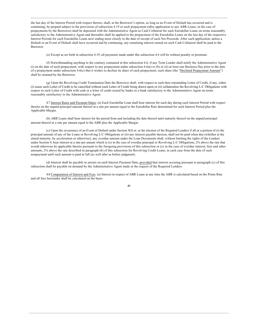the last day of the Interest Period with respect thereto, shall, at the Borrower's option, as long as no Event of Default has occurred and is continuing, be prepaid subject to the provisions of subsection 4.19 or such prepayment (after application to any ABR Loans, in the case of prepayments by the Borrower) shall be deposited with the Administrative Agent as Cash Collateral for such Eurodollar Loans on terms reasonably satisfactory to the Administrative Agent and thereafter shall be applied to the prepayment of the Eurodollar Loans on the last day of the respective Interest Periods for such Eurodollar Loans next ending most closely to the date of receipt of such Net Proceeds. After such application, unless a Default or an Event of Default shall have occurred and be continuing, any remaining interest earned on such Cash Collateral shall be paid to the Borrower.

(e) Except as set forth in subsection 4.19, all payments made under this subsection 4.6 will be without penalty or premium.

(f) Notwithstanding anything to the contrary contained in this subsection 4.6, if any Term Lender shall notify the Administrative Agent (i) on the date of such prepayment, with respect to any prepayment under subsection 4.6(a) or (b) or (ii) at least one Business Day prior to the date of a prepayment under subsection 4.6(c) that it wishes to decline its share of such prepayment, such share (the "Declined Prepayment Amount") shall be retained by the Borrower.

(g) Upon the Revolving Credit Termination Date the Borrower shall, with respect to each then outstanding Letter of Credit, if any, either (i) cause such Letter of Credit to be cancelled without such Letter of Credit being drawn upon or (ii) collateralize the Revolving L/C Obligations with respect to such Letter of Credit with cash or a letter of credit issued by banks or a bank satisfactory to the Administrative Agent on terms reasonably satisfactory to the Administrative Agent.

4.7 Interest Rates and Payment Dates. (a) Each Eurodollar Loan shall bear interest for each day during each Interest Period with respect thereto on the unpaid principal amount thereof at a rate per annum equal to the Eurodollar Rate determined for such Interest Period plus the Applicable Margin.

(b) ABR Loans shall bear interest for the period from and including the date thereof until maturity thereof on the unpaid principal amount thereof at a rate per annum equal to the ABR plus the Applicable Margin.

(c) Upon the occurrence of an Event of Default under Section  $9(f)$  or, at the election of the Required Lenders if all or a portion of (i) the principal amount of any of the Loans or Revolving L/C Obligations or (ii) any interest payable thereon, shall not be paid when due (whether at the stated maturity, by acceleration or otherwise), any overdue amount under the Loan Documents shall, without limiting the rights of the Lenders under Section 9, bear interest at a rate per annum which is (x) in the case of overdue principal or Revolving L/C Obligations, 2% above the rate that would otherwise be applicable thereto pursuant to the foregoing provisions of this subsection or (y) in the case of overdue interest, fees and other amounts, 2% above the rate described in paragraph (b) of this subsection for Revolving Credit Loans, in each case from the date of such nonpayment until such amount is paid in full (as well after as before judgment).

(d) Interest shall be payable in arrears on each Interest Payment Date; provided that interest accruing pursuant to paragraph (c) of this subsection shall be payable on demand by the Administrative Agent made at the request of the Required Lenders.

4.8 Computation of Interest and Fees. (a) Interest in respect of ABR Loans at any time the ABR is calculated based on the Prime Rate and all fees hereunder shall be calculated on the basis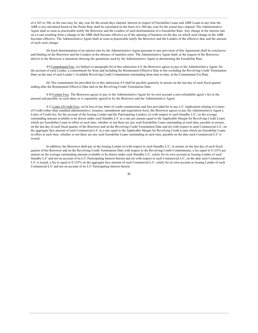of a 365 or 366, as the case may be, day year for the actual days elapsed. Interest in respect of Eurodollar Loans and ABR Loans at any time the ABR is not calculated based on the Prime Rate shall be calculated on the basis of a 360 day year for the actual days elapsed. The Administrative Agent shall as soon as practicable notify the Borrower and the Lenders of each determination of a Eurodollar Rate. Any change in the interest rate on a Loan resulting from a change in the ABR shall become effective as of the opening of business on the day on which such change in the ABR becomes effective. The Administrative Agent shall as soon as practicable notify the Borrower and the Lenders of the effective date and the amount of each such change.

(b) Each determination of an interest rate by the Administrative Agent pursuant to any provision of this Agreement shall be conclusive and binding on the Borrower and the Lenders in the absence of manifest error. The Administrative Agent shall, at the request of the Borrower, deliver to the Borrower a statement showing the quotations used by the Administrative Agent in determining the Eurodollar Rate.

4.9 Commitment Fees. (a) Subject to paragraph (b) of this subsection 4.9, the Borrower agrees to pay to the Administrative Agent, for the account of each Lender, a commitment fee from and including the Restatement Effective Date to but excluding the Revolving Credit Termination Date on the sum of such Lender's Available Revolving Credit Commitment outstanding from time to time, at the Commitment Fee Rate.

(b) The commitment fee provided for in this subsection 4.9 shall be payable quarterly in arrears on the last day of each fiscal quarter ending after the Restatement Effective Date and on the Revolving Credit Termination Date.

4.10 Certain Fees. The Borrower agrees to pay to the Administrative Agent for its own account a non-refundable agent's fee in the amount and payable on such dates as is separately agreed to by the Borrower and the Administrative Agent.

4.11 Letter of Credit Fees. (a) In lieu of any letter of credit commissions and fees provided for in any L/C Application relating to Letters of Credit (other than standard administrative, issuance, amendment and negotiation fees), the Borrower agrees to pay the Administrative Agent a Letter of Credit fee, for the account of the Issuing Lender and the Participating Lenders, (i) with respect to each Standby L/C, on the average outstanding amount available to be drawn under each Standby L/C at a rate per annum equal to the Applicable Margin for Revolving Credit Loans which are Eurodollar Loans in effect at such time, whether or not there are any such Eurodollar Loans outstanding at such time, payable in arrears, on the last day of each fiscal quarter of the Borrower and on the Revolving Credit Termination Date and (ii) with respect to each Commercial L/C, on the aggregate face amount of each Commercial L/C at a rate equal to the Applicable Margin for Revolving Credit Loans which are Eurodollar Loans in effect at such time, whether or not there are any such Eurodollar Loans outstanding at such time, payable on the date such Commercial L/C is issued.

In addition, the Borrower shall pay to the Issuing Lender (i) with respect to each Standby L/C, in arrears on the last day of each fiscal quarter of the Borrower and on the Revolving Credit Termination Date with respect to the Revolving Credit Commitments, a fee equal to 0.125% per annum on the average outstanding amount available to be drawn under such Standby L/C, solely for its own account as Issuing Lender of such Standby L/C and not on account of its L/C Participating Interest therein and (ii) with respect to each Commercial L/C, on the date such Commercial L/C is issued, a fee to equal to 0.125% on the aggregate face amount of such Commercial L/C, solely for its own account as Issuing Lender of such Commercial L/C and not on account of its L/C Participating Interest therein.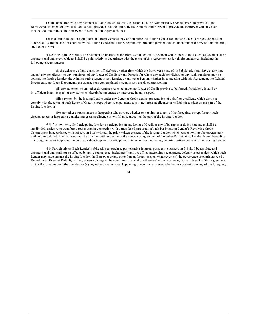(b) In connection with any payment of fees pursuant to this subsection 4.11, the Administrative Agent agrees to provide to the Borrower a statement of any such fees so paid; provided that the failure by the Administrative Agent to provide the Borrower with any such invoice shall not relieve the Borrower of its obligation to pay such fees.

(c) In addition to the foregoing fees, the Borrower shall pay or reimburse the Issuing Lender for any taxes, fees, charges, expenses or other costs as are incurred or charged by the Issuing Lender in issuing, negotiating, effecting payment under, amending or otherwise administering any Letter of Credit.

4.12 Obligations Absolute. The payment obligations of the Borrower under this Agreement with respect to the Letters of Credit shall be unconditional and irrevocable and shall be paid strictly in accordance with the terms of this Agreement under all circumstances, including the following circumstances:

(i) the existence of any claim, set-off, defense or other right which the Borrower or any of its Subsidiaries may have at any time against any beneficiary, or any transferee, of any Letter of Credit (or any Persons for whom any such beneficiary or any such transferee may be acting), the Issuing Lender, the Administrative Agent or any Lender, or any other Person, whether in connection with this Agreement, the Related Documents, any Loan Documents, the transactions contemplated herein, or any unrelated transaction;

(ii) any statement or any other document presented under any Letter of Credit proving to be forged, fraudulent, invalid or insufficient in any respect or any statement therein being untrue or inaccurate in any respect;

(iii) payment by the Issuing Lender under any Letter of Credit against presentation of a draft or certificate which does not comply with the terms of such Letter of Credit, except where such payment constitutes gross negligence or willful misconduct on the part of the Issuing Lender; or

(iv) any other circumstances or happening whatsoever, whether or not similar to any of the foregoing, except for any such circumstances or happening constituting gross negligence or willful misconduct on the part of the Issuing Lender.

4.13 Assignments. No Participating Lender's participation in any Letter of Credit or any of its rights or duties hereunder shall be subdivided, assigned or transferred (other than in connection with a transfer of part or all of such Participating Lender's Revolving Credit Commitment in accordance with subsection 11.6) without the prior written consent of the Issuing Lender, which consent will not be unreasonably withheld or delayed. Such consent may be given or withheld without the consent or agreement of any other Participating Lender. Notwithstanding the foregoing, a Participating Lender may subparticipate its Participating Interest without obtaining the prior written consent of the Issuing Lender.

4.14 Participations. Each Lender's obligation to purchase participating interests pursuant to subsection 3.4 shall be absolute and unconditional and shall not be affected by any circumstance, including (i) any set-off, counterclaim, recoupment, defense or other right which such Lender may have against the Issuing Lender, the Borrower or any other Person for any reason whatsoever; (ii) the occurrence or continuance of a Default or an Event of Default; (iii) any adverse change in the condition (financial or otherwise) of the Borrower; (iv) any breach of this Agreement by the Borrower or any other Lender; or (v) any other circumstance, happening or event whatsoever, whether or not similar to any of the foregoing.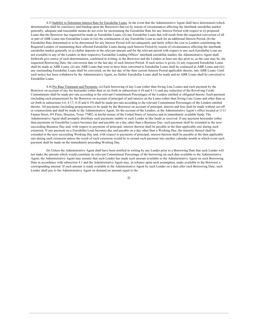4.15 Inability to Determine Interest Rate for Eurodollar Loans. In the event that the Administrative Agent shall have determined (which determination shall be conclusive and binding upon the Borrower) that (a) by reason of circumstances affecting the interbank eurodollar market generally, adequate and reasonable means do not exist for ascertaining the Eurodollar Rate for any Interest Period with respect to (i) proposed Loans that the Borrower has requested be made as Eurodollar Loans, (ii) any Eurodollar Loans that will result from the requested conversion of all or part of ABR Loans into Eurodollar Loans or (iii) the continuation of any Eurodollar Loan as such for an additional Interest Period, (b) the Eurodollar Rate determined or to be determined for any Interest Period will not adequately and fairly reflect the cost to Lenders constituting the Required Lenders of maintaining their affected Eurodollar Loans during such Interest Period by reason of circumstances affecting the interbank eurodollar market generally or (c) dollar deposits in the relevant amount and for the relevant period with respect to any such Eurodollar Loan are not available to any of the Lenders in their respective Eurodollar Lending Offices' interbank eurodollar market, the Administrative Agent shall forthwith give notice of such determination, confirmed in writing, to the Borrower and the Lenders at least one day prior to, as the case may be, the requested Borrowing Date, the conversion date or the last day of such Interest Period. If such notice is given, (i) any requested Eurodollar Loans shall be made as ABR Loans, (ii) any ABR Loans that were to have been converted to Eurodollar Loans shall be continued as ABR Loans and (iii) any outstanding Eurodollar Loans shall be converted, on the last day of the then current Interest Period applicable thereto, into ABR Loans. Until such notice has been withdrawn by the Administrative Agent, no further Eurodollar Loans shall be made and no ABR Loans shall be converted to Eurodollar Loans.

4.16 Pro Rata Treatment and Payments. (a) Each borrowing of any Loan (other than Swing Line Loans) and each payment by the Borrower on account of any fee hereunder (other than as set forth in subsections 4.10 and 4.11) and any reduction of the Revolving Credit Commitments shall be made pro rata according to the relevant Commitment Percentages of the Lenders entitled or obligated thereto. Each payment (including each prepayment) by the Borrower on account of principal of and interest on the Loans (other than Swing Line Loans and other than as set forth in subsections 4.6, 4.17, 4.18 and 4.19) shall be made pro rata according to the relevant Commitment Percentages of the Lenders entitled thereto. All payments (including prepayments) to be made by the Borrower on account of principal, interest and fees shall be made without set-off or counterclaim and shall be made to the Administrative Agent, for the account of the Lenders, at the Administrative Agent's office located at 1111 Fannin Street, 8th Floor, Houston, Texas 77002, in lawful money of the United States of America and in immediately available funds. The Administrative Agent shall promptly distribute such payments ratably to each Lender in like funds as received. If any payment hereunder (other than payments on Eurodollar Loans) becomes due and payable on a day other than a Business Day, such payment shall be extended to the next succeeding Business Day and, with respect to payments of principal, interest thereon shall be payable at the then applicable rate during such extension. If any payment on a Eurodollar Loan becomes due and payable on a day other than a Working Day, the maturity thereof shall be extended to the next succeeding Working Day and, with respect to payments of principal, interest thereon shall be payable at the then applicable rate during such extension unless the result of such extension would be to extend such payment into another calendar month in which event such payment shall be made on the immediately preceding Working Day.

(b) Unless the Administrative Agent shall have been notified in writing by any Lender prior to a Borrowing Date that such Lender will not make the amount which would constitute its relevant Commitment Percentage of the borrowing on such date available to the Administrative Agent, the Administrative Agent may assume that such Lender has made such amount available to the Administrative Agent on such Borrowing Date in accordance with subsection 4.1 and the Administrative Agent may, in reliance upon such assumption, make available to the Borrower a corresponding amount. If such amount is made available to the Administrative Agent by such Lender on a date after such Borrowing Date, such Lender shall pay to the Administrative Agent on demand an amount equal to the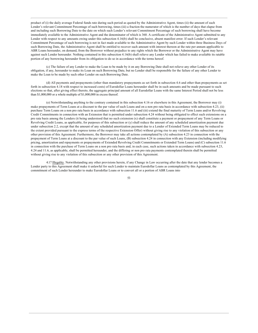product of (i) the daily average Federal funds rate during such period as quoted by the Administrative Agent, times (ii) the amount of such Lender's relevant Commitment Percentage of such borrowing, times (iii) a fraction the numerator of which is the number of days that elapse from and including such Borrowing Date to the date on which such Lender's relevant Commitment Percentage of such borrowing shall have become immediately available to the Administrative Agent and the denominator of which is 360. A certificate of the Administrative Agent submitted to any Lender with respect to any amounts owing under this subsection  $4.16(b)$  shall be conclusive, absent manifest error. If such Lender's relevant Commitment Percentage of such borrowing is not in fact made available to the Administrative Agent by such Lender within three Business Days of such Borrowing Date, the Administrative Agent shall be entitled to recover such amount with interest thereon at the rate per annum applicable to ABR Loans hereunder, on demand, from the Borrower without prejudice to any rights which the Borrower or the Administrative Agent may have against such Lender hereunder. Nothing contained in this subsection 4.16(b) shall relieve any Lender which has failed to make available its ratable portion of any borrowing hereunder from its obligation to do so in accordance with the terms hereof.

(c) The failure of any Lender to make the Loan to be made by it on any Borrowing Date shall not relieve any other Lender of its obligation, if any, hereunder to make its Loan on such Borrowing Date, but no Lender shall be responsible for the failure of any other Lender to make the Loan to be made by such other Lender on such Borrowing Date.

(d) All payments and prepayments (other than mandatory prepayments as set forth in subsection 4.6 and other than prepayments as set forth in subsection 4.18 with respect to increased costs) of Eurodollar Loans hereunder shall be in such amounts and be made pursuant to such elections so that, after giving effect thereto, the aggregate principal amount of all Eurodollar Loans with the same Interest Period shall not be less than  $$1,000,000$  or a whole multiple of  $$1,000,000$  in excess thereof.

(e) Notwithstanding anything to the contrary contained in this subsection 4.16 or elsewhere in this Agreement, the Borrower may (i) make prepayments of Term Loans at a discount to the par value of such Loans and on a non pro rata basis in accordance with subsection 4.23, (ii) purchase Term Loans on a non pro rata basis in accordance with subsection 11.6 and (iii) extend the final maturity of Term Loans and/or Revolving Credit Commitments in connection with an Extension that is permitted under subsection 4.24 without being obligated to effect such extensions on a pro rata basis among the Lenders (it being understood that no such extension (x) shall constitute a payment or prepayment of any Term Loans or Revolving Credit Loans, as applicable, for purposes of this subsection or (y) shall reduce the amount of any scheduled amortization payment due under subsection 2.2, except that the amount of any scheduled amortization payment due to a Lender of Extended Term Loans may be reduced to the extent provided pursuant to the express terms of the respective Extension Offer) without giving rise to any violation of this subsection or any other provision of this Agreement. Furthermore, the Borrower may take all actions contemplated by  $(A)$  subsection 4.23 in connection with the prepayment of Term Loans at a discount to the par value of such Loans, (B) subsection 4.24 in connection with any Extension (including modifying pricing, amortization and repayments or prepayments of Extended Revolving Credit Commitments or Extended Term Loans) and (C) subsection 11.6 in connection with the purchase of Term Loans on a non pro rata basis and, in each case, such actions taken in accordance with subsection 4.23, 4.24 and 11.6, as applicable, shall be permitted hereunder, and the differing or non pro rata payments contemplated therein shall be permitted without giving rise to any violation of this subsection or any other provision of this Agreement.

4.17 Illegality. Notwithstanding any other provisions herein, if any Change in Law occurring after the date that any lender becomes a Lender party to this Agreement shall make it unlawful for such Lender to maintain Eurodollar Loans as contemplated by this Agreement, the commitment of such Lender hereunder to make Eurodollar Loans or to convert all or a portion of ABR Loans into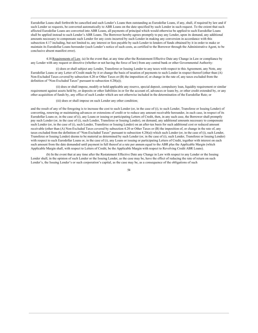Eurodollar Loans shall forthwith be cancelled and such Lender's Loans then outstanding as Eurodollar Loans, if any, shall, if required by law and if such Lender so requests, be converted automatically to ABR Loans on the date specified by such Lender in such request. To the extent that such affected Eurodollar Loans are converted into ABR Loans, all payments of principal which would otherwise be applied to such Eurodollar Loans shall be applied instead to such Lender's ABR Loans. The Borrower hereby agrees promptly to pay any Lender, upon its demand, any additional amounts necessary to compensate such Lender for any costs incurred by such Lender in making any conversion in accordance with this subsection 4.17 including, but not limited to, any interest or fees payable by such Lender to lenders of funds obtained by it in order to make or maintain its Eurodollar Loans hereunder (such Lender's notice of such costs, as certified to the Borrower through the Administrative Agent, to be conclusive absent manifest error).

4.18 Requirements of Law. (a) In the event that, at any time after the Restatement Effective Date any Change in Law or compliance by any Lender with any request or directive (whether or not having the force of law) from any central bank or other Governmental Authority:

(i) does or shall subject any Lender, Transferee or Issuing Lender to any taxes with respect to this Agreement, any Note, any Eurodollar Loans or any Letter of Credit made by it or change the basis of taxation of payments to such Lender in respect thereof (other than (A) Non-Excluded Taxes covered by subsection 4.20 or Other Taxes or (B) the imposition of, or change in the rate of, any taxes excluded from the definition of "Non-Excluded Taxes" pursuant to subsection 4.20(a));

(ii) does or shall impose, modify or hold applicable any reserve, special deposit, compulsory loan, liquidity requirement or similar requirement against assets held by, or deposits or other liabilities in or for the account of, advances or loans by, or other credit extended by, or any other acquisition of funds by, any office of such Lender which are not otherwise included in the determination of the Eurodollar Rate; or

(iii) does or shall impose on such Lender any other condition;

and the result of any of the foregoing is to increase the cost to such Lender (or, in the case of (i), to such Lender, Transferee or Issuing Lender) of converting, renewing or maintaining advances or extensions of credit or to reduce any amount receivable hereunder, in each case, in respect of its Eurodollar Loans or, in the case of (i), any Loans or issuing or participating Letters of Credit, then, in any such case, the Borrower shall promptly pay such Lender (or, in the case of (i), such Lender, Transferee or Issuing Lender), on demand, any additional amounts necessary to compensate such Lender (or, in the case of (i), such Lender, Transferee or Issuing Lender) on an after-tax basis for such additional cost or reduced amount receivable (other than (A) Non-Excluded Taxes covered by subsection 4.20 or Other Taxes or (B) the imposition of, or change in the rate of, any taxes excluded from the definition of "Non-Excluded Taxes" pursuant to subsection 4.20(a)) which such Lender (or, in the case of (i), such Lender, Transferee or Issuing Lender) deems to be material as determined by such Lender (or, in the case of (i), such Lender, Transferee or Issuing Lender) with respect to such Eurodollar Loans or, in the case of (i), any Loans or issuing or participating Letters of Credit, together with interest on each such amount from the date demanded until payment in full thereof at a rate per annum equal to the ABR plus the Applicable Margin (which Applicable Margin shall, with respect to Letters of Credit, be the Applicable Margin with respect to Revolving Credit ABR Loans).

(b) In the event that at any time after the Restatement Effective Date any Change in Law with respect to any Lender or the Issuing Lender shall, in the opinion of such Lender or the Issuing Lender, as the case may be, have the effect of reducing the rate of return on such Lender's, the Issuing Lender's or such corporation's capital, as the case may be, as a consequence of the obligations of such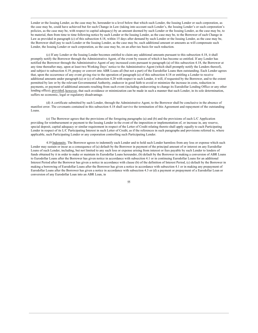Lender or the Issuing Lender, as the case may be, hereunder to a level below that which such Lender, the Issuing Lender or such corporation, as the case may be, could have achieved but for such Change in Law (taking into account such Lender's, the Issuing Lender's or such corporation's policies, as the case may be, with respect to capital adequacy) by an amount deemed by such Lender or the Issuing Lender, as the case may be, to be material, then from time to time following notice by such Lender or the Issuing Lender, as the case may be, to the Borrower of such Change in Law as provided in paragraph (c) of this subsection 4.18, within 15 days after demand by such Lender or the Issuing Lender, as the case may be, the Borrower shall pay to such Lender or the Issuing Lender, as the case may be, such additional amount or amounts as will compensate such Lender, the Issuing Lender or such corporation, as the case may be, on an after-tax basis for such reduction.

(c) If any Lender or the Issuing Lender becomes entitled to claim any additional amounts pursuant to this subsection 4.18, it shall promptly notify the Borrower through the Administrative Agent, of the event by reason of which it has become so entitled. If any Lender has notified the Borrower through the Administrative Agent of any increased costs pursuant to paragraph (a) of this subsection 4.18, the Borrower at any time thereafter may, upon at least two Working Days' notice to the Administrative Agent (which shall promptly notify the Lenders thereof), and subject to subsection 4.19, prepay or convert into ABR Loans all (but not a part) of the Eurodollar Loans then outstanding. Each Lender agrees that, upon the occurrence of any event giving rise to the operation of paragraph (a) of this subsection 4.18 or entitling a Lender to receive additional amounts under paragraph (a) or (c) of subsection 4.20 with respect to such Lender, it will, if requested by the Borrower, and to the extent permitted by law or by the relevant Governmental Authority, endeavor in good faith to avoid or minimize the increase in costs, reduction in payments, or payment of additional amounts resulting from such event (including endeavoring to change its Eurodollar Lending Office or any other lending office); provided, however, that such avoidance or minimization can be made in such a manner that such Lender, in its sole determination, suffers no economic, legal or regulatory disadvantage.

(d) A certificate submitted by such Lender, through the Administrative Agent, to the Borrower shall be conclusive in the absence of manifest error. The covenants contained in this subsection 4.18 shall survive the termination of this Agreement and repayment of the outstanding Loans

(e) The Borrower agrees that the provisions of the foregoing paragraphs (a) and (b) and the provisions of each L/C Application providing for reimbursement or payment to the Issuing Lender in the event of the imposition or implementation of, or increase in, any reserve, special deposit, capital adequacy or similar requirement in respect of the Letter of Credit relating thereto shall apply equally to each Participating Lender in respect of its L/C Participating Interest in such Letter of Credit, as if the references in such paragraphs and provisions referred to, where applicable, such Participating Lender or any corporation controlling such Participating Lender.

4.19 Indemnity. The Borrower agrees to indemnify each Lender and to hold such Lender harmless from any loss or expense which such Lender may sustain or incur as a consequence of (a) default by the Borrower in payment of the principal amount of or interest on any Eurodollar Loans of such Lender, including, but not limited to any such loss or expense arising from interest or fees payable by such Lender to lenders of funds obtained by it in order to make or maintain its Eurodollar Loans hereunder, (b) default by the Borrower in making a conversion of ABR Loans to Eurodollar Loans after the Borrower has given notice in accordance with subsection 4.1 or in continuing Eurodollar Loans for an additional Interest Period after the Borrower has given a notice in accordance with clause (b) of the definition of Interest Period, (c) default by the Borrower in making a borrowing of Eurodollar Loans after the Borrower has given a notice in accordance with subsection 4.1 or in making any prepayment of Eurodollar Loans after the Borrower has given a notice in accordance with subsection 4.3 or (d) a payment or prepayment of a Eurodollar Loan or conversion of any Eurodollar Loan into an ABR Loan, in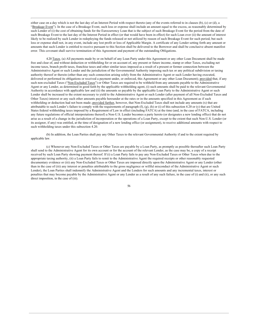either case on a day which is not the last day of an Interest Period with respect thereto (any of the events referred to in clauses (b), (c) or (d), a "Breakage Event"). In the case of a Breakage Event, such loss or expense shall include an amount equal to the excess, as reasonably determined by such Lender of (i) the cost of obtaining funds for the Eurocurrency Loan that is the subject of such Breakage Event for the period from the date of such Breakage Event to the last day of the Interest Period in effect (or that would have been in effect) for such Loan over (ii) the amount of interest likely to be realized by such Lender in redeploying the funds released or not utilized by reason of such Breakage Event for such period, but such loss or expense shall not, in any event, include any lost profit or loss of Applicable Margin. A certificate of any Lender setting forth any amount or amounts that such Lender is entitled to receive pursuant to this Section shall be delivered to the Borrower and shall be conclusive absent manifest error. This covenant shall survive termination of this Agreement and payment of the outstanding Obligations.

4.20 Taxes. (a) All payments made by or on behalf of any Loan Party under this Agreement or any other Loan Document shall be made free and clear of, and without deduction or withholding for or on account of, any present or future income, stamp or other Taxes, excluding net income taxes, branch profit taxes, franchise taxes and other similar taxes imposed as a result of a present or former connection between the Administrative Agent or such Lender and the jurisdiction of the Governmental Authority imposing such tax or any political subdivision or taxing authority thereof or therein (other than any such connection arising solely from the Administrative Agent or such Lender having executed, delivered or performed its obligations or received a payment under, or enforced, this Agreement or any other Loan Document); provided that, if any such non-excluded Taxes ("Non-Excluded Taxes") or Other Taxes are required to be withheld from any amounts payable to the Administrative Agent or any Lender, as determined in good faith by the applicable withholding agent, (i) such amounts shall be paid to the relevant Governmental Authority in accordance with applicable law and (ii) the amounts so payable by the applicable Loan Party to the Administrative Agent or such Lender shall be increased to the extent necessary to yield to the Administrative Agent or such Lender (after payment of all Non-Excluded Taxes and Other Taxes) interest or any such other amounts payable hereunder at the rates or in the amounts specified in this Agreement as if such withholding or deduction had not been made; provided further, however, that Non-Excluded Taxes shall not include any amounts (x) that are attributable to such Lender's failure to comply with the requirements of paragraph  $(f)$ ,  $(g)$ ,  $(h)$  or  $(i)$  of this subsection 4.20 or  $(y)$  that are United States federal withholding taxes imposed by a Requirement of Law in effect (including FATCA) at the time (and, in the case of FATCA, including any future regulations of official interpretations thereof) a Non-U.S. Lender becomes a party hereto (or designates a new lending office) that do not arise as a result of a change in the jurisdiction of incorporation or the operations of a Loan Party, except to the extent that such Non-U.S. Lender (or its assignor, if any) was entitled, at the time of designation of a new lending office (or assignment), to receive additional amounts with respect to such withholding taxes under this subsection 4.20.

(b) In addition, the Loan Parties shall pay any Other Taxes to the relevant Governmental Authority if and to the extent required by applicable law.

(c) Whenever any Non-Excluded Taxes or Other Taxes are payable by a Loan Party, as promptly as possible thereafter such Loan Party shall send to the Administrative Agent for its own account or for the account of the relevant Lender, as the case may be, a copy of a receipt received by such Loan Party showing payment thereof. If (i) a Loan Party fails to pay any Non-Excluded Taxes or Other Taxes when due to the appropriate taxing authority, (ii) a Loan Party fails to remit to the Administrative Agent the required receipts or other reasonably requested documentary evidence or (iii) any Non-Excluded Taxes or Other Taxes are imposed directly upon the Administrative Agent or any Lender (other than in the case of (iii) any interest or penalties attributable to the gross negligence or willful misconduct of the Administrative Agent or such Lender), the Loan Parties shall indemnify the Administrative Agent and the Lenders for such amounts and any incremental taxes, interest or penalties that may become payable by the Administrative Agent or any Lender as a result of any such failure, in the case of (i) and (ii), or any such direct imposition, in the case of (iii).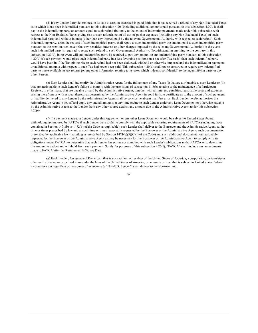(d) If any Lender Party determines, in its sole discretion exercised in good faith, that it has received a refund of any Non-Excluded Taxes as to which it has been indemnified pursuant to this subsection 4.20 (including additional amounts paid pursuant to this subsection 4.20), it shall pay to the indemnifying party an amount equal to such refund (but only to the extent of indemnity payments made under this subsection with respect to the Non-Excluded Taxes giving rise to such refund), net of all out-of-pocket expenses (including any Non-Excluded Taxes) of such indemnified party and without interest (other than any interest paid by the relevant Governmental Authority with respect to such refund). Such indemnifying party, upon the request of such indemnified party, shall repay to such indemnified party the amount paid to such indemnified party pursuant to the previous sentence (plus any penalties, interest or other charges imposed by the relevant Governmental Authority) in the event such indemnified party is required to repay such refund to such Governmental Authority. Notwithstanding anything to the contrary in this subsection 4.20(d), in no event will any indemnified party be required to pay any amount to any indemnifying party pursuant to this subsection 4.20(d) if such payment would place such indemnified party in a less favorable position (on a net after-Tax basis) than such indemnified party would have been in if the Tax giving rise to such refund had not been deducted, withheld or otherwise imposed and the indemnification payments or additional amounts with respect to such Tax had never been paid. This subsection 4.20(d) shall not be construed to require any indemnified party to make available its tax returns (or any other information relating to its taxes which it deems confidential) to the indemnifying party or any other Person.

(e) Each Lender shall indemnify the Administrative Agent for the full amount of any Taxes (i) that are attributable to such Lender or (ii) that are attributable to such Lender's failure to comply with the provisions of subsection 11.6(b) relating to the maintenance of a Participant Register, in either case, that are payable or paid by the Administrative Agent, together with all interest, penalties, reasonable costs and expenses arising therefrom or with respect thereto, as determined by the Administrative Agent in good faith. A certificate as to the amount of such payment or liability delivered to any Lender by the Administrative Agent shall be conclusive absent manifest error. Each Lender hereby authorizes the Administrative Agent to set off and apply any and all amounts at any time owing to such Lender under any Loan Document or otherwise payable by the Administrative Agent to the Lender from any other source against any amount due to the Administrative Agent under this subsection  $4.20(e)$ .

(f) If a payment made to a Lender under this Agreement or any other Loan Document would be subject to United States federal withholding tax imposed by FATCA if such Lender were to fail to comply with the applicable reporting requirements of FATCA (including those contained in Section 1471(b) or 1472(b) of the Code, as applicable), such Lender shall deliver to the Borrower and the Administrative Agent, at the time or times prescribed by law and at such time or times reasonably requested by the Borrower or the Administrative Agent, such documentation prescribed by applicable law (including as prescribed by Section  $1471(b)(3)(C)(i)$  of the Code) and such additional documentation reasonably requested by the Borrower or the Administrative Agent as may be necessary for the Borrower or the Administrative Agent to comply with its obligations under FATCA, to determine that such Lender has or has not complied with such Lender's obligations under FATCA or to determine the amount to deduct and withhold from such payment. Solely for purposes of this subsection 4.20(f), "FATCA" shall include any amendments made to FATCA after the Restatement Effective Date.

(g) Each Lender, Assignee and Participant that is not a citizen or resident of the United States of America, a corporation, partnership or other entity created or organized in or under the laws of the United States of America, or an estate or trust that is subject to United States federal income taxation regardless of the source of its income (a "Non-U.S. Lender") shall deliver to the Borrower and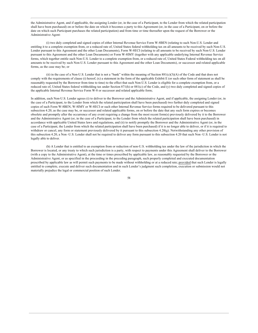the Administrative Agent, and if applicable, the assigning Lender (or, in the case of a Participant, to the Lender from which the related participation shall have been purchased) on or before the date on which it becomes a party to this Agreement (or, in the case of a Participant, on or before the date on which such Participant purchases the related participation) and from time or time thereafter upon the request of the Borrower or the Administrative Agent:

(i) two duly completed and signed copies of either Internal Revenue Service Form W-8BEN (relating to such Non-U.S. Lender and entitling it to a complete exemption from, or a reduced rate of, United States federal withholding tax on all amounts to be received by such Non-U.S. Lender pursuant to this Agreement and the other Loan Documents), Form W-8ECI (relating to all amounts to be received by such Non-U.S. Lender pursuant to this Agreement and the other Loan Documents) or Form W-8IMY (together with any applicable underlying Internal Revenue Service forms, which together entitle such Non-U.S. Lender to a complete exemption from, or a reduced rate of, United States Federal withholding tax on all amounts to be received by such Non-U.S. Lender pursuant to this Agreement and the other Loan Documents), or successor and related applicable forms, as the case may be; or

(ii) in the case of a Non-U.S. Lender that is not a "bank" within the meaning of Section  $881(c)(3)(A)$  of the Code and that does not comply with the requirements of clause (i) hereof, (x) a statement in the form of the applicable Exhibit E (or such other form of statement as shall be reasonably requested by the Borrower from time to time) to the effect that such Non-U.S. Lender is eligible for a complete exemption from, or a reduced rate of, United States federal withholding tax under Section 871(h) or 881(c) of the Code, and (y) two duly completed and signed copies of the applicable Internal Revenue Service Form W-8 or successor and related applicable form;

In addition, each Non-U.S. Lender agrees (i) to deliver to the Borrower and the Administrative Agent, and if applicable, the assigning Lender (or, in the case of a Participant, to the Lender from which the related participation shall have been purchased) two further duly completed and signed copies of such Form W-8BEN, W-8IMY or W-8ECI or such other Internal Revenue Service forms required to be delivered pursuant to this subsection 4.20, as the case may be, or successor and related applicable forms, on or before the date that any such form expires or becomes obsolete and promptly after the occurrence of any event requiring a change from the most recent form(s) previously delivered by it to the Borrower and the Administrative Agent (or, in the case of a Participant, to the Lender from which the related participation shall have been purchased) in accordance with applicable United States laws and regulations, and (ii) to notify promptly the Borrower and the Administrative Agent (or, in the case of a Participant, the Lender from which the related participation shall have been purchased) if it is no longer able to deliver, or if it is required to withdraw or cancel, any form or statement previously delivered by it pursuant to this subsection  $4.20(g)$ . Notwithstanding any other provision of this subsection 4.20, a Non-U.S. Lender shall not be required to deliver any form pursuant to this subsection 4.20 that such Non-U.S. Lender is not legally able to deliver.

(h) A Lender that is entitled to an exemption from or reduction of non-U.S. withholding tax under the law of the jurisdiction in which the Borrower is located, or any treaty to which such jurisdiction is a party, with respect to payments under this Agreement shall deliver to the Borrower (with a copy to the Administrative Agent), at the time or times prescribed by applicable law, as reasonably requested by the Borrower or the Administrative Agent, or as specified in the proceeding in the preceding paragraph, such properly completed and executed documentation prescribed by applicable law as will permit such payments to be made without withholding or at a reduced rate; provided that such Lender is legally entitled to complete, execute and deliver such documentation and in such Lender's judgment such completion, execution or submission would not materially prejudice the legal or commercial position of such Lender.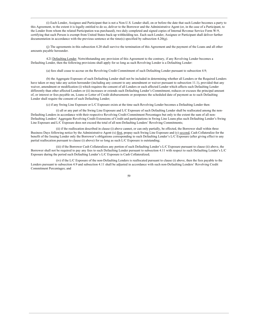(i) Each Lender, Assignee and Participant that is not a Non-U.S. Lender shall, on or before the date that such Lender becomes a party to this Agreement, to the extent it is legally entitled to do so, deliver to the Borrower and the Administrative Agent (or, in the case of a Participant, to the Lender from whom the related Participation was purchased), two duly completed and signed copies of Internal Revenue Service Form W-9, certifying that such Person is exempt from United States back-up withholding tax. Each such Lender, Assignee or Participant shall deliver further documentation in accordance with the previous sentence at the time(s) specified by subsection  $4.20(g)$ .

(j) The agreements in this subsection 4.20 shall survive the termination of this Agreement and the payment of the Loans and all other amounts payable hereunder.

4.21 Defaulting Lender. Notwithstanding any provision of this Agreement to the contrary, if any Revolving Lender becomes a Defaulting Lender, then the following provisions shall apply for so long as such Revolving Lender is a Defaulting Lender:

(a) fees shall cease to accrue on the Revolving Credit Commitment of such Defaulting Lender pursuant to subsection 4.9;

(b) the Aggregate Exposure of such Defaulting Lender shall not be included in determining whether all Lenders or the Required Lenders have taken or may take any action hereunder (including any consent to any amendment or waiver pursuant to subsection 11.1), provided that any waiver, amendment or modification (i) which requires the consent of all Lenders or each affected Lender which affects such Defaulting Lender differently than other affected Lenders or (ii) increases or extends such Defaulting Lender's Commitment, reduces or excuses the principal amount of, or interest or fees payable on, Loans or Letter of Credit disbursements or postpones the scheduled date of payment as to such Defaulting Lender shall require the consent of such Defaulting Lender;

(c) if any Swing Line Exposure or L/C Exposure exists at the time such Revolving Lender becomes a Defaulting Lender then:

(i) all or any part of the Swing Line Exposure and L/C Exposure of such Defaulting Lender shall be reallocated among the non-Defaulting Lenders in accordance with their respective Revolving Credit Commitment Percentages but only to the extent the sum of all non-Defaulting Lenders' Aggregate Revolving Credit Extensions of Credit and participations in Swing Line Loans plus such Defaulting Lender's Swing Line Exposure and L/C Exposure does not exceed the total of all non-Defaulting Lenders' Revolving Commitments;

(ii) if the reallocation described in clause (i) above cannot, or can only partially, be effected, the Borrower shall within three Business Days following notice by the Administrative Agent (x) first, prepay such Swing Line Exposure and (y) second, Cash Collateralize for the benefit of the Issuing Lender only the Borrower's obligations corresponding to such Defaulting Lender's L/C Exposure (after giving effect to any partial reallocation pursuant to clause (i) above) for so long as such L/C Exposure is outstanding;

(iii) if the Borrower Cash Collateralizes any portion of such Defaulting Lender's L/C Exposure pursuant to clause (ii) above, the Borrower shall not be required to pay any fees to such Defaulting Lender pursuant to subsection 4.11 with respect to such Defaulting Lender's L/C Exposure during the period such Defaulting Lender's L/C Exposure is Cash Collateralized;

(iv) if the L/C Exposure of the non-Defaulting Lenders is reallocated pursuant to clause (i) above, then the fees payable to the Lenders pursuant to subsection 4.9 and subsection 4.11 shall be adjusted in accordance with such non-Defaulting Lenders' Revolving Credit Commitment Percentages; and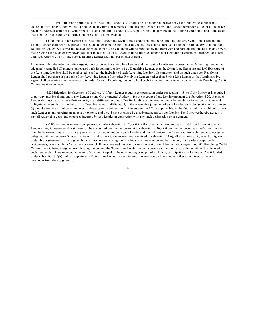(v) if all or any portion of such Defaulting Lender's L/C Exposure is neither reallocated nor Cash Collateralized pursuant to clause (i) or (ii) above, then, without prejudice to any rights or remedies of the Issuing Lender or any other Lender hereunder, all letter of credit fees payable under subsection 4.11 with respect to such Defaulting Lender's L/C Exposure shall be payable to the Issuing Lender until and to the extent that such L/C Exposure is reallocated and/or Cash Collateralized; and

(d) so long as such Lender is a Defaulting Lender, the Swing Line Lender shall not be required to fund any Swing Line Loan and the Issuing Lender shall not be required to issue, amend or increase any Letter of Credit, unless it has received assurances satisfactory to it that non-Defaulting Lenders will cover the related exposure and/or Cash Collateral will be provided by the Borrower, and participating interests in any newly made Swing Line Loan or any newly issued or increased Letter of Credit shall be allocated among non-Defaulting Lenders in a manner consistent with subsection  $4.21(c)(i)$  (and such Defaulting Lender shall not participate therein).

In the event that the Administrative Agent, the Borrower, the Swing line Lender and the Issuing Lender each agrees that a Defaulting Lender has adequately remedied all matters that caused such Revolving Lender to be a Defaulting Lender, then the Swing Line Exposure and L/C Exposure of the Revolving Lenders shall be readjusted to reflect the inclusion of such Revolving Lender's Commitment and on such date such Revolving Lender shall purchase at par such of the Revolving Loans of the other Revolving Lenders (other than Swing Line Loans) as the Administrative Agent shall determine may be necessary in order for such Revolving Lender to hold such Revolving Loans in accordance with its Revolving Credit Commitment Percentage.

4.22 Mitigation; Replacement of Lenders. (a) If any Lender requests compensation under subsection 4.18, or if the Borrower is required to pay any additional amount to any Lender or any Governmental Authority for the account of any Lender pursuant to subsection 4.20, then such Lender shall use reasonable efforts to designate a different lending office for funding or booking its Loans hereunder or to assign its rights and obligations hereunder to another of its offices, branches or affiliates, if, in the reasonable judgment of such Lender, such designation or assignment (i) would eliminate or reduce amounts payable pursuant to subsection 4.18 or subsection 4.20, as applicable, in the future and (ii) would not subject such Lender to any unreimbursed cost or expense and would not otherwise be disadvantageous to such Lender. The Borrower hereby agrees to pay all reasonable costs and expenses incurred by any Lender in connection with any such designation or assignment.

(b) If any Lender requests compensation under subsection 4.18, or if the Borrower is required to pay any additional amount to any Lender or any Governmental Authority for the account of any Lender pursuant to subsection 4.20, or if any Lender becomes a Defaulting Lender, then the Borrower may, at its sole expense and effort, upon notice to such Lender and the Administrative Agent, require such Lender to assign and delegate, without recourse (in accordance with and subject to the restrictions contained in subsection 11.6), all its interests, rights and obligations under this Agreement to an assignee that shall assume such obligations (which assignee may be another Lender, if a Lender accepts such assignment), provided that (A) (i) the Borrower shall have received the prior written consent of the Administrative Agent (and, if a Revolving Credit Commitment is being assigned, each Issuing Lender and the Swing Line Lender), which consent shall not unreasonably be withheld or delayed, (ii) such Lender shall have received payment of an amount equal to the outstanding principal of its Loans, participations in Letters of Credit funded under subsection 3.6(b) and participations in Swing Line Loans, accrued interest thereon, accrued fees and all other amounts payable to it hereunder from the assignee (to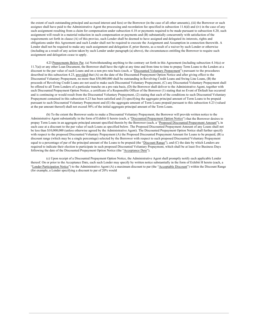the extent of such outstanding principal and accrued interest and fees) or the Borrower (in the case of all other amounts), (iii) the Borrower or such assignee shall have paid to the Administrative Agent the processing and recordation fee specified in subsection 11.6(d) and (iv) in the case of any such assignment resulting from a claim for compensation under subsection 4.18 or payments required to be made pursuant to subsection 4.20, such assignment will result in a material reduction in such compensation or payments and (B) substantially concurrently with satisfaction of the requirements set forth in clause (A) of this proviso, such Lender shall be deemed to have assigned and delegated its interests, rights and obligations under this Agreement and such Lender shall not be required to execute the Assignment and Assumption in connection therewith. A Lender shall not be required to make any such assignment and delegation if, prior thereto, as a result of a waiver by such Lender or otherwise (including as a result of any action taken by such Lender under paragraph (a) above), the circumstances entitling the Borrower to require such assignment and delegation cease to apply.

4.23 Prepayments Below Par. (a) Notwithstanding anything to the contrary set forth in this Agreement (including subsection 4.16(a) or 11.7(a)) or any other Loan Document, the Borrower shall have the right at any time and from time to time to prepay Term Loans to the Lenders at a discount to the par value of such Loans and on a non pro rata basis (each, a "Discounted Voluntary Prepayment") pursuant to the procedures described in this subsection 4.23, provided that (A) on the date of the Discounted Prepayment Option Notice and after giving effect to the Discounted Voluntary Prepayment, no more than \$50,000,000 shall be outstanding in Revolving Credit Loans and Swing Line Loans, (B) the proceeds of Revolving Credit Loans are not used to make such Discounted Voluntary Prepayment, (C) any Discounted Voluntary Prepayment shall be offered to all Term Lenders of a particular tranche on a pro rata basis, (D) the Borrower shall deliver to the Administrative Agent, together with each Discounted Prepayment Option Notice, a certificate of a Responsible Officer of the Borrower (1) stating that no Event of Default has occurred and is continuing or would result from the Discounted Voluntary Prepayment, (2) stating that each of the conditions to such Discounted Voluntary Prepayment contained in this subsection 4.23 has been satisfied and (3) specifying the aggregate principal amount of Term Loans to be prepaid pursuant to such Discounted Voluntary Prepayment and (E) the aggregate amount of Term Loans prepaid pursuant to this subsection 4.23 (valued at the par amount thereof) shall not exceed 50% of the initial aggregate principal amount of the Term Loans.

(b) To the extent the Borrower seeks to make a Discounted Voluntary Prepayment, the Borrower will provide written notice to the Administrative Agent substantially in the form of Exhibit G hereto (each, a "Discounted Prepayment Option Notice") that the Borrower desires to prepay Term Loans in an aggregate principal amount specified therein by the Borrower (each, a "Proposed Discounted Prepayment Amount"), in each case at a discount to the par value of such Loans as specified below. The Proposed Discounted Prepayment Amount of any Loans shall not be less than \$10,000,000 (unless otherwise agreed by the Administrative Agent). The Discounted Prepayment Option Notice shall further specify with respect to the proposed Discounted Voluntary Prepayment (A) the Proposed Discounted Prepayment Amount for Loans to be prepaid, (B) a discount range (which may be a single percentage) selected by the Borrower with respect to such proposed Discounted Voluntary Prepayment equal to a percentage of par of the principal amount of the Loans to be prepaid (the "Discount Range"), and (C) the date by which Lenders are required to indicate their election to participate in such proposed Discounted Voluntary Prepayment, which shall be at least five Business Days following the date of the Discounted Prepayment Option Notice (the "Acceptance Date").

(c) Upon receipt of a Discounted Prepayment Option Notice, the Administrative Agent shall promptly notify each applicable Lender thereof. On or prior to the Acceptance Date, each such Lender may specify by written notice substantially in the form of Exhibit H hereto (each, a "Lender Participation Notice") to the Administrative Agent (A) a maximum discount to par (the "Acceptable Discount") within the Discount Range (for example, a Lender specifying a discount to par of 20% would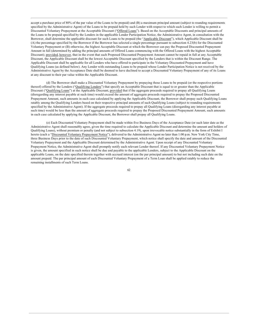accept a purchase price of  $80\%$  of the par value of the Loans to be prepaid) and  $(B)$  a maximum principal amount (subject to rounding requirements specified by the Administrative Agent) of the Loans to be prepaid held by such Lender with respect to which such Lender is willing to permit a Discounted Voluntary Prepayment at the Acceptable Discount ("Offered Loans"). Based on the Acceptable Discounts and principal amounts of the Loans to be prepaid specified by the Lenders in the applicable Lender Participation Notice, the Administrative Agent, in consultation with the Borrower, shall determine the applicable discount for such Loans to be prepaid (the "Applicable Discount"), which Applicable Discount shall be (A) the percentage specified by the Borrower if the Borrower has selected a single percentage pursuant to subsection 4.23(b) for the Discounted Voluntary Prepayment or (B) otherwise, the highest Acceptable Discount at which the Borrower can pay the Proposed Discounted Prepayment Amount in full (determined by adding the principal amounts of Offered Loans commencing with the Offered Loans with the highest Acceptable Discount); provided, however, that in the event that such Proposed Discounted Prepayment Amount cannot be repaid in full at any Acceptable Discount, the Applicable Discount shall be the lowest Acceptable Discount specified by the Lenders that is within the Discount Range. The Applicable Discount shall be applicable for all Lenders who have offered to participate in the Voluntary Discounted Prepayment and have Qualifying Loans (as defined below). Any Lender with outstanding Loans to be prepaid whose Lender Participation Notice is not received by the Administrative Agent by the Acceptance Date shall be deemed to have declined to accept a Discounted Voluntary Prepayment of any of its Loans at any discount to their par value within the Applicable Discount.

(d) The Borrower shall make a Discounted Voluntary Prepayment by prepaying those Loans to be prepaid (or the respective portions thereof) offered by the Lenders ("Qualifying Lenders") that specify an Acceptable Discount that is equal to or greater than the Applicable Discount ("Qualifying Loans") at the Applicable Discount, provided that if the aggregate proceeds required to prepay all Qualifying Loans (disregarding any interest payable at such time) would exceed the amount of aggregate proceeds required to prepay the Proposed Discounted Prepayment Amount, such amounts in each case calculated by applying the Applicable Discount, the Borrower shall prepay such Qualifying Loans ratably among the Qualifying Lenders based on their respective principal amounts of such Qualifying Loans (subject to rounding requirements specified by the Administrative Agent). If the aggregate proceeds required to prepay all Qualifying Loans (disregarding any interest payable at such time) would be less than the amount of aggregate proceeds required to prepay the Proposed Discounted Prepayment Amount, such amounts in each case calculated by applying the Applicable Discount, the Borrower shall prepay all Qualifying Loans.

(e) Each Discounted Voluntary Prepayment shall be made within five Business Days of the Acceptance Date (or such later date as the Administrative Agent shall reasonably agree, given the time required to calculate the Applicable Discount and determine the amount and holders of Qualifying Loans), without premium or penalty (and not subject to subsection 4.19), upon irrevocable notice substantially in the form of Exhibit I hereto (each a "Discounted Voluntary Prepayment Notice"), delivered to the Administrative Agent no later than 1:00 p.m. New York City Time, three Business Days prior to the date of such Discounted Voluntary Prepayment, which notice shall specify the date and amount of the Discounted Voluntary Prepayment and the Applicable Discount determined by the Administrative Agent. Upon receipt of any Discounted Voluntary Prepayment Notice, the Administrative Agent shall promptly notify each relevant Lender thereof. If any Discounted Voluntary Prepayment Notice is given, the amount specified in such notice shall be due and payable to the applicable Lenders, subject to the Applicable Discount on the applicable Loans, on the date specified therein together with accrued interest (on the par principal amount) to but not including such date on the amount prepaid. The par principal amount of each Discounted Voluntary Prepayment of a Term Loan shall be applied ratably to reduce the remaining installments of such Term Loans.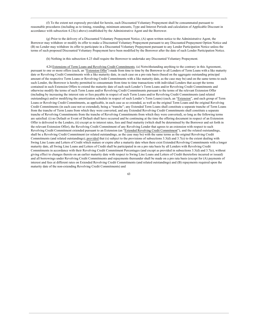(f) To the extent not expressly provided for herein, each Discounted Voluntary Prepayment shall be consummated pursuant to reasonable procedures (including as to timing, rounding, minimum amounts, Type and Interest Periods and calculation of Applicable Discount in accordance with subsection  $4.23(c)$  above) established by the Administrative Agent and the Borrower.

(g) Prior to the delivery of a Discounted Voluntary Prepayment Notice, (A) upon written notice to the Administrative Agent, the Borrower may withdraw or modify its offer to make a Discounted Voluntary Prepayment pursuant to any Discounted Prepayment Option Notice and (B) no Lender may withdraw its offer to participate in a Discounted Voluntary Prepayment pursuant to any Lender Participation Notice unless the terms of such proposed Discounted Voluntary Prepayment have been modified by the Borrower after the date of such Lender Participation Notice.

(h) Nothing in this subsection 4.23 shall require the Borrower to undertake any Discounted Voluntary Prepayment.

4.24 Extensions of Term Loans and Revolving Credit Commitments. (a) Notwithstanding anything to the contrary in this Agreement, pursuant to one or more offers (each, an "Extension Offer") made from time to time by the Borrower to all Lenders of Term Loans with a like maturity date or Revolving Credit Commitments with a like maturity date, in each case on a pro rata basis (based on the aggregate outstanding principal amount of the respective Term Loans or Revolving Credit Commitments with a like maturity date, as the case may be) and on the same terms to each such Lender, the Borrower is hereby permitted to consummate from time to time transactions with individual Lenders that accept the terms contained in such Extension Offers to extend the maturity date of each such Lender's Term Loans and/or Revolving Credit Commitments and otherwise modify the terms of such Term Loans and/or Revolving Credit Commitments pursuant to the terms of the relevant Extension Offer (including by increasing the interest rate or fees payable in respect of such Term Loans and/or Revolving Credit Commitments (and related outstandings) and/or modifying the amortization schedule in respect of such Lender's Term Loans) (each, an "Extension", and each group of Term Loans or Revolving Credit Commitments, as applicable, in each case as so extended, as well as the original Term Loans and the original Revolving Credit Commitments (in each case not so extended), being a "tranche"; any Extended Term Loans shall constitute a separate tranche of Term Loans from the tranche of Term Loans from which they were converted, and any Extended Revolving Credit Commitments shall constitute a separate tranche of Revolving Commitments from the tranche of Revolving Commitments from which they were converted), so long as the following terms are satisfied: (i) no Default or Event of Default shall have occurred and be continuing at the time the offering document in respect of an Extension Offer is delivered to the Lenders, (ii) except as to interest rates, fees and final maturity (which shall be determined by the Borrower and set forth in the relevant Extension Offer), the Revolving Credit Commitment of any Revolving Lender that agrees to an extension with respect to such Revolving Credit Commitment extended pursuant to an Extension (an "Extended Revolving Credit Commitment"), and the related outstandings, shall be a Revolving Credit Commitment (or related outstandings, as the case may be) with the same terms as the original Revolving Credit Commitments (and related outstandings); provided that (x) subject to the provisions of subsections 3.3(d) and 3.7(e) to the extent dealing with Swing Line Loans and Letters of Credit which mature or expire after a maturity date when there exist Extended Revolving Commitments with a longer maturity date, all Swing Line Loans and Letters of Credit shall be participated in on a pro rata basis by all Lenders with Revolving Credit Commitments in accordance with their Revolving Credit Commitment Percentages (and except as provided in subsections 3.3(d) and 3.7(e), without giving effect to changes thereto on an earlier maturity date with respect to Swing Line Loans and Letters of Credit theretofore incurred or issued) and all borrowings under Revolving Credit Commitments and repayments thereunder shall be made on a pro rata basis (except for (A) payments of interest and fees at different rates on Extended Revolving Credit Commitments (and related outstandings) and (B) repayments required upon the maturity date of the non-extending Revolving Credit Commitments) and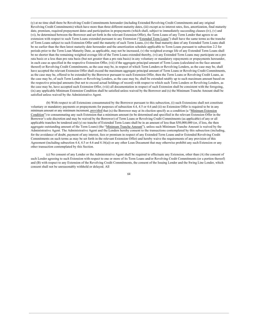(y) at no time shall there be Revolving Credit Commitments hereunder (including Extended Revolving Credit Commitments and any original Revolving Credit Commitments) which have more than three different maturity dates, (iii) except as to interest rates, fees, amortization, final maturity date, premium, required prepayment dates and participation in prepayments (which shall, subject to immediately succeeding clauses (iv), (v) and (vi), be determined between the Borrower and set forth in the relevant Extension Offer), the Term Loans of any Term Lender that agrees to an extension with respect to such Term Loans extended pursuant to any Extension ("Extended Term Loans") shall have the same terms as the tranche of Term Loans subject to such Extension Offer until the maturity of such Term Loans, (iv) the final maturity date of any Extended Term Loans shall be no earlier than the then latest maturity date hereunder and the amortization schedule applicable to Term Loans pursuant to subsection 2.2 for periods prior to the Term Loan Maturity Date, as applicable, may not be increased, (v) the weighted average life of any Extended Term Loans shall be no shorter than the remaining weighted average life of the Term Loans extended thereby, (vi) any Extended Term Loans may participate on a pro rata basis or a less than pro rata basis (but not greater than a pro rata basis) in any voluntary or mandatory repayments or prepayments hereunder, in each case as specified in the respective Extension Offer, (vii) if the aggregate principal amount of Term Loans (calculated on the face amount thereof) or Revolving Credit Commitments, as the case may be, in respect of which Term Lenders or Revolving Lenders, as the case may be, shall have accepted the relevant Extension Offer shall exceed the maximum aggregate principal amount of Term Loans or Revolving Credit Commitments, as the case may be, offered to be extended by the Borrower pursuant to such Extension Offer, then the Term Loans or Revolving Credit Loans, as the case may be, of such Term Lenders or Revolving Lenders, as the case may be, shall be extended ratably up to such maximum amount based on the respective principal amounts (but not to exceed actual holdings of record) with respect to which such Term Lenders or Revolving Lenders, as the case may be, have accepted such Extension Offer, (viii) all documentation in respect of such Extension shall be consistent with the foregoing, (ix) any applicable Minimum Extension Condition shall be satisfied unless waived by the Borrower and (x) the Minimum Tranche Amount shall be satisfied unless waived by the Administrative Agent.

(b) With respect to all Extensions consummated by the Borrower pursuant to this subsection, (i) such Extensions shall not constitute voluntary or mandatory payments or prepayments for purposes of subsection 4.4, 4.5 or 4.6 and (ii) no Extension Offer is required to be in any minimum amount or any minimum increment, provided that (x) the Borrower may at its election specify as a condition (a "Minimum Extension Condition") to consummating any such Extension that a minimum amount (to be determined and specified in the relevant Extension Offer in the Borrower's sole discretion and may be waived by the Borrower) of Term Loans or Revolving Credit Commitments (as applicable) of any or all applicable tranches be tendered and (y) no tranche of Extended Term Loans shall be in an amount of less than \$50,000,000 (or, if less, the then aggregate outstanding amount of the Term Loans) (the "Minimum Tranche Amount"), unless such Minimum Tranche Amount is waived by the Administrative Agent. The Administrative Agent and the Lenders hereby consent to the transactions contemplated by this subsection (including, for the avoidance of doubt, payment of any interest, fees or premium in respect of any Extended Term Loans and/or Extended Revolving Credit Commitments on such terms as may be set forth in the relevant Extension Offer) and hereby waive the requirements of any provision of this Agreement (including subsection 4.4, 4.5 or 4.6 and 4.16(a)) or any other Loan Document that may otherwise prohibit any such Extension or any other transaction contemplated by this Section.

(c) No consent of any Lender or the Administrative Agent shall be required to effectuate any Extension, other than (A) the consent of each Lender agreeing to such Extension with respect to one or more of its Term Loans and/or Revolving Credit Commitments (or a portion thereof) and (B) with respect to any Extension of the Revolving Credit Commitments, the consent of the Issuing Lender and the Swing Line Lender, which consent shall not be unreasonably withheld or delayed. All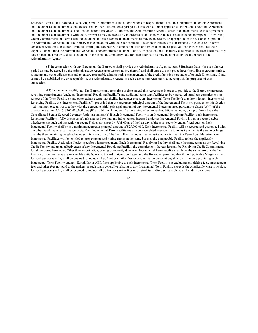Extended Term Loans, Extended Revolving Credit Commitments and all obligations in respect thereof shall be Obligations under this Agreement and the other Loan Documents that are secured by the Collateral on a pari passu basis with all other applicable Obligations under this Agreement and the other Loan Documents. The Lenders hereby irrevocably authorize the Administrative Agent to enter into amendments to this Agreement and the other Loan Documents with the Borrower as may be necessary in order to establish new tranches or sub-tranches in respect of Revolving Credit Commitments or Term Loans so extended and such technical amendments as may be necessary or appropriate in the reasonable opinion of the Administrative Agent and the Borrower in connection with the establishment of such new tranches or sub-tranches, in each case on terms consistent with this subsection. Without limiting the foregoing, in connection with any Extensions the respective Loan Parties shall (at their expense) amend (and the Administrative Agent is hereby directed to amend) any Mortgage that has a maturity date prior to the then latest maturity date so that such maturity date is extended to the then latest maturity date (or such later date as may be advised by local counsel to the Administrative Agent).

(d) In connection with any Extension, the Borrower shall provide the Administrative Agent at least 5 Business Days' (or such shorter period as may be agreed by the Administrative Agent) prior written notice thereof, and shall agree to such procedures (including regarding timing, rounding and other adjustments and to ensure reasonable administrative management of the credit facilities hereunder after such Extension), if any, as may be established by, or acceptable to, the Administrative Agent, in each case acting reasonably to accomplish the purposes of this subsection

4.25 Incremental Facility. (a) The Borrower may from time to time amend this Agreement in order to provide to the Borrower increased revolving commitments (each, an "Incremental Revolving Facility") and additional term loan facilities and/or increased term loan commitments in respect of the Term Facility or any other existing term loan facility hereunder (each, an "Incremental Term Facility"; together with any Incremental Revolving Facility, the "Incremental Facilities"), provided that the aggregate principal amount of the Incremental Facilities pursuant to this Section 4.25 shall not exceed (A) together with the aggregate initial principal amount of any Incremental Notes incurred pursuant to clause (A)(i) of the proviso to Section 8.2(q), \$200,000,000 plus (B) an additional amount if, after giving effect to such additional amount, on a pro forma basis the Consolidated Senior Secured Leverage Ratio (assuming, (x) if such Incremental Facility is an Incremental Revolving Facility, such Incremental Revolving Facility is fully drawn as of such date and (y) that any indebtedness incurred under an Incremental Facility is senior secured debt; whether or not such debt is senior or secured) does not exceed 4.75:1.00 as of the last day of the most recently ended fiscal quarter. Each Incremental Facility shall be in a minimum aggregate principal amount of \$25,000,000. Each Incremental Facility will be secured and guaranteed with the other Facilities on a pari passu basis. Each Incremental Term Facility must have a weighted average life to maturity which is the same or longer than the then remaining weighted average life to maturity of the Term Facility and a final maturity no earlier than the Term Loan Maturity Date. Incremental Facilities will be entitled to prepayments and voting rights on the same basis as the comparable Facility unless the applicable Incremental Facility Activation Notice specifies a lesser treatment. Each Incremental Revolving Facility shall have the same terms as the Revolving Credit Facility and upon effectiveness of any Incremental Revolving Facility, the commitments thereunder shall be Revolving Credit Commitments for all purposes hereunder. Other than amortization, pricing or maturity date, each Incremental Term Facility shall have the same terms as the Term Facility or such terms as are reasonably satisfactory to the Administrative Agent and the Borrower, provided that if the Applicable Margin (which, for such purposes only, shall be deemed to include all upfront or similar fees or original issue discount payable to all Lenders providing such Incremental Term Facility and any Eurodollar or ABR floor applicable to such Incremental Term Facility but excluding any ticking fees, arrangement fees and other fees not paid to the makers of such loans generally) relating to any Incremental Term Facility exceeds the Applicable Margin (which, for such purposes only, shall be deemed to include all upfront or similar fees or original issue discount payable to all Lenders providing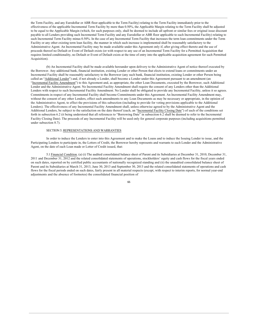the Term Facility, and any Eurodollar or ABR floor applicable to the Term Facility) relating to the Term Facility immediately prior to the effectiveness of the applicable Incremental Term Facility by more than 0.50%, the Applicable Margin relating to the Term Facility shall be adjusted to be equal to the Applicable Margin (which, for such purposes only, shall be deemed to include all upfront or similar fees or original issue discount payable to all Lenders providing such Incremental Term Facility and any Eurodollar or ABR floor applicable to such Incremental Facility) relating to such Incremental Term Facility minus 0.50%. In the case of any Incremental Term Facility that increases the term loan commitments under the Term Facility or any other existing term loan facility, the manner in which such increase is implemented shall be reasonably satisfactory to the Administrative Agent. An Incremental Facility may be made available under this Agreement only if, after giving effect thereto and the use of proceeds thereof no Default or Event of Default exists (or with respect to any use of an Incremental Term Facility for a Permitted Acquisition that requires limited conditionality, no Default or Event of Default exists at the time of entry into the applicable acquisition agreement for such Permitted Acquisition).

(b) An Incremental Facility shall be made available hereunder upon delivery to the Administrative Agent of notice thereof executed by the Borrower. Any additional bank, financial institution, existing Lender or other Person that elects to extend loans or commitments under an Incremental Facility shall be reasonably satisfactory to the Borrower (any such bank, financial institution, existing Lender or other Person being called an "Additional Lender") and, if not already a Lender, shall become a Lender under this Agreement pursuant to an amendment (an "Incremental Facility Amendment") to this Agreement and, as appropriate, the other Loan Documents, executed by the Borrower, such Additional Lender and the Administrative Agent. No Incremental Facility Amendment shall require the consent of any Lenders other than the Additional Lenders with respect to such Incremental Facility Amendment. No Lender shall be obligated to provide any Incremental Facility, unless it so agrees. Commitments in respect of any Incremental Facility shall become Commitments under this Agreement. An Incremental Facility Amendment may, without the consent of any other Lenders, effect such amendments to any Loan Documents as may be necessary or appropriate, in the opinion of the Administrative Agent, to effect the provisions of this subsection (including to provide for voting provisions applicable to the Additional Lenders). The effectiveness of any Incremental Facility Amendment shall, unless otherwise agreed to by the Administrative Agent and the Additional Lenders, be subject to the satisfaction on the date thereof (each, an "Incremental Facility Closing Date") of each of the conditions set forth in subsection 6.2 (it being understood that all references to "Borrowing Date" in subsection 6.2 shall be deemed to refer to the Incremental Facility Closing Date). The proceeds of any Incremental Facility will be used only for general corporate purposes (including acquisitions permitted under subsection 8.7).

# SECTION 5. REPRESENTATIONS AND WARRANTIES

In order to induce the Lenders to enter into this Agreement and to make the Loans and to induce the Issuing Lender to issue, and the Participating Lenders to participate in, the Letters of Credit, the Borrower hereby represents and warrants to each Lender and the Administrative Agent, on the date of each Loan made or Letter of Credit issued, that:

5.1 Financial Condition. (a) (i) The audited consolidated balance sheet of Parent and its Subsidiaries at December 31, 2010, December 31, 2011 and December 31, 2012 and the related consolidated statements of operations, stockholders' equity and cash flows for the fiscal years ended on such dates, reported on by certified public accountants of nationally recognized standing and (ii) the unaudited consolidated balance sheet of Parent and its Subsidiaries at March 31, 2013, June 30, 2013 and September 30, 2013 and the related consolidated statements of operations and cash flows for the fiscal periods ended on such dates, fairly present in all material respects (except, with respect to interim reports, for normal year-end adjustments and the absence of footnotes) the consolidated financial position of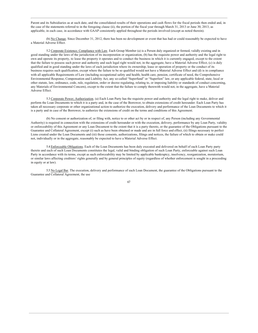Parent and its Subsidiaries as at such date, and the consolidated results of their operations and cash flows for the fiscal periods then ended and, in the case of the statements referred to in the foregoing clause (ii), the portion of the fiscal year through March 31, 2013 or June 30, 2013, as applicable, in each case, in accordance with GAAP consistently applied throughout the periods involved (except as noted therein).

(b) No Change. Since December 31, 2012, there has been no development or event that has had or could reasonably be expected to have a Material Adverse Effect.

5.2 Corporate Existence; Compliance with Law. Each Group Member (a) is a Person duly organized or formed, validly existing and in good standing under the laws of the jurisdiction of its incorporation or organization. (b) has the requisite power and authority and the legal right to own and operate its property, to lease the property it operates and to conduct the business in which it is currently engaged, except to the extent that the failure to possess such power and authority and such legal right would not, in the aggregate, have a Material Adverse Effect, (c) is duly qualified and in good standing under the laws of each jurisdiction where its ownership, lease or operation of property or the conduct of its business requires such qualification, except where the failure to be so qualified would not have a Material Adverse Effect and (d) is in compliance with all applicable Requirements of Law (including occupational safety and health, health care, pension, certificate of need, the Comprehensive Environmental Response, Compensation and Liability Act, any so-called "Superfund" or "Superlien" law, or any applicable federal, state, local or other statute, law, ordinance, code, rule, regulation, order or decree regulating, relating to, or imposing liability or standards of conduct concerning, any Materials of Environmental Concern), except to the extent that the failure to comply therewith would not, in the aggregate, have a Material Adverse Effect.

5.3 Corporate Power; Authorization. (a) Each Loan Party has the requisite power and authority and the legal right to make, deliver and perform the Loan Documents to which it is a party and, in the case of the Borrower, to obtain extensions of credit hereunder. Each Loan Party has taken all necessary corporate or other organizational action to authorize the execution, delivery and performance of the Loan Documents to which it is a party and in case of the Borrower, to authorize the extensions of credit on the terms and conditions of this Agreement.

(b) No consent or authorization of, or filing with, notice to or other act by or in respect of, any Person (including any Governmental Authority) is required in connection with the extensions of credit hereunder or with the execution, delivery, performance by any Loan Party, validity or enforceability of this Agreement or any Loan Document to the extent that it is a party thereto, or the guarantee of the Obligations pursuant to the Guarantee and Collateral Agreement, except (i) such as have been obtained or made and are in full force and effect, (ii) filings necessary to perfect Liens created under the Loan Documents and (iii) those consents, authorizations, filings and notices, the failure of which to obtain or make could not, individually or in the aggregate, reasonably be expected to have a Material Adverse Effect.

5.4 Enforceable Obligations. Each of the Loan Documents has been duly executed and delivered on behalf of each Loan Party party thereto and each of such Loan Documents constitutes the legal, valid and binding obligation of such Loan Party, enforceable against such Loan Party in accordance with its terms, except as such enforceability may be limited by applicable bankruptcy, insolvency, reorganization, moratorium, or similar laws affecting creditors' rights generally and by general principles of equity (regardless of whether enforcement is sought in a proceeding in equity or at law).

5.5 No Legal Bar. The execution, delivery and performance of each Loan Document, the guarantee of the Obligations pursuant to the Guarantee and Collateral Agreement, the use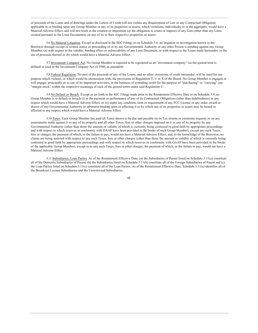of proceeds of the Loans and of drawings under the Letters of Credit will not violate any Requirement of Law or any Contractual Obligation applicable to or binding upon any Group Member or any of its properties or assets, which violations, individually or in the aggregate, would have a Material Adverse Effect, and will not result in the creation or imposition (or the obligation to create or impose) of any Lien (other than any Liens created pursuant to the Loan Documents) on any of its or their respective properties or assets.

5.6 No Material Litigation. Except as disclosed in the SEC Filings or on Schedule 5.6, no litigation or investigation known to the Borrower through receipt of written notice or proceeding of or by any Governmental Authority or any other Person is pending against any Group Member, (a) with respect to the validity, binding effect or enforceability of any Loan Document, or with respect to the Loans made hereunder, or the use of proceeds thereof or (b) which would have a Material Adverse Effect.

5.7 Investment Company Act. No Group Member is required to be registered as an "investment company" (as the quoted term is defined or used in the Investment Company Act of 1940, as amended).

5.8 Federal Regulation. No part of the proceeds of any of the Loans, and no other extensions of credit hereunder, will be used for any purpose which violates, or which would be inconsistent with, the provisions of Regulation T, U or X of the Board. No Group Member is engaged or will engage, principally or as one of its important activities, in the business of extending credit for the purpose of "purchasing" or "carrying" any "margin stock" within the respective meanings of each of the quoted terms under said Regulation U.

5.9 No Default or Breach. Except as set forth in the SEC Filings made prior to the Restatement Effective Date or on Schedule 5.9, no Group Member is in default or breach (i) in the payment or performance of any of its Contractual Obligations (other than Indebtedness) in any respect which would have a Material Adverse Effect, or (ii) under any condition, term or requirement of any FCC License or any order, award or decree of any Governmental Authority or arbitrator binding upon or affecting it or by which any of its properties or assets may be bound or affected in any respect which would have a Material Adverse Effect.

5.10 Taxes. Each Group Member has paid all Taxes shown to be due and payable on its Tax returns or extension requests or on any assessments made against it or any of its property and all other Taxes, fees or other charges imposed on it or any of its property by any Governmental Authority (other than those the amount or validity of which is currently being contested in good faith by appropriate proceedings and with respect to which reserves in conformity with GAAP have been provided in the books of such Group Member), except any such Taxes, fees or charges, the payment of which, or the failure to pay, would not have a Material Adverse Effect; and, to the knowledge of the Borrower, no claims are being asserted with respect to any such Taxes, fees or other charges (other than those the amount or validity of which is currently being contested in good faith by appropriate proceedings and with respect to which reserves in conformity with GAAP have been provided in the books of the applicable Group Member), except as to any such Taxes, fees or other charges, the payment of which, or the failure to pay, would not have a Material Adverse Effect.

5.11 Subsidiaries; Loan Parties. As of the Restatement Effective Date, (a) the Subsidiaries of Parent listed on Schedule 5.11(a) constitute all of the Domestic Subsidiaries of Parent, (b) the Subsidiaries listed on Schedule 5.11(b) constitute all of the Foreign Subsidiaries of Parent and (c) the Loan Parties listed on Schedule 5.11(c) constitute all of the Loan Parties. As of the Restatement Effective Date, Schedule 5.11(a) identifies all of the Broadcast License Subsidiaries and the Unrestricted Subsidiaries.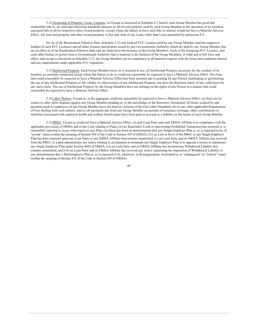5.12 Ownership of Property; Liens; Licenses. (a) Except as disclosed in Schedule 8.3 hereof, each Group Member has good and marketable title to, or valid and subsisting leasehold interests in, all its real property used by such Group Member in the operation of its business, and good title to all its respective other owned property, except where the failure to have such title or interest would not have a Material Adverse Effect. All such real property and other owned property is free and clear of any Liens, other than Liens permitted by subsection 8.3.

(b) As of the Restatement Effective Date, Schedule 5.12 sets forth all FCC Licenses held by any Group Member (and the respective holders of such FCC Licenses) and all other licenses and permits issued by any Governmental Authority which are held by any Group Member that are in effect as of the Restatement Effective Date and are material to the business of the Group Members. Each of the foregoing FCC Licenses, and each other license or permit from a Governmental Authority that is material to the business of the Group Members, is valid and in full force and effect, and except as disclosed on Schedule 5.12, the Group Members are in compliance in all material respects with the terms and conditions thereof and any requirements under applicable FCC regulation.

5.13 Intellectual Property. Each Group Member owns, or is licensed to use, all Intellectual Property necessary for the conduct of its business as currently conducted except where the failure to do so could not reasonably be expected to have a Material Adverse Effect. No claim that could reasonably be expected to have a Material Adverse Effect has been asserted and is pending by any Person challenging or questioning the use of any Intellectual Property or the validity or effectiveness of any Intellectual Property, nor does the Borrower know of any valid basis for any such claim. The use of Intellectual Property by the Group Members does not infringe on the rights of any Person in a manner that could reasonably be expected to have a Material Adverse Effect.

5.14 Labor Matters. Except as, in the aggregate, could not reasonably be expected to have a Material Adverse Effect: (a) there are no strikes or other labor disputes against any Group Member pending or, to the knowledge of the Borrower, threatened; (b) hours worked by and payment made to employees of any Group Member have not been in violation of the Fair Labor Standards Act or any other applicable Requirement of Law dealing with such matters; and (c) all payments due from any Group Member on account of insurance coverage, other contributions or liabilities associated with employee health and welfare benefit plans have been paid or accrued as a liability on the books of such Group Member.

5.15 ERISA. Except as would not have a Material Adverse Effect: (i) each Loan Party and each ERISA Affiliate is in compliance with the applicable provisions of ERISA and of the Code relating to Plans; (ii) no Reportable Event or non-exempt Prohibited Transaction has occurred or is reasonably expected to occur with respect to any Plan; (iii) there has been no determination that any Single Employer Plan is, or is expected to be, in "at risk" status (within the meaning of Section 430 of the Code or Section 303 of ERISA); (iv) no Lien in favor of the PBGC or any Single Employer Plan has been imposed upon any Loan Party or any ERISA Affiliate that remains unsatisfied; (v) no Loan Party and no ERISA Affiliate has received from the PBGC or a plan administrator any notice relating to an intention to terminate any Single Employer Plan or to appoint a trustee to administer any Single Employer Plan under Section 4042 of ERISA; (vi) no Loan Party and no ERISA Affiliate has incurred any Withdrawal Liability that remains unsatisfied; and (vii) no Loan Party and no ERISA Affiliate has received any notice concerning the imposition of Withdrawal Liability or any determination that a Multiemployer Plan is, or is expected to be, Insolvent, in Reorganization, terminated or in "endangered" or "critical" status (within the meaning of Section 432 of the Code or Section 305 of ERISA).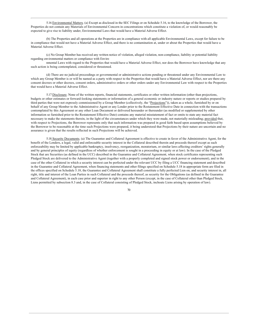5.16 Environmental Matters. (a) Except as disclosed in the SEC Filings or on Schedule 5.16, to the knowledge of the Borrower, the Properties do not contain any Materials of Environmental Concern in concentrations which constitute a violation of, or would reasonably be expected to give rise to liability under, Environmental Laws that would have a Material Adverse Effect.

(b) The Properties and all operations at the Properties are in compliance with all applicable Environmental Laws, except for failure to be in compliance that would not have a Material Adverse Effect, and there is no contamination at, under or about the Properties that would have a Material Adverse Effect.

(c) No Group Member has received any written notice of violation, alleged violation, non-compliance, liability or potential liability regarding environmental matters or compliance with Enviro

nmental Laws with regard to the Properties that would have a Material Adverse Effect, nor does the Borrower have knowledge that any such action is being contemplated, considered or threatened.

(d) There are no judicial proceedings or governmental or administrative actions pending or threatened under any Environmental Law to which any Group Member is or will be named as a party with respect to the Properties that would have a Material Adverse Effect, nor are there any consent decrees or other decrees, consent orders, administrative orders or other orders under any Environmental Law with respect to the Properties that would have a Material Adverse Effect.

5.17 Disclosure. None of the written reports, financial statements, certificates or other written information (other than projections, budgets or other estimates or forward-looking statements or information of a general economic or industry nature or reports or studies prepared by third parties that were not expressly commissioned by a Group Member (collectively, the "Projections")), taken as a whole, furnished by or on behalf of any Group Member to the Administrative Agent or any Lender prior to the Restatement Effective Date in connection with the transactions contemplated by this Agreement or any other Loan Document or delivered hereunder or thereunder (as modified or supplemented by other information so furnished prior to the Restatement Effective Date) contains any material misstatement of fact or omits to state any material fact necessary to make the statements therein, in the light of the circumstances under which they were made, not materially misleading; provided that, with respect to Projections, the Borrower represents only that such information was prepared in good faith based upon assumptions believed by the Borrower to be reasonable at the time such Projections were prepared, it being understood that Projections by their nature are uncertain and no assurance is given that the results reflected in such Projections will be achieved.

5.18 Security Documents. (a) The Guarantee and Collateral Agreement is effective to create in favor of the Administrative Agent, for the benefit of the Lenders, a legal, valid and enforceable security interest in the Collateral described therein and proceeds thereof except as such enforceability may be limited by applicable bankruptcy, insolvency, reorganization, moratorium, or similar laws affecting creditors' rights generally and by general principles of equity (regardless of whether enforcement is sought in a proceeding in equity or at law). In the case of the Pledged Stock that are Securities (as defined in the UCC) described in the Guarantee and Collateral Agreement, when stock certificates representing such Pledged Stock are delivered to the Administrative Agent (together with a properly completed and signed stock power or endorsement), and in the case of the other Collateral in which a security interest can be perfected under the relevant UCC by filing a UCC financing statement and described in the Guarantee and Collateral Agreement, when financing statements and other filings specified on Schedule 5.18 in appropriate form are filed in the offices specified on Schedule 5.18, the Guarantee and Collateral Agreement shall constitute a fully perfected Lien on, and security interest in, all right, title and interest of the Loan Parties in such Collateral and the proceeds thereof, as security for the Obligations (as defined in the Guarantee and Collateral Agreement), in each case prior and superior in right to any other Person (except, in the case of Collateral other than Pledged Stock, Liens permitted by subsection 8.3 and, in the case of Collateral consisting of Pledged Stock, inchoate Liens arising by operation of law).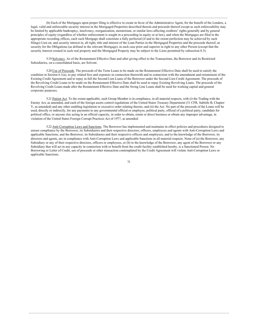(b) Each of the Mortgages upon proper filing is effective to create in favor of the Administrative Agent, for the benefit of the Lenders, a legal, valid and enforceable security interest in the Mortgaged Properties described therein and proceeds thereof except as such enforceability may be limited by applicable bankruptcy, insolvency, reorganization, moratorium, or similar laws affecting creditors' rights generally and by general principles of equity (regardless of whether enforcement is sought in a proceeding in equity or at law), and when the Mortgages are filed in the appropriate recording offices, each such Mortgage shall constitute a fully perfected (if and to the extent perfection may be achieved by such filings) Lien on, and security interest in, all right, title and interest of the Loan Parties in the Mortgaged Properties and the proceeds thereof, as security for the Obligations (as defined in the relevant Mortgage), in each case prior and superior in right to any other Person (except that the security interest created in such real property and the Mortgaged Property may be subject to the Liens permitted by subsection 8.3).

5.19 Solvency. As of the Restatement Effective Date and after giving effect to the Transactions, the Borrower and its Restricted Subsidiaries, on a consolidated basis, are Solvent.

5.20 Use of Proceeds. The proceeds of the Term Loans to be made on the Restatement Effective Date shall be used to satisfy the condition in Section 6.1(a), to pay related fees and expenses in connection therewith and in connection with the amendment and restatement of the Existing Credit Agreement and to repay in full the Second Lien Loans of the Borrower under the Second Lien Credit Agreement. The proceeds of the Revolving Credit Loans to be made on the Restatement Effective Date shall be used to repay Existing Revolving Loans. The proceeds of the Revolving Credit Loans made after the Restatement Effective Date and the Swing Line Loans shall be used for working capital and general corporate purposes.

5.21 Patriot Act. To the extent applicable, each Group Member is in compliance, in all material respects, with (i) the Trading with the Enemy Act, as amended, and each of the foreign assets control regulations of the United States Treasury Department (31 CFR, Subtitle B, Chapter V, as amended) and any other enabling legislation or executive order relating thereto, and (ii) the Act. No part of the proceeds of the Loans will be used, directly or indirectly, for any payments to any governmental official or employee, political party, official of a political party, candidate for political office, or anyone else acting in an official capacity, in order to obtain, retain or direct business or obtain any improper advantage, in violation of the United States Foreign Corrupt Practices Act of 1977, as amended.

5.22 Anti-Corruption Laws and Sanctions. The Borrower has implemented and maintains in effect policies and procedures designed to ensure compliance by the Borrower, its Subsidiaries and their respective directors, officers, employees and agents with Anti-Corruption Laws and applicable Sanctions, and the Borrower, its Subsidiaries and their respective officers and employees, and to the knowledge of the Borrower, its directors and agents, are in compliance with Anti-Corruption Laws and applicable Sanctions in all material respects. None of (a) the Borrower, any Subsidiary or any of their respective directors, officers or employees, or (b) to the knowledge of the Borrower, any agent of the Borrower or any Subsidiary that will act in any capacity in connection with or benefit from the credit facility established hereby, is a Sanctioned Person. No Borrowing or Letter of Credit, use of proceeds or other transaction contemplated by the Credit Agreement will violate Anti-Corruption Laws or applicable Sanctions.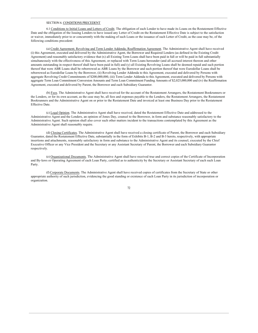### SECTION 6. CONDITIONS PRECEDENT

6.1 Conditions to Initial Loans and Letters of Credit. The obligation of each Lender to have made its Loans on the Restatement Effective Date and the obligation of the Issuing Lenders to have issued any Letter of Credit on the Restatement Effective Date is subject to the satisfaction or waiver, immediately prior to or concurrently with the making of such Loans or the issuance of such Letter of Credit, as the case may be, of the following conditions precedent:

(a) Credit Agreement; Revolving and Term Lender Addenda; Reaffirmation Agreement. The Administrative Agent shall have received (i) this Agreement, executed and delivered by the Administrative Agent, the Borrower and Required Lenders (as defined in the Existing Credit Agreement) and reasonably satisfactory evidence that (x) all Existing Term Loans shall have been paid in full or will be paid in full substantially simultaneously with the effectiveness of this Agreement, or replaced with Term Loans hereunder (and all accrued interest thereon and other amounts outstanding in respect thereof shall have been paid in full) and (y) all Existing Revolving Loans shall be deemed repaid and such portion thereof that were ABR Loans shall be reborrowed as ABR Loans by the Borrower and such portion thereof that were Eurodollar Loans shall be reborrowed as Eurodollar Loans by the Borrower, (ii) Revolving Lender Addenda to this Agreement, executed and delivered by Persons with aggregate Revolving Credit Commitments of \$200,000,000, (iii) Term Lender Addenda to this Agreement, executed and delivered by Persons with aggregate Term Loan Commitment Conversion Amounts and Term Loan Commitment Funding Amounts of \$2,025,000,000 and (iv) the Reaffirmation Agreement, executed and delivered by Parent, the Borrower and each Subsidiary Guarantor.

(b) Fees. The Administrative Agent shall have received for the account of the Restatement Arrangers, the Restatement Bookrunners or the Lenders, or for its own account, as the case may be, all fees and expenses payable to the Lenders, the Restatement Arrangers, the Restatement Bookrunners and the Administrative Agent on or prior to the Restatement Date and invoiced at least one Business Day prior to the Restatement Effective Date.

(c) Legal Opinion. The Administrative Agent shall have received, dated the Restatement Effective Date and addressed to the Administrative Agent and the Lenders, an opinion of Jones Day, counsel to the Borrower, in form and substance reasonably satisfactory to the Administrative Agent. Such opinion shall also cover such other matters incident to the transactions contemplated by this Agreement as the Administrative Agent shall reasonably require.

(d) Closing Certificates. The Administrative Agent shall have received a closing certificate of Parent, the Borrower and each Subsidiary Guarantor, dated the Restatement Effective Date, substantially in the form of Exhibits B-1, B-2 and B-3 hereto, respectively, with appropriate insertions and attachments, reasonably satisfactory in form and substance to the Administrative Agent and its counsel, executed by the Chief Executive Officer or any Vice President and the Secretary or any Assistant Secretary of Parent, the Borrower and each Subsidiary Guarantor respectively.

(e) Organizational Documents. The Administrative Agent shall have received true and correct copies of the Certificate of Incorporation and By-laws or Operating Agreement of each Loan Party, certified as to authenticity by the Secretary or Assistant Secretary of each such Loan Party.

(f) Corporate Documents. The Administrative Agent shall have received copies of certificates from the Secretary of State or other appropriate authority of such jurisdiction, evidencing the good standing or existence of each Loan Party in its jurisdiction of incorporation or organization.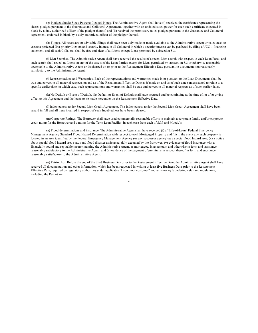(g) Pledged Stock; Stock Powers; Pledged Notes. The Administrative Agent shall have (i) received the certificates representing the shares pledged pursuant to the Guarantee and Collateral Agreement, together with an undated stock power for each such certificate executed in blank by a duly authorized officer of the pledgor thereof, and (ii) received the promissory notes pledged pursuant to the Guarantee and Collateral Agreement, endorsed in blank by a duly authorized officer of the pledgor thereof.

(h) Filings. All necessary or advisable filings shall have been duly made or made available to the Administrative Agent or its counsel to create a perfected first priority Lien on and security interest in all Collateral in which a security interest can be perfected by filing a UCC-1 financing statement, and all such Collateral shall be free and clear of all Liens, except Liens permitted by subsection 8.3.

(i) Lien Searches. The Administrative Agent shall have received the results of a recent Lien search with respect to each Loan Party, and such search shall reveal no Liens on any of the assets of the Loan Parties except for Liens permitted by subsection 8.3 or otherwise reasonably acceptable to the Administrative Agent or discharged on or prior to the Restatement Effective Date pursuant to documentation reasonably satisfactory to the Administrative Agent.

(j) Representations and Warranties. Each of the representations and warranties made in or pursuant to the Loan Documents shall be true and correct in all material respects on and as of the Restatement Effective Date as if made on and as of such date (unless stated to relate to a specific earlier date, in which case, such representations and warranties shall be true and correct in all material respects as of such earlier date).

(k) No Default or Event of Default. No Default or Event of Default shall have occurred and be continuing at the time of, or after giving effect to this Agreement and the loans to be made hereunder on the Restatement Effective Date.

(I) Indebtedness under Second Lien Credit Agreement. The Indebtedness under the Second Lien Credit Agreement shall have been repaid in full and all liens incurred in respect of such Indebtedness have been released.

(m) Corporate Ratings. The Borrower shall have used commercially reasonable efforts to maintain a corporate family and/or corporate credit rating for the Borrower and a rating for the Term Loan Facility, in each case from each of S&P and Moody's.

(n) Flood determinations and insurance. The Administrative Agent shall have received (i) a "Life-of-Loan" Federal Emergency Management Agency Standard Flood Hazard Determination with respect to each Mortgaged Property and (ii) in the event any such property is located in an area identified by the Federal Emergency Management Agency (or any successor agency) as a special flood hazard area, (x) a notice about special flood hazard area status and flood disaster assistance, duly executed by the Borrower, (y) evidence of flood insurance with a financially sound and reputable insurer, naming the Administrative Agent, as mortgagee, in an amount and otherwise in form and substance reasonably satisfactory to the Administrative Agent, and (z) evidence of the payment of premiums in respect thereof in form and substance reasonably satisfactory to the Administrative Agent.

(o) Patriot Act. Before the end of the third Business Day prior to the Restatement Effective Date, the Administrative Agent shall have received all documentation and other information, which has been requested in writing at least five Business Days prior to the Restatement Effective Date, required by regulatory authorities under applicable "know your customer" and anti-money laundering rules and regulations, including the Patriot Act.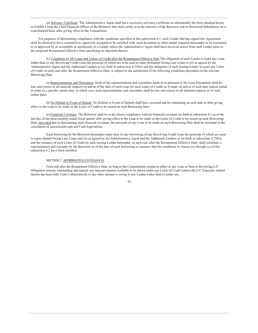(p) Solvency Certificate. The Administrative Agent shall have received a solvency certificate in substantially the form attached hereto as Exhibit J from the Chief Financial Officer of the Borrower that shall certify as to the solvency of the Borrower and its Restricted Subsidiaries on a consolidated basis after giving effect to the Transactions.

For purposes of determining compliance with the conditions specified in this subsection 6.1, each Lender that has signed this Agreement shall be deemed to have consented to, approved, accepted or be satisfied with, each document or other matter required thereunder to be consented to or approved by or acceptable or satisfactory to a Lender unless the Administrative Agent shall have received notice from such Lender prior to the proposed Restatement Effective Date specifying its objection thereto.

6.2 Conditions to All Loans and Letters of Credit after the Restatement Effective Date The obligation of each Lender to make any Loan (other than (i) any Revolving Credit Loan the proceeds of which are to be used to repay Refunded Swing Line Loans or (ii) as agreed by the Administrative Agent and the Additional Lenders as set forth in subsection 4.25(b)) and the obligation of each Issuing Lender to issue any Letter of Credit, in each case after the Restatement Effective Date, is subject to the satisfaction of the following conditions precedent on the relevant Borrowing Date:

(a) Representations and Warranties. Each of the representations and warranties made in or pursuant to the Loan Documents shall be true and correct in all material respects on and as of the date of such Loan (or such Letter of Credit) as if made on and as of such date (unless stated to relate to a specific earlier date, in which case, such representations and warranties shall be true and correct in all material respects as of such earlier date).

(b) No Default or Event of Default. No Default or Event of Default shall have occurred and be continuing on such date or after giving effect to the Loan to be made or the Letter of Credit to be issued on such Borrowing Date.

(c) Financial Covenant. The Borrower shall be in pro forma compliance with the financial covenant set forth in subsection 8.1 as of the last day of the most recently ended fiscal quarter after giving effect to the Loan to be made or the Letter of Credit to be issued on such Borrowing Date; provided that in determining such financial covenant, the proceeds of any Loan to be made on such Borrowing Date shall be excluded in the calculation of unrestricted cash and Cash Equivalents.

Each borrowing by the Borrower hereunder (other than (i) any borrowing of any Revolving Credit Loan the proceeds of which are used to repay funded Swing Line Loans and (ii) as agreed by the Administrative Agent and the Additional Lenders as set forth in subsection 4.25(b)) and the issuance of each Letter of Credit by each Issuing Lender hereunder, in each case after the Restatement Effective Date, shall constitute a representation and warranty by the Borrower as of the date of such borrowing or issuance that the conditions in clauses (a) through (c) of this subsection 6.2 have been satisfied.

# SECTION 7. AFFIRMATIVE COVENANTS

From and after the Restatement Effective Date, so long as the Commitments remain in effect or any Loan or Note or Revolving L/C Obligation remains outstanding and unpaid, any amount remains available to be drawn under any Letter of Credit (unless the L/C Exposure related thereto has been fully Cash Collateralized) or any other amount is owing to any Lender (other than (i) under any

 $7<sub>A</sub>$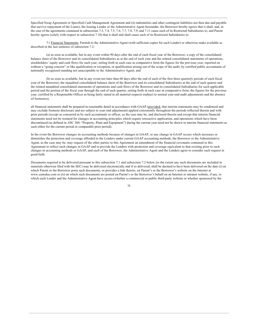Specified Swap Agreement or Specified Cash Management Agreement and (ii) indemnities and other contingent liabilities not then due and payable that survive repayment of the Loans), the Issuing Lender or the Administrative Agent hereunder, the Borrower hereby agrees that it shall, and, in the case of the agreements contained in subsections 7.3, 7.4, 7.5, 7.6, 7.7, 7.8, 7.9, and 7.11 cause each of its Restricted Subsidiaries to, and Parent hereby agrees (solely with respect to subsection 7.10) that it shall and shall cause each of its Restricted Subsidiaries to:

7.1 Financial Statements. Furnish to the Administrative Agent (with sufficient copies for each Lender) or otherwise make available as described in the last sentence of subsection 7.2:

(a) as soon as available, but in any event within 90 days after the end of each fiscal year of the Borrower, a copy of the consolidated balance sheet of the Borrower and its consolidated Subsidiaries as at the end of such year and the related consolidated statements of operations, stockholders' equity and cash flows for such year, setting forth in each case in comparative form the figures for the previous year, reported on without a "going concern" or like qualification or exception, or qualification arising out of the scope of the audit, by certified public accountants of nationally recognized standing not unacceptable to the Administrative Agent; and

(b) as soon as available, but in any event not later than 60 days after the end of each of the first three quarterly periods of each fiscal year of the Borrower, the unaudited consolidated balance sheet of the Borrower and its consolidated Subsidiaries at the end of such quarter and the related unaudited consolidated statements of operations and cash flows of the Borrower and its consolidated Subsidiaries for such applicable period and the portion of the fiscal year through the end of such quarter, setting forth in each case in comparative form, the figures for the previous year, certified by a Responsible Officer as being fairly stated in all material respects (subject to normal year-end audit adjustments and the absence of footnotes);

all financial statements shall be prepared in reasonable detail in accordance with GAAP (provided, that interim statements may be condensed and may exclude footnote disclosure and are subject to year-end adjustment) applied consistently throughout the periods reflected therein and with prior periods (except as concurred in by such accountants or officer, as the case may be, and disclosed therein and except that interim financial statements need not be restated for changes in accounting principles which require retroactive application, and operations which have been discontinued (as defined in ASC 360, "Property, Plant and Equipment") during the current year need not be shown in interim financial statements as such either for the current period or comparable prior period).

In the event the Borrower changes its accounting methods because of changes in GAAP, or any change in GAAP occurs which increases or diminishes the protection and coverage afforded to the Lenders under current GAAP accounting methods, the Borrower or the Administrative Agent, as the case may be, may request of the other parties to this Agreement an amendment of the financial covenants contained in this Agreement to reflect such changes in GAAP and to provide the Lenders with protection and coverage equivalent to that existing prior to such changes in accounting methods or GAAP, and each of the Borrower, the Administrative Agent and the Lenders agree to consider such request in good faith.

Documents required to be delivered pursuant to this subsection 7.1 and subsection 7.2 below (to the extent any such documents are included in materials otherwise filed with the SEC) may be delivered electronically and if so delivered, shall be deemed to have been delivered on the date (i) on which Parent or the Borrower posts such documents, or provides a link thereto, on Parent's or the Borrower's website on the Internet at www.cumulus.com or (ii) on which such documents are posted on Parent's or the Borrower's behalf on an Internet or intranet website, if any, to which each Lender and the Administrative Agent have access (whether a commercial or public third-party website or whether sponsored by the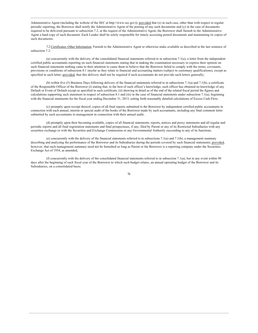Administrative Agent (including the website of the SEC at http://www.sec.gov)); provided that (x) in each case, other than with respect to regular periodic reporting, the Borrower shall notify the Administrative Agent of the posting of any such documents and (y) in the case of documents required to be delivered pursuant to subsection 7.2, at the request of the Administrative Agent, the Borrower shall furnish to the Administrative Agent a hard copy of such document. Each Lender shall be solely responsible for timely accessing posted documents and maintaining its copies of such documents.

7.2 Certificates; Other Information. Furnish to the Administrative Agent or otherwise make available as described in the last sentence of subsection 7.2:

(a) concurrently with the delivery of the consolidated financial statements referred to in subsection 7.1(a), a letter from the independent certified public accountants reporting on such financial statements stating that in making the examination necessary to express their opinion on such financial statements nothing came to their attention to cause them to believe that the Borrower failed to comply with the terms, covenants, provisions or conditions of subsection 8.1 insofar as they relate to financial and accounting matters (subject to customary qualifications), except as specified in such letter; provided, that this delivery shall not be required if such accountants do not provide such letters generally;

(b) within five (5) Business Days following delivery of the financial statements referred to in subsections 7.1(a) and 7.1(b), a certificate of the Responsible Officer of the Borrower (i) stating that, to the best of such officer's knowledge, such officer has obtained no knowledge of any Default or Event of Default except as specified in such certificate, (ii) showing in detail as of the end of the related fiscal period the figures and calculations supporting such statement in respect of subsection 8.1 and (iii) in the case of financial statements under subsection 7.1(a), beginning with the financial statements for the fiscal year ending December 31, 2013, setting forth reasonably detailed calculations of Excess Cash Flow;

(c) promptly upon receipt thereof, copies of all final reports submitted to the Borrower by independent certified public accountants in connection with each annual, interim or special audit of the books of the Borrower made by such accountants, including any final comment letter submitted by such accountants to management in connection with their annual audit;

(d) promptly upon their becoming available, copies of all financial statements, reports, notices and proxy statements and all regular and periodic reports and all final registration statements and final prospectuses, if any, filed by Parent or any of its Restricted Subsidiaries with any securities exchange or with the Securities and Exchange Commission or any Governmental Authority succeeding to any of its functions;

(e) concurrently with the delivery of the financial statements referred to in subsections 7.1(a) and 7.1(b), a management summary describing and analyzing the performance of the Borrower and its Subsidiaries during the periods covered by such financial statements; provided, however, that such management summary need not be furnished so long as Parent or the Borrower is a reporting company under the Securities Exchange Act of 1934, as amended;

(f) concurrently with the delivery of the consolidated financial statements referred to in subsection 7.1(a), but in any event within 90 days after the beginning of each fiscal year of the Borrower to which such budget relates, an annual operating budget of the Borrower and its Subsidiaries, on a consolidated basis;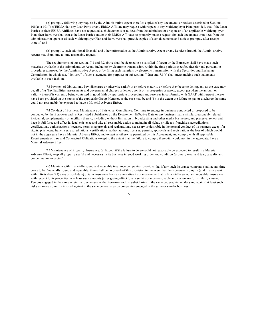(g) promptly following any request by the Administrative Agent therefor, copies of any documents or notices described in Sections 101(k) or 101(l) of ERISA that any Loan Party or any ERISA Affiliate may request with respect to any Multiemployer Plan; provided, that if the Loan Parties or their ERISA Affiliates have not requested such documents or notices from the administrator or sponsor of an applicable Multiemployer Plan, then Borrower shall cause the Loan Parties and/or their ERISA Affiliates to promptly make a request for such documents or notices from the administrator or sponsor of such Multiemployer Plan and Borrower shall provide copies of such documents and notices promptly after receipt thereof; and

(h) promptly, such additional financial and other information as the Administrative Agent or any Lender (through the Administrative Agent) may from time to time reasonably request.

The requirements of subsections 7.1 and 7.2 above shall be deemed to be satisfied if Parent or the Borrower shall have made such materials available to the Administrative Agent, including by electronic transmission, within the time periods specified therefor and pursuant to procedures approved by the Administrative Agent, or by filing such materials by electronic transmission with the Securities and Exchange Commission, in which case "delivery" of such statements for purposes of subsections 7.2(a) and 7.1(b) shall mean making such statements available in such fashion.

7.3 Payment of Obligations. Pay, discharge or otherwise satisfy at or before maturity or before they become delinguent, as the case may be, all of its Tax liabilities, assessments and governmental charges or levies upon it or its properties or assets, except (a) when the amount or validity thereof is currently being contested in good faith by appropriate proceedings and reserves in conformity with GAAP with respect thereto have been provided on the books of the applicable Group Member, as the case may be and (b) to the extent the failure to pay or discharge the same could not reasonably be expected to have a Material Adverse Effect.

7.4 Conduct of Business; Maintenance of Existence; Compliance. Continue to engage in business conducted or proposed to be conducted by the Borrower and its Restricted Subsidiaries on the Restatement Effective Date or any business that is similar, reasonably related, incidental, complementary or ancillary thereto, including without limitation in broadcasting and other media businesses, and preserve, renew and keep in full force and effect its legal existence and take all reasonable action to maintain all rights, privileges, franchises, accreditations, certifications, authorizations, licenses, permits, approvals and registrations, necessary or desirable in the normal conduct of its business except for rights, privileges, franchises, accreditations, certifications, authorizations, licenses, permits, approvals and registrations the loss of which would not in the aggregate have a Material Adverse Effect, and except as otherwise permitted by this Agreement; and comply with all applicable Requirements of Law and Contractual Obligations except to the extent that the failure to comply therewith would not, in the aggregate, have a Material Adverse Effect.

7.5 Maintenance of Property; Insurance. (a) Except if the failure to do so could not reasonably be expected to result in a Material Adverse Effect, keep all property useful and necessary in its business in good working order and condition (ordinary wear and tear, casualty and condemnation excepted).

(b) Maintain with financially sound and reputable insurance companies (provided that if any such insurance company shall at any time cease to be financially sound and reputable, there shall be no breach of this provision in the event that the Borrower promptly (and in any event within forty-five (45) days of such date) obtains insurance from an alternative insurance carrier that is financially sound and reputable) insurance with respect to its properties in at least such amounts (after giving effect to any self-insurance reasonable and customary for similarly situated Persons engaged in the same or similar businesses as the Borrower and its Subsidiaries in the same geographic locales) and against at least such risks as are customarily insured against in the same general area by companies engaged in the same or similar business.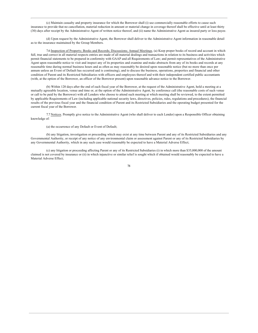(c) Maintain casualty and property insurance for which the Borrower shall (i) use commercially reasonable efforts to cause such insurance to provide that no cancellation, material reduction in amount or material change in coverage thereof shall be effective until at least thirty (30) days after receipt by the Administrative Agent of written notice thereof, and (ii) name the Administrative Agent as insured party or loss payee.

(d) Upon request by the Administrative Agent, the Borrower shall deliver to the Administrative Agent information in reasonable detail as to the insurance maintained by the Group Members.

7.6 Inspection of Property; Books and Records; Discussions; Annual Meetings. (a) Keep proper books of record and account in which full, true and correct in all material respects entries are made of all material dealings and transactions in relation to its business and activities which permit financial statements to be prepared in conformity with GAAP and all Requirements of Law; and permit representatives of the Administrative Agent upon reasonable notice to visit and inspect any of its properties and examine and make abstracts from any of its books and records at any reasonable time during normal business hours and as often as may reasonably be desired upon reasonable notice (but no more than once per annum unless an Event of Default has occurred and is continuing), and to discuss the business, operations, properties and financial and other condition of Parent and its Restricted Subsidiaries with officers and employees thereof and with their independent certified public accountants (with, at the option of the Borrower, an officer of the Borrower present) upon reasonable advance notice to the Borrower.

(b) Within 120 days after the end of each fiscal year of the Borrower, at the request of the Administrative Agent, hold a meeting at a mutually agreeable location, venue and time or, at the option of the Administrative Agent, by conference call (the reasonable costs of such venue or call to be paid by the Borrower) with all Lenders who choose to attend such meeting at which meeting shall be reviewed, to the extent permitted by applicable Requirements of Law (including applicable national security laws, directives, policies, rules, regulations and procedures), the financial results of the previous fiscal year and the financial condition of Parent and its Restricted Subsidiaries and the operating budget presented for the current fiscal year of the Borrower.

7.7 Notices. Promptly give notice to the Administrative Agent (who shall deliver to each Lender) upon a Responsible Officer obtaining knowledge of:

(a) the occurrence of any Default or Event of Default;

(b) any litigation, investigation or proceeding which may exist at any time between Parent and any of its Restricted Subsidiaries and any Governmental Authority, or receipt of any notice of any environmental claim or assessment against Parent or any of its Restricted Subsidiaries by any Governmental Authority, which in any such case would reasonably be expected to have a Material Adverse Effect;

(c) any litigation or proceeding affecting Parent or any of its Restricted Subsidiaries (i) in which more than \$35,000,000 of the amount claimed is not covered by insurance or (ii) in which injunctive or similar relief is sought which if obtained would reasonably be expected to have a Material Adverse Effect;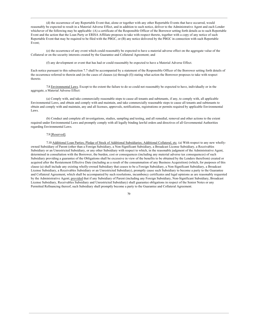(d) the occurrence of any Reportable Event that, alone or together with any other Reportable Events that have occurred, would reasonably be expected to result in a Material Adverse Effect, and in addition to such notice, deliver to the Administrative Agent and each Lender whichever of the following may be applicable: (A) a certificate of the Responsible Officer of the Borrower setting forth details as to such Reportable Event and the action that the Loan Party or ERISA Affiliate proposes to take with respect thereto, together with a copy of any notice of such Reportable Event that may be required to be filed with the PBGC, or (B) any notice delivered by the PBGC in connection with such Reportable Event;

(e) the occurrence of any event which could reasonably be expected to have a material adverse effect on the aggregate value of the Collateral or on the security interests created by the Guarantee and Collateral Agreement; and

(f) any development or event that has had or could reasonably be expected to have a Material Adverse Effect.

Each notice pursuant to this subsection 7.7 shall be accompanied by a statement of the Responsible Officer of the Borrower setting forth details of the occurrence referred to therein and (in the cases of clauses (a) through (f)) stating what action the Borrower proposes to take with respect thereto.

7.8 Environmental Laws. Except to the extent the failure to do so could not reasonably be expected to have, individually or in the aggregate, a Material Adverse Effect:

(a) Comply with, and take commercially reasonable steps to cause all tenants and subtenants, if any, to comply with, all applicable Environmental Laws, and obtain and comply with and maintain, and take commercially reasonable steps to cause all tenants and subtenants to obtain and comply with and maintain, any and all licenses, approvals, notifications, registrations or permits required by applicable Environmental Laws.

(b) Conduct and complete all investigations, studies, sampling and testing, and all remedial, removal and other actions to the extent required under Environmental Laws and promptly comply with all legally binding lawful orders and directives of all Governmental Authorities regarding Environmental Laws.

# 7.9 [Reserved].

7.10 Additional Loan Parties; Pledge of Stock of Additional Subsidiaries; Additional Collateral, etc. (a) With respect to any new whollyowned Subsidiary of Parent (other than a Foreign Subsidiary, a Non-Significant Subsidiary, a Broadcast License Subsidiary, a Receivables Subsidiary or an Unrestricted Subsidiary, or any other Subsidiary with respect to which, in the reasonable judgment of the Administrative Agent, determined in consultation with the Borrower, the burden, cost or consequences (including any material adverse tax consequences) of such Subsidiary providing a guarantee of the Obligations shall be excessive in view of the benefits to be obtained by the Lenders therefrom) created or acquired after the Restatement Effective Date (including as a result of the consummation of any Business Acquisition) (which, for purposes of this clause (a) shall include any existing wholly-owned Subsidiary that ceases to be a Foreign Subsidiary, a Non-Significant Subsidiary, a Broadcast License Subsidiary, a Receivables Subsidiary or an Unrestricted Subsidiary), promptly cause such Subsidiary to become a party to the Guarantee and Collateral Agreement, which shall be accompanied by such resolutions, incumbency certificates and legal opinions as are reasonably requested by the Administrative Agent; provided that if any Subsidiary of Parent (including any Foreign Subsidiary, Non-Significant Subsidiary, Broadcast License Subsidiary, Receivables Subsidiary and Unrestricted Subsidiary) shall guarantee obligations in respect of the Senior Notes or any Permitted Refinancing thereof, such Subsidiary shall promptly become a party to the Guarantee and Collateral Agreement.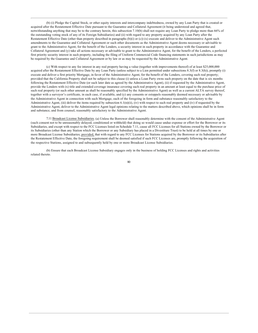(b) (i) Pledge the Capital Stock, or other equity interests and intercompany indebtedness, owned by any Loan Party that is created or acquired after the Restatement Effective Date pursuant to the Guarantee and Collateral Agreement (it being understood and agreed that, notwithstanding anything that may be to the contrary herein, this subsection 7.10(b) shall not require any Loan Party to pledge more than 66% of the outstanding voting stock of any of its Foreign Subsidiaries) and (ii) with regard to any property acquired by any Loan Party after the Restatement Effective Date (other than property described in paragraphs (b)(i) or (c)) (x) execute and deliver to the Administrative Agent such amendments to the Guarantee and Collateral Agreement or such other documents as the Administrative Agent deems necessary or advisable to grant to the Administrative Agent, for the benefit of the Lenders, a security interest in such property in accordance with the Guarantee and Collateral Agreement and (y) take all actions necessary or advisable to grant to the Administrative Agent, for the benefit of the Lenders, a perfected first priority security interest in such property, including the filing of Uniform Commercial Code financing statements in such jurisdictions as may be required by the Guarantee and Collateral Agreement or by law or as may be requested by the Administrative Agent.

(c) With respect to any fee interest in any real property having a value (together with improvements thereof) of at least \$25,000,000 acquired after the Restatement Effective Date by any Loan Party (unless subject to a Lien permitted under subsections 8.3(f) or 8.3(h)), promptly (i) execute and deliver a first priority Mortgage, in favor of the Administrative Agent, for the benefit of the Lenders, covering such real property; provided that the California Property shall not be subject to this clause (i) unless a Loan Party owns such property on the date that is six months following the Restatement Effective Date (or such later date as agreed by the Administrative Agent), (ii) if requested by the Administrative Agent, provide the Lenders with (x) title and extended coverage insurance covering such real property in an amount at least equal to the purchase price of such real property (or such other amount as shall be reasonably specified by the Administrative Agent) as well as a current ALTA survey thereof, together with a surveyor's certificate, in each case, if available, and (y) any consents or estoppels reasonably deemed necessary or advisable by the Administrative Agent in connection with such Mortgage, each of the foregoing in form and substance reasonably satisfactory to the Administrative Agent, (iii) deliver the items required by subsection 6.1(n)(ii), (iv) with respect to such real property and (iv) if requested by the Administrative Agent, deliver to the Administrative Agent legal opinions relating to the matters described above, which opinions shall be in form and substance, and from counsel, reasonably satisfactory to the Administrative Agent.

7.11 Broadcast License Subsidiaries. (a) Unless the Borrower shall reasonably determine with the consent of the Administrative Agent (such consent not to be unreasonably delayed, conditioned or withheld) that doing so would cause undue expense or effort for the Borrower or its Subsidiaries, and except with respect to the FCC Licenses listed on Schedule 7.11, cause all FCC Licenses for all Stations owned by the Borrower or its Subsidiaries (other than any Station which the Borrower or any Subsidiary has placed in a Divestiture Trust) to be held at all times by one or more Broadcast License Subsidiaries; provided, that with regard to any FCC Licenses for Stations acquired by the Borrower or its Subsidiaries after the Restatement Effective Date, the foregoing requirement shall be deemed satisfied if such FCC Licenses are, promptly following the acquisition of the respective Stations, assigned to and subsequently held by one or more Broadcast License Subsidiaries.

(b) Ensure that each Broadcast License Subsidiary engages only in the business of holding FCC Licenses and rights and activities related thereto.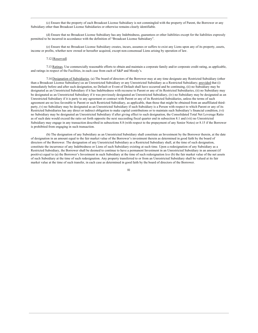(c) Ensure that the property of each Broadcast License Subsidiary is not commingled with the property of Parent, the Borrower or any Subsidiary other than Broadcast License Subsidiaries or otherwise remains clearly identifiable.

(d) Ensure that no Broadcast License Subsidiary has any Indebtedness, guarantees or other liabilities except for the liabilities expressly permitted to be incurred in accordance with the definition of "Broadcast License Subsidiary".

(e) Ensure that no Broadcast License Subsidiary creates, incurs, assumes or suffers to exist any Liens upon any of its property, assets, income or profits, whether now owned or hereafter acquired, except non-consensual Liens arising by operation of law.

#### 7.12 [Reserved]

7.13 Ratings. Use commercially reasonable efforts to obtain and maintain a corporate family and/or corporate credit rating, as applicable, and ratings in respect of the Facilities, in each case from each of S&P and Moody's.

7.14 Designation of Subsidiaries. (a) The board of directors of the Borrower may at any time designate any Restricted Subsidiary (other than a Broadcast License Subsidiary) as an Unrestricted Subsidiary or any Unrestricted Subsidiary as a Restricted Subsidiary; provided that (i) immediately before and after such designation, no Default or Event of Default shall have occurred and be continuing, (ii) no Subsidiary may be designated as an Unrestricted Subsidiary if it has Indebtedness with recourse to Parent or any of its Restricted Subsidiaries, (ii) no Subsidiary may be designated as an Unrestricted Subsidiary if it was previously designated an Unrestricted Subsidiary, (iv) no Subsidiary may be designated as an Unrestricted Subsidiary if it is party to any agreement or contract with Parent or any of its Restricted Subsidiaries, unless the terms of such agreement are no less favorable to Parent or such Restricted Subsidiary, as applicable, than those that might be obtained from an unaffiliated thirdparty, (v) no Subsidiary may be designated as an Unrestricted Subsidiary if such Subsidiary is a Person with respect to which Parent or any of its Restricted Subsidiaries has any direct or indirect obligation to make capital contributions or to maintain such Subsidiary's financial condition, (vi) no Subsidiary may be designated an Unrestricted Subsidiary if after giving effect to such designation, the Consolidated Total Net Leverage Ratio as of such date would exceed the ratio set forth opposite the next succeeding fiscal quarter end in subsection 8.1 and (vii) no Unrestricted Subsidiary may engage in any transaction described in subsections 8.8 (with respect to the prepayment of any Senior Notes) or 8.15 if the Borrower is prohibited from engaging in such transaction.

(b) The designation of any Subsidiary as an Unrestricted Subsidiary shall constitute an Investment by the Borrower therein, at the date of designation in an amount equal to the fair market value of the Borrower's investment therein as determined in good faith by the board of directors of the Borrower. The designation of any Unrestricted Subsidiary as a Restricted Subsidiary shall, at the time of such designation, constitute the incurrence of any Indebtedness or Liens of such Subsidiary existing at such time. Upon a redesignation of any Subsidiary as a Restricted Subsidiary, the Borrower shall be deemed to continue to have a permanent Investment in an Unrestricted Subsidiary in an amount (if positive) equal to (a) the Borrower's Investment in such Subsidiary at the time of such redesignation less (b) the fair market value of the net assets of such Subsidiary at the time of such redesignation. Any property transferred to or from an Unrestricted Subsidiary shall be valued at its fair market value at the time of such transfer, in each case as determined in good faith by the board of directors of the Borrower.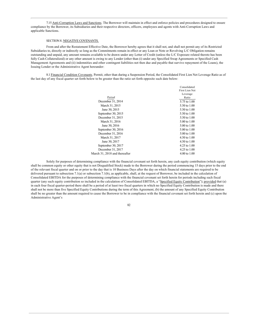7.15 Anti-Corruption Laws and Sanctions. The Borrower will maintain in effect and enforce policies and procedures designed to ensure compliance by the Borrower, its Subsidiaries and their respective directors, officers, employees and agents with Anti-Corruption Laws and applicable Sanctions.

# SECTION 8. NEGATIVE COVENANTS.

From and after the Restatement Effective Date, the Borrower hereby agrees that it shall not, and shall not permit any of its Restricted Subsidiaries to, directly or indirectly so long as the Commitments remain in effect or any Loan or Note or Revolving L/C Obligation remains outstanding and unpaid, any amount remains available to be drawn under any Letter of Credit (unless the L/C Exposure related thereto has been fully Cash Collateralized) or any other amount is owing to any Lender (other than (i) under any Specified Swap Agreements or Specified Cash Management Agreements and (ii) indemnities and other contingent liabilities not then due and payable that survive repayment of the Loans), the Issuing Lender or the Administrative Agent hereunder:

8.1 Financial Condition Covenants. Permit, other than during a Suspension Period, the Consolidated First Lien Net Leverage Ratio as of the last day of any fiscal quarter set forth below to be greater than the ratio set forth opposite such date below:

|                               | Consolidated            |
|-------------------------------|-------------------------|
|                               | First Lien Net          |
|                               | Leverage                |
| Period                        | Ratio                   |
| December 31, 2014             | 5.75 to 1.00            |
| March 31, 2015                | 5.50 to 1.00            |
| June 30, 2015                 | 5.50 to 1.00            |
| September 30, 2015            | 5.50 to 1.00            |
| December 31, 2015             | 5.50 to 1.00            |
| March 31, 2016                | $5.00 \text{ to } 1.00$ |
| June 30, 2016                 | 5.00 to 1.00            |
| September 30, 2016            | $5.00 \text{ to } 1.00$ |
| December 31, 2016             | $5.00 \text{ to } 1.00$ |
| March 31, 2017                | $4.50 \text{ to } 1.00$ |
| June 30, 2017                 | $4.50 \text{ to } 1.00$ |
| September 30, 2017            | $4.25$ to $1.00$        |
| December 31, 2017             | 4.25 to 1.00            |
| March 31, 2018 and thereafter | $4.00 \text{ to } 1.00$ |

Solely for purposes of determining compliance with the financial covenant set forth herein, any cash equity contribution (which equity shall be common equity or other equity that is not Disqualified Stock) made to the Borrower during the period commencing 15 days prior to the end of the relevant fiscal quarter and on or prior to the day that is 10 Business Days after the day on which financial statements are required to be delivered pursuant to subsection  $7.1(a)$  or subsection  $7.1(b)$ , as applicable, shall, at the request of Borrower, be included in the calculation of Consolidated EBITDA for the purposes of determining compliance with the financial covenant set forth herein for periods including such fiscal quarter (any such equity contribution so included in the calculation of Consolidated EBITDA, a "Specified Equity Contribution"); provided that (a) in each four fiscal quarter-period there shall be a period of at least two fiscal quarters in which no Specified Equity Contribution is made and there shall not be more than five Specified Equity Contributions during the term of this Agreement, (b) the amount of any Specified Equity Contribution shall be no greater than the amount required to cause the Borrower to be in compliance with the financial covenant set forth herein and (c) upon the Administrative Agent's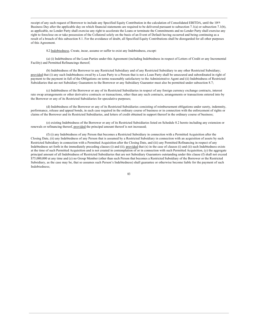receipt of any such request of Borrower to include any Specified Equity Contribution in the calculation of Consolidated EBITDA, until the 10th Business Day after the applicable day on which financial statements are required to be delivered pursuant to subsection 7.1(a) or subsection 7.1(b), as applicable, no Lender Party shall exercise any right to accelerate the Loans or terminate the Commitments and no Lender Party shall exercise any right to foreclose on or take possession of the Collateral solely on the basis of an Event of Default having occurred and being continuing as a result of a breach of this subsection 8.1. For the avoidance of doubt, all Specified Equity Contributions shall be disregarded for all other purposes of this Agreement.

8.2 Indebtedness. Create, incur, assume or suffer to exist any Indebtedness, except:

(a) (i) Indebtedness of the Loan Parties under this Agreement (including Indebtedness in respect of Letters of Credit or any Incremental Facility) and Permitted Refinancings thereof;

(b) Indebtedness of the Borrower to any Restricted Subsidiary and of any Restricted Subsidiary to any other Restricted Subsidiary; provided that (i) any such Indebtedness owed by a Loan Party to a Person that is not a Loan Party shall be unsecured and subordinated in right of payment to the payment in full of the Obligations on terms reasonably satisfactory to the Administrative Agent and (ii) Indebtedness of Restricted Subsidiaries that are not Subsidiary Guarantors to the Borrower or any Subsidiary Guarantor must also be permitted under subsection 8.7;

(c) Indebtedness of the Borrower or any of its Restricted Subsidiaries in respect of any foreign currency exchange contracts, interest rate swap arrangements or other derivative contracts or transactions, other than any such contracts, arrangements or transactions entered into by the Borrower or any of its Restricted Subsidiaries for speculative purposes;

(d) Indebtedness of the Borrower or any of its Restricted Subsidiaries consisting of reimbursement obligations under surety, indemnity, performance, release and appeal bonds, in each case required in the ordinary course of business or in connection with the enforcement of rights or claims of the Borrower and its Restricted Subsidiaries, and letters of credit obtained in support thereof in the ordinary course of business;

(e) existing Indebtedness of the Borrower or any of its Restricted Subsidiaries listed on Schedule 8.2 hereto including any extension or renewals or refinancing thereof, provided the principal amount thereof is not increased;

(f) (i) any Indebtedness of any Person that becomes a Restricted Subsidiary in connection with a Permitted Acquisition after the Closing Date, (ii) any Indebtedness of any Person that is assumed by a Restricted Subsidiary in connection with an acquisition of assets by such Restricted Subsidiary in connection with a Permitted Acquisition after the Closing Date, and (iii) any Permitted Refinancing in respect of any Indebtedness set forth in the immediately preceding clauses (i) and (ii); provided that  $(x)$  in the case of clauses (i) and (ii) such Indebtedness exists at the time of such Permitted Acquisition and is not created in contemplation of or in connection with such Permitted Acquisition, (y) the aggregate principal amount of all Indebtedness of Restricted Subsidiaries that are not Subsidiary Guarantors outstanding under this clause (f) shall not exceed \$75,000,000 at any time and (z) no Group Member (other than such Person that becomes a Restricted Subsidiary of the Borrower or the Restricted Subsidiary, as the case may be, that so assumes such Person's Indebtedness) shall guarantee or otherwise become liable for the payment of such Indebtedness;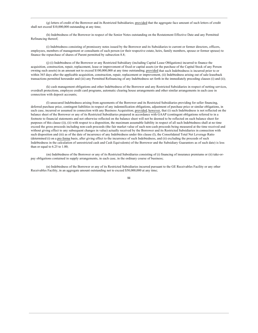(g) letters of credit of the Borrower and its Restricted Subsidiaries; provided that the aggregate face amount of such letters of credit shall not exceed \$10,000,000 outstanding at any time;

(h) Indebtedness of the Borrower in respect of the Senior Notes outstanding on the Restatement Effective Date and any Permitted Refinancing thereof;

(i) Indebtedness consisting of promissory notes issued by the Borrower and its Subsidiaries to current or former directors, officers, employees, members of management or consultants of such person (or their respective estate, heirs, family members, spouse or former spouse) to finance the repurchase of shares of Parent permitted by subsection 8.8;

(i) (i) Indebtedness of the Borrower or any Restricted Subsidiary (including Capital Lease Obligations) incurred to finance the acquisition, construction, repair, replacement, lease or improvement of fixed or capital assets (or the purchase of the Capital Stock of any Person owning such assets) in an amount not to exceed \$100,000,000 at any time outstanding; provided that such Indebtedness is incurred prior to or within 365 days after the applicable acquisition, construction, repair, replacement or improvement, (ii) Indebtedness arising out of sale-leaseback transactions permitted hereunder and (iii) any Permitted Refinancing of any Indebtedness set forth in the immediately preceding clauses (i) and (ii);

(k) cash management obligations and other Indebtedness of the Borrower and any Restricted Subsidiaries in respect of netting services, overdraft protections, employee credit card programs, automatic clearing house arrangements and other similar arrangements in each case in connection with deposit accounts;

(I) unsecured Indebtedness arising from agreements of the Borrower and its Restricted Subsidiaries providing for seller financing, deferred purchase price, contingent liabilities in respect of any indemnification obligations, adjustment of purchase price or similar obligations, in each case, incurred or assumed in connection with any Business Acquisition; provided, however, that (i) such Indebtedness is not reflected on the balance sheet of the Borrower or any of its Restricted Subsidiaries prepared in accordance with GAAP (contingent obligations referred to in a footnote to financial statements and not otherwise reflected on the balance sheet will not be deemed to be reflected on such balance sheet for purposes of this clause (i)), (ii) with respect to a disposition, the maximum assumable liability in respect of all such Indebtedness shall at no time exceed the gross proceeds including non-cash proceeds (the fair market value of such non-cash proceeds being measured at the time received and without giving effect to any subsequent changes in value) actually received by the Borrower and its Restricted Subsidiaries in connection with such disposition and (iii) as of the date of incurrence of any Indebtedness under this clause (I), the Consolidated Total Net Leverage Ratio (determined (i) on a pro forma basis, after giving effect to the incurrence of such Indebtedness, and (ii) excluding the proceeds of such Indebtedness in the calculation of unrestricted cash and Cash Equivalents) of the Borrower and the Subsidiary Guarantors as of such date) is less than or equal to  $6.25$  to  $1.00$ ;

(m) Indebtedness of the Borrower or any of its Restricted Subsidiaries consisting of (i) financing of insurance premiums or (ii) take-orpay obligations contained in supply arrangements, in each case, in the ordinary course of business;

(n) Indebtedness of the Borrower or any of its Restricted Subsidiaries incurred pursuant to the GE Receivables Facility or any other Receivables Facility, in an aggregate amount outstanding not to exceed \$50,000,000 at any time;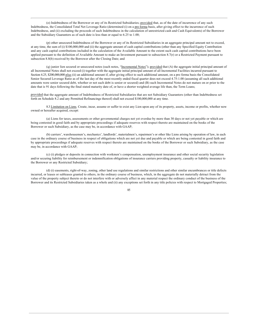(o) Indebtedness of the Borrower or any of its Restricted Subsidiaries; provided that, as of the date of incurrence of any such Indebtedness, the Consolidated Total Net Leverage Ratio (determined (i) on a pro forma basis, after giving effect to the incurrence of such Indebtedness, and (ii) excluding the proceeds of such Indebtedness in the calculation of unrestricted cash and Cash Equivalents) of the Borrower and the Subsidiary Guarantors as of such date is less than or equal to 6.25 to 1.00;

(p) other unsecured Indebtedness of the Borrower or any of its Restricted Subsidiaries in an aggregate principal amount not to exceed, at any time, the sum of (i) \$100,000,000 and (ii) the aggregate amount of cash capital contributions (other than any Specified Equity Contribution and any cash capital contributions included in the calculation of the Available Amount to the extent such cash capital contributions have been applied pursuant to the definition of Available Amount to make an Investment pursuant to subsection 8.7(r) or a Restricted Payment pursuant to subsection 8.8(b) received by the Borrower after the Closing Date; and

(q) junior lien secured or unsecured notes (such notes, "Incremental Notes"); provided that (A) the aggregate initial principal amount of all Incremental Notes shall not exceed (i) together with the aggregate initial principal amount of all Incremental Facilities incurred pursuant to Section 4.25, \$200,000,000 plus (ii) an additional amount if, after giving effect to such additional amount, on a pro forma basis the Consolidated Senior Secured Leverage Ratio as of the last day of the most recently ended fiscal quarter does not exceed 4.75:1.00 (assuming all such additional amounts were senior secured debt, whether or not such debt is senior or secured) and (B) such Incremental Notes do not mature on or prior to the date that is 91 days following the final stated maturity date of, or have a shorter weighted average life than, the Term Loans;

provided that the aggregate amount of Indebtedness of Restricted Subsidiaries that are not Subsidiary Guarantors (other than Indebtedness set forth on Schedule 8.2 and any Permitted Refinancings thereof) shall not exceed \$100,000,000 at any time.

8.3 Limitation on Liens. Create, incur, assume or suffer to exist any Lien upon any of its property, assets, income or profits, whether now owned or hereafter acquired, except:

(a) Liens for taxes, assessments or other governmental charges not yet overdue by more than 30 days or not yet payable or which are being contested in good faith and by appropriate proceedings if adequate reserves with respect thereto are maintained on the books of the Borrower or such Subsidiary, as the case may be, in accordance with GAAP;

(b) carriers', warehousemen's, mechanics', landlords', materialmen's, repairmen's or other like Liens arising by operation of law, in each case in the ordinary course of business in respect of obligations which are not yet due and payable or which are being contested in good faith and by appropriate proceedings if adequate reserves with respect thereto are maintained on the books of the Borrower or such Subsidiary, as the case may be, in accordance with GAAP;

(c) (i) pledges or deposits in connection with workmen's compensation, unemployment insurance and other social security legislation and/or securing liability for reimbursement or indemnification obligations of insurance carriers providing property, casualty or liability insurance to the Borrower or any Restricted Subsidiary;

(d) (i) easements, right-of-way, zoning, other land use regulations and similar restrictions and other similar encumbrances or title defects incurred, or leases or subleases granted to others, in the ordinary course of business, which, in the aggregate do not materially detract from the value of the property subject thereto or do not interfere with or adversely affect in any material respect the ordinary conduct of the business of the Borrower and its Restricted Subsidiaries taken as a whole and (ii) any exceptions set forth in any title policies with respect to Mortgaged Properties;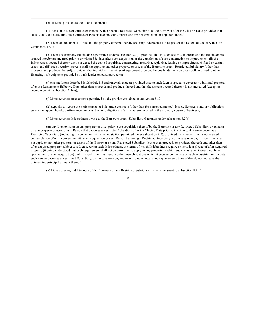(e) (i) Liens pursuant to the Loan Documents;

(f) Liens on assets of entities or Persons which become Restricted Subsidiaries of the Borrower after the Closing Date; provided that such Liens exist at the time such entities or Persons become Subsidiaries and are not created in anticipation thereof;

(g) Liens on documents of title and the property covered thereby securing Indebtedness in respect of the Letters of Credit which are Commercial L/Cs;

(h) Liens securing any Indebtedness permitted under subsection 8.2(j); provided that (i) such security interests and the Indebtedness secured thereby are incurred prior to or within 365 days after such acquisition or the completion of such construction or improvement, (ii) the Indebtedness secured thereby does not exceed the cost of acquiring, constructing, repairing, replacing, leasing or improving such fixed or capital assets and (iii) such security interests shall not apply to any other property or assets of the Borrower or any Restricted Subsidiary (other than proceeds and products thereof); provided, that individual financings of equipment provided by one lender may be cross-collateralized to other financings of equipment provided by such lender on customary terms;

(i) existing Liens described in Schedule 8.3 and renewals thereof; provided that no such Lien is spread to cover any additional property after the Restatement Effective Date other than proceeds and products thereof and that the amount secured thereby is not increased (except in accordance with subsection  $8.3(z)$ );

(i) Liens securing arrangements permitted by the proviso contained in subsection 8.10;

(k) deposits to secure the performance of bids, trade contracts (other than for borrowed money), leases, licenses, statutory obligations, surety and appeal bonds, performance bonds and other obligations of a like nature incurred in the ordinary course of business;

(I) Liens securing Indebtedness owing to the Borrower or any Subsidiary Guarantor under subsection 8.2(b);

(m) any Lien existing on any property or asset prior to the acquisition thereof by the Borrower or any Restricted Subsidiary or existing on any property or asset of any Person that becomes a Restricted Subsidiary after the Closing Date prior to the time such Person becomes a Restricted Subsidiary (including in connection with any acquisition permitted under subsection 8.7); provided that (i) such Lien is not created in contemplation of or in connection with such acquisition or such Person becoming a Restricted Subsidiary, as the case may be, (ii) such Lien shall not apply to any other property or assets of the Borrower or any Restricted Subsidiary (other than proceeds or products thereof) and other than after-acquired property subject to a Lien securing such Indebtedness, the terms of which Indebtedness require or include a pledge of after-acquired property (it being understood that such requirement shall not be permitted to apply to any property to which such requirement would not have applied but for such acquisition) and (iii) such Lien shall secure only those obligations which it secures on the date of such acquisition or the date such Person becomes a Restricted Subsidiary, as the case may be, and extensions, renewals and replacements thereof that do not increase the outstanding principal amount thereof;

(n) Liens securing Indebtedness of the Borrower or any Restricted Subsidiary incurred pursuant to subsection 8.2(n);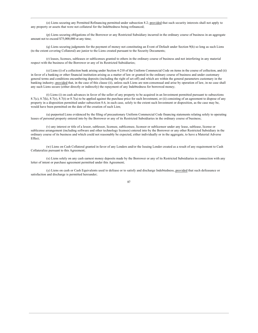(o) Liens securing any Permitted Refinancing permitted under subsection 8.2; provided that such security interests shall not apply to any property or assets that were not collateral for the Indebtedness being refinanced;

(p) Liens securing obligations of the Borrower or any Restricted Subsidiary incurred in the ordinary course of business in an aggregate amount not to exceed \$75,000,000 at any time;

(q) Liens securing judgments for the payment of money not constituting an Event of Default under Section 9(h) so long as such Liens (to the extent covering Collateral) are junior to the Liens created pursuant to the Security Documents;

(r) leases, licenses, subleases or sublicenses granted to others in the ordinary course of business and not interfering in any material respect with the business of the Borrower or any of its Restricted Subsidiaries;

(s) Liens (i) of a collection bank arising under Section 4-210 of the Uniform Commercial Code on items in the course of collection, and (ii) in favor of a banking or other financial institution arising as a matter of law or granted in the ordinary course of business and under customary general terms and conditions encumbering deposits (including the right of set-off) and which are within the general parameters customary in the banking industry; provided that, in the case of this clause (ii), unless such Liens are non-consensual and arise by operation of law, in no case shall any such Liens secure (either directly or indirectly) the repayment of any Indebtedness for borrowed money;

(t) Liens (i) on cash advances in favor of the seller of any property to be acquired in an Investment permitted pursuant to subsections 8.7(c), 8.7(k), 8.7(r), 8.7(t) or 8.7(u) to be applied against the purchase price for such Investment, or (ii) consisting of an agreement to dispose of any property in a disposition permitted under subsection 8.6, in each case, solely to the extent such Investment or disposition, as the case may be, would have been permitted on the date of the creation of such Lien;

(u) purported Liens evidenced by the filing of precautionary Uniform Commercial Code financing statements relating solely to operating leases of personal property entered into by the Borrower or any of its Restricted Subsidiaries in the ordinary course of business;

(v) any interest or title of a lessor, sublessor, licensee, sublicensee, licensor or sublicensor under any lease, sublease, license or sublicense arrangement (including software and other technology licenses) entered into by the Borrower or any other Restricted Subsidiary in the ordinary course of its business and which could not reasonably be expected, either individually or in the aggregate, to have a Material Adverse Effect;

(w) Liens on Cash Collateral granted in favor of any Lenders and/or the Issuing Lender created as a result of any requirement to Cash Collateralize pursuant to this Agreement;

(x) Liens solely on any cash earnest money deposits made by the Borrower or any of its Restricted Subsidiaries in connection with any letter of intent or purchase agreement permitted under this Agreement;

(y) Liens on cash or Cash Equivalents used to defease or to satisfy and discharge Indebtedness, provided that such defeasance or satisfaction and discharge is permitted hereunder;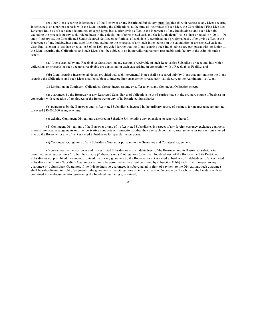(z) other Liens securing Indebtedness of the Borrower or any Restricted Subsidiary; provided that (i) with respect to any Liens securing Indebtedness on a pari passu basis with the Liens securing the Obligations, at the time of incurrence of such Lien, the Consolidated First Lien Net Leverage Ratio as of such date (determined on a pro forma basis, after giving effect to the incurrence of any Indebtedness and such Lien (but excluding the proceeds of any such Indebtedness in the calculation of unrestricted cash and Cash Equivalents)) is less than or equal to 4.00 to 1.00 and (ii) otherwise, the Consolidated Senior Secured Net Leverage Ratio as of such date (determined on a pro forma basis, after giving effect to the incurrence of any Indebtedness and such Lien (but excluding the proceeds of any such Indebtedness in the calculation of unrestricted cash and Cash Equivalents)) is less than or equal to 5.00 to 1.00; provided further that the Liens securing such Indebtedness are pari passu with, or junior to, the Liens securing the Obligations, and such Liens shall be subject to an intercreditor agreement reasonably satisfactory to the Administrative Agent;

(aa) Liens granted by any Receivables Subsidiary on any accounts receivable of such Receivables Subsidiary or accounts into which collections or proceeds of such accounts receivable are deposited, in each case arising in connection with a Receivables Facility; and

(bb) Liens securing Incremental Notes, provided that such Incremental Notes shall be secured only by Liens that are junior to the Liens securing the Obligations and such Liens shall be subject to intercreditor arrangements reasonably satisfactory to the Administrative Agent.

8.4 Limitation on Contingent Obligations. Create, incur, assume or suffer to exist any Contingent Obligation except:

(a) guarantees by the Borrower or any Restricted Subsidiaries of obligations to third parties made in the ordinary course of business in connection with relocation of employees of the Borrower or any of its Restricted Subsidiaries;

(b) guarantees by the Borrower and its Restricted Subsidiaries incurred in the ordinary course of business for an aggregate amount not to exceed  $$30,000,000$  at any one time;

(c) existing Contingent Obligations described in Schedule 8.4 including any extensions or renewals thereof;

(d) Contingent Obligations of the Borrower or any of its Restricted Subsidiaries in respect of any foreign currency exchange contracts, interest rate swap arrangements or other derivative contracts or transactions, other than any such contracts, arrangements or transactions entered into by the Borrower or any of its Restricted Subsidiaries for speculative purposes;

(e) Contingent Obligations of any Subsidiary Guarantor pursuant to the Guarantee and Collateral Agreement;

(f) guarantees by the Borrower and its Restricted Subsidiaries of (i) Indebtedness of the Borrower and its Restricted Subsidiaries permitted under subsection 8.2 (other than clause (f) thereof) and (ii) obligations (other than Indebtedness) of the Borrower and its Restricted Subsidiaries not prohibited hereunder; provided that (i) any guarantee by the Borrower or a Restricted Subsidiary of Indebtedness of a Restricted Subsidiary that is not a Subsidiary Guarantor shall only be permitted to the extent permitted by subsection 8.7(b) and (ii) with respect to any guarantee by a Subsidiary Guarantor, if the Indebtedness so guaranteed is subordinated in right of payment to the Obligations, such guarantee shall be subordinated in right of payment to the guarantee of the Obligations on terms at least as favorable on the whole to the Lenders as those contained in the documentation governing the Indebtedness being guaranteed;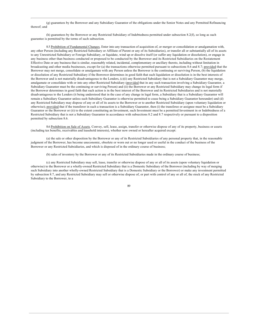(g) guarantees by the Borrower and any Subsidiary Guarantor of the obligations under the Senior Notes and any Permitted Refinancing thereof: and

(h) guarantees by the Borrower or any Restricted Subsidiary of Indebtedness permitted under subsection 8.2(f), so long as such guarantee is permitted by the terms of such subsection.

8.5 Prohibition of Fundamental Changes. Enter into any transaction of acquisition of, or merger or consolidation or amalgamation with, any other Person (including any Restricted Subsidiary or Affiliate of Parent or any of its Subsidiaries), or transfer all or substantially all of its assets to any Unrestricted Subsidiary or Foreign Subsidiary, or liquidate, wind up or dissolve itself (or suffer any liquidation or dissolution), or engage in any business other than business conducted or proposed to be conducted by the Borrower and its Restricted Subsidiaries on the Restatement Effective Date or any business that is similar, reasonably related, incidental, complementary or ancillary thereto, including without limitation in broadcasting and other media businesses, except for (a) the transactions otherwise permitted pursuant to subsections 8.6 and 8.7; provided that the Borrower may not merge, consolidate or amalgamate with any Person unless the Borrower is the continuing or surviving Person, (b) the liquidation or dissolution of any Restricted Subsidiary if the Borrower determines in good faith that such liquidation or dissolution is in the best interests of the Borrower and is not materially disadvantageous to the Lenders, (c)(i) any Restricted Subsidiary that is not a Subsidiary Guarantor may merge, amalgamate or consolidate with or into any other Restricted Subsidiary (provided that in any such transaction involving a Subsidiary Guarantor, a Subsidiary Guarantor must be the continuing or surviving Person) and (ii) the Borrower or any Restricted Subsidiary may change its legal form if the Borrower determines in good faith that such action is in the best interest of the Borrower and its Restricted Subsidiaries and is not materially disadvantageous to the Lenders (it being understood that in the case of any change in legal form, a Subsidiary that is a Subsidiary Guarantor will remain a Subsidiary Guarantor unless such Subsidiary Guarantor is otherwise permitted to cease being a Subsidiary Guarantor hereunder) and (d) any Restricted Subsidiary may dispose of any or all of its assets to the Borrower or to another Restricted Subsidiary (upon voluntary liquidation or otherwise); provided that if the transferor in such a transaction is a Subsidiary Guarantor, then (i) the transferee or assignee must be a Subsidiary Guarantor or the Borrower or (ii) to the extent constituting an Investment, such Investment must be a permitted Investment in or Indebtedness of a Restricted Subsidiary that is not a Subsidiary Guarantor in accordance with subsections 8.2 and 8.7 respectively or pursuant to a disposition permitted by subsection 8.6.

8.6 Prohibition on Sale of Assets. Convey, sell, lease, assign, transfer or otherwise dispose of any of its property, business or assets (including tax benefits, receivables and leasehold interests), whether now owned or hereafter acquired except:

(a) the sale or other disposition by the Borrower or any of its Restricted Subsidiaries of any personal property that, in the reasonable judgment of the Borrower, has become uneconomic, obsolete or worn out or no longer used or useful in the conduct of the business of the Borrower or any Restricted Subsidiaries, and which is disposed of in the ordinary course of business;

(b) sales of inventory by the Borrower or any of its Restricted Subsidiaries made in the ordinary course of business;

(c) any Restricted Subsidiary may sell, lease, transfer or otherwise dispose of any or all of its assets (upon voluntary liquidation or otherwise) to the Borrower or a wholly-owned Restricted Subsidiary that is a Domestic Subsidiary of the Borrower (including by way of merging such Subsidiary into another wholly-owned Restricted Subsidiary that is a Domestic Subsidiary or the Borrower) or make any investment permitted by subsection 8.7, and any Restricted Subsidiary may sell or otherwise dispose of, or part with control of any or all of, the stock of any Restricted Subsidiary to the Borrower, to a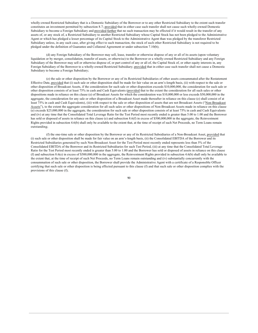wholly-owned Restricted Subsidiary that is a Domestic Subsidiary of the Borrower or to any other Restricted Subsidiary to the extent such transfer constitutes an investment permitted by subsection 8.7; provided that in either case such transfer shall not cause such wholly-owned Domestic Subsidiary to become a Foreign Subsidiary and provided further that no such transaction may be effected if it would result in the transfer of any assets of, or any stock of, a Restricted Subsidiary to another Restricted Subsidiary whose Capital Stock has not been pledged to the Administrative Agent or which has pledged a lesser percentage of its Capital Stock to the Administrative Agent than was pledged by the transferor Restricted Subsidiary unless, in any such case, after giving effect to such transaction, the stock of such other Restricted Subsidiary is not required to be pledged under the definition of Guarantee and Collateral Agreement or under subsection 7.10(b);

(d) any Foreign Subsidiary of the Borrower may sell, lease, transfer or otherwise dispose of any or all of its assets (upon voluntary liquidation or by merger, consolidation, transfer of assets, or otherwise) to the Borrower or a wholly-owned Restricted Subsidiary and any Foreign Subsidiary of the Borrower may sell or otherwise dispose of, or part control of any or all of, the Capital Stock of, or other equity interests in, any Foreign Subsidiary of the Borrower to a wholly-owned Restricted Subsidiary; provided that in either case such transfer shall not cause a Domestic Subsidiary to become a Foreign Subsidiary;

(e) the sale or other disposition by the Borrower or any of its Restricted Subsidiaries of other assets consummated after the Restatement Effective Date, provided that (i) such sale or other disposition shall be made for fair value on an arm's-length basis, (ii) with respect to the sale or other disposition of Broadcast Assets, if the consideration for such sale or other disposition exceeds \$10,000,000, the consideration for such sale or other disposition consists of at least 75% in cash and Cash Equivalents (provided that to the extent the consideration for all such sales or other dispositions made in reliance on this clause (e) of Broadcast Assets for which the consideration was \$10,000,000 or less exceeds \$50,000,000 in the aggregate, the consideration for any sale or other disposition of a Broadcast Asset made thereafter in reliance on this clause (e) shall consist of at least 75% in cash and Cash Equivalents), (iii) with respect to the sale or other disposition of assets that are not Broadcast Assets ("Non-Broadcast Assets"), to the extent the aggregate consideration for all such sales or other dispositions of Non-Broadcast Assets made in reliance on this clause (e) exceeds \$25,000,000 in the aggregate, the consideration for such sale or other disposition consists of at least 75% in cash and Cash Equivalents and (iv) at any time that the Consolidated Total Leverage Ratio for the Test Period most recently ended is greater than 5.00 to 1.00 and the Borrower has sold or disposed of assets in reliance on this clause (e) and subsection 8.6(f) in excess of \$500,000,000 in the aggregate, the Reinvestment Rights provided in subsection 4.6(b) shall only be available to the extent that, at the time of receipt of such Net Proceeds, no Term Loans remain outstanding;

(f) the one-time sale or other disposition by the Borrower or any of its Restricted Subsidiaries of a Non-Broadcast Asset, provided that (i) such sale or other disposition shall be made for fair value on an arm's-length basis, (ii) the Consolidated EBITDA of the Borrower and its Restricted Subsidiaries generated by such Non-Broadcast Asset for the Test Period most recently ended represents less than 5% of the Consolidated EBITDA of the Borrower and its Restricted Subsidiaries for such Test Period, (iii) at any time that the Consolidated Total Leverage Ratio for the Test Period most recently ended is greater than 5.00 to 1.00 and the Borrower has sold or disposed of assets in reliance on this clause (f) and subsection 8.6(e) in excess of \$500,000,000 in the aggregate, the Reinvestment Rights provided in subsection 4.6(b) shall only be available to the extent that, at the time of receipt of such Net Proceeds, no Term Loans remain outstanding and (iv) substantially concurrently with the consummation of such sale or other disposition, the Borrower shall provide the Administrative Agent with a certificate of a Responsible Officer certifying that such sale or other disposition is being effected pursuant to this clause (f) and that such sale or other disposition complies with the provisions of this clause (f);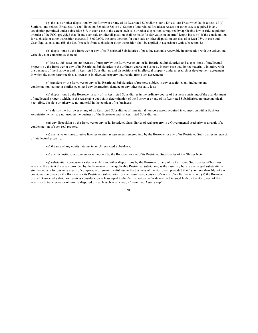(g) the sale or other disposition by the Borrower or any of its Restricted Subsidiaries (or a Divestiture Trust which holds assets) of  $(x)$ Stations (and related Broadcast Assets) listed on Schedule 8.6 or (y) Stations (and related Broadcast Assets) or other assets acquired in any acquisition permitted under subsection 8.7, in each case to the extent such sale or other disposition is required by applicable law or rule, regulation or order of the FCC; provided that (i) any such sale or other disposition shall be made for fair value on an arms' length basis, (ii) if the consideration for such sale or other disposition exceeds \$15,000,000, the consideration for such sale or other disposition consists of at least 75% in cash and Cash Equivalents, and (iii) the Net Proceeds from such sale or other disposition shall be applied in accordance with subsection 4.6;

(h) dispositions by the Borrower or any of its Restricted Subsidiaries of past due accounts receivable in connection with the collection, write down or compromise thereof;

(i) leases, subleases, or sublicenses of property by the Borrower or any of its Restricted Subsidiaries, and dispositions of intellectual property by the Borrower or any of its Restricted Subsidiaries in the ordinary course of business, in each case that do not materially interfere with the business of the Borrower and its Restricted Subsidiaries, and dispositions of intellectual property under a research or development agreement in which the other party receives a license to intellectual property that results from such agreement;

(i) transfers by the Borrower or any of its Restricted Subsidiaries of property subject to any casualty event, including any condemnation, taking or similar event and any destruction, damage or any other casualty loss;

(k) dispositions by the Borrower or any of its Restricted Subsidiaries in the ordinary course of business consisting of the abandonment of intellectual property which, in the reasonable good faith determination of the Borrower or any of its Restricted Subsidiaries, are uneconomical, negligible, obsolete or otherwise not material in the conduct of its business;

(I) sales by the Borrower or any of its Restricted Subsidiaries of immaterial non-core assets acquired in connection with a Business Acquisition which are not used in the business of the Borrower and its Restricted Subsidiaries;

(m) any disposition by the Borrower or any of its Restricted Subsidiaries of real property to a Governmental Authority as a result of a condemnation of such real property;

(n) exclusive or non-exclusive licenses or similar agreements entered into by the Borrower or any of its Restricted Subsidiaries in respect of intellectual property;

(o) the sale of any equity interest in an Unrestricted Subsidiary;

(p) any disposition, assignment or writedown by the Borrower or any of its Restricted Subsidiaries of the Gleiser Note;

(q) substantially concurrent sales, transfers and other dispositions by the Borrower or any of its Restricted Subsidiaries of business assets to the extent the assets provided by the Borrower or the applicable Restricted Subsidiary, as the case may be, are exchanged substantially simultaneously for business assets of comparable or greater usefulness to the business of the Borrower, provided that (i) no more than 30% of any consideration given by the Borrower or its Restricted Subsidiaries for such asset swap consists of cash or Cash Equivalents and (ii) the Borrower or such Restricted Subsidiary receives consideration at least equal to the fair market value (as determined in good faith by the Borrower) of the assets sold, transferred or otherwise disposed of (each such asset swap, a "Permitted Asset Swap");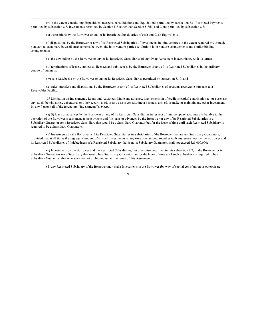(r) to the extent constituting dispositions, mergers, consolidations and liquidations permitted by subsection 8.5, Restricted Payments permitted by subsection 8.8, Investments permitted by Section 8.7 (other than Section 8.7(i)) and Liens permitted by subsection 8.3;

(s) dispositions by the Borrower or any of its Restricted Subsidiaries of cash and Cash Equivalents;

(t) dispositions by the Borrower or any of its Restricted Subsidiaries of Investments in joint ventures to the extent required by, or made pursuant to customary buy/sell arrangements between, the joint venture parties set forth in joint venture arrangements and similar binding arrangements:

(u) the unwinding by the Borrower or any of its Restricted Subsidiaries of any Swap Agreement in accordance with its terms;

(v) terminations of leases, subleases, licenses and sublicenses by the Borrower or any of its Restricted Subsidiaries in the ordinary course of business:

(w) sale leasebacks by the Borrower or any of its Restricted Subsidiaries permitted by subsection 8.10; and

(x) sales, transfers and dispositions by the Borrower or any of its Restricted Subsidiaries of accounts receivable pursuant to a Receivables Facility.

8.7 Limitation on Investments, Loans and Advances. Make any advance, loan, extension of credit or capital contribution to, or purchase any stock, bonds, notes, debentures or other securities of, or any assets constituting a business unit of, or make or maintain any other investment in, any Person (all of the foregoing, "Investments"), except:

(a) (i) loans or advances by the Borrower or any of its Restricted Subsidiaries in respect of intercompany accounts attributable to the operation of the Borrower's cash management system and (ii) loans or advances by the Borrower or any of its Restricted Subsidiaries to a Subsidiary Guarantor (or a Restricted Subsidiary that would be a Subsidiary Guarantor but for the lapse of time until such Restricted Subsidiary is required to be a Subsidiary Guarantor);

(b) Investments by the Borrower and its Restricted Subsidiaries in Subsidiaries of the Borrower that are not Subsidiary Guarantors; provided that at all times the aggregate amount of all such Investments at any time outstanding, together with any guarantees by the Borrower and its Restricted Subsidiaries of Indebtedness of a Restricted Subsidiary that is not a Subsidiary Guarantor, shall not exceed \$25,000,000;

(c) Investments by the Borrower and the Restricted Subsidiaries, not otherwise described in this subsection 8.7, in the Borrower or in Subsidiary Guarantors (or a Subsidiary that would be a Subsidiary Guarantor but for the lapse of time until such Subsidiary is required to be a Subsidiary Guarantor) that otherwise are not prohibited under the terms of this Agreement;

(d) any Restricted Subsidiary of the Borrower may make Investments in the Borrower (by way of capital contribution or otherwise);

#### $\Omega$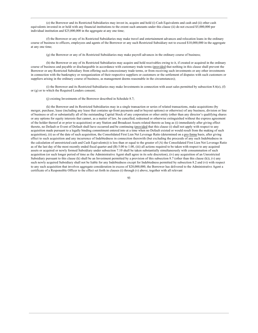(e) the Borrower and its Restricted Subsidiaries may invest in, acquire and hold (i) Cash Equivalents and cash and (ii) other cash equivalents invested in or held with any financial institutions to the extent such amounts under this clause (ii) do not exceed \$5,000,000 per individual institution and \$25,000,000 in the aggregate at any one time;

(f) the Borrower or any of its Restricted Subsidiaries may make travel and entertainment advances and relocation loans in the ordinary course of business to officers, employees and agents of the Borrower or any such Restricted Subsidiary not to exceed \$10,000,000 in the aggregate at any one time:

(g) the Borrower or any of its Restricted Subsidiaries may make payroll advances in the ordinary course of business;

(h) the Borrower or any of its Restricted Subsidiaries may acquire and hold receivables owing to it, if created or acquired in the ordinary course of business and payable or dischargeable in accordance with customary trade terms (provided that nothing in this clause shall prevent the Borrower or any Restricted Subsidiary from offering such concessionary trade terms, or from receiving such investments or any other investments in connection with the bankruptcy or reorganization of their respective suppliers or customers or the settlement of disputes with such customers or suppliers arising in the ordinary course of business, as management deems reasonable in the circumstances);

(i) the Borrower and its Restricted Subsidiaries may make Investments in connection with asset sales permitted by subsection  $8.6(e)$ , (f) or (g) or to which the Required Lenders consent;

(i) existing Investments of the Borrower described in Schedule 8.7;

(k) the Borrower and its Restricted Subsidiaries may in a single transaction or series of related transactions, make acquisitions (by merger, purchase, lease (including any lease that contains up-front payments and/or buyout options) or otherwise) of any business, division or line of business or all or substantially all of the outstanding Capital Stock of any corporation or other entity (other than any director's qualifying shares or any options for equity interests that cannot, as a matter of law, be cancelled, redeemed or otherwise extinguished without the express agreement of the holder thereof at or prior to acquisition) or any Station and Broadcast Assets related thereto as long as (i) immediately after giving effect thereto, no Default or Event of Default shall have occurred and be continuing (provided that this clause (i) shall not apply with respect to any acquisition made pursuant to a legally binding commitment entered into at a time when no Default existed or would result from the making of such acquisition), (ii) as of the date of such acquisition, the Consolidated First Lien Net Leverage Ratio (determined on a pro forma basis, after giving effect to such acquisition and any incurrence of Indebtedness in connection therewith (but excluding the proceeds of any such Indebtedness in the calculation of unrestricted cash and Cash Equivalents)) is less than or equal to the greater of (A) the Consolidated First Lien Net Leverage Ratio as of the last day of the most recently ended fiscal quarter and (B) 5.00 to 1.00, (iii) all actions required to be taken with respect to any acquired assets or acquired or newly formed Subsidiary under subsection 7.10 shall be taken substantially simultaneously with consummation of such acquisition (or such longer period of time as the Administrative Agent shall agree in its sole discretion), (iv) any acquisition of an Unrestricted Subsidiary pursuant to this clause (k) shall be an Investment permitted by a provision of this subsection 8.7 (other than this clause  $(k)$ ), (v) any such newly acquired Subsidiary shall not be liable for any Indebtedness except for Indebtedness permitted by subsection 8.2 and (vi) with respect to any such acquisition that involves aggregate consideration in excess of \$20,000,000, the Borrower has delivered to the Administrative Agent a certificate of a Responsible Officer to the effect set forth in clauses (i) through (v) above, together with all relevant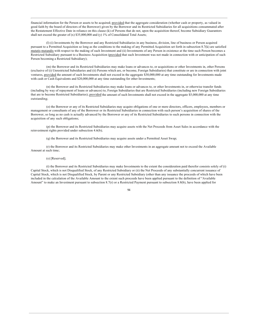financial information for the Person or assets to be acquired; provided that the aggregate consideration (whether cash or property, as valued in good faith by the board of directors of the Borrower) given by the Borrower and its Restricted Subsidiaries for all acquisitions consummated after the Restatement Effective Date in reliance on this clause (k) of Persons that do not, upon the acquisition thereof, become Subsidiary Guarantors shall not exceed the greater of  $(x)$  \$35,000,000 and  $(y)$  1% of Consolidated Total Assets;

(I) (i) Investments by the Borrower and any Restricted Subsidiaries in any business, division, line of business or Person acquired pursuant to a Permitted Acquisition so long as the conditions to the making of any Permitted Acquisition set forth in subsection 8.7(k) are satisfied mutatis mutandis with respect to the making of such Investment and (ii) Investments of any Person in existence at the time such Person becomes a Restricted Subsidiary pursuant to a Business Acquisition (provided that such Investment was not made in connection with or anticipation of such Person becoming a Restricted Subsidiary);

(m) the Borrower and its Restricted Subsidiaries may make loans or advances to, or acquisitions or other Investments in, other Persons (exclusive of (i) Unrestricted Subsidiaries and (ii) Persons which are, or become, Foreign Subsidiaries) that constitute or are in connection with joint ventures, provided the amount of such Investments shall not exceed in the aggregate \$30,000,000 at any time outstanding for Investments made with cash or Cash Equivalents and \$20,000,000 at any time outstanding for other Investments;

(n) the Borrower and its Restricted Subsidiaries may make loans or advances to, or other Investments in, or otherwise transfer funds (including by way of repayment of loans or advances) to, Foreign Subsidiaries that are Restricted Subsidiaries (including new Foreign Subsidiaries that are to become Restricted Subsidiaries); provided the amount of such Investments shall not exceed in the aggregate \$5,000,000 at any time outstanding;

(o) the Borrower or any of its Restricted Subsidiaries may acquire obligations of one or more directors, officers, employees, members or management or consultants of any of the Borrower or its Restricted Subsidiaries in connection with such person's acquisition of shares of the Borrower, so long as no cash is actually advanced by the Borrower or any of its Restricted Subsidiaries to such persons in connection with the acquisition of any such obligations;

(p) the Borrower and its Restricted Subsidiaries may acquire assets with the Net Proceeds from Asset Sales in accordance with the reinvestment rights provided under subsection 4.6(b);

(q) the Borrower and its Restricted Subsidiaries may acquire assets under a Permitted Asset Swap;

(r) the Borrower and its Restricted Subsidiaries may make other Investments in an aggregate amount not to exceed the Available Amount at such time;

#### $(s)$  [Reserved];

(t) the Borrower and its Restricted Subsidiaries may make Investments to the extent the consideration paid therefor consists solely of (i) Capital Stock, which is not Disqualified Stock, of any Restricted Subsidiary or (ii) the Net Proceeds of any substantially concurrent issuance of Capital Stock, which is not Disqualified Stock, by Parent or any Restricted Subsidiary (other than any issuance the proceeds of which have been included in the calculation of the Available Amount to the extent such proceeds have been applied pursuant to the definition of "Available Amount" to make an Investment pursuant to subsection 8.7(r) or a Restricted Payment pursuant to subsection 8.8(b), have been applied for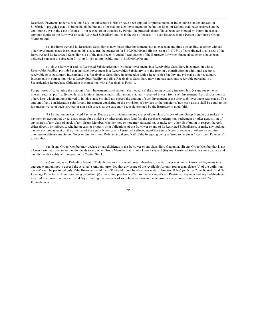Restricted Payments under subsection 8.8(c) or subsection 8.8(h) or have been applied for prepayments of Indebtedness under subsection 8.15(b)(iv)); provided that, (x) immediately before and after making such Investment, no Default or Event of Default shall have occurred and be continuing),  $(y)$  in the case of clause (ii) in respect of an issuance by Parent, the proceeds thereof have been contributed by Parent in cash as common equity to the Borrower or such Restricted Subsidiary and (z) in the case of clause (ii), such issuance is to a Person other than a Group Member; and

(u) the Borrower and its Restricted Subsidiaries may make other Investments not to exceed at any time outstanding, together with all other Investments made in reliance on this clause (u), the greater of (i) \$150,000,000 and (ii) the lesser of (x) 33% of consolidated total assets of the Borrower and its Restricted Subsidiaries as of the most recently ended fiscal quarter of the Borrower for which financial statements have been delivered pursuant to subsection 7.1(a) or 7.1(b), as applicable, and (y)  $$450,000,000$ ; and

(v) (i) the Borrower and its Restricted Subsidiaries may (x) make Investments in a Receivables Subsidiary in connection with a Receivables Facility; provided that any such Investment in a Receivables Subsidiary is in the form of a contribution of additional accounts receivable or as customary Investments in a Receivables Subsidiary in connection with a Receivables Facility and (y) make other customary Investments in connection with a Receivables Facility and (ii) a Receivables Subsidiary may purchase accounts receivable pursuant to a Securitization Repurchase Obligation in connection with a Receivables Facility.

For purposes of calculating the amount of any Investment, such amount shall equal (x) the amount actually invested less (y) any repayments, interest, returns, profits, dividends, distributions, income and similar amounts actually received in cash from such Investment (from dispositions or otherwise) (which amount referred to in this clause (y) shall not exceed the amount of such Investment at the time such Investment was made). The amount of any consideration paid for any Investment consisting of the provision of services or the transfer of non-cash assets shall be equal to the fair market value of such services or non-cash assets, as the case may be, as determined by the Borrower in good faith.

8.8 Limitation on Restricted Payments. Declare any dividends on any shares of any class of stock of any Group Member, or make any payment on account of, or set apart assets for a sinking or other analogous fund for, the purchase, redemption, retirement or other acquisition of any shares of any class of stock of any Group Member, whether now or hereafter outstanding, or make any other distribution in respect thereof, either directly or indirectly, whether in cash or property or in obligations of the Borrower or any of its Restricted Subsidiaries, or make any optional payment or prepayment on the principal of the Senior Notes or any Permitted Refinancing of the Senior Notes or redeem or otherwise acquire, purchase or defease any Senior Notes or any Permitted Refinancing thereof (all of the foregoing being referred to herein as "Restricted Payments"); except that:

(a) (i) any Group Member may declare or pay dividends to the Borrower or any Subsidiary Guarantor, (ii) any Group Member that is not a Loan Party may declare or pay dividends to any other Group Member that is not a Loan Party and (iii) any Restricted Subsidiary may declare and pay dividends ratably with respect to its Capital Stock;

(b) so long as no Default or Event of Default then exists or would result therefrom, the Borrower may make Restricted Payments in an aggregate amount not to exceed the Available Amount; provided that any usage of the Available Amount (other than clause (a) of the definition thereof) shall be permitted only if the Borrower could incur \$1 of additional Indebtedness under subsection 8.2(o) (with the Consolidated Total Net Leverage Ratio for such purpose being calculated (i) after giving pro forma effect to the making of such Restricted Payment and any Indebtedness incurred in connection therewith and (ii) excluding the proceeds of such Indebtedness in the determination of unrestricted cash and Cash Equivalents));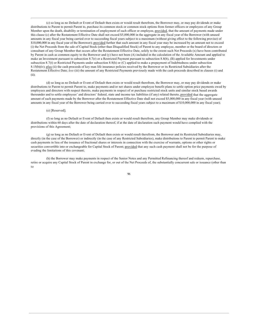(c) so long as no Default or Event of Default then exists or would result therefrom, the Borrower may, or may pay dividends or make distributions to Parent to permit Parent to, purchase its common stock or common stock options from former officers or employees of any Group Member upon the death, disability or termination of employment of such officer or employee, provided, that the amount of payments made under this clause (c) after the Restatement Effective Date shall not exceed \$5,000,000 in the aggregate in any fiscal year of the Borrower (with unused amounts in any fiscal year being carried over to succeeding fiscal years subject to a maximum (without giving effect to the following proviso) of \$10,000,000 in any fiscal year of the Borrower); provided further that such amount in any fiscal year may be increased by an amount not to exceed (i) the Net Proceeds from the sale of Capital Stock (other than Disqualified Stock) of Parent to any employee, member or the board of directors or consultant of any Group Member that occurs after the Restatement Effective Date, solely to the extent such Net Proceeds (x) have been contributed by Parent in cash as common equity to the Borrower and (y) have not been (A) included in the calculation of the Available Amount and applied to make an Investment pursuant to subsection  $8.7(r)$  or a Restricted Payment pursuant to subsection  $8.8(b)$ , (B) applied for Investments under subsection 8.7(t) or Restricted Payments under subsection 8.8(h) or (C) applied to make a prepayment of Indebtedness under subsection 8.15(b)(iv); plus (ii) the cash proceeds of key man life insurance policies received by the Borrower or its Restricted Subsidiaries after the Restatement Effective Date; less (iii) the amount of any Restricted Payments previously made with the cash proceeds described in clauses (i) and  $(ii);$ 

(d) so long as no Default or Event of Default then exists or would result therefrom, the Borrower may, or may pay dividends or make distributions to Parent to permit Parent to, make payments and/or net shares under employee benefit plans to settle option price payments owed by employees and directors with respect thereto, make payments in respect of or purchase restricted stock units and similar stock based awards thereunder and to settle employees' and directors' federal, state and income tax liabilities (if any) related thereto, provided that the aggregate amount of such payments made by the Borrower after the Restatement Effective Date shall not exceed \$5,000,000 in any fiscal year (with unused amounts in any fiscal year of the Borrower being carried over to succeeding fiscal years subject to a maximum of \$10,000,000 in any fiscal year);

### $(e)$  [Reserved];

(f) so long as no Default or Event of Default then exists or would result therefrom, any Group Member may make dividends or distributions within 60 days after the date of declaration thereof, if at the date of declaration such payment would have complied with the provisions of this Agreement;

(g) so long as no Default or Event of Default then exists or would result therefrom, the Borrower and its Restricted Subsidiaries may, directly (in the case of the Borrower) or indirectly (in the case of any Restricted Subsidiaries), make distributions to Parent to permit Parent to make cash payments in lieu of the issuance of fractional shares or interests in connection with the exercise of warrants, options or other rights or securities convertible into or exchangeable for Capital Stock of Parent; provided that any such cash payment shall not be for the purpose of evading the limitations of this covenant;

(h) the Borrower may make payments in respect of the Senior Notes and any Permitted Refinancing thereof and redeem, repurchase, retire or acquire any Capital Stock of Parent in exchange for, or out of the Net Proceeds of, the substantially concurrent sale or issuance (other than to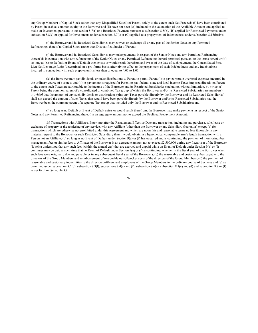any Group Member) of Capital Stock (other than any Disqualified Stock) of Parent, solely to the extent such Net Proceeds (i) have been contributed by Parent in cash as common equity to the Borrower and (ii) have not been (A) included in the calculation of the Available Amount and applied to make an Investment pursuant to subsection 8.7(r) or a Restricted Payment pursuant to subsection 8.8(b),  $(B)$  applied for Restricted Payments under subsection 8.8(c) or applied for Investments under subsection 8.7(t) or (C) applied to a prepayment of Indebtedness under subsection 8.15(b)(iv);

(i) the Borrower and its Restricted Subsidiaries may convert or exchange all or any part of the Senior Notes or any Permitted Refinancings thereof to Capital Stock (other than Disqualified Stock) of Parent;

(j) the Borrower and its Restricted Subsidiaries may make payments in respect of the Senior Notes and any Permitted Refinancing thereof (i) in connection with any refinancing of the Senior Notes or any Permitted Refinancing thereof permitted pursuant to the terms hereof or (ii) so long as (x) no Default or Event of Default then exists or would result therefrom and (y) as of the date of such payment, the Consolidated First Lien Net Leverage Ratio (determined on a pro forma basis, after giving effect to the prepayment of such Indebtedness and any Indebtedness incurred in connection with such prepayment) is less than or equal to 4.00 to 1.00;

(k) the Borrower may pay dividends or make distributions to Parent to permit Parent (i) to pay corporate overhead expenses incurred in the ordinary course of business and (ii) to pay amounts required for Parent to pay federal, state and local income Taxes imposed directly on Parent to the extent such Taxes are attributable to the income of the Borrower and its Restricted Subsidiaries (including, without limitation, by virtue of Parent being the common parent of a consolidated or combined Tax group of which the Borrower and/or its Restricted Subsidiaries are members); provided that the amount of any such dividends or distributions (plus any Taxes payable directly by the Borrower and its Restricted Subsidiaries) shall not exceed the amount of such Taxes that would have been payable directly by the Borrower and/or its Restricted Subsidiaries had the Borrower been the common parent of a separate Tax group that included only the Borrower and its Restricted Subsidiaries; and

(I) so long as no Default or Event of Default exists or would result therefrom, the Borrower may make payments in respect of the Senior Notes and any Permitted Refinancing thereof in an aggregate amount not to exceed the Declined Prepayment Amount.

8.9 Transactions with Affiliates. Enter into after the Restatement Effective Date any transaction, including any purchase, sale, lease or exchange of property or the rendering of any service, with any Affiliate (other than the Borrower or any Subsidiary Guarantor) except (a) for transactions which are otherwise not prohibited under this Agreement and which are upon fair and reasonable terms no less favorable in any material respect to the Borrower or such Restricted Subsidiary than it would obtain in a hypothetical comparable arm's length transaction with a Person not an Affiliate, (b) so long as no Event of Default under Section 9(a) or (f) has occurred and is continuing, the payment of monitoring fees, management fees or similar fees to Affiliates of the Borrower in an aggregate amount not to exceed \$2,500,000 during any fiscal year of the Borrower (it being understood that any such fees (within the annual cap) that are accrued and unpaid while an Event of Default under Section 9(a) or (f) continues may be paid at such time that no Event of Default under Section 9(a) or (f) is continuing, whether in the fiscal year of the Borrower when such fees were originally due and payable or in any subsequent fiscal year of the Borrower), (c) the reasonable and customary fees payable to the directors of the Group Members and reimbursement of reasonable out-of-pocket costs of the directors of the Group Members, (d) the payment of reasonable and customary indemnities to the directors, officers and employees of the Group Members in the ordinary course of business and (e) as permitted under subsection 8.2(b), subsection 8.3(l), subsections 8.4(a) and (f), subsection 8.6(c), subsection 8.7(c) and (d) and subsection 8.8 or (f) as set forth on Schedule 8.9.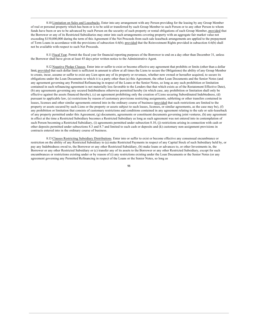8.10 Limitation on Sales and Leasebacks. Enter into any arrangement with any Person providing for the leasing by any Group Member of real or personal property which has been or is to be sold or transferred by such Group Member to such Person or to any other Person to whom funds have been or are to be advanced by such Person on the security of such property or rental obligations of such Group Member, provided that the Borrower or any of its Restricted Subsidiaries may enter into such arrangements covering property with an aggregate fair market value not exceeding \$150,000,000 during the term of this Agreement if the Net Proceeds from such sale leaseback arrangements are applied to the prepayment of Term Loans in accordance with the provisions of subsection 4.6(b); provided that the Reinvestment Rights provided in subsection 4.6(b) shall not be available with respect to such Net Proceeds.

8.11 Fiscal Year. Permit the fiscal year for financial reporting purposes of the Borrower to end on a day other than December 31, unless the Borrower shall have given at least 45 days prior written notice to the Administrative Agent.

8.12 Negative Pledge Clauses. Enter into or suffer to exist or become effective any agreement that prohibits or limits (other than a dollar limit, provided that such dollar limit is sufficient in amount to allow at all times the Liens to secure the Obligations) the ability of any Group Member to create, incur, assume or suffer to exist any Lien upon any of its property or revenues, whether now owned or hereafter acquired, to secure its obligations under the Loan Documents to which it is a party other than (a) this Agreement, the other Loan Documents and the Senior Notes (and any agreement governing any Permitted Refinancing in respect of the Loans or the Senior Notes, so long as any such prohibition or limitation contained in such refinancing agreement is not materially less favorable to the Lenders that that which exists as of the Restatement Effective Date), (b) any agreements governing any secured Indebtedness otherwise permitted hereby (in which case, any prohibition or limitation shall only be effective against the assets financed thereby), (c) an agreement prohibiting only the creation of Liens securing Subordinated Indebtedness, (d) pursuant to applicable law, (e) restrictions by reason of customary provisions restricting assignments, subletting or other transfers contained in leases, licenses and other similar agreements entered into in the ordinary course of business (provided that such restrictions are limited to the property or assets secured by such Liens or the property or assets subject to such leases, licenses, or similar agreements, as the case may be), (f) any prohibition or limitation that consists of customary restrictions and conditions contained in any agreement relating to the sale or sale-leaseback of any property permitted under this Agreement, (g) documents, agreements or constituent documents governing joint ventures, (h) any agreement in effect at the time a Restricted Subsidiary becomes a Restricted Subsidiary as long as such agreement was not entered into in contemplation of such Person becoming a Restricted Subsidiary, (i) agreements permitted under subsection 8.10, (j) restrictions arising in connection with cash or other deposits permitted under subsections 8.3 and 8.7 and limited to such cash or deposits and (k) customary non-assignment provisions in contracts entered into in the ordinary course of business.

8.13 Clauses Restricting Subsidiary Distributions. Enter into or suffer to exist or become effective any consensual encumbrance or restriction on the ability of any Restricted Subsidiary to (a) make Restricted Payments in respect of any Capital Stock of such Subsidiary held by, or pay any Indebtedness owed to, the Borrower or any other Restricted Subsidiary, (b) make loans or advances to, or other Investments in, the Borrower or any other Restricted Subsidiary or (c) transfer any of its assets to the Borrower or any other Restricted Subsidiary, except for such encumbrances or restrictions existing under or by reason of (i) any restrictions existing under the Loan Documents or the Senior Notes (or any agreement governing any Permitted Refinancing in respect of the Loans or the Senior Notes, so long as

 $Q\overline{Q}$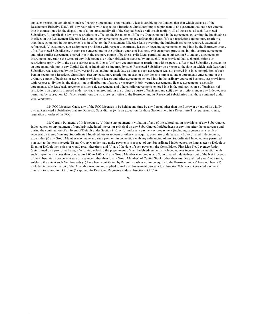any such restriction contained in such refinancing agreement is not materially less favorable to the Lenders that that which exists as of the Restatement Effective Date), (ii) any restrictions with respect to a Restricted Subsidiary imposed pursuant to an agreement that has been entered into in connection with the disposition of all or substantially all of the Capital Stock or all or substantially all of the assets of such Restricted Subsidiary, (iii) applicable law, (iv) restrictions in effect on the Restatement Effective Date contained in the agreements governing the Indebtedness in effect on the Restatement Effective Date and in any agreements governing any refinancing thereof if such restrictions are no more restrictive than those contained in the agreements as in effect on the Restatement Effective Date governing the Indebtedness being renewed, extended or refinanced, (v) customary non-assignment provisions with respect to contracts, leases or licensing agreements entered into by the Borrower or any of its Restricted Subsidiaries, in each case entered into in the ordinary course of business, (vi) customary provisions in joint venture agreements and other similar agreements entered into in the ordinary course of business, (vii) Liens permitted under subsection 8.3 and any documents or instruments governing the terms of any Indebtedness or other obligations secured by any such Liens; provided that such prohibitions or restrictions apply only to the assets subject to such Liens; (viii) any encumbrance or restriction with respect to a Restricted Subsidiary pursuant to an agreement relating to any Capital Stock or Indebtedness incurred by such Restricted Subsidiary on or prior to the date on which such Restricted Subsidiary was acquired by the Borrower and outstanding on such date as long as such agreement was not entered into in contemplation of such Person becoming a Restricted Subsidiary, (ix) any customary restriction on cash or other deposits imposed under agreements entered into in the ordinary course of business or net worth provisions in leases and other agreements entered into in the ordinary course of business, (x) provisions with respect to dividends, the disposition or distribution of assets or property in joint venture agreements, license agreements, asset sale agreements, sale-leaseback agreements, stock sale agreements and other similar agreements entered into in the ordinary course of business; (xi) restrictions on deposits imposed under contracts entered into in the ordinary course of business; and (xii) any restrictions under any Indebtedness permitted by subsection 8.2 if such restrictions are no more restrictive to the Borrower and its Restricted Subsidiaries than those contained under this Agreement.

8.14 FCC Licenses. Cause any of the FCC Licenses to be held at any time by any Person other than the Borrower or any of its whollyowned Restricted Subsidiaries that are Domestic Subsidiaries (with an exception for those Stations held in a Divestiture Trust pursuant to rule, regulation or order of the FCC).

8.15 Certain Payments of Indebtedness. (a) Make any payment in violation of any of the subordination provisions of any Subordinated Indebtedness or any payment of regularly scheduled interest or principal on any Subordinated Indebtedness at any time after the occurrence and during the continuation of an Event of Default under Section 9(a); or (b) make any payment or prepayment (including payments as a result of acceleration thereof) on any Subordinated Indebtedness or redeem or otherwise acquire, purchase or defease any Subordinated Indebtedness, except that (i) any Group Member may make any such payment in connection with any refinancing of any Subordinated Indebtedness permitted pursuant to the terms hereof; (ii) any Group Member may make payments in respect of any Subordinated Indebtedness so long as (x) no Default or Event of Default then exists or would result therefrom and (y) as of the date of such payment, the Consolidated First Lien Net Leverage Ratio (determined on a pro forma basis, after giving effect to the prepayment of such Indebtedness and any Indebtedness incurred in connection with such prepayment) is less than or equal to 4.00 to 1.00; (iii) any Group Member may prepay any Subordinated Indebtedness out of the Net Proceeds of the substantially concurrent sale or issuance (other than to any Group Member) of Capital Stock (other than any Disqualified Stock) of Parent, solely to the extent such Net Proceeds (x) have been contributed by Parent in cash as common equity to the Borrower and (y) have not been (1) included in the calculation of the Available Amount and applied to make an Investment pursuant to subsection 8.7(r) or a Restricted Payment pursuant to subsection 8.8(b) or (2) applied for Restricted Payments under subsections 8.8(c) or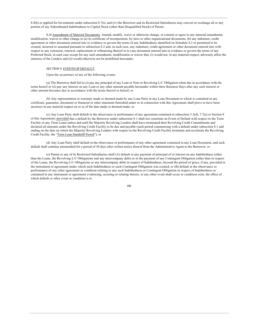8.8(h) or applied for Investments under subsection 8.7(t), and (iv) the Borrower and its Restricted Subsidiaries may convert or exchange all or any portion of any Subordinated Indebtedness to Capital Stock (other than Disqualified Stock) of Parent.

8.16 Amendment of Material Documents. Amend, modify, waive or otherwise change, or consent or agree to any material amendment, modification, waiver or other change to (a) its certificate of incorporation, by-laws or other organizational documents, (b) any indenture, credit agreement or other document entered into to evidence or govern the terms of any Indebtedness identified on Schedule 8.2 or permitted to be created, incurred or assumed pursuant to subsection 8.2 and, in each case, any indenture, credit agreement or other document entered into with respect to any extension, renewal, replacement or refinancing thereof or (c) any document entered into to evidence or govern the terms of any Preferred Stock, in each case except for any such amendment, modification or waiver that, (i) would not, in any material respect, adversely affect the interests of the Lenders and (ii) would otherwise not be prohibited hereunder.

## SECTION 9. EVENTS OF DEFAULT.

Upon the occurrence of any of the following events:

(a) The Borrower shall fail to (i) pay any principal of any Loan or Note or Revolving L/C Obligation when due in accordance with the terms hereof or (ii) pay any interest on any Loan or any other amount payable hereunder within three Business Days after any such interest or other amount becomes due in accordance with the terms thereof or hereof; or

(b) Any representation or warranty made or deemed made by any Loan Party in any Loan Document or which is contained in any certificate, guarantee, document or financial or other statement furnished under or in connection with this Agreement shall prove to have been incorrect in any material respect on or as of the date made or deemed made; or

(c) Any Loan Party shall default in the observance or performance of any agreement contained in subsection  $3.3(d)$ ,  $7.7(a)$  or Section 8 of this Agreement; provided that a default by the Borrower under subsection 8.1 shall not constitute an Event of Default with respect to the Term Facility or any Term Loans unless and until the Majority Revolving Lenders shall have terminated their Revolving Credit Commitments and declared all amounts under the Revolving Credit Facility to be due and payable (such period commencing with a default under subsection 8.1 and ending on the date on which the Majority Revolving Lenders with respect to the Revolving Credit Facility terminate and accelerate the Revolving Credit Facility, the "Term Loan Standstill Period"); or

(d) Any Loan Party shall default in the observance or performance of any other agreement contained in any Loan Document, and such default shall continue unremedied for a period of 30 days after written notice thereof from the Administrative Agent to the Borrower; or

(e) Parent or any of its Restricted Subsidiaries shall (A) default in any payment of principal of or interest on any Indebtedness (other than the Loans, the Revolving L/C Obligations and any intercompany debt) or in the payment of any Contingent Obligation (other than in respect of the Loans, the Revolving L/C Obligations or any intercompany debt) in respect of Indebtedness, beyond the period of grace, if any, provided in the instrument or agreement under which such Indebtedness or such Contingent Obligation was created; or (B) default in the observance or performance of any other agreement or condition relating to any such Indebtedness or Contingent Obligation in respect of Indebtedness or contained in any instrument or agreement evidencing, securing or relating thereto, or any other event shall occur or condition exist, the effect of which default or other event or condition is to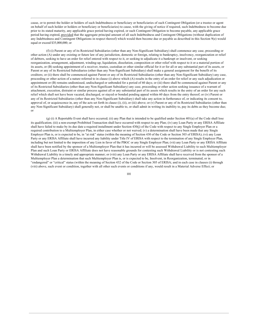cause, or to permit the holder or holders of such Indebtedness or beneficiary or beneficiaries of such Contingent Obligation (or a trustee or agent on behalf of such holder or holders or beneficiary or beneficiaries) to cause, with the giving of notice if required, such Indebtedness to become due prior to its stated maturity, any applicable grace period having expired, or such Contingent Obligation to become payable, any applicable grace period having expired, provided that the aggregate principal amount of all such Indebtedness and Contingent Obligations (without duplication of any Indebtedness and Contingent Obligations in respect thereof) which would then become due or payable as described in this Section 9(e) would equal or exceed \$35,000,000; or

(f) (i) Parent or any of its Restricted Subsidiaries (other than any Non-Significant Subsidiary) shall commence any case, proceeding or other action (A) under any existing or future law of any jurisdiction, domestic or foreign, relating to bankruptcy, insolvency, reorganization or relief of debtors, seeking to have an order for relief entered with respect to it, or seeking to adjudicate it a bankrupt or insolvent, or seeking reorganization, arrangement, adjustment, winding-up, liquidation, dissolution, composition or other relief with respect to it or a material portion of its assets, or (B) seeking appointment of a receiver, trustee, custodian or other similar official for it or for all or any substantial part of its assets, or Parent or any of its Restricted Subsidiaries (other than any Non-Significant Subsidiary) shall make a general assignment for the benefit of its creditors; or (ii) there shall be commenced against Parent or any of its Restricted Subsidiaries (other than any Non-Significant Subsidiary) any case, proceeding or other action of a nature referred to in clause (i) above which (A) results in the entry of an order for relief or any such adjudication or appointment or (B) remains undismissed, undischarged or unbonded for a period of 60 days; or (iii) there shall be commenced against Parent or any of its Restricted Subsidiaries (other than any Non-Significant Subsidiary) any case, proceeding or other action seeking issuance of a warrant of attachment, execution, distraint or similar process against all or any substantial part of its assets which results in the entry of an order for any such relief which shall not have been vacated, discharged, or stayed or bonded pending appeal within 60 days from the entry thereof; or (iv) Parent or any of its Restricted Subsidiaries (other than any Non-Significant Subsidiary) shall take any action in furtherance of, or indicating its consent to, approval of, or acquiescence in, any of the acts set forth in clause (i), (ii), or (iii) above; or (v) Parent or any of its Restricted Subsidiaries (other than any Non-Significant Subsidiary) shall generally not, or shall be unable to, or shall admit in writing its inability to, pay its debts as they become due; <sub>or</sub>

(g) (i) A Reportable Event shall have occurred; (ii) any Plan that is intended to be qualified under Section 401(a) of the Code shall lose its qualification; (iii) a non-exempt Prohibited Transaction shall have occurred with respect to any Plan; (iv) any Loan Party or any ERISA Affiliate shall have failed to make by its due date a required installment under Section 430(j) of the Code with respect to any Single Employer Plan or a required contribution to a Multiemployer Plan, in either case whether or not waived; (v) a determination shall have been made that any Single Employer Plan is, or is expected to be, in "at risk" status (within the meaning of Section 430 of the Code or Section 303 of ERISA); (vi) any Loan Party or any ERISA Affiliate shall have incurred any liability under Title IV of ERISA with respect to the termination of any Single Employer Plan, including but not limited to the imposition of any Lien in favor of the PBGC or any Single Employer Plan; (vii) any Loan Party or any ERISA Affiliate shall have been notified by the sponsor of a Multiemployer Plan that it has incurred or will be assessed Withdrawal Liability to such Multiemployer Plan and such Loan Party or ERISA Affiliate does not have reasonable grounds for contesting such Withdrawal Liability or is not contesting such Withdrawal Liability in a timely and appropriate manner; or (viii) any Loan Party or any ERISA Affiliate shall have received from the sponsor of a Multiemployer Plan a determination that such Multiemployer Plan is, or is expected to be, Insolvent, in Reorganization, terminated, or in "endangered" or "critical" status (within the meaning of Section 432 of the Code or Section 305 of ERISA; and in each case in clauses (i) through (viii) above, such event or condition, together with all other such events or conditions if any, would result in a Material Adverse Effect; or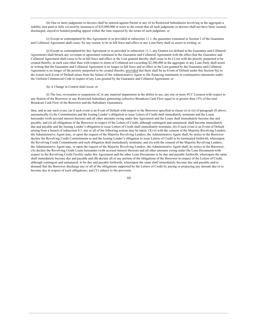(h) One or more judgments or decrees shall be entered against Parent or any of its Restricted Subsidiaries involving in the aggregate a liability (not paid or fully covered by insurance) of \$35,000,000 or more to the extent that all such judgments or decrees shall not have been vacated, discharged, stayed or bonded pending appeal within the time required by the terms of such judgment; or

(i) Except as contemplated by this Agreement or as provided in subsection 11.1, the guarantee contained in Section 2 of the Guarantee and Collateral Agreement shall cease, for any reason, to be in full force and effect or any Loan Party shall so assert in writing; or

(j) Except as contemplated by this Agreement or as provided in subsection 11.1, any Grantor (as defined in the Guarantee and Collateral Agreement) shall breach any covenant or agreement contained in the Guarantee and Collateral Agreement with the effect that the Guarantee and Collateral Agreement shall cease to be in full force and effect or the Lien granted thereby shall cease to be a Lien with the priority purported to be created thereby, in each case other than with respect to items of Collateral not exceeding \$2,500,000 in the aggregate or any Loan Party shall assert in writing that the Guarantee and Collateral Agreement is no longer in full force and or effect or the Lien granted by the Guarantee and Collateral Agreement is no longer of the priority purported to be created thereby; provided that there shall be no Event of Default under this Section 9(j) to the extent such Event of Default arises from the failure of the Administrative Agent to file financing statements or continuation statements under the Uniform Commercial Code in respect of any Lien granted by the Guarantee and Collateral Agreement; or

### (k) A Change in Control shall occur; or

(1) The loss, revocation or suspension of, or any material impairment in the ability to use, any one or more FCC Licenses with respect to any Station of the Borrower or any Restricted Subsidiary generating collective Broadcast Cash Flow equal to or greater than 15% of the total Broadcast Cash Flow of the Borrower and the Subsidiary Guarantors;

then, and in any such event, (a) if such event is an Event of Default with respect to the Borrower specified in clause (i) or (ii) of paragraph (f) above, automatically (i) the Commitments and the Issuing Lender's obligation to issue Letters of Credit shall immediately terminate and the Loans hereunder (with accrued interest thereon) and all other amounts owing under this Agreement and the Loans shall immediately become due and payable, and (ii) all obligations of the Borrower in respect of the Letters of Credit, although contingent and unmatured, shall become immediately due and payable and the Issuing Lender's obligation to issue Letters of Credit shall immediately terminate; (b) if such event is an Event of Default arising from a breach of subsection 8.1, any or all of the following actions may be taken:  $(X)$  (i) with the consent of the Majority Revolving Lenders, the Administrative Agent may, or upon the request of the Majority Revolving Lenders, the Administrative Agent shall, by notice to the Borrower declare the Revolving Credit Commitments to and the Issuing Lender's obligation to issue Letters of Credit to be terminated forthwith, whereupon the Revolving Credit Commitments and such obligation shall immediately terminate; and (ii) with the consent of the Majority Revolving Lenders, the Administrative Agent may, or upon the request of the Majority Revolving Lenders, the Administrative Agent shall, by notice to the Borrower, (A) declare the Revolving Credit Loans hereunder (with accrued interest thereon) and all other amounts owing under the Loan Documents with respect to the Revolving Credit Facility under this Agreement and the other Loan Documents to be due and payable forthwith, whereupon the same shall immediately become due and payable and (B) declare all or any portion of the obligations of the Borrower in respect of the Letters of Credit, although contingent and unmatured, to be due and payable forthwith, whereupon the same shall immediately become due and payable and/or demand that the Borrower discharge any or all of the obligations supported by the Letters of Credit by paying or prepaying any amount due or to become due in respect of such obligations; and (Y) subject to the provisoin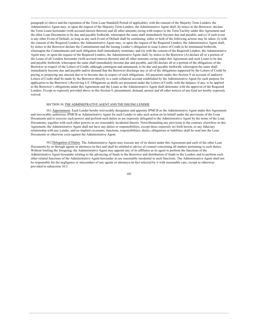paragraph (c) above and the expiration of the Term Loan Standstill Period (if applicable), with the consent of the Majority Term Lenders, the Administrative Agent may, or upon the request of the Majority Term Lenders, the Administrative Agent shall, by notice to the Borrower, declare the Term Loans hereunder (with accrued interest thereon) and all other amounts owing with respect to the Term Facility under this Agreement and the other Loan Documents to be due and payable forthwith, whereupon the same shall immediately become due and payable; and (c) if such event is any other Event of Default, so long as any such Event of Default shall be continuing, either or both of the following actions may be taken: (i) with the consent of the Required Lenders, the Administrative Agent may, or upon the request of the Required Lenders, the Administrative Agent shall, by notice to the Borrower declare the Commitments and the Issuing Lender's obligation to issue Letters of Credit to be terminated forthwith, whereupon the Commitments and such obligation shall immediately terminate; and (ii) with the consent of the Required Lenders, the Administrative Agent may, or upon the request of the Required Lenders, the Administrative Agent shall, by notice to the Borrower (A) declare all or a portion of the Loans of all Lenders hereunder (with accrued interest thereon) and all other amounts owing under this Agreement and such Loans to be due and payable forthwith, whereupon the same shall immediately become due and payable, and (B) declare all or a portion of the obligations of the Borrower in respect of the Letters of Credit, although contingent and unmatured, to be due and payable forthwith, whereupon the same shall immediately become due and payable and/or demand that the Borrower discharge any or all of the obligations supported by the Letters of Credit by paying or prepaying any amount due or to become due in respect of such obligations. All payments under this Section 9 on account of undrawn Letters of Credit shall be made by the Borrower directly to a cash collateral account established by the Administrative Agent for such purpose for application to the Borrower's Revolving L/C Obligations as drafts are presented under the Letters of Credit, with the balance, if any, to be applied to the Borrower's obligations under this Agreement and the Loans as the Administrative Agent shall determine with the approval of the Required Lenders. Except as expressly provided above in this Section 9, presentment, demand, protest and all other notices of any kind are hereby expressly waived

## SECTION 10. THE ADMINISTRATIVE AGENT AND THE ISSUING LENDER

10.1 Appointment. Each Lender hereby irrevocably designates and appoints JPMCB as the Administrative Agent under this Agreement and irrevocably authorizes JPMCB as Administrative Agent for such Lender to take such action on its behalf under the provisions of the Loan Documents and to exercise such powers and perform such duties as are expressly delegated to the Administrative Agent by the terms of the Loan Documents, together with such other powers as are reasonably incidental thereto. Notwithstanding any provision to the contrary elsewhere in this Agreement, the Administrative Agent shall not have any duties or responsibilities, except those expressly set forth herein, or any fiduciary relationship with any Lender, and no implied covenants, functions, responsibilities, duties, obligations or liabilities shall be read into the Loan Documents or otherwise exist against the Administrative Agent.

10.2 Delegation of Duties. The Administrative Agent may execute any of its duties under this Agreement and each of the other Loan Documents by or through agents or attorneys-in-fact and shall be entitled to advice of counsel concerning all matters pertaining to such duties. Without limiting the foregoing, the Administrative Agent may appoint any of its affiliates as its agent to perform the functions of the Administrative Agent hereunder relating to the advancing of funds to the Borrower and distribution of funds to the Lenders and to perform such other related functions of the Administrative Agent hereunder as are reasonably incidental to such functions. The Administrative Agent shall not be responsible for the negligence or misconduct of any agents or attorneys-in-fact selected by it with reasonable care, except as otherwise provided in subsection 10.3.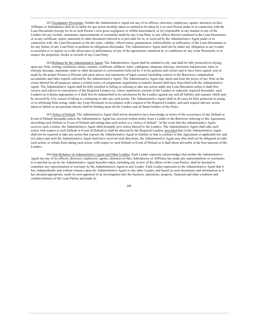103 Exculpatory Provisions. Neither the Administrative Agent nor any of its officers, directors, employees, agents, attorneys-in-fact, Affiliates or Subsidiaries shall be (i) liable for any action lawfully taken or omitted to be taken by it or such Person under or in connection with the Loan Documents (except for its or such Person's own gross negligence or willful misconduct), or (ii) responsible in any manner to any of the Lenders for any recitals, statements, representations or warranties made by any Loan Party or any officer thereof contained in the Loan Documents or in any certificate, report, statement or other document referred to or provided for in, or received by the Administrative Agent under or in connection with, the Loan Documents or for the value, validity, effectiveness, genuineness, enforceability or sufficiency of the Loan Documents or for any failure of any Loan Party to perform its obligations thereunder. The Administrative Agent shall not be under any obligation to any Lender to ascertain or to inquire as to the observance or performance of any of the agreements contained in, or conditions of, any Loan Document, or to inspect the properties, books or records of any Loan Party.

10.4 Reliance by the Administrative Agent. The Administrative Agent shall be entitled to rely, and shall be fully protected in relying, upon any Note, writing, resolution, notice, consent, certificate, affidavit, letter, cablegram, telegram, telecopy, electronic transmission, telex or teletype message, statement, order or other document or conversation believed by it to be genuine and correct and to have been signed, sent or made by the proper Person or Persons and upon advice and statements of legal counsel (including counsel to the Borrower), independent accountants and other experts selected by the Administrative Agent. The Administrative Agent may deem and treat the payee of any Note as the owner thereof for all purposes unless a written notice of assignment, negotiation or transfer thereof shall have been filed with the Administrative Agent. The Administrative Agent shall be fully justified in failing or refusing to take any action under any Loan Document unless it shall first receive such advice or concurrence of the Required Lenders (or, where unanimous consent of the Lenders is expressly required hereunder, such Lenders) as it deems appropriate or it shall first be indemnified to its satisfaction by the Lenders against any and all liability and expense which may be incurred by it by reason of taking or continuing to take any such action. The Administrative Agent shall in all cases be fully protected in acting, or in refraining from acting, under any Loan Document in accordance with a request of the Required Lenders, and such request and any action taken or failure to act pursuant thereto shall be binding upon all the Lenders and all future holders of the Notes.

10.5 Notice of Default. The Administrative Agent shall not be deemed to have knowledge or notice of the occurrence of any Default or Event of Default hereunder unless the Administrative Agent has received written notice from a Lender or the Borrower referring to this Agreement, describing such Default or Event of Default and stating that such notice is a "notice of default". In the event that the Administrative Agent receives such a notice, the Administrative Agent shall promptly give notice thereof to the Lenders. The Administrative Agent shall take such action with respect to such Default or Event of Default as shall be directed by the Required Lenders; provided that (i) the Administrative Agent shall not be required to take any action that exposes the Administrative Agent to liability or that is contrary to this Agreement or applicable law and (ii) unless and until the Administrative Agent shall have received such directions, the Administrative Agent may (but shall not be obligated to) take such action, or refrain from taking such action, with respect to such Default or Event of Default as it shall deem advisable in the best interests of the Lenders.

10.6 Non-Reliance on Administrative Agent and Other Lenders. Each Lender expressly acknowledges that neither the Administrative Agent nor any of its officers, directors, employees, agents, attorneys-in-fact, Subsidiaries or Affiliates has made any representations or warranties to it and that no act by the Administrative Agent hereafter taken, including any review of the affairs of the Loan Parties, shall be deemed to constitute any representation or warranty by the Administrative Agent to any Lender. Each Lender represents to the Administrative Agent that it has, independently and without reliance upon the Administrative Agent or any other Lender, and based on such documents and information as it has deemed appropriate, made its own appraisal of an investigation into the business, operations, property, financial and other condition and creditworthiness of the Loan Parties and made its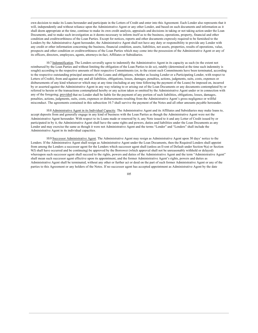own decision to make its Loans hereunder and participate in the Letters of Credit and enter into this Agreement. Each Lender also represents that it will, independently and without reliance upon the Administrative Agent or any other Lender, and based on such documents and information as it shall deem appropriate at the time, continue to make its own credit analysis, appraisals and decisions in taking or not taking action under the Loan Documents, and to make such investigation as it deems necessary to inform itself as to the business, operations, property, financial and other condition and creditworthiness of the Loan Parties. Except for notices, reports and other documents expressly required to be furnished to the Lenders by the Administrative Agent hereunder, the Administrative Agent shall not have any duty or responsibility to provide any Lender with any credit or other information concerning the business, financial condition, assets, liabilities, net assets, properties, results of operations, value, prospects and other condition or creditworthiness of the Loan Parties which may come into the possession of the Administrative Agent or any of its officers, directors, employees, agents, attorneys-in-fact, Affiliates or Subsidiaries.

10.7 Indemnification. The Lenders severally agree to indemnify the Administrative Agent in its capacity as such (to the extent not reimbursed by the Loan Parties and without limiting the obligation of the Loan Parties to do so), ratably (determined at the time such indemnity is sought) according to the respective amounts of their respective Commitments (or, to the extent such Commitments have been terminated, according to the respective outstanding principal amounts of the Loans and obligations, whether as Issuing Lender or a Participating Lender, with respect to Letters of Credit), from and against any and all liabilities, obligations, losses, damages, penalties, actions, judgments, suits, costs, expenses or disbursements of any kind whatsoever which may at any time (including at any time following the payment of the Loans) be imposed on, incurred by or asserted against the Administrative Agent in any way relating to or arising out of the Loan Documents or any documents contemplated by or referred to herein or the transactions contemplated hereby or any action taken or omitted by the Administrative Agent under or in connection with any of the foregoing; provided that no Lender shall be liable for the payment of any portion of such liabilities, obligations, losses, damages, penalties, actions, judgments, suits, costs, expenses or disbursements resulting from the Administrative Agent's gross negligence or willful misconduct. The agreements contained in this subsection 10.7 shall survive the payment of the Notes and all other amounts payable hereunder.

10.8 Administrative Agent in its Individual Capacity. The Administrative Agent and its Affiliates and Subsidiaries may make loans to, accept deposits from and generally engage in any kind of business with the Loan Parties as though the Administrative Agent were not the Administrative Agent hereunder. With respect to its Loans made or renewed by it, any Note issued to it and any Letter of Credit issued by or participated in by it, the Administrative Agent shall have the same rights and powers, duties and liabilities under the Loan Documents as any Lender and may exercise the same as though it were not Administrative Agent and the terms "Lender" and "Lenders" shall include the Administrative Agent in its individual capacities.

10.9 Successor Administrative Agent. The Administrative Agent may resign as Administrative Agent upon 30 days' notice to the Lenders. If the Administrative Agent shall resign as Administrative Agent under the Loan Documents, then the Required Lenders shall appoint from among the Lenders a successor agent for the Lenders which successor agent shall (unless an Event of Default under Section 9(a) or Section 9(f) shall have occurred and be continuing) be approved by the Borrower (which approval shall not be unreasonably withheld or delayed) whereupon such successor agent shall succeed to the rights, powers and duties of the Administrative Agent and the term "Administrative Agent" shall mean such successor agent effective upon its appointment, and the former Administrative Agent's rights, powers and duties as Administrative Agent shall be terminated, without any other or further act or deed on the part of such former Administrative Agent or any of the parties to this Agreement or any holders of the Notes. If no successor agent has accepted appointment as Administrative Agent by the date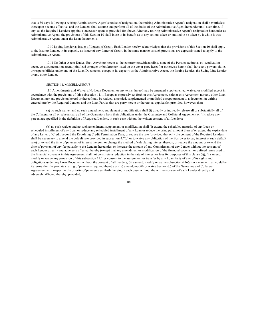that is 30 days following a retiring Administrative Agent's notice of resignation, the retiring Administrative Agent's resignation shall nevertheless thereupon become effective, and the Lenders shall assume and perform all of the duties of the Administrative Agent hereunder until such time, if any, as the Required Lenders appoint a successor agent as provided for above. After any retiring Administrative Agent's resignation hereunder as Administrative Agent, the provisions of this Section 10 shall inure to its benefit as to any actions taken or omitted to be taken by it while it was Administrative Agent under the Loan Documents.

1010 Issuing Lender as Issuer of Letters of Credit. Each Lender hereby acknowledges that the provisions of this Section 10 shall apply to the Issuing Lender, in its capacity as issuer of any Letter of Credit, in the same manner as such provisions are expressly stated to apply to the Administrative Agent.

10.11 No Other Agent Duties, Etc.. Anything herein to the contrary notwithstanding, none of the Persons acting as co-syndication agent, co-documentation agent, joint lead arranger or bookrunner listed on the cover page hereof or otherwise herein shall have any powers, duties or responsibilities under any of the Loan Documents, except in its capacity as the Administrative Agent, the Issuing Lender, the Swing Line Lender or any other Lender.

#### SECTION 11. MISCELLANEOUS

11.1 Amendments and Waivers. No Loan Document or any terms thereof may be amended, supplemented, waived or modified except in accordance with the provisions of this subsection 11.1. Except as expressly set forth in this Agreement, neither this Agreement nor any other Loan Document nor any provision hereof or thereof may be waived, amended, supplemented or modified except pursuant to a document in writing entered into by the Required Lenders and the Loan Parties that are party hereto or thereto, as applicable; provided, however, that:

(a) no such waiver and no such amendment, supplement or modification shall (i) directly or indirectly release all or substantially all of the Collateral or all or substantially all of the Guarantors from their obligations under the Guarantee and Collateral Agreement or (ii) reduce any percentage specified in the definition of Required Lenders, in each case without the written consent of all Lenders;

(b) no such waiver and no such amendment, supplement or modification shall (i) extend the scheduled maturity of any Loan or scheduled installment of any Loan or reduce any scheduled installment of any Loan or reduce the principal amount thereof or extend the expiry date of any Letter of Credit beyond the Revolving Credit Termination Date, or reduce the rate (provided that only the consent of the Required Lenders shall be necessary to amend the default rate provided in subsection 4.7(c) or to waive any obligation of the Borrower to pay interest at such default rate) or extend the time of payment of interest thereon, or change the method of calculating interest thereon, or reduce the amount or extend the time of payment of any fee payable to the Lenders hereunder, or increase the amount of any Commitment of any Lender without the consent of each Lender directly and adversely affected thereby (except that any amendment or modification of the financial covenant or defined terms used in the financial covenant in this Agreement shall not constitute a reduction in the rate of interest or fees for purposes of this clause (i)), (ii) amend, modify or waive any provision of this subsection 11.1 or consent to the assignment or transfer by any Loan Party of any of its rights and obligations under any Loan Document without the consent of all Lenders, (iii) amend, modify or waive subsection 4.16(a) in a manner that would by its terms alter the pro rata sharing of payments required thereby or (iv) amend, modify or waive Section 6.5 of the Guarantee and Collateral Agreement with respect to the priority of payments set forth therein, in each case, without the written consent of each Lender directly and adversely affected thereby: provided.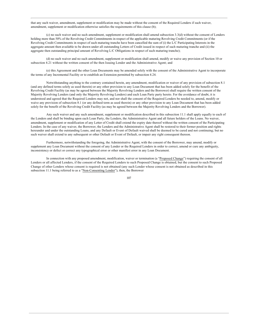that any such waiver, amendment, supplement or modification may be made without the consent of the Required Lenders if such waiver, amendment, supplement or modification otherwise satisfies the requirements of this clause (b);

 $(c)$  no such waiver and no such amendment, supplement or modification shall amend subsection 3.3(d) without the consent of Lenders holding more than 50% of the Revolving Credit Commitments in respect of the applicable maturing Revolving Credit Commitments (or if the Revolving Credit Commitments in respect of such maturing tranche have been cancelled the sum of (i) the L/C Participating Interests in the aggregate amount then available to be drawn under all outstanding Letters of Credit issued in respect of such maturing tranche and (ii) the aggregate then outstanding principal amount of Revolving L/C Obligations in respect of such maturing tranche);

(d) no such waiver and no such amendment, supplement or modification shall amend, modify or waive any provision of Section 10 or subsection 4.21 without the written consent of the then Issuing Lender and the Administrative Agent; and

(e) this Agreement and the other Loan Documents may be amended solely with the consent of the Administrative Agent to incorporate the terms of any Incremental Facility or to establish an Extension permitted by subsection 4.24.

Notwithstanding anything to the contrary contained herein, any amendment, modification or waiver of any provision of subsection 8.1 (and any defined terms solely as used therein) or any other provision to any Loan Document that has been added solely for the benefit of the Revolving Credit Facility (as may be agreed between the Majority Revolving Lenders and the Borrower) shall require the written consent of the Majority Revolving Lenders (and only the Majority Revolving Lenders) and each Loan Party party hereto. For the avoidance of doubt, it is understood and agreed that the Required Lenders may not, and nor shall the consent of the Required Lenders be needed to, amend, modify or waive any provision of subsection 8.1 (or any defined term as used therein) or any other provision to any Loan Document that has been added solely for the benefit of the Revolving Credit Facility (as may be agreed between the Majority Revolving Lenders and the Borrower).

Any such waiver and any such amendment, supplement or modification described in this subsection 11.1 shall apply equally to each of the Lenders and shall be binding upon each Loan Party, the Lenders, the Administrative Agent and all future holders of the Loans. No waiver, amendment, supplement or modification of any Letter of Credit shall extend the expiry date thereof without the written consent of the Participating Lenders. In the case of any waiver, the Borrower, the Lenders and the Administrative Agent shall be restored to their former position and rights hereunder and under the outstanding Loans, and any Default or Event of Default waived shall be deemed to be cured and not continuing; but no such waiver shall extend to any subsequent or other Default or Event of Default, or impair any right consequent thereon.

Furthermore, notwithstanding the foregoing, the Administrative Agent, with the consent of the Borrower, may amend, modify or supplement any Loan Document without the consent of any Lender or the Required Lenders in order to correct, amend or cure any ambiguity, inconsistency or defect or correct any typographical error or other manifest error in any Loan Document.

In connection with any proposed amendment, modification, waiver or termination (a "Proposed Change") requiring the consent of all Lenders or all affected Lenders, if the consent of the Required Lenders to such Proposed Change is obtained, but the consent to such Proposed Change of other Lenders whose consent is required is not obtained (any such Lender whose consent is not obtained as described in this subsection 11.1 being referred to as a "Non-Consenting Lender"), then, the Borrower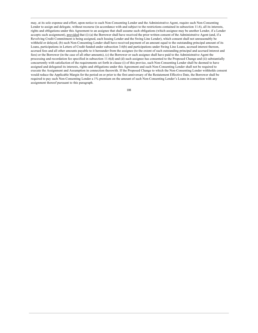may, at its sole expense and effort, upon notice to such Non-Consenting Lender and the Administrative Agent, require such Non-Consenting Lender to assign and delegate, without recourse (in accordance with and subject to the restrictions contained in subsection 11.6), all its interests, rights and obligations under this Agreement to an assignee that shall assume such obligations (which assignee may be another Lender, if a Lender accepts such assignment), provided that (i) (a) the Borrower shall have received the prior written consent of the Administrative Agent (and, if a Revolving Credit Commitment is being assigned, each Issuing Lender and the Swing Line Lender), which consent shall not unreasonably be withheld or delayed, (b) such Non-Consenting Lender shall have received payment of an amount equal to the outstanding principal amount of its Loans, participations in Letters of Credit funded under subsection 3.6(b) and participations under Swing Line Loans, accrued interest thereon, accrued fees and all other amounts payable to it hereunder from the assignee (to the extent of such outstanding principal and accrued interest and fees) or the Borrower (in the case of all other amounts), (c) the Borrower or such assignee shall have paid to the Administrative Agent the processing and recordation fee specified in subsection 11.6(d) and (d) such assignee has consented to the Proposed Change and (ii) substantially concurrently with satisfaction of the requirements set forth in clause (i) of this proviso, such Non-Consenting Lender shall be deemed to have assigned and delegated its interests, rights and obligations under this Agreement and such Non-Consenting Lender shall not be required to execute the Assignment and Assumption in connection therewith. If the Proposed Change to which the Non-Consenting Lender withholds consent would reduce the Applicable Margin for the period on or prior to the first anniversary of the Restatement Effective Date, the Borrower shall be required to pay such Non-Consenting Lender a 1% premium on the amount of such Non-Consenting Lender's Loans in connection with any assignment thereof pursuant to this paragraph.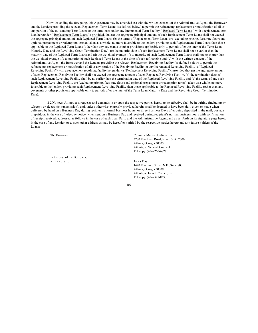Notwithstanding the foregoing, this Agreement may be amended (x) with the written consent of the Administrative Agent, the Borrower and the Lenders providing the relevant Replacement Term Loans (as defined below) to permit the refinancing, replacement or modification of all or any portion of the outstanding Term Loans or the term loans under any Incremental Term Facility ("Replaced Term Loans") with a replacement term loan hereunder ("Replacement Term Loans"); provided, that (a) the aggregate principal amount of such Replacement Term Loans shall not exceed the aggregate principal amount of such Replaced Term Loans, (b) the terms of Replacement Term Loans are (excluding pricing, fees, rate floors and optional prepayment or redemption terms), taken as a whole, no more favorable to the lenders providing such Replacement Term Loans than those applicable to the Replaced Term Loans (other than any covenants or other provisions applicable only to periods after the later of the Term Loan Maturity Date and the Revolving Credit Termination Date), (c) the maturity date of such Replacement Term Loans shall not be earlier than the maturity date of the Replaced Term Loans and (d) the weighted average life to maturity of such Replacement Term Loans shall not be shorter than the weighted average life to maturity of such Replaced Term Loans at the time of such refinancing and  $(y)$  with the written consent of the Administrative Agent, the Borrower and the Lenders providing the relevant Replacement Revolving Facility (as defined below) to permit the refinancing, replacement or modification of all or any portion of the Revolving Facility or any Incremental Revolving Facility (a "Replaced Revolving Facility") with a replacement revolving facility hereunder (a "Replacement Revolving Facility"); provided that (a) the aggregate amount of such Replacement Revolving Facility shall not exceed the aggregate amount of such Replaced Revolving Facility, (b) the termination date of such Replacement Revolving Facility shall be no earlier than the termination date of the Replaced Revolving Facility and (c) the terms of any such Replacement Revolving Facility are (excluding pricing, fees, rate floors and optional prepayment or redemption terms), taken as a whole, no more favorable to the lenders providing such Replacement Revolving Facility than those applicable to the Replaced Revolving Facility (other than any covenants or other provisions applicable only to periods after the later of the Term Loan Maturity Date and the Revolving Credit Termination Date).

11.2 Notices. All notices, requests and demands to or upon the respective parties hereto to be effective shall be in writing (including by telecopy or electronic transmission), and, unless otherwise expressly provided herein, shall be deemed to have been duly given or made when delivered by hand on a Business Day during recipient's normal business hours, or three Business Days after being deposited in the mail, postage prepaid, or, in the case of telecopy notice, when sent on a Business Day and received during recipient's normal business hours with confirmation of receipt received, addressed as follows in the case of each Loan Party and the Administrative Agent, and as set forth on its signature page hereto in the case of any Lender, or to such other address as may be hereafter notified by the respective parties hereto and any future holders of the Loans:

The Borrower<sup>.</sup>

In the case of the Borrower, with a copy to:

Cumulus Media Holdings Inc. 3280 Peachtree Road, N.W., Suite 2300 Atlanta, Georgia 30305 Attention: General Counsel Telecopy: (404) 260-6877

Jones Day 1420 Peachtree Street, N.E., Suite 800 Atlanta, Georgia 30309 Attention: John E. Zamer, Esq. Telecopy: (404) 581-8330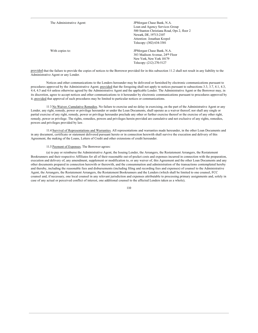| The Administrative Agent: | JPM organ Chase Bank, N.A.<br>Loan and Agency Services Group<br>500 Stanton Christiana Road, Ops 2, floor 2<br>Newark, DE, 19713-2107<br>Attention: Jonathan Krepol<br>Telecopy: (302) 634-3301 |
|---------------------------|-------------------------------------------------------------------------------------------------------------------------------------------------------------------------------------------------|
| With copies to:           | JPMorgan Chase Bank, N.A.<br>383 Madison Avenue, 24th Floor<br>New York, New York 10179<br>Telecopy: (212) 270-5127                                                                             |

provided that the failure to provide the copies of notices to the Borrower provided for in this subsection 11.2 shall not result in any liability to the Administrative Agent or any Lender.

Notices and other communications to the Lenders hereunder may be delivered or furnished by electronic communications pursuant to procedures approved by the Administrative Agent; provided that the foregoing shall not apply to notices pursuant to subsections 3.3, 3.7, 4.1, 4.3, 4.4, 4.5 and 4.6 unless otherwise agreed by the Administrative Agent and the applicable Lender. The Administrative Agent or the Borrower may, in its discretion, agree to accept notices and other communications to it hereunder by electronic communications pursuant to procedures approved by it; provided that approval of such procedures may be limited to particular notices or communications.

113 No Waiver; Cumulative Remedies. No failure to exercise and no delay in exercising, on the part of the Administrative Agent or any Lender, any right, remedy, power or privilege hereunder or under the Loan Documents, shall operate as a waiver thereof; nor shall any single or partial exercise of any right, remedy, power or privilege hereunder preclude any other or further exercise thereof or the exercise of any other right, remedy, power or privilege. The rights, remedies, powers and privileges herein provided are cumulative and not exclusive of any rights, remedies, powers and privileges provided by law.

11.4 Survival of Representations and Warranties. All representations and warranties made hereunder, in the other Loan Documents and in any document, certificate or statement delivered pursuant hereto or in connection herewith shall survive the execution and delivery of this Agreement, the making of the Loans, Letters of Credit and other extensions of credit hereunder.

### 11.5 Payment of Expenses. The Borrower agrees:

(a) to pay or reimburse the Administrative Agent, the Issuing Lender, the Arrangers, the Restatement Arrangers, the Restatement Bookrunners and their respective Affiliates for all of their reasonable out-of-pocket costs and expenses incurred in connection with the preparation, execution and delivery of, any amendment, supplement or modification to, or any waiver of, this Agreement and the other Loan Documents and any other documents prepared in connection herewith or therewith, and the consummation and administration of the transactions contemplated hereby and thereby, including the reasonable fees and disbursements (including filing and recording fees and expenses) of counsel to the Administrative Agent, the Arrangers, the Restatement Arrangers, the Restatement Bookrunners and the Lenders (which shall be limited to one counsel, FCC counsel and, if necessary, one local counsel in any relevant jurisdiction and expenses attributable to processing primary assignments and, solely in case of any actual or perceived conflict of interest, one additional counsel to the affected Lenders taken as a whole);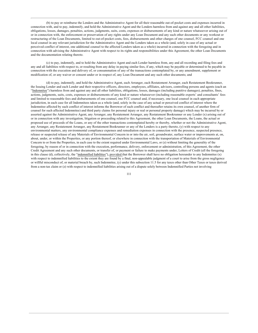(b) to pay or reimburse the Lenders and the Administrative Agent for all their reasonable out-of-pocket costs and expenses incurred in connection with, and to pay, indemnify, and hold the Administrative Agent and the Lenders harmless from and against any and all other liabilities, obligations, losses, damages, penalties, actions, judgments, suits, costs, expenses or disbursements of any kind or nature whatsoever arising out of or in connection with, the enforcement or preservation of any rights under any Loan Document and any such other documents or any workout or restructuring of the Loan Documents, limited to out-of-pocket costs, fees, disbursements and other charges of one counsel, FCC counsel and one local counsel in any relevant jurisdiction for the Administrative Agent and the Lenders taken as a whole (and, solely in case of any actual or perceived conflict of interest, one additional counsel to the affected Lenders taken as a whole) incurred in connection with the foregoing and in connection with advising the Administrative Agent with respect to its rights and responsibilities under this Agreement, the other Loan Documents and the documentation relating thereto.

(c) to pay, indemnify, and to hold the Administrative Agent and each Lender harmless from, any and all recording and filing fees and any and all liabilities with respect to, or resulting from any delay in paying similar fees, if any, which may be payable or determined to be payable in connection with the execution and delivery of, or consummation of any of the transactions contemplated by, or any amendment, supplement or modification of, or any waiver or consent under or in respect of, any Loan Document and any such other documents; and

(d) to pay, indemnify, and hold the Administrative Agent, each Arranger, each Restatement Arranger, each Restatement Bookrunner, the Issuing Lender and each Lender and their respective officers, directors, employees, affiliates, advisors, controlling persons and agents (each an "Indemnitee") harmless from and against any and all other liabilities, obligations, losses, damages (including punitive damages), penalties, fines, actions, judgments, suits, costs, expenses or disbursements of any kind or nature whatsoever (including reasonable experts' and consultants' fees and limited to reasonable fees and disbursements of one counsel, one FCC counsel and, if necessary, one local counsel in each appropriate jurisdiction, in each case for all Indemnitees taken as a whole (and, solely in the case of any actual or perceived conflict of interest where the Indemnitee affected by such conflict of interest informs the Borrower of such conflict and thereafter retains its own counsel, of another firm of counsel for such affected Indemnitee) and third party claims for personal injury or real or personal property damage) which may be incurred by or asserted against the Administrative Agent, any Arranger, any Restatement Arranger, any Restatement Bookrunner or any Lender (x) arising out of or in connection with any investigation, litigation or proceeding related to this Agreement, the other Loan Documents, the Loans, the actual or proposed use of proceeds of the Loans, or any of the other transactions contemplated hereby or thereby, whether or not the Administrative Agent, any Arranger, any Restatement Arranger, any Restatement Bookrunner or any of the Lenders is a party thereto, (y) with respect to any environmental matters, any environmental compliance expenses and remediation expenses in connection with the presence, suspected presence, release or suspected release of any Materials of Environmental Concern in or into the air, soil, groundwater, surface water or improvements at, on, about, under, or within the Properties, or any portion thereof, or elsewhere in connection with the transportation of Materials of Environmental Concern to or from the Properties, in each case to the extent required under Environmental Laws, or  $(z)$  without limiting the generality of the foregoing, by reason of or in connection with the execution, performance, delivery, enforcement or administration, of this Agreement, the other Credit Agreement and any such other documents, or transfer of, or payment or failure to make payments under, Letters of Credit (all the foregoing in this clause (d), collectively, the "indemnified liabilities"), provided that the Borrower shall have no obligation hereunder to any Indemnitee  $(x)$ with respect to indemnified liabilities to the extent they are found by a final, non-appealable judgment of a court to arise from the gross negligence or willful misconduct of, or material breach by, such Indemnitee, (y) under this subsection 11.5 for any taxes other than Other Taxes or taxes derived from a non-tax claim or (z) with respect to indemnified liabilities arising out of a dispute solely between Indemnified Parties not involving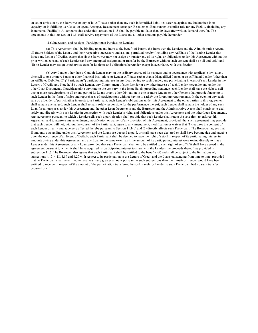an act or omission by the Borrower or any of its Affiliates (other than any such indemnified liabilities asserted against any Indemnitee in its capacity, or in fulfilling its role, as an agent, Arranger, Restatement Arranger, Restatement Bookrunner or similar role for any Facility (including any Incremental Facility)). All amounts due under this subsection 11.5 shall be payable not later than 10 days after written demand therefor. The agreements in this subsection 11.5 shall survive repayment of the Loans and all other amounts payable hereunder.

#### 11.6 Successors and Assigns; Participations; Purchasing Lenders.

(a) This Agreement shall be binding upon and inure to the benefit of Parent, the Borrower, the Lenders and the Administrative Agent, all future holders of the Loans, and their respective successors and assigns permitted hereby (including any Affiliate of the Issuing Lender that issues any Letter of Credit), except that (i) the Borrower may not assign or transfer any of its rights or obligations under this Agreement without the prior written consent of each Lender (and any attempted assignment or transfer by the Borrower without such consent shall be null and void) and (ii) no Lender may assign or otherwise transfer its rights and obligations hereunder except in accordance with this Section.

(b) Any Lender other than a Conduit Lender may, in the ordinary course of its business and in accordance with applicable law, at any time sell to one or more banks or other financial institutions or Lender Affiliates (other than a Disqualified Person or an Affiliated Lender (other than an Affiliated Debt Fund)) ("Participants") participating interests in any Loan owing to such Lender, any participating interest of such Lender in the Letters of Credit, any Note held by such Lender, any Commitment of such Lender or any other interest of such Lender hereunder and under the other Loan Documents. Notwithstanding anything to the contrary in the immediately preceding sentence, each Lender shall have the right to sell one or more participations in all or any part of its Loans or any other Obligation to one or more lenders or other Persons that provide financing to such Lender in the form of sales and repurchases of participations without having to satisfy the foregoing requirements. In the event of any such sale by a Lender of participating interests to a Participant, such Lender's obligations under this Agreement to the other parties to this Agreement shall remain unchanged, such Lender shall remain solely responsible for the performance thereof, such Lender shall remain the holder of any such Loan for all purposes under this Agreement and the other Loan Documents and the Borrower and the Administrative Agent shall continue to deal solely and directly with such Lender in connection with such Lender's rights and obligations under this Agreement and the other Loan Documents. Any agreement pursuant to which a Lender sells such a participation shall provide that such Lender shall retain the sole right to enforce this Agreement and to approve any amendment, modification or waiver of any provision of this Agreement; provided, that such agreement may provide that such Lender will not, without the consent of the Participant, agree to any amendment, modification or waiver that (1) requires the consent of each Lender directly and adversely affected thereby pursuant to Section 11.1(b) and (2) directly affects such Participant. The Borrower agrees that if amounts outstanding under this Agreement and the Loans are due and unpaid, or shall have been declared or shall have become due and payable upon the occurrence of an Event of Default, each Participant shall be deemed to have the right of setoff in respect of its participating interest in amounts owing under this Agreement and any Loan to the same extent as if the amount of its participating interest were owing directly to it as a Lender under this Agreement or any Loan; provided that such Participant shall only be entitled to such right of setoff if it shall have agreed in the agreement pursuant to which it shall have acquired its participating interest to share with the Lenders the proceeds thereof, as provided in subsection 11.7. The Borrower also agrees that each Participant shall be entitled to the benefits of, and shall be subject to the limitations of, subsections 4.17, 4.18, 4.19 and 4.20 with respect to its participation in the Letters of Credit and the Loans outstanding from time to time; provided that no Participant shall be entitled to receive (i) any greater amount pursuant to such subsections than the transferor Lender would have been entitled to receive in respect of the amount of the participation transferred by such transferor Lender to such Participant had no such transfer occurred or (ii)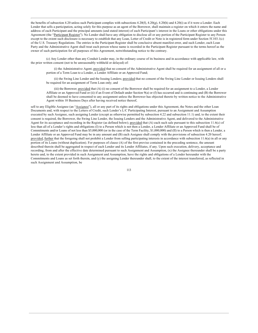the benefits of subsection 4.20 unless such Participant complies with subsections 4.20(f), 4.20(g), 4.20(h) and 4.20(i) as if it were a Lender. Each Lender that sells a participation, acting solely for this purpose as an agent of the Borrower, shall maintain a register on which it enters the name and address of each Participant and the principal amounts (and stated interest) of each Participant's interest in the Loans or other obligations under this Agreement (the "Participant Register"). No Lender shall have any obligation to disclose all or any portion of the Participant Register to any Person except to the extent such disclosure is necessary to establish that any Loan, Letter of Credit or Note is in registered form under Section 5f.103.1(c) of the U.S. Treasury Regulations. The entries in the Participant Register shall be conclusive absent manifest error, and such Lender, each Loan Party and the Administrative Agent shall treat each person whose name is recorded in the Participant Register pursuant to the terms hereof as the owner of such participation for all purposes of this Agreement, notwithstanding notice to the contrary.

(c) Any Lender other than any Conduit Lender may, in the ordinary course of its business and in accordance with applicable law, with the prior written consent (not to be unreasonably withheld or delayed) of:

(i) the Administrative Agent; provided that no consent of the Administrative Agent shall be required for an assignment of all or a portion of a Term Loan to a Lender, a Lender Affiliate or an Approved Fund;

(ii) the Swing Line Lender and the Issuing Lenders; provided that no consent of the Swing Line Lender or Issuing Lenders shall be required for an assignment of Term Loan only; and

(iii) the Borrower; provided that  $(A)$  (i) no consent of the Borrower shall be required for an assignment to a Lender, a Lender Affiliate or an Approved Fund or (ii) if an Event of Default under Section 9(a) or (f) has occurred and is continuing and (B) the Borrower shall be deemed to have consented to any assignment unless the Borrower has objected thereto by written notice to the Administrative Agent within 10 Business Days after having received notice thereof,

sell to any Eligible Assignee (an "Assignee"), all or any part of its rights and obligations under this Agreement, the Notes and the other Loan Documents and, with respect to the Letters of Credit, such Lender's L/C Participating Interest, pursuant to an Assignment and Assumption executed by such Assignee, such assigning Lender (except as otherwise permitted by subsection 4.22 and subsection 11.1) and, to the extent their consent is required, the Borrower, the Swing Line Lender, the Issuing Lenders and the Administrative Agent, and delivered to the Administrative Agent for its acceptance and recording in the Register (as defined below); provided that (A) each such sale pursuant to this subsection 11.6(c) of less than all of a Lender's rights and obligations (I) to a Person which is not then a Lender, a Lender Affiliate or an Approved Fund shall be of Commitments and/or Loans of not less than \$5,000,000 (or in the case of the Term Facility, \$1,000,000) and (II) to a Person which is then a Lender, a Lender Affiliate or an Approved Fund may be in any amount and (B) each Assignee shall comply with the provisions of subsection 4.20 hereof; provided, further that the foregoing shall not prohibit a Lender from selling participating interests in accordance with subsection 11.6(a) in all or any portion of its Loans (without duplication). For purposes of clause (A) of the first proviso contained in the preceding sentence, the amount described therein shall be aggregated in respect of each Lender and its Lender Affiliates, if any. Upon such execution, delivery, acceptance and recording, from and after the effective date determined pursuant to such Assignment and Assumption, (x) the Assignee thereunder shall be a party hereto and, to the extent provided in such Assignment and Assumption, have the rights and obligations of a Lender hereunder with the Commitments and Loans as set forth therein, and (y) the assigning Lender thereunder shall, to the extent of the interest transferred, as reflected in such Assignment and Assumption, be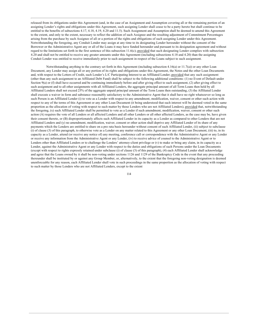released from its obligations under this Agreement (and, in the case of an Assignment and Assumption covering all or the remaining portion of an assigning Lender's rights and obligations under this Agreement, such assigning Lender shall cease to be a party hereto but shall continue to be entitled to the benefits of subsections 4.17, 4.18, 4.19, 4.20 and 11.5). Such Assignment and Assumption shall be deemed to amend this Agreement to the extent, and only to the extent, necessary to reflect the addition of such Assignee and the resulting adjustment of Commitment Percentages arising from the purchase by such Assignee of all or a portion of the rights and obligations of such assigning Lender under this Agreement. Notwithstanding the foregoing, any Conduit Lender may assign at any time to its designating Lender hereunder without the consent of the Borrower or the Administrative Agent any or all of the Loans it may have funded hereunder and pursuant to its designation agreement and without regard to the limitations set forth in the first sentence of this subsection 11.6(c); provided that such designating Lender complies with subsection 4.20 and shall not be entitled to receive any greater amounts under this Agreement (including subsections 4.18 and 4.20) than the assigning Conduit Lender was entitled to receive immediately prior to such assignment in respect of the Loans subject to such assignment.

Notwithstanding anything to the contrary set forth in this Agreement (including subsection 4.16(a) or  $11.7(a)$ ) or any other Loan Document, any Lender may assign all or any portion of its rights and obligations under this Agreement, the Notes and the other Loan Documents and, with respect to the Letters of Credit, such Lender's L/C Participating Interest to an Affiliated Lender; provided that any such assignment (other than any such assignment to an Affiliated Debt Fund) shall be subject to the following additional conditions: (1) no Event of Default under Section  $9(a)$  or (f) shall have occurred and be continuing immediately before and after giving effect to such assignment, (2) after giving effect to such assignment and to all other assignments with all Affiliated Lenders, the aggregate principal amount of all Term Loans then held by all Affiliated Lenders shall not exceed 25% of the aggregate unpaid principal amount of the Term Loans then outstanding, (3) the Affiliated Lender shall execute a waiver in form and substance reasonably satisfactory to the Administrative Agent that it shall have no right whatsoever so long as such Person is an Affiliated Lender (i) to vote as a Lender with respect to any amendment, modification, waiver, consent or other such action with respect to any of the terms of this Agreement or any other Loan Document (it being understood that such interest will be deemed voted in the same proportion as the allocation of voting with respect to such matter by those Lenders who are not Affiliated Lenders), provided that, notwithstanding the foregoing, (x) such Affiliated Lender shall be permitted to vote as a Lender if such amendment, modification, waiver, consent or other such action (A) requires the vote of all Lenders or all affected Lenders and all other Lenders or all other affected Lenders, as the case may be, have given their consent thereto, or (B) disproportionately affects such Affiliated Lender in its capacity as a Lender as compared to other Lenders that are not Affiliated Lenders and (y) no amendment, modification, waiver, consent or other action shall deprive any Affiliated Lender of its share of any payments which the Lenders are entitled to share on a pro rata basis hereunder without consent of such Affiliated Lender, (ii) subject to subclause (i) of clause (3) of this paragraph, to otherwise vote as a Lender on any matter related to this Agreement or any other Loan Document, (iii) to, in its capacity as a Lender, attend (or receive any notice of) any meeting, conference call or correspondence with the Administrative Agent or any Lender or receive any information from the Administrative Agent or any Lender, (iv) to receive advice of counsel to the Administrative Agent or to Lenders other than Affiliated Lenders or to challenge the Lenders' attorney-client privilege or (v) to make or bring any claim, in its capacity as a Lender, against the Administrative Agent or any Lender with respect to the duties and obligations of such Persons under the Loan Documents (except with respect to rights expressly retained under subclause (i) of clause (3) of this paragraph), (4) each Affiliated Lender shall acknowledge and agree that the Loans owned by it shall be non-voting under sections  $1126$  and  $1129$  of the Bankruptcy Code in the event that any proceeding thereunder shall be instituted by or against any Group Member, or, alternatively, to the extent that the foregoing non-voting designation is deemed unenforceable for any reason, each Affiliated Lender shall vote in such proceedings in the same proportion as the allocation of voting with respect to such matter by those Lenders who are not Affiliated Lenders, except to the extent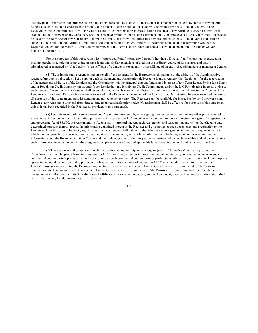that any plan of reorganization proposes to treat the obligations held by such Affiliated Lender in a manner that is less favorable in any material respect to such Affiliated Lender than the proposed treatment of similar obligations held by Lenders that are not Affiliated Lenders, (5) no Revolving Credit Commitments, Revolving Credit Loans or L/C Participating Interests shall be assigned to any Affiliated Lender; (6) any Loans assigned to the Borrower or any Subsidiary shall be cancelled promptly upon such assignment and (7) no proceeds of Revolving Credit Loans shall be used by the Borrower or any Subsidiary to purchase Term Loans; provided further that any assignment to an Affiliated Debt Fund shall be subject to the condition that Affiliated Debt Funds shall not account for 49.9% or more of the amounts included in determining whether the Required Lenders (or the Majority Term Lenders in respect of the Term Facility) have consented to any amendment, modification or waiver pursuant to Section 11.1.

For the purposes of this subsection 11.6, "Approved Fund" means any Person (other than a Disqualified Person) that is engaged in making, purchasing, holding or investing in bank loans and similar extensions of credit in the ordinary course of its business and that is administered or managed by (a) a Lender, (b) an Affiliate of a Lender or (c) an entity or an affiliate of an entity that administers or manages a Lender.

(d) The Administrative Agent acting on behalf of and as agent for the Borrower, shall maintain at the address of the Administrative Agent referred to in subsection 11.2 a copy of each Assignment and Assumption delivered to it and a register (the "Register") for the recordation of the names and addresses of the Lenders and the Commitment of, the principal amount (and stated interest) of any Term Loans, Swing Line Loans and/or Revolving Credit Loans owing to, and if such Lender has any Revolving Credit Commitments and/or the L/C Participating Interests owing to each Lender. The entries in the Register shall be conclusive, in the absence of manifest error, and the Borrower, the Administrative Agent and the Lenders shall treat each Person whose name is recorded in the Register as the owner of the Loans or L/C Participating Interests recorded therein for all purposes of this Agreement, notwithstanding any notice to the contrary. The Register shall be available for inspection by the Borrower or any Lender at any reasonable time and from time to time upon reasonable prior notice. No assignment shall be effective for purposes of this agreement unless it has been recorded in the Register as provided in this paragraph.

(e) Upon its receipt of an Assignment and Assumption executed by an assigning Lender, an Assignee and any other party required to executed such Assignment and Assumption pursuant to this subsection 11.6, together with payment to the Administrative Agent of a registration and processing fee of \$3,500, the Administrative Agent shall (i) promptly accept such Assignment and Assumption and (ii) on the effective date determined pursuant thereto, record the information contained therein in the Register and give notice of such acceptance and recordation to the Lenders and the Borrower. The Assignee, if it shall not be a Lender, shall deliver to the Administrative Agent an administrative questionnaire in which the Assignee designates one or more credit contacts to whom all syndicate-level information (which may contain material non-public information about the Borrower and its Affiliates and their related parties or their respective securities) will be made available and who may receive such information in accordance with the assignee's compliance procedures and applicable laws, including Federal and state securities laws.

(f) The Borrower authorizes each Lender to disclose to any Participant or Assignee (each, a "Transferee") and any prospective Transferee or to any pledgee referred to in subsection 11.6(g) or to any direct or indirect contractual counterparty in swap agreements or such contractual counterparty's professional advisor (so long as such contractual counterparty or professional advisor to such contractual counterparty agrees to be bound by confidentiality provisions at least as restrictive as those of subsection 11.15) any and all financial information in such Lender's possession concerning the Borrower and its Subsidiaries which has been delivered to such Lender by or on behalf of the Borrower pursuant to this Agreement or which has been delivered to such Lender by or on behalf of the Borrower in connection with such Lender's credit evaluation of the Borrower and its Subsidiaries and Affiliates prior to becoming a party to this Agreement: provided that no such information shall be provided by any Lender to any Disqualified Lender.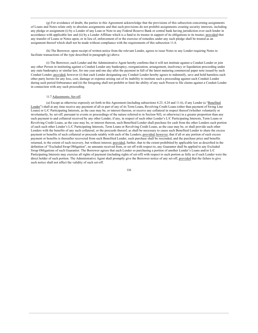$(g)$  For avoidance of doubt, the parties to this Agreement acknowledge that the provisions of this subsection concerning assignments of Loans and Notes relate only to absolute assignments and that such provisions do not prohibit assignments creating security interests, including any pledge or assignment (i) by a Lender of any Loan or Note to any Federal Reserve Bank or central bank having jurisdiction over such lender in accordance with applicable law and (ii) by a Lender Affiliate which is a fund to its trustee in support of its obligations to its trustee; provided that any transfer of Loans or Notes upon, or in lieu of, enforcement of or the exercise of remedies under any such pledge shall be treated as an assignment thereof which shall not be made without compliance with the requirements of this subsection 11.6.

(h) The Borrower, upon receipt of written notice from the relevant Lender, agrees to issue Notes to any Lender requiring Notes to facilitate transactions of the type described in paragraph (g) above.

(i) The Borrower, each Lender and the Administrative Agent hereby confirms that it will not institute against a Conduit Lender or ioin any other Person in instituting against a Conduit Lender any bankruptcy, reorganization, arrangement, insolvency or liquidation proceeding under any state bankruptcy or similar law, for one year and one day after the payment in full of the latest maturing commercial paper note issued by such Conduit Lender; provided, however (i) that each Lender designating any Conduit Lender hereby agrees to indemnify, save and hold harmless each other party hereto for any loss, cost, damage or expense arising out of its inability to institute such a proceeding against such Conduit Lender during such period forbearance and (ii) the foregoing shall not prohibit or limit the ability of any such Person to file claims against a Conduit Lender in connection with any such proceeding.

### 11.7 Adjustments; Set-off.

(a) Except as otherwise expressly set forth in this Agreement (including subsections 4.23, 4.24 and 11.6), if any Lender (a "Benefited Lender") shall at any time receive any payment of all or part of any of its Term Loans, Revolving Credit Loans (other than payment of Swing Line Loans) or L/C Participating Interests, as the case may be, or interest thereon, or receive any collateral in respect thereof (whether voluntarily or involuntarily, by set-off, pursuant to events or proceedings of the nature referred to in Section 9(f), or otherwise) in a greater proportion than any such payment to and collateral received by any other Lender, if any, in respect of such other Lender's L/C Participating Interests, Term Loans or Revolving Credit Loans, as the case may be, or interest thereon, such Benefited Lender shall purchase for cash from the other Lenders such portion of each such other Lender's L/C Participating Interests, Term Loans or Revolving Credit Loans, as the case may be, or shall provide such other Lenders with the benefits of any such collateral, or the proceeds thereof, as shall be necessary to cause such Benefited Lender to share the excess payment or benefits of such collateral or proceeds ratably with each of the Lenders; provided, however, that if all or any portion of such excess payment or benefits is thereafter recovered from such Benefited Lender, such purchase shall be rescinded, and the purchase price and benefits returned, to the extent of such recovery, but without interest; provided, further, that to the extent prohibited by applicable law as described in the definition of "Excluded Swap Obligation", no amounts received from, or set off with respect to, any Guarantor shall be applied to any Excluded Swap Obligations of such Guarantor. The Borrower agrees that each Lender so purchasing a portion of another Lender's Loans and/or L/C Participating Interests may exercise all rights of payment (including rights of set-off) with respect to such portion as fully as if such Lender were the direct holder of such portion. The Administrative Agent shall promptly give the Borrower notice of any set-off, provided that the failure to give such notice shall not affect the validity of such set-off.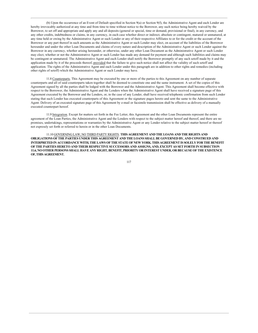(b) Upon the occurrence of an Event of Default specified in Section 9(a) or Section 9(f), the Administrative Agent and each Lender are hereby irrevocably authorized at any time and from time to time without notice to the Borrower, any such notice being hereby waived by the Borrower, to set off and appropriate and apply any and all deposits (general or special, time or demand, provisional or final), in any currency, and any other credits, indebtedness or claims, in any currency, in each case whether direct or indirect, absolute or contingent, matured or unmatured, at any time held or owing by the Administrative Agent or such Lender or any of their respective Affiliates to or for the credit or the account of the Borrower or any part thereof in such amounts as the Administrative Agent or such Lender may elect, on account of the liabilities of the Borrower hereunder and under the other Loan Documents and claims of every nature and description of the Administrative Agent or such Lender against the Borrower in any currency, whether arising hereunder, or otherwise, under any other Loan Document as the Administrative Agent or such Lender may elect, whether or not the Administrative Agent or such Lender has made any demand for payment and although such liabilities and claims may be contingent or unmatured. The Administrative Agent and each Lender shall notify the Borrower promptly of any such setoff made by it and the application made by it of the proceeds thereof, provided that the failure to give such notice shall not affect the validity of such setoff and application. The rights of the Administrative Agent and each Lender under this paragraph are in addition to other rights and remedies (including other rights of setoff) which the Administrative Agent or such Lender may have.

11.8 Counterparts. This Agreement may be executed by one or more of the parties to this Agreement on any number of separate counterparts and all of said counterparts taken together shall be deemed to constitute one and the same instrument. A set of the copies of this Agreement signed by all the parties shall be lodged with the Borrower and the Administrative Agent. This Agreement shall become effective with respect to the Borrower, the Administrative Agent and the Lenders when the Administrative Agent shall have received a signature page of this Agreement executed by the Borrower and the Lenders, or, in the case of any Lender, shall have received telephonic confirmation from such Lender stating that such Lender has executed counterparts of this Agreement or the signature pages hereto and sent the same to the Administrative Agent. Delivery of an executed signature page of this Agreement by e-mail or facsimile transmission shall be effective as delivery of a manually executed counterpart hereof.

11.9 Integration. Except for matters set forth in the Fee Letter, this Agreement and the other Loan Documents represent the entire agreement of the Loan Parties, the Administrative Agent and the Lenders with respect to the subject matter hereof and thereof, and there are no promises, undertakings, representations or warranties by the Administrative Agent or any Lender relative to the subject matter hereof or thereof not expressly set forth or referred to herein or in the other Loan Documents.

11.10 GOVERNING LAW; NO THIRD PARTY RIGHTS. THIS AGREEMENT AND THE LOANS AND THE RIGHTS AND OBLIGATIONS OF THE PARTIES UNDER THIS AGREEMENT AND THE LOANS SHALL BE GOVERNED BY, AND CONSTRUED AND INTERPRETED IN ACCORDANCE WITH. THE LAWS OF THE STATE OF NEW YORK. THIS AGREEMENT IS SOLELY FOR THE BENEFIT OF THE PARTIES HERETO AND THEIR RESPECTIVE SUCCESSORS AND ASSIGNS, AND, EXCEPT AS SET FORTH IN SUBSECTION 11.6, NO OTHER PERSONS SHALL HAVE ANY RIGHT, BENEFIT, PRIORITY OR INTEREST UNDER, OR BECAUSE OF THE EXISTENCE OF. THIS AGREEMENT.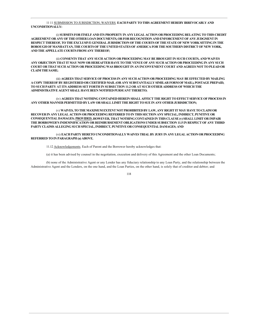## 11 11 SUBMISSION TO JURISDICTION; WAIVERS. EACH PARTY TO THIS AGREEMENT HEREBY IRREVOCABLY AND UNCONDITIONALLY:

(i) SUBMITS FOR ITSELF AND ITS PROPERTY IN ANY LEGAL ACTION OR PROCEEDING RELATING TO THIS CREDIT AGREEMENT OR ANY OF THE OTHER LOAN DOCUMENTS, OR FOR RECOGNITION AND ENFORCEMENT OF ANY JUDGMENT IN RESPECT THEREOF, TO THE EXCLUSIVE GENERAL JURISDICTION OF THE COURTS OF THE STATE OF NEW YORK SITTING IN THE BOROUGH OF MANHATTAN, THE COURTS OF THE UNITED STATES OF AMERICA FOR THE SOUTHERN DISTRICT OF NEW YORK, AND THE APPELLATE COURTS FROM ANY THEREOF;

(ii) CONSENTS THAT ANY SUCH ACTION OR PROCEEDING MAY BE BROUGHT IN SUCH COURTS, AND WAIVES ANY OBJECTION THAT IT MAY NOW OR HEREAFTER HAVE TO THE VENUE OF ANY SUCH ACTION OR PROCEEDING IN ANY SUCH COURT OR THAT SUCH ACTION OR PROCEEDING WAS BROUGHT IN AN INCONVENIENT COURT AND AGREES NOT TO PLEAD OR  $CLAM$ THE SAME $\cdot$ 

(iii) AGREES THAT SERVICE OF PROCESS IN ANY SUCH ACTION OR PROCEEDING MAY BE EFFECTED BY MAILING A COPY THEREOF BY REGISTERED OR CERTIFIED MAIL (OR ANY SUBSTANTIALLY SIMILAR FORM OF MAIL). POSTAGE PREPAID, TO SUCH PARTY AT ITS ADDRESS SET FORTH IN SUBSECTION 11.2 OR AT SUCH OTHER ADDRESS OF WHICH THE ADMINISTRATIVE AGENT SHALL HAVE BEEN NOTIFIED PURSUANT THERETO;

(iv) AGREES THAT NOTHING CONTAINED HEREIN SHALL AFFECT THE RIGHT TO EFFECT SERVICE OF PROCESS IN ANY OTHER MANNER PERMITTED BY LAW OR SHALL LIMIT THE RIGHT TO SUE IN ANY OTHER JURISDICTION;

(v) WAIVES, TO THE MAXIMUM EXTENT NOT PROHIBITED BY LAW, ANY RIGHT IT MAY HAVE TO CLAIM OR RECOVER IN ANY LEGAL ACTION OR PROCEEDING REFERRED TO IN THIS SECTION ANY SPECIAL, INDIRECT, PUNITIVE OR CONSEQUENTIAL DAMAGES; PROVIDED, HOWEVER, THAT NOTHING CONTAINED IN THIS CLAUSE (v) SHALL LIMIT OR IMPAIR THE BORROWER'S INDEMNIFICATION OR REIMBURSEMENT OBLIGATIONS UNDER SUBSECTION 11.5 IN RESPECT OF ANY THIRD PARTY CLAIMS ALLEGING SUCH SPECIAL, INDIRECT, PUNITIVE OR CONSEQUENTIAL DAMAGES; AND

(vi) EACH PARTY HERETO UNCONDITIONALLY WAIVES TRIAL BY JURY IN ANY LEGAL ACTION OR PROCEEDING REFERRED TO IN PARAGRAPH (a) ABOVE.

11.12 Acknowledgements. Each of Parent and the Borrower hereby acknowledges that:

(a) it has been advised by counsel in the negotiation, execution and delivery of this Agreement and the other Loan Documents;

(b) none of the Administrative Agent or any Lender has any fiduciary relationship to any Loan Party, and the relationship between the Administrative Agent and the Lenders, on the one hand, and the Loan Parties, on the other hand, is solely that of creditor and debtor; and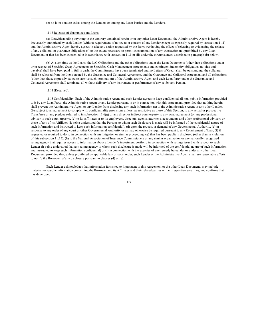(c) no joint venture exists among the Lenders or among any Loan Parties and the Lenders.

### 11 13 Releases of Guarantees and Liens.

(a) Notwithstanding anything to the contrary contained herein or in any other Loan Document, the Administrative Agent is hereby irrevocably authorized by each Lender (without requirement of notice to or consent of any Lender except as expressly required by subsection 11.1) and the Administrative Agent hereby agrees to take any action requested by the Borrower having the effect of releasing or evidencing the release of any collateral or guarantee obligations (i) to the extent necessary to permit consummation of any transaction not prohibited by any Loan Document or that has been consented to in accordance with subsection 11.1 or (ii) under the circumstances described in paragraph (b) below.

(b) At such time as the Loans, the L/C Obligations and the other obligations under the Loan Documents (other than obligations under or in respect of Specified Swap Agreements or Specified Cash Management Agreements and contingent indemnity obligations not due and payable) shall have been paid in full in cash, the Commitments have been terminated and no Letters of Credit shall be outstanding, the collateral shall be released from the Liens created by the Guarantee and Collateral Agreement, and the Guarantee and Collateral Agreement and all obligations (other than those expressly stated to survive such termination) of the Administrative Agent and each Loan Party under the Guarantee and Collateral Agreement shall terminate, all without delivery of any instrument or performance of any act by any Person.

#### 11.14 [Reserved].

11.15 Confidentiality. Each of the Administrative Agent and each Lender agrees to keep confidential all non-public information provided to it by any Loan Party, the Administrative Agent or any Lender pursuant to or in connection with this Agreement; provided that nothing herein shall prevent the Administrative Agent or any Lender from disclosing any such information (a) to the Administrative Agent or any other Lender, (b) subject to an agreement to comply with confidentiality provisions at least as restrictive as those of this Section, to any actual or prospective Transferee or any pledgee referred to in subsection 11.6(g) or any direct or indirect counterparty to any swap agreement (or any professional advisor to such counterparty), (c) to its Affiliates or to its employees, directors, agents, attorneys, accountants and other professional advisors or those of any of its Affiliates (it being understood that the Persons to whom such disclosure is made will be informed of the confidential nature of such information and instructed to keep such information confidential), (d) upon the request or demand of any Governmental Authority, (e) in response to any order of any court or other Governmental Authority or as may otherwise be required pursuant to any Requirement of Law, (f) if requested or required to do so in connection with any litigation or similar proceeding,  $(g)$  that has been publicly disclosed (other than in violation of this subsection 11.15), (h) to the National Association of Insurance Commissioners or any similar organization or any nationally recognized rating agency that requires access to information about a Lender's investment portfolio in connection with ratings issued with respect to such Lender (it being understood that any rating agency to whom such disclosure is made will be informed of the confidential nature of such information and instructed to keep such information confidential) or (i) in connection with the exercise of any remedy hereunder or under any other Loan Document; provided that, unless prohibited by applicable law or court order, such Lender or the Administrative Agent shall use reasonable efforts to notify the Borrower of any disclosure pursuant to clauses (d) or (e).

Each Lender acknowledges that information furnished to it pursuant to this Agreement or the other Loan Documents may include material non-public information concerning the Borrower and its Affiliates and their related parties or their respective securities, and confirms that it has developed

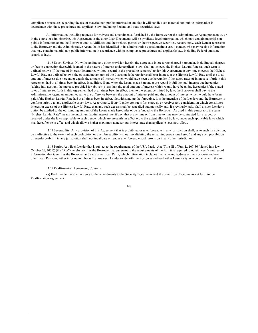compliance procedures regarding the use of material non-public information and that it will handle such material non-public information in accordance with those procedures and applicable law, including Federal and state securities laws.

All information, including requests for waivers and amendments, furnished by the Borrower or the Administrative Agent pursuant to, or in the course of administering, this Agreement or the other Loan Documents will be syndicate-level information, which may contain material nonpublic information about the Borrower and its Affiliates and their related parties or their respective securities. Accordingly, each Lender represents to the Borrower and the Administrative Agent that it has identified in its administrative questionnaire a credit contact who may receive information that may contain material non-public information in accordance with its compliance procedures and applicable law, including Federal and state securities laws.

11 16 Usury Savings. Notwithstanding any other provision herein, the aggregate interest rate charged hereunder, including all charges or fees in connection therewith deemed in the nature of interest under applicable law, shall not exceed the Highest Lawful Rate (as such term is defined below). If the rate of interest (determined without regard to the preceding sentence) under this Agreement at any time exceeds the Highest Lawful Rate (as defined below), the outstanding amount of the Loans made hereunder shall bear interest at the Highest Lawful Rate until the total amount of interest due hereunder equals the amount of interest which would have been due hereunder if the stated rates of interest set forth in this Agreement had at all times been in effect. In addition, if and when the Loans made hereunder are repaid in full the total interest due hereunder (taking into account the increase provided for above) is less than the total amount of interest which would have been due hereunder if the stated rates of interest set forth in this Agreement had at all times been in effect, then to the extent permitted by law, the Borrower shall pay to the Administrative Agent an amount equal to the difference between the amount of interest paid and the amount of interest which would have been paid if the Highest Lawful Rate had at all times been in effect. Notwithstanding the foregoing, it is the intention of the Lenders and the Borrower to conform strictly to any applicable usury laws. Accordingly, if any Lender contracts for, charges, or receives any consideration which constitutes interest in excess of the Highest Lawful Rate, then any such excess shall be cancelled automatically and, if previously paid, shall at such Lender's option be applied to the outstanding amount of the Loans made hereunder or be refunded to the Borrower. As used in this paragraph, the term "Highest Lawful Rate" means the maximum lawful interest rate, if any, that at any time or from time to time may be contracted for, charged, or received under the laws applicable to such Lender which are presently in effect or, to the extent allowed by law, under such applicable laws which may hereafter be in effect and which allow a higher maximum nonusurious interest rate than applicable laws now allow.

11.17 Severability. Any provision of this Agreement that is prohibited or unenforceable in any jurisdiction shall, as to such jurisdiction, be ineffective to the extent of such prohibition or unenforceability without invalidating the remaining provisions hereof, and any such prohibition or unenforceability in any jurisdiction shall not invalidate or render unenforceable such provision in any other jurisdiction.

11.18 Patriot Act. Each Lender that is subject to the requirements of the USA Patriot Act (Title III of Pub. L. 107-56 (signed into law October 26, 2001)) (the "Act") hereby notifies the Borrower that pursuant to the requirements of the Act, it is required to obtain, verify and record information that identifies the Borrower and each other Loan Party, which information includes the name and address of the Borrower and each other Loan Party and other information that will allow such Lender to identify the Borrower and each other Loan Party in accordance with the Act.

### 11.19 Reaffirmation Agreement; Consents.

(a) Each Lender hereby consents to the amendments to the Security Documents and the other Loan Documents set forth in the Reaffirmation Agreement.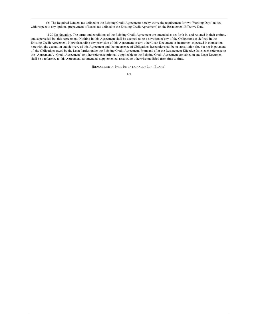(b) The Required Lenders (as defined in the Existing Credit Agreement) hereby waive the requirement for two Working Days' notice with respect to any optional prepayment of Loans (as defined in the Existing Credit Agreement) on the Restatement Effective Date.

11 20 No Novation. The terms and conditions of the Existing Credit Agreement are amended as set forth in, and restated in their entirety and superseded by, this Agreement. Nothing in this Agreement shall be deemed to be a novation of any of the Obligations as defined in the Existing Credit Agreement. Notwithstanding any provision of this Agreement or any other Loan Document or instrument executed in connection herewith, the execution and delivery of this Agreement and the incurrence of Obligations hereunder shall be in substitution for, but not in payment of, the Obligations owed by the Loan Parties under the Existing Credit Agreement. From and after the Restatement Effective Date, each reference to the "Agreement", "Credit Agreement" or other reference originally applicable to the Existing Credit Agreement contained in any Loan Document shall be a reference to this Agreement, as amended, supplemented, restated or otherwise modified from time to time.

[REMAINDER OF PAGE INTENTIONALLY LEFT BLANK]

<sup>121</sup>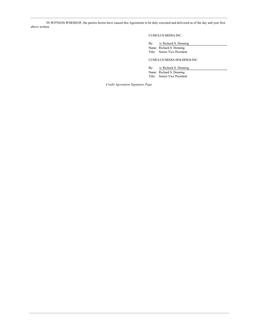IN WITNESS WHEREOF, the parties hereto have caused this Agreement to be duly executed and delivered as of the day and year first above written.

## CUMULUS MEDIA INC.

By: /s/ Richard S. Denning Name: Richard S. Denning

Title: Senior Vice President

CUMULUS MEDIA HOLDINGS INC.

By: /s/ Richard S. Denning Name: Richard S. Denning Title: Senior Vice President

Credit Agreement Signature Page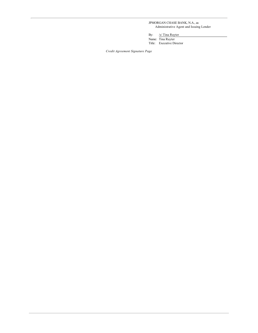JPMORGAN CHASE BANK, N.A., as Administrative Agent and Issuing Lender

By: /s/ Tina Ruyter

Name: Tina Ruyter<br>Title: Executive Director

Credit Agreement Signature Page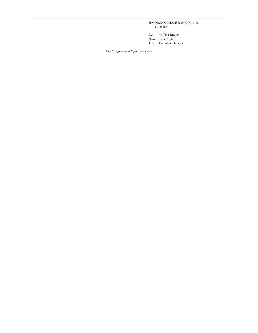JPMORGAN CHASE BANK, N.A., as  $\rm{a}$  Lender

By:  $/s/$  Tina Ruyter

Name: Tina Ruyter<br>Title: Executive Director

Credit Agreement Signature Page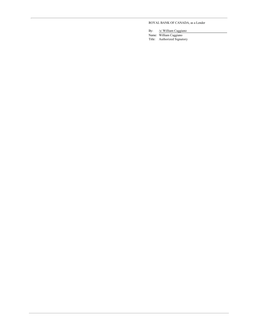# ROYAL BANK OF CANADA, as a Lender

By: /s/ William Caggiano<br>Name: William Caggiano Title: Authorized Signatory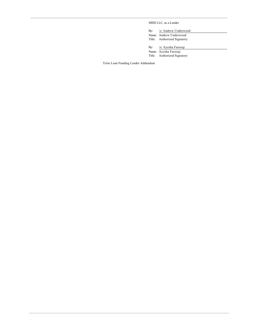MIHI LLC, as a Lender

By: /s/ Andrew Underwood<br>Name: Andrew Underwood Title: Authorized Signatory

By: /s/ Ayesha Farooqi

Name: Ayesha Farooqi Title: Authorized Signatory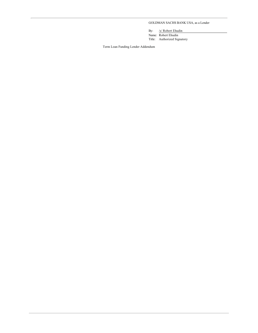# GOLDMAN SACHS BANK USA, as a Lender

By: /s/ Robert Ehudin<br>Name: Robert Ehudin Title: Authorized Signatory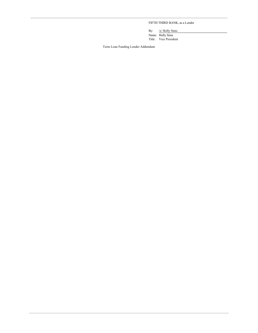FIFTH THIRD BANK, as a Lender

By: /s/ Holly Sims<br>Name: Holly Sims Title: Vice President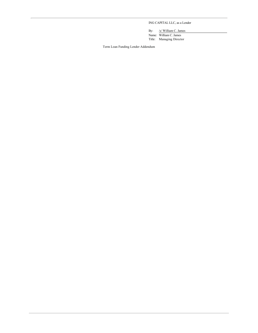# ING CAPITAL LLC, as a Lender

By: /s/ William C. James<br>Name: William C. James

Title: Managing Director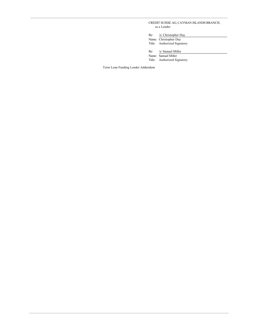CREDIT SUISSE AG, CAYMAN ISLANDS BRANCH, as a Lender

By: /s/ Christopher Day

Name: Christopher Day Title: Authorized Signatory

/s/ Samuel Miller By:

Name: Samuel Miller<br>Title: Authorized Signatory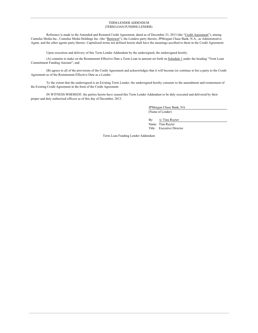#### TERM LENDER ADDENDUM (TERM LOAN FUNDING LENDER)

Reference is made to the Amended and Restated Credit Agreement, dated as of December 23, 2013 (the "Credit Agreement"), among Cumulus Media Inc., Cumulus Media Holdings Inc. (the "Borrower"), the Lenders party thereto, JPMorgan Chase Bank, N.A., as Administrative Agent, and the other agents party thereto. Capitalized terms not defined herein shall have the meanings ascribed to them in the Credit Agreement.

Upon execution and delivery of this Term Lender Addendum by the undersigned, the undersigned hereby:

(A) commits to make on the Restatement Effective Date a Term Loan in amount set forth on Schedule 1 under the heading "Term Loan Commitment Funding Amount"; and

(B) agrees to all of the provisions of the Credit Agreement and acknowledges that it will become (or continue to be) a party to the Credit Agreement as of the Restatement Effective Date as a Lender.

To the extent that the undersigned is an Existing Term Lender, the undersigned hereby consents to the amendment and restatement of the Existing Credit Agreement in the form of the Credit Agreement.

IN WITNESS WHEREOF, the parties hereto have caused this Term Lender Addendum to be duly executed and delivered by their proper and duly authorized officers as of this day of December, 2013.

> JPMorgan Chase Bank, NA (Name of Lender)

By: /s/ Tina Ruyter

Name: Tina Ruyter Title: Executive Director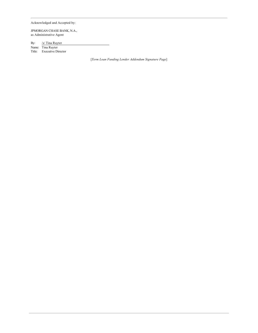Acknowledged and Accepted by:

JPMORGAN CHASE BANK, N.A., as Administrative Agent

By: /s/ Tina Ruyter

Name: Tina Ruyter Title: Executive Director

[Term Loan Funding Lender Addendum Signature Page]